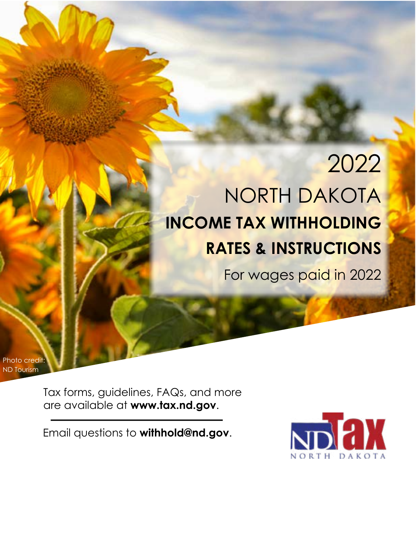# 2022 NORTH DAKOTA **INCOME TAX WITHHOLDING RATES & INSTRUCTIONS**

North Dakota Income Tax Withholding Rates and Instructions 2022 Calendar Year

For wages paid in 2022

Photo credit: ND Tourism

> Tax forms, guidelines, FAQs, and more are available at **www.tax.nd.gov**.

Email questions to **withhold@nd.gov**.

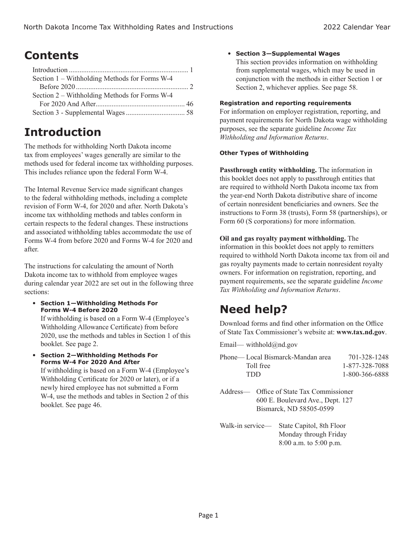### **Contents**

| Section 1 – Withholding Methods for Forms W-4 |  |
|-----------------------------------------------|--|
|                                               |  |
| Section 2 – Withholding Methods for Forms W-4 |  |
|                                               |  |
|                                               |  |
|                                               |  |

### **Introduction**

The methods for withholding North Dakota income tax from employees' wages generally are similar to the methods used for federal income tax withholding purposes. This includes reliance upon the federal Form W-4.

The Internal Revenue Service made significant changes to the federal withholding methods, including a complete revision of Form W-4, for 2020 and after. North Dakota's income tax withholding methods and tables conform in certain respects to the federal changes. These instructions and associated withholding tables accommodate the use of Forms W-4 from before 2020 and Forms W-4 for 2020 and after.

The instructions for calculating the amount of North Dakota income tax to withhold from employee wages during calendar year 2022 are set out in the following three sections:

 **Section 1—Withholding Methods For Forms W-4 Before 2020**

 If withholding is based on a Form W-4 (Employee's Withholding Allowance Certificate) from before 2020, use the methods and tables in Section 1 of this booklet. See page 2.

 **Section 2—Withholding Methods For Forms W-4 For 2020 And After**

 If withholding is based on a Form W-4 (Employee's Withholding Certificate for 2020 or later), or if a newly hired employee has not submitted a Form W-4, use the methods and tables in Section 2 of this booklet. See page 46.

#### **Section 3—Supplemental Wages**

 This section provides information on withholding from supplemental wages, which may be used in conjunction with the methods in either Section 1 or Section 2, whichever applies. See page 58.

#### **Registration and reporting requirements**

For information on employer registration, reporting, and payment requirements for North Dakota wage withholding purposes, see the separate guideline *Income Tax Withholding and Information Returns*.

#### **Other Types of Withholding**

**Passthrough entity withholding.** The information in this booklet does not apply to passthrough entities that are required to withhold North Dakota income tax from the year-end North Dakota distributive share of income of certain nonresident beneficiaries and owners. See the instructions to Form 38 (trusts), Form 58 (partnerships), or Form 60 (S corporations) for more information.

**Oil and gas royalty payment withholding.** The information in this booklet does not apply to remitters required to withhold North Dakota income tax from oil and gas royalty payments made to certain nonresident royalty owners. For information on registration, reporting, and payment requirements, see the separate guideline *Income Tax Withholding and Information Returns*.

### **Need help?**

Download forms and find other information on the Office of State Tax Commissioner's website at: **www.tax.nd.gov**.

Email— withhold@nd.gov

| Phone— Local Bismarck-Mandan area                                     | 701-328-1248   |
|-----------------------------------------------------------------------|----------------|
| Toll free                                                             | 1-877-328-7088 |
| TDD.                                                                  | 1-800-366-6888 |
| $Off$ as a $f$ State Tay $C$ ammigation on<br>$\lambda$ and $\lambda$ |                |

- Address— Office of State Tax Commissioner 600 E. Boulevard Ave., Dept. 127 Bismarck, ND 58505-0599
- Walk-in service— State Capitol, 8th Floor Monday through Friday 8:00 a.m. to 5:00 p.m.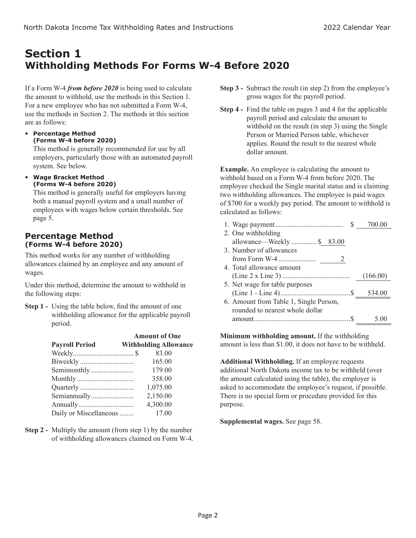### **Section 1 Withholding Methods For Forms W-4 Before 2020**

If a Form W-4 *from before 2020* is being used to calculate the amount to withhold, use the methods in this Section 1. For a new employee who has not submitted a Form W-4, use the methods in Section 2. The methods in this section are as follows:

 **Percentage Method (Forms W-4 before 2020)**

This method is generally recommended for use by all employers, particularly those with an automated payroll system. See below.

 **Wage Bracket Method (Forms W-4 before 2020)**

This method is generally useful for employers having both a manual payroll system and a small number of employees with wages below certain thresholds. See page 5.

### **Percentage Method (Forms W-4 before 2020)**

This method works for any number of withholding allowances claimed by an employee and any amount of wages.

Under this method, determine the amount to withhold in the following steps:

**Step 1 -** Using the table below, find the amount of one withholding allowance for the applicable payroll period.

| <b>Amount of One</b>            |
|---------------------------------|
| <b>Withholding Allowance</b>    |
| 83.00                           |
| 165.00                          |
| 179.00                          |
| 358.00                          |
| 1,075.00                        |
| 2,150.00                        |
| 4,300.00                        |
| Daily or Miscellaneous<br>17.00 |
|                                 |

**Step 2 -** Multiply the amount (from step 1) by the number of withholding allowances claimed on Form W-4.

- **Step 3 -** Subtract the result (in step 2) from the employee's gross wages for the payroll period.
- **Step 4 -** Find the table on pages 3 and 4 for the applicable payroll period and calculate the amount to withhold on the result (in step 3) using the Single Person or Married Person table, whichever applies. Round the result to the nearest whole dollar amount.

**Example.** An employee is calculating the amount to withhold based on a Form W-4 from before 2020. The employee checked the Single marital status and is claiming two withholding allowances. The employee is paid wages of \$700 for a weekly pay period. The amount to withhold is calculated as follows:

| (166.00) |
|----------|
|          |
|          |
|          |
|          |
|          |
|          |

**Minimum withholding amount.** If the withholding amount is less than \$1.00, it does not have to be withheld.

**Additional Withholding.** If an employee requests additional North Dakota income tax to be withheld (over the amount calculated using the table), the employer is asked to accommodate the employee's request, if possible. There is no special form or procedure provided for this purpose.

**Supplemental wages.** See page 58.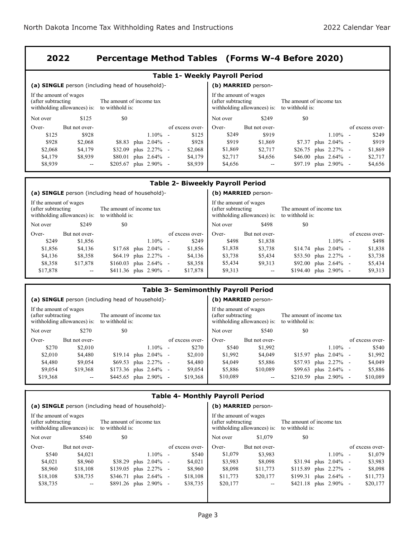### **2022 Percentage Method Tables (Forms W-4 Before 2020)**

|                                                                                                                             | <b>Table 1- Weekly Payroll Period</b> |                                                  |            |  |                     |                                                                                                                            |               |                          |  |                          |  |                 |  |
|-----------------------------------------------------------------------------------------------------------------------------|---------------------------------------|--------------------------------------------------|------------|--|---------------------|----------------------------------------------------------------------------------------------------------------------------|---------------|--------------------------|--|--------------------------|--|-----------------|--|
|                                                                                                                             |                                       | (a) SINGLE person (including head of household)- |            |  | (b) MARRIED person- |                                                                                                                            |               |                          |  |                          |  |                 |  |
| If the amount of wages<br>(after subtracting<br>The amount of income tax<br>with holding allowances) is:<br>to withhold is: |                                       |                                                  |            |  |                     | If the amount of wages<br>(after subtracting<br>The amount of income tax<br>withholding allowances) is:<br>to withhold is: |               |                          |  |                          |  |                 |  |
| Not over                                                                                                                    | \$125                                 | \$0                                              |            |  |                     | Not over                                                                                                                   | \$249         | \$0                      |  |                          |  |                 |  |
| Over-                                                                                                                       | But not over-                         |                                                  |            |  | of excess over-     | Over-                                                                                                                      | But not over- |                          |  |                          |  | of excess over- |  |
| \$125                                                                                                                       | \$928                                 |                                                  | $1.10\%$ - |  | \$125               | \$249                                                                                                                      | \$919         |                          |  | $1.10\%$ -               |  | \$249           |  |
| \$928                                                                                                                       | \$2,068                               | \$8.83 plus 2.04% -                              |            |  | \$928               | \$919                                                                                                                      | \$1,869       |                          |  | $$7.37$ plus $2.04\%$ -  |  | \$919           |  |
| \$2,068                                                                                                                     | \$4,179                               | $$32.09$ plus $2.27\%$ -                         |            |  | \$2,068             | \$1,869                                                                                                                    | \$2,717       | \$26.75 plus 2.27% -     |  |                          |  | \$1,869         |  |
| \$4,179                                                                                                                     | \$8,939                               | \$80.01 plus 2.64% -                             |            |  | \$4,179             | \$2,717                                                                                                                    | \$4,656       | $$46.00$ plus $2.64\%$ - |  |                          |  | \$2,717         |  |
| \$8,939                                                                                                                     | $- -$                                 | $$205.67$ plus $2.90\%$ -                        |            |  | \$8,939             | \$4,656                                                                                                                    | $\sim$        |                          |  | $$97.19$ plus $2.90\%$ - |  | \$4,656         |  |

| <b>Table 2- Biweekly Payroll Period</b>                                                                                     |                                                  |                           |  |            |  |                                                                                                                            |          |                     |                           |  |                          |  |                 |
|-----------------------------------------------------------------------------------------------------------------------------|--------------------------------------------------|---------------------------|--|------------|--|----------------------------------------------------------------------------------------------------------------------------|----------|---------------------|---------------------------|--|--------------------------|--|-----------------|
|                                                                                                                             | (a) SINGLE person (including head of household)- |                           |  |            |  |                                                                                                                            |          | (b) MARRIED person- |                           |  |                          |  |                 |
| If the amount of wages<br>(after subtracting<br>The amount of income tax<br>with holding allowances) is:<br>to withhold is: |                                                  |                           |  |            |  | If the amount of wages<br>(after subtracting<br>The amount of income tax<br>withholding allowances) is:<br>to withhold is: |          |                     |                           |  |                          |  |                 |
| Not over                                                                                                                    | \$249                                            | \$0                       |  |            |  |                                                                                                                            | Not over | \$498               | \$0                       |  |                          |  |                 |
| Over-                                                                                                                       | But not over-                                    |                           |  |            |  | of excess over-                                                                                                            | Over-    | But not over-       |                           |  |                          |  | of excess over- |
| \$249                                                                                                                       | \$1,856                                          |                           |  | $1.10\%$ - |  | \$249                                                                                                                      | \$498    | \$1,838             |                           |  | $1.10\%$ -               |  | \$498           |
| \$1,856                                                                                                                     | \$4,136                                          | $$17.68$ plus $2.04\%$ -  |  |            |  | \$1,856                                                                                                                    | \$1,838  | \$3,738             |                           |  | $$14.74$ plus $2.04\%$ - |  | \$1,838         |
| \$4,136                                                                                                                     | \$8,358                                          | \$64.19 plus 2.27% -      |  |            |  | \$4,136                                                                                                                    | \$3,738  | \$5,434             |                           |  | \$53.50 plus 2.27% -     |  | \$3,738         |
| \$8,358                                                                                                                     | \$17,878                                         | $$160.03$ plus $2.64\%$ - |  |            |  | \$8,358                                                                                                                    | \$5,434  | \$9.313             |                           |  | $$92.00$ plus $2.64\%$ - |  | \$5,434         |
| \$17,878                                                                                                                    | $\overline{\phantom{m}}$                         | $$411.36$ plus $2.90\%$ - |  |            |  | \$17,878                                                                                                                   | \$9,313  | $\sim$              | $$194.40$ plus $2.90\%$ - |  |                          |  | \$9,313         |

### **Table 3- Semimonthly Payroll Period**

|                                                                                                                             |               | (a) SINGLE person (including head of household)- |                                      |                                              | (b) MARRIED person-          |                                             |                          |                 |
|-----------------------------------------------------------------------------------------------------------------------------|---------------|--------------------------------------------------|--------------------------------------|----------------------------------------------|------------------------------|---------------------------------------------|--------------------------|-----------------|
| If the amount of wages<br>The amount of income tax<br>(after subtracting<br>with holding allowances) is:<br>to withhold is: |               |                                                  |                                      | If the amount of wages<br>(after subtracting | with holding allowances) is: | The amount of income tax<br>to withhold is: |                          |                 |
| Not over                                                                                                                    | \$270         | \$0                                              |                                      | Not over                                     | \$540                        | \$0                                         |                          |                 |
| Over-                                                                                                                       | But not over- |                                                  | of excess over-                      | $Over-$                                      | But not over-                |                                             |                          | of excess over- |
| \$270                                                                                                                       | \$2,010       | $1.10\%$                                         | \$270<br>$\overline{\phantom{a}}$    | \$540                                        | \$1,992                      |                                             | $1.10\%$ -               | \$540           |
| \$2,010                                                                                                                     | \$4,480       | $$19.14$ plus $2.04\%$ -                         | \$2,010                              | \$1,992                                      | \$4,049                      |                                             | $$15.97$ plus $2.04\%$ - | \$1,992         |
| \$4,480                                                                                                                     | \$9,054       | $$69.53$ plus $2.27\%$ -                         | \$4,480                              | \$4,049                                      | \$5,886                      |                                             | \$57.93 plus 2.27% -     | \$4,049         |
| \$9,054                                                                                                                     | \$19,368      | $$173.36$ plus $2.64\%$ -                        | \$9,054                              | \$5,886                                      | \$10,089                     |                                             | $$99.63$ plus $2.64\%$ - | \$5,886         |
| \$19,368                                                                                                                    | $\sim$ $\sim$ | \$445.65 plus $2.90\%$                           | \$19,368<br>$\overline{\phantom{a}}$ | \$10,089                                     | $\qquad \qquad -$            | \$210.59 plus 2.90% -                       |                          | \$10,089        |

### **Table 4- Monthly Payroll Period**

|                                                                              | (a) SINGLE person (including head of household)- |                 |                                              | (b) MARRIED person-          |                                             |                 |
|------------------------------------------------------------------------------|--------------------------------------------------|-----------------|----------------------------------------------|------------------------------|---------------------------------------------|-----------------|
| If the amount of wages<br>(after subtracting<br>with holding allowances) is: | The amount of income tax<br>to withhold is:      |                 | If the amount of wages<br>(after subtracting | with holding allowances) is: | The amount of income tax<br>to withhold is: |                 |
| \$540<br>Not over                                                            | \$0                                              |                 | Not over                                     | \$1,079                      | \$0                                         |                 |
| Over-<br>But not over-                                                       |                                                  | of excess over- | Over-                                        | But not over-                |                                             | of excess over- |
| \$540<br>\$4,021                                                             | $1.10\%$ -                                       | \$540           | \$1,079                                      | \$3,983                      | $1.10\%$ -                                  | \$1,079         |
| \$4,021<br>\$8,960                                                           | $$38.29$ plus $2.04\%$ -                         | \$4,021         | \$3,983                                      | \$8,098                      | $$31.94$ plus $2.04\%$ -                    | \$3,983         |
| \$8,960<br>\$18,108                                                          | $$139.05$ plus $2.27\%$ -                        | \$8,960         | \$8,098                                      | \$11,773                     | $$115.89$ plus $2.27\%$ -                   | \$8,098         |
| \$18,108<br>\$38,735                                                         | \$346.71<br>plus $2.64\%$ -                      | \$18,108        | \$11,773                                     | \$20,177                     | $$199.31$ plus $2.64\%$ -                   | \$11,773        |
| \$38,735<br>$\overline{\phantom{a}}$                                         | $$891.26$ plus $2.90\%$ -                        | \$38,735        | \$20,177                                     | $- -$                        | $$421.18$ plus $2.90\%$ -                   | \$20,177        |
|                                                                              |                                                  |                 |                                              |                              |                                             |                 |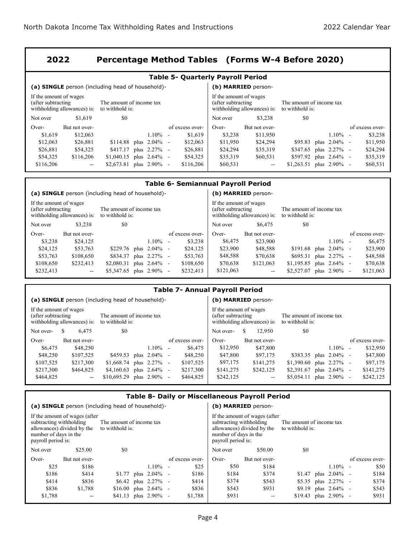#### **2022 Percentage Method Tables (Forms W-4 Before 2020)**

| <b>Table 5- Quarterly Payroll Period</b>     |                              |                                                  |                                                                                                                             |                          |                 |                     |               |                       |  |                          |  |                 |  |
|----------------------------------------------|------------------------------|--------------------------------------------------|-----------------------------------------------------------------------------------------------------------------------------|--------------------------|-----------------|---------------------|---------------|-----------------------|--|--------------------------|--|-----------------|--|
|                                              |                              | (a) SINGLE person (including head of household)- |                                                                                                                             |                          |                 | (b) MARRIED person- |               |                       |  |                          |  |                 |  |
| If the amount of wages<br>(after subtracting | with holding allowances) is: | The amount of income tax<br>to withhold is:      | If the amount of wages<br>(after subtracting<br>The amount of income tax<br>with holding allowances) is:<br>to withhold is: |                          |                 |                     |               |                       |  |                          |  |                 |  |
| Not over                                     | \$1,619                      | \$0                                              |                                                                                                                             |                          |                 | Not over            | \$3,238       | \$0                   |  |                          |  |                 |  |
| $Over-$                                      | But not over-                |                                                  |                                                                                                                             |                          | of excess over- | Over-               | But not over- |                       |  |                          |  | of excess over- |  |
| \$1,619                                      | \$12,063                     |                                                  | $1.10\%$ -                                                                                                                  |                          | \$1,619         | \$3,238             | \$11,950      |                       |  | $1.10\%$ -               |  | \$3,238         |  |
| \$12,063                                     | \$26,881                     | $$114.88$ plus $2.04\%$ -                        |                                                                                                                             |                          | \$12,063        | \$11,950            | \$24,294      |                       |  | $$95.83$ plus $2.04\%$ - |  | \$11,950        |  |
| \$26,881                                     | \$54,325                     | \$417.17 plus 2.27% -                            |                                                                                                                             |                          | \$26,881        | \$24,294            | \$35,319      | \$347.65              |  | plus 2.27% -             |  | \$24,294        |  |
| \$54,325                                     | \$116,206                    | \$1,040.15                                       | plus $2.64\%$ -                                                                                                             |                          | \$54,325        | \$35,319            | \$60,531      | \$597.92 plus 2.64% - |  |                          |  | \$35,319        |  |
| \$116,206                                    | $- -$                        | \$2,673.81                                       | plus $2.90\%$                                                                                                               | $\overline{\phantom{a}}$ | \$116,206       | \$60,531            | $- -$         | \$1,263.51            |  | plus 2.90% -             |  | \$60,531        |  |

|                                                                                                                            | <b>Table 6- Semiannual Payroll Period</b> |                                                  |                 |                          |                                                                                                                             |                     |               |            |                             |  |                 |  |
|----------------------------------------------------------------------------------------------------------------------------|-------------------------------------------|--------------------------------------------------|-----------------|--------------------------|-----------------------------------------------------------------------------------------------------------------------------|---------------------|---------------|------------|-----------------------------|--|-----------------|--|
|                                                                                                                            |                                           | (a) SINGLE person (including head of household)- |                 |                          |                                                                                                                             | (b) MARRIED person- |               |            |                             |  |                 |  |
| If the amount of wages<br>(after subtracting<br>The amount of income tax<br>withholding allowances) is:<br>to withhold is: |                                           |                                                  |                 |                          | If the amount of wages<br>(after subtracting<br>The amount of income tax<br>with holding allowances) is:<br>to withhold is: |                     |               |            |                             |  |                 |  |
| Not over                                                                                                                   | \$3,238                                   | \$0                                              |                 |                          |                                                                                                                             | Not over            | \$6,475       | \$0        |                             |  |                 |  |
| Over-                                                                                                                      | But not over-                             |                                                  |                 |                          | of excess over-                                                                                                             | Over-               | But not over- |            |                             |  | of excess over- |  |
| \$3,238                                                                                                                    | \$24,125                                  |                                                  | $1.10\%$        | $\overline{\phantom{a}}$ | \$3,238                                                                                                                     | \$6,475             | \$23,900      |            | $1.10\%$ -                  |  | \$6,475         |  |
| \$24,125                                                                                                                   | \$53,763                                  | $$229.76$ plus $2.04\%$ -                        |                 |                          | \$24,125                                                                                                                    | \$23,900            | \$48,588      | \$191.68   | plus $2.04\%$ -             |  | \$23,900        |  |
| \$53.763                                                                                                                   | \$108,650                                 | \$834.37                                         | plus 2.27% -    |                          | \$53,763                                                                                                                    | \$48,588            | \$70,638      | \$695.31   | plus $2.27\%$ -             |  | \$48,588        |  |
| \$108,650                                                                                                                  | \$232,413                                 | \$2,080.31                                       | plus $2.64\%$ - |                          | \$108,650                                                                                                                   | \$70,638            | \$121,063     |            | $$1,195.85$ plus $2.64\%$ - |  | \$70,638        |  |
| \$232,413                                                                                                                  | $\overline{\phantom{a}}$                  | $$5,347.65$ plus $2.90\%$                        |                 | $\overline{\phantom{a}}$ | \$232,413                                                                                                                   | \$121,063           | $\sim$ $\sim$ | \$2,527.07 | plus 2.90% -                |  | \$121,063       |  |

### **Table 7- Annual Payroll Period**

|                                                                                                                             |               | (a) SINGLE person (including head of household)- |  |                                                                              | (b) MARRIED person- |    |                                             |                             |  |                 |  |                 |
|-----------------------------------------------------------------------------------------------------------------------------|---------------|--------------------------------------------------|--|------------------------------------------------------------------------------|---------------------|----|---------------------------------------------|-----------------------------|--|-----------------|--|-----------------|
| If the amount of wages<br>(after subtracting<br>The amount of income tax<br>with holding allowances) is:<br>to withhold is: |               |                                                  |  | If the amount of wages<br>(after subtracting<br>with holding allowances) is: |                     |    | The amount of income tax<br>to withhold is: |                             |  |                 |  |                 |
| Not over-                                                                                                                   | S.<br>6.475   | \$0                                              |  |                                                                              | Not over-           | S. | 12.950                                      | \$0                         |  |                 |  |                 |
| Over-                                                                                                                       | But not over- |                                                  |  | of excess over-                                                              | Over-               |    | But not over-                               |                             |  |                 |  | of excess over- |
| \$6,475                                                                                                                     | \$48,250      | $1.10\%$                                         |  | \$6,475<br>$\overline{\phantom{a}}$                                          | \$12,950            |    | \$47,800                                    |                             |  | $1.10\%$ -      |  | \$12,950        |
| \$48,250                                                                                                                    | \$107,525     | \$459.53 plus $2.04\%$                           |  | \$48,250<br>$\sim$                                                           | \$47,800            |    | \$97,175                                    | $$383.35$ plus $2.04\%$ -   |  |                 |  | \$47,800        |
| \$107,525                                                                                                                   | \$217,300     | \$1,668.74 plus $2.27\%$                         |  | \$107,525<br>$\sim$                                                          | \$97,175            |    | \$141,275                                   | $$1,390.60$ plus $2.27\%$ - |  |                 |  | \$97,175        |
| \$217,300                                                                                                                   | \$464,825     | \$4,160.63 plus $2.64\%$                         |  | \$217,300<br>$\sim$                                                          | \$141,275           |    | \$242,125                                   | \$2,391.67                  |  | plus $2.64\%$ - |  | \$141,275       |
| \$464,825                                                                                                                   | $\sim$ $\sim$ | \$10,695.29<br>plus 2.90%                        |  | \$464,825<br>$\sim$                                                          | \$242,125           |    | $\overline{\phantom{m}}$                    | \$5,054.11                  |  | plus $2.90\%$ - |  | \$242,125       |

### **Table 8- Daily or Miscellaneous Payroll Period**

|                                                                                                                                                                                                                    | (a) SINGLE person (including head of household)- |                          |                         |            |        |                                                                        |                                                             | (b) MARRIED person-                         |     |                          |                 |
|--------------------------------------------------------------------------------------------------------------------------------------------------------------------------------------------------------------------|--------------------------------------------------|--------------------------|-------------------------|------------|--------|------------------------------------------------------------------------|-------------------------------------------------------------|---------------------------------------------|-----|--------------------------|-----------------|
| If the amount of wages (after<br>subtracting withholding<br>The amount of income tax<br>allowances) divided by the<br>to withhold is:<br>number of days in the<br>payroll period is:<br>\$25.00<br>\$0<br>Not over |                                                  |                          |                         |            |        | subtracting withholding<br>number of days in the<br>payroll period is: | If the amount of wages (after<br>allowances) divided by the | The amount of income tax<br>to withhold is: |     |                          |                 |
|                                                                                                                                                                                                                    |                                                  |                          |                         |            |        |                                                                        | Not over                                                    | \$50.00                                     | \$0 |                          |                 |
| Over-                                                                                                                                                                                                              | But not over-                                    |                          |                         |            |        | of excess over-                                                        | Over-                                                       | But not over-                               |     |                          | of excess over- |
| \$25                                                                                                                                                                                                               | \$186                                            |                          |                         | $1.10\%$ - |        | \$25                                                                   | \$50                                                        | \$184                                       |     | $1.10\%$ -               | \$50            |
| \$186                                                                                                                                                                                                              | \$414                                            |                          | $$1.77$ plus $2.04\%$ - |            |        | \$186                                                                  | \$184                                                       | \$374                                       |     | $$1.47$ plus $2.04\%$ -  | \$184           |
| \$414                                                                                                                                                                                                              | \$836                                            |                          | $$6.42$ plus $2.27\%$ - |            |        | \$414                                                                  | \$374                                                       | \$543                                       |     | \$5.35 plus 2.27% -      | \$374           |
| \$836                                                                                                                                                                                                              | \$1,788                                          | $$16.00$ plus $2.64\%$ - |                         |            |        | \$836                                                                  | \$543                                                       | \$931                                       |     | \$9.19 plus 2.64% -      | \$543           |
| \$1,788                                                                                                                                                                                                            | $-$                                              | \$41.13 plus $2.90\%$    |                         |            | $\sim$ | \$1,788                                                                | \$931                                                       | $\overline{\phantom{m}}$                    |     | $$19.43$ plus $2.90\%$ - | \$931           |
|                                                                                                                                                                                                                    |                                                  |                          |                         |            |        |                                                                        |                                                             |                                             |     |                          |                 |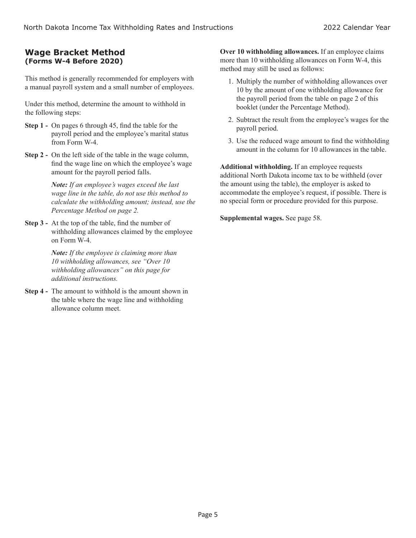### **Wage Bracket Method (Forms W-4 Before 2020)**

This method is generally recommended for employers with a manual payroll system and a small number of employees.

Under this method, determine the amount to withhold in the following steps:

- **Step 1 -** On pages 6 through 45, find the table for the payroll period and the employee's marital status from Form W-4.
- **Step 2 -** On the left side of the table in the wage column, find the wage line on which the employee's wage amount for the payroll period falls.

*Note: If an employee's wages exceed the last wage line in the table, do not use this method to calculate the withholding amount; instead, use the Percentage Method on page 2.*

**Step 3 -** At the top of the table, find the number of withholding allowances claimed by the employee on Form W-4.

> *Note: If the employee is claiming more than 10 withholding allowances, see "Over 10 withholding allowances" on this page for additional instructions.*

**Step 4 -** The amount to withhold is the amount shown in the table where the wage line and withholding allowance column meet.

**Over 10 withholding allowances.** If an employee claims more than 10 withholding allowances on Form W-4, this method may still be used as follows:

- 1. Multiply the number of withholding allowances over 10 by the amount of one withholding allowance for the payroll period from the table on page 2 of this booklet (under the Percentage Method).
- 2. Subtract the result from the employee's wages for the payroll period.
- 3. Use the reduced wage amount to find the withholding amount in the column for 10 allowances in the table.

**Additional withholding.** If an employee requests additional North Dakota income tax to be withheld (over the amount using the table), the employer is asked to accommodate the employee's request, if possible. There is no special form or procedure provided for this purpose.

**Supplemental wages.** See page 58.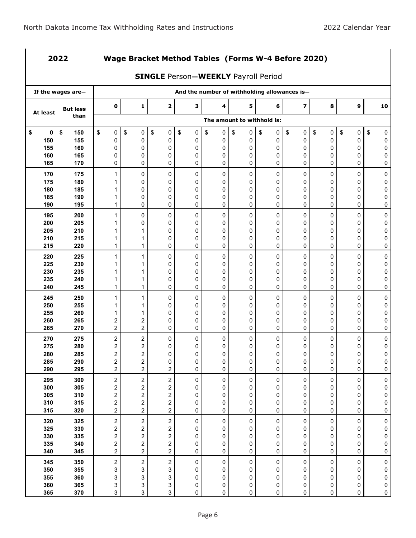| 2022                     |                          |                         | Wage Bracket Method Tables (Forms W-4 Before 2020)                                         |                         |                   |             |                            |             |                         |             |                  |                  |  |  |
|--------------------------|--------------------------|-------------------------|--------------------------------------------------------------------------------------------|-------------------------|-------------------|-------------|----------------------------|-------------|-------------------------|-------------|------------------|------------------|--|--|
|                          |                          |                         | <b>SINGLE Person-WEEKLY Payroll Period</b><br>And the number of withholding allowances is- |                         |                   |             |                            |             |                         |             |                  |                  |  |  |
|                          | If the wages are-        |                         |                                                                                            |                         |                   |             |                            |             |                         |             |                  |                  |  |  |
| At least                 | <b>But less</b>          | 0                       | $\mathbf{1}$                                                                               | $\mathbf{2}$            | 3                 | 4           | 5                          | 6           | $\overline{\mathbf{z}}$ | 8           | 9                | 10               |  |  |
|                          | than                     |                         |                                                                                            |                         |                   |             | The amount to withhold is: |             |                         |             |                  |                  |  |  |
| 0                        | \$                       | \$                      | \$                                                                                         | \$                      | $\boldsymbol{\$}$ | \$          | \$                         | \$          | $\sqrt[6]{\frac{1}{2}}$ | \$          | \$               | \$               |  |  |
| \$                       | 150                      | 0                       | 0                                                                                          | 0                       | 0                 | 0           | 0                          | 0           | $\pmb{0}$               | 0           | 0                | $\pmb{0}$        |  |  |
| 150                      | 155                      | 0                       | 0                                                                                          | 0                       | 0                 | 0           | 0                          | 0           | 0                       | 0           | 0                | 0                |  |  |
| 155                      | 160                      | 0                       | 0                                                                                          | 0                       | 0                 | 0           | 0                          | 0           | 0                       | 0           | 0                | 0                |  |  |
| 160                      | 165                      | 0                       | 0                                                                                          | 0                       | 0                 | 0           | 0                          | 0           | 0                       | 0           | 0                | 0                |  |  |
| 165                      | 170                      | 0                       | 0                                                                                          | 0                       | 0                 | 0           | 0                          | 0           | 0                       | 0           | 0                | 0                |  |  |
| 170                      | 175                      | 1                       | 0                                                                                          | 0                       | 0                 | 0           | 0                          | 0           | 0                       | 0           | 0                | 0                |  |  |
| 175                      | 180                      | 1                       | 0                                                                                          | 0                       | 0                 | 0           | 0                          | 0           | 0                       | 0           | 0                | 0                |  |  |
| 180                      | 185                      | 1                       | 0                                                                                          | 0                       | 0                 | 0           | 0                          | 0           | 0                       | 0           | $\mathbf 0$      | 0                |  |  |
| 185                      | 190                      | 1                       | 0                                                                                          | 0                       | 0                 | 0           | 0                          | 0           | 0                       | 0           | 0                | 0                |  |  |
| 190                      | 195                      | $\mathbf{1}$            | 0                                                                                          | 0                       | 0                 | 0           | 0                          | 0           | 0                       | 0           | 0                | 0                |  |  |
| 195                      | 200                      | 1                       | 0                                                                                          | 0                       | 0                 | 0           | 0                          | $\Omega$    | 0                       | 0           | 0                | 0                |  |  |
| 200                      | 205                      | 1                       | 0                                                                                          | 0                       | 0                 | 0           | 0                          | 0           | 0                       | 0           | 0                | 0                |  |  |
| 205                      | 210                      | 1                       | 1                                                                                          | 0                       | 0                 | 0           | 0                          | 0           | 0                       | 0           | 0                | 0                |  |  |
| 210                      | 215                      | 1                       | 1                                                                                          | 0                       | 0                 | 0           | 0                          | 0           | 0                       | 0           | 0                | 0                |  |  |
| 215                      | 220                      | $\mathbf{1}$            | $\mathbf{1}$                                                                               | 0                       | 0                 | 0           | 0                          | 0           | 0                       | 0           | 0                | 0                |  |  |
| 220<br>225<br>230<br>235 | 225<br>230<br>235<br>240 | $\mathbf{1}$<br>1<br>1  | 1<br>1<br>1                                                                                | 0<br>0<br>0             | 0<br>0<br>0<br>0  | 0<br>0<br>0 | 0<br>0<br>0                | 0<br>0<br>0 | 0<br>0<br>0<br>0        | 0<br>0<br>0 | 0<br>0<br>0<br>0 | 0<br>0<br>0<br>0 |  |  |
| 240                      | 245                      | 1<br>1                  | 1<br>$\mathbf{1}$                                                                          | 0<br>0                  | 0                 | 0<br>0      | 0<br>0                     | 0<br>0      | 0                       | 0<br>0      | 0                | 0                |  |  |
| 245                      | 250                      | 1                       | $\mathbf{1}$                                                                               | 0                       | 0                 | 0           | 0                          | 0           | 0                       | 0           | 0                | 0                |  |  |
| 250                      | 255                      | 1                       | 1                                                                                          | 0                       | 0                 | 0           | 0                          | 0           | 0                       | 0           | 0                | 0                |  |  |
| 255                      | 260                      | 1                       | 1                                                                                          | 0                       | 0                 | 0           | 0                          | 0           | 0                       | 0           | 0                | 0                |  |  |
| 260                      | 265                      | 2                       | 2                                                                                          | 0                       | 0                 | 0           | 0                          | 0           | 0                       | 0           | 0                | 0                |  |  |
| 265                      | 270                      | $\overline{c}$          | $\overline{c}$                                                                             | 0                       | 0                 | 0           | 0                          | 0           | 0                       | 0           | 0                | 0                |  |  |
| 270                      | 275                      | 2                       | $\boldsymbol{2}$                                                                           | 0                       | 0                 | 0           | 0                          | 0           | 0                       | 0           | 0                | 0                |  |  |
| 275                      | 280                      | 2                       | $\boldsymbol{2}$                                                                           | 0                       | 0                 | 0           | 0                          | 0           | 0                       | 0           | 0                | 0                |  |  |
| 280                      | 285                      | $\overline{c}$          | $\overline{\mathbf{c}}$                                                                    | $\Omega$                | 0                 | 0           | 0                          | 0           | 0                       | 0           | 0                | 0                |  |  |
| 285                      | 290                      | 2                       | 2                                                                                          | 0                       | 0                 | 0           | $\pmb{0}$                  | 0           | 0                       | 0           | 0                | $\pmb{0}$        |  |  |
| 290                      | 295                      | $\overline{c}$          | $\overline{2}$                                                                             | $\overline{\mathbf{c}}$ | 0                 | 0           | 0                          | 0           | 0                       | 0           | 0                | $\pmb{0}$        |  |  |
| 295                      | 300                      | $\overline{\mathbf{c}}$ | $\overline{\mathbf{c}}$                                                                    | 2                       | 0                 | $\pmb{0}$   | 0                          | 0           | 0                       | $\pmb{0}$   | 0                | $\pmb{0}$        |  |  |
| 300                      | 305                      | $\overline{\mathbf{c}}$ | $\overline{\mathbf{c}}$                                                                    | 2                       | 0                 | 0           | 0                          | 0           | 0                       | 0           | 0                | ${\bf 0}$        |  |  |
| 305                      | 310                      | $\overline{\mathbf{c}}$ | 2                                                                                          | 2                       | 0                 | 0           | 0                          | 0           | 0                       | 0           | 0                | $\pmb{0}$        |  |  |
| 310                      | 315                      | $\overline{\mathbf{c}}$ | $\overline{\mathbf{c}}$                                                                    | 2                       | 0                 | 0           | 0                          | 0           | $\mathbf 0$             | 0           | 0                | $\pmb{0}$        |  |  |
| 315                      | 320                      | $\overline{c}$          | $\overline{c}$                                                                             | $\overline{c}$          | 0                 | 0           | 0                          | 0           | 0                       | 0           | 0                | $\pmb{0}$        |  |  |
| 320                      | 325                      | $\overline{\mathbf{c}}$ | $\overline{\mathbf{c}}$                                                                    | $\boldsymbol{2}$        | 0                 | 0           | 0                          | 0           | 0                       | $\pmb{0}$   | 0                | $\bf{0}$         |  |  |
| 325                      | 330                      | $\overline{\mathbf{c}}$ | $\overline{\mathbf{c}}$                                                                    | $\overline{\mathbf{c}}$ | 0                 | 0           | 0                          | 0           | 0                       | 0           | 0                | ${\bf 0}$        |  |  |
| 330                      | 335                      | $\overline{\mathbf{c}}$ | $\overline{\mathbf{c}}$                                                                    | $\overline{\mathbf{c}}$ | 0                 | 0           | 0                          | 0           | 0                       | 0           | 0                | $\pmb{0}$        |  |  |
| 335                      | 340                      | $\overline{\mathbf{c}}$ | $\overline{\mathbf{c}}$                                                                    | 2                       | 0                 | 0           | 0                          | 0           | $\mathbf 0$             | 0           | 0                | $\pmb{0}$        |  |  |
| 340                      | 345                      | $\overline{\mathbf{c}}$ | $\overline{\mathbf{c}}$                                                                    | $\overline{\mathbf{c}}$ | 0                 | 0           | 0                          | 0           | 0                       | 0           | 0                | $\pmb{0}$        |  |  |
| 345                      | 350                      | 2                       | $\overline{\mathbf{c}}$                                                                    | $\overline{\mathbf{c}}$ | 0                 | 0           | 0                          | 0           | 0                       | 0           | 0                | $\pmb{0}$        |  |  |
| 350                      | 355                      | 3                       | 3                                                                                          | 3                       | 0                 | 0           | 0                          | 0           | 0                       | 0           | 0                | $\pmb{0}$        |  |  |
| 355                      | 360                      | 3                       | 3                                                                                          | 3                       | 0                 | 0           | 0                          | 0           | 0                       | 0           | 0                | $\pmb{0}$        |  |  |
| 360                      | 365                      | 3                       | 3                                                                                          | 3                       | 0                 | 0           | 0                          | 0           | 0                       | 0           | 0                | $\pmb{0}$        |  |  |
| 365                      | 370                      | 3                       | 3                                                                                          | 3                       | 0                 | 0           | 0                          | 0           | 0                       | 0           | 0                | $\pmb{0}$        |  |  |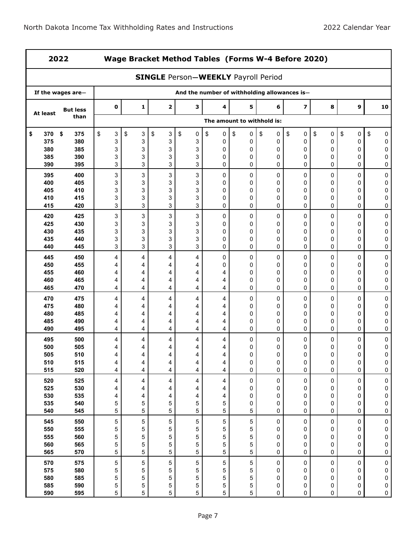| 2022       |                   |             | Wage Bracket Method Tables (Forms W-4 Before 2020) |                         |         |                                              |                            |                |                         |                |             |                          |  |
|------------|-------------------|-------------|----------------------------------------------------|-------------------------|---------|----------------------------------------------|----------------------------|----------------|-------------------------|----------------|-------------|--------------------------|--|
|            |                   |             |                                                    |                         |         | <b>SINGLE Person-WEEKLY Payroll Period</b>   |                            |                |                         |                |             |                          |  |
|            | If the wages are- |             |                                                    |                         |         | And the number of withholding allowances is- |                            |                |                         |                |             |                          |  |
| At least   | <b>But less</b>   | $\pmb{0}$   | $\mathbf{1}$                                       | $\overline{\mathbf{2}}$ | 3       | 4                                            | 5                          | 6              | $\overline{\mathbf{z}}$ | 8              | 9           | 10                       |  |
|            | than              |             |                                                    |                         |         |                                              | The amount to withhold is: |                |                         |                |             |                          |  |
| \$<br>370  | \$<br>375         | \$<br>3     | \$<br>3                                            | \$<br>3                 | \$<br>0 | \$<br>0                                      | \$<br>0                    | \$<br>0        | \$<br>0                 | \$<br>0        | \$<br>0     | \$<br>0                  |  |
| 375        | 380               | 3           | 3                                                  | 3                       | 3       | 0                                            | 0                          | 0              | 0                       | 0              | 0           | 0                        |  |
| 380        | 385               | 3           | 3                                                  | 3                       | 3       | 0                                            | 0                          | 0              | 0                       | 0              | 0           | 0                        |  |
| 385<br>390 | 390<br>395        | 3<br>3      | 3<br>3                                             | 3<br>3                  | 3<br>3  | 0<br>0                                       | 0<br>0                     | 0<br>0         | 0<br>0                  | 0<br>0         | 0<br>0      | 0<br>0                   |  |
| 395        | 400               | 3           | 3                                                  | 3                       | 3       | 0                                            | 0                          | 0              | 0                       | 0              | 0           | 0                        |  |
| 400        | 405               | 3           | 3                                                  | 3                       | 3       | 0                                            | 0                          | 0              | 0                       | 0              | 0           | 0                        |  |
| 405        | 410               | 3           | 3                                                  | 3                       | 3       | 0                                            | 0                          | 0              | 0                       | 0              | 0           | $\mathbf 0$              |  |
| 410        | 415<br>420        | 3<br>3      | 3<br>3                                             | 3<br>3                  | 3<br>3  | 0<br>0                                       | 0<br>0                     | 0<br>0         | 0<br>0                  | 0<br>0         | 0<br>0      | 0<br>0                   |  |
| 415<br>420 | 425               | 3           | 3                                                  | 3                       | 3       | 0                                            | 0                          | 0              | 0                       | 0              | 0           | 0                        |  |
| 425        | 430               | 3           | 3                                                  | 3                       | 3       | 0                                            | 0                          | 0              | 0                       | 0              | 0           | 0                        |  |
| 430        | 435               | 3           | 3                                                  | 3                       | 3       | 0                                            | 0                          | 0              | 0                       | 0              | 0           | 0                        |  |
| 435        | 440               | 3           | 3                                                  | 3                       | 3       | 0                                            | 0                          | 0              | 0                       | 0              | 0           | 0                        |  |
| 440        | 445               | 3           | 3                                                  | 3                       | 3       | 0                                            | 0                          | 0              | $\mathbf 0$             | 0              | 0           | $\mathbf{0}$             |  |
| 445        | 450               | 4           | 4                                                  | 4                       | 4       | 0                                            | $\pmb{0}$                  | 0              | $\mathbf 0$             | 0              | 0           | 0                        |  |
| 450        | 455               | 4           | 4                                                  | 4                       | 4       | 0                                            | 0                          | 0              | 0                       | 0              | 0           | 0                        |  |
| 455        | 460               | 4           | 4                                                  | 4                       | 4       | 4                                            | 0                          | 0              | 0                       | 0              | 0           | 0                        |  |
| 460        | 465               | 4           | 4                                                  | 4                       | 4       | 4                                            | 0                          | 0              | 0                       | 0              | 0           | 0                        |  |
| 465        | 470               | 4           | 4                                                  | 4                       | 4       | 4                                            | 0                          | 0              | $\mathbf 0$             | 0              | 0           | 0                        |  |
| 470        | 475               | 4           | 4                                                  | 4                       | 4       | 4                                            | 0                          | 0              | 0                       | 0              | 0           | 0                        |  |
| 475        | 480               | 4           | 4                                                  | 4                       | 4       | 4                                            | 0                          | 0              | 0                       | 0              | 0           | 0                        |  |
| 480<br>485 | 485<br>490        | 4           | 4<br>4                                             | 4                       | 4<br>4  | 4<br>4                                       | 0<br>0                     | 0<br>0         | 0<br>0                  | 0<br>0         | 0<br>0      | 0<br>0                   |  |
| 490        | 495               | 4<br>4      | 4                                                  | 4<br>4                  | 4       | 4                                            | 0                          | 0              | $\mathbf 0$             | $\mathbf 0$    | 0           | 0                        |  |
| 495        | 500               | 4           | 4                                                  | 4                       | 4       | 4                                            | 0                          | 0              | 0                       | 0              | 0           | 0                        |  |
| 500        | 505               | 4           | 4                                                  | 4                       | 4       | 4                                            | 0                          | 0              | 0                       | 0              | 0           | 0                        |  |
| 505        | 510               | 4           | 4                                                  | 4                       | 4       | 4                                            | 0                          | 0              | $\Omega$                | 0              | $\Omega$    | 0                        |  |
| 510        | 515               | 4           | 4                                                  | 4                       | 4       | 4                                            | 0                          | 0              | 0                       | 0              | $\pmb{0}$   | 0                        |  |
| 515        | 520               | 4           | 4                                                  | 4                       | 4       | 4                                            | 0                          | 0              | $\pmb{0}$               | 0              | $\pmb{0}$   | $\pmb{0}$                |  |
| 520        | 525               | 4           | 4                                                  | 4                       | 4       | 4                                            | $\pmb{0}$                  | 0              | 0                       | $\mathsf 0$    | $\pmb{0}$   | $\pmb{0}$                |  |
| 525        | 530               | 4           | 4                                                  | 4                       | 4       | 4                                            | 0                          | 0              | 0                       | 0              | 0           | $\pmb{0}$                |  |
| 530        | 535               | 4           | 4                                                  | 4                       | 4       | 4                                            | 0                          | 0              | 0                       | 0              | 0           | $\pmb{0}$                |  |
| 535<br>540 | 540<br>545        | 5<br>5      | 5<br>5                                             | 5<br>5                  | 5<br>5  | 5<br>5                                       | 0<br>5                     | 0<br>0         | 0<br>0                  | 0<br>0         | 0<br>0      | $\mathbf 0$<br>$\pmb{0}$ |  |
|            |                   |             |                                                    |                         |         |                                              |                            |                |                         |                |             |                          |  |
| 545<br>550 | 550<br>555        | $\mathbf 5$ | 5                                                  | $\mathbf 5$             | 5<br>5  | $\mathbf 5$                                  | 5                          | $\pmb{0}$<br>0 | 0                       | $\pmb{0}$<br>0 | 0<br>0      | $\pmb{0}$                |  |
| 555        | 560               | 5<br>5      | 5<br>5                                             | 5<br>5                  | 5       | 5<br>5                                       | 5<br>5                     | 0              | 0<br>0                  | 0              | 0           | $\pmb{0}$<br>$\pmb{0}$   |  |
| 560        | 565               | 5           | 5                                                  | 5                       | 5       | 5                                            | 5                          | 0              | 0                       | 0              | $\mathbf 0$ | $\mathbf 0$              |  |
| 565        | 570               | 5           | 5                                                  | 5                       | 5       | 5                                            | 5                          | 0              | 0                       | 0              | 0           | $\pmb{0}$                |  |
| 570        | 575               | $\,$ 5 $\,$ | 5                                                  | $\mathbf 5$             | 5       | $\mathbf 5$                                  | 5                          | 0              | 0                       | 0              | 0           | $\pmb{0}$                |  |
| 575        | 580               | 5           | 5                                                  | 5                       | 5       | 5                                            | 5                          | 0              | 0                       | 0              | 0           | 0                        |  |
| 580        | 585               | 5           | 5                                                  | 5                       | 5       | 5                                            | 5                          | 0              | 0                       | 0              | 0           | $\pmb{0}$                |  |
| 585        | 590               | 5           | 5                                                  | 5                       | 5       | 5                                            | 5                          | 0              | 0                       | 0              | $\pmb{0}$   | $\pmb{0}$                |  |
| 590        | 595               | 5           | 5                                                  | 5                       | 5       | 5                                            | 5                          | 0              | 0                       | 0              | $\mathbf 0$ | $\pmb{0}$                |  |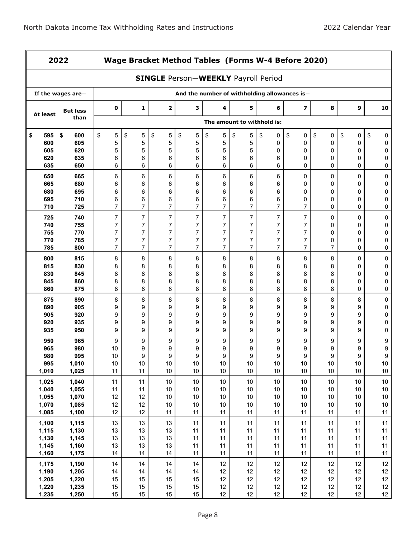r

ï

| 2022             |                   |                     | Wage Bracket Method Tables (Forms W-4 Before 2020)                                         |                     |                                  |                                  |                                  |                                  |                                  |                     |                        |                  |  |  |
|------------------|-------------------|---------------------|--------------------------------------------------------------------------------------------|---------------------|----------------------------------|----------------------------------|----------------------------------|----------------------------------|----------------------------------|---------------------|------------------------|------------------|--|--|
|                  |                   |                     | <b>SINGLE Person-WEEKLY Payroll Period</b><br>And the number of withholding allowances is- |                     |                                  |                                  |                                  |                                  |                                  |                     |                        |                  |  |  |
|                  | If the wages are- |                     |                                                                                            |                     |                                  |                                  |                                  |                                  |                                  |                     |                        |                  |  |  |
| At least         | <b>But less</b>   | $\mathbf 0$         | 1                                                                                          | $\mathbf{2}$        | 3                                | 4                                | 5                                | 6                                | $\overline{\mathbf{z}}$          | 8                   | 9                      | 10               |  |  |
|                  | than              |                     |                                                                                            |                     |                                  |                                  | The amount to withhold is:       |                                  |                                  |                     |                        |                  |  |  |
| 595<br>\$<br>600 | \$<br>600<br>605  | \$<br>5<br>5        | \$<br>5<br>5                                                                               | \$<br>5<br>5        | \$<br>5<br>5                     | \$<br>5<br>5                     | \$<br>5<br>5                     | \$<br>0<br>0                     | \$<br>0<br>$\pmb{0}$             | \$<br>0<br>0        | \$<br>$\mathbf 0$<br>0 | \$<br>0<br>0     |  |  |
| 605              | 620               | 5                   | 5                                                                                          | 5                   | 5                                | 5                                | 5                                | 0                                | 0                                | 0                   | 0                      | 0                |  |  |
| 620              | 635               | 6                   | 6                                                                                          | 6                   | 6                                | 6                                | 6                                | 6                                | 0                                | 0                   | 0                      | 0                |  |  |
| 635              | 650               | 6                   | 6                                                                                          | 6                   | 6                                | 6                                | 6                                | 6                                | 0                                | 0                   | 0                      | 0                |  |  |
| 650<br>665       | 665<br>680        | 6<br>6              | 6<br>6                                                                                     | 6<br>6              | 6<br>6                           | 6<br>6                           | 6<br>6                           | 6<br>6                           | 0<br>0                           | 0<br>0              | 0<br>0                 | 0<br>0           |  |  |
| 680              | 695               | 6                   | 6                                                                                          | 6                   | 6                                | 6                                | 6                                | 6                                | 0                                | 0                   | 0                      | 0                |  |  |
| 695              | 710               | 6                   | 6                                                                                          | 6                   | 6                                | 6                                | 6                                | 6                                | 0                                | 0                   | 0                      | 0                |  |  |
| 710              | 725               | 7                   | 7                                                                                          | 7                   | $\overline{7}$                   | 7                                | $\overline{7}$                   | $\overline{7}$                   | $\overline{7}$                   | 0                   | 0                      | 0                |  |  |
| 725              | 740               | $\overline{7}$      | $\overline{7}$                                                                             | $\overline{7}$      | $\overline{7}$                   | $\overline{7}$                   | $\overline{7}$                   | $\overline{7}$                   | $\overline{7}$                   | 0                   | 0                      | 0                |  |  |
| 740              | 755               | 7                   | $\overline{7}$                                                                             | 7                   | $\overline{7}$                   | $\overline{7}$                   | $\overline{7}$                   | $\overline{7}$                   | $\overline{7}$                   | 0                   | 0                      | 0                |  |  |
| 755              | 770               | 7                   | $\overline{7}$                                                                             | 7                   | $\overline{7}$                   | $\overline{7}$                   | $\overline{7}$                   | 7                                | $\overline{7}$                   | 0                   | 0                      | 0                |  |  |
| 770<br>785       | 785<br>800        | 7<br>$\overline{7}$ | $\overline{7}$<br>$\overline{7}$                                                           | 7<br>$\overline{7}$ | $\overline{7}$<br>$\overline{7}$ | $\overline{7}$<br>$\overline{7}$ | $\overline{7}$<br>$\overline{7}$ | $\overline{7}$<br>$\overline{7}$ | $\overline{7}$<br>$\overline{7}$ | 0<br>$\overline{7}$ | 0<br>0                 | 0<br>0           |  |  |
|                  |                   |                     |                                                                                            |                     |                                  |                                  |                                  |                                  |                                  |                     |                        |                  |  |  |
| 800<br>815       | 815<br>830        | 8<br>8              | 8<br>8                                                                                     | 8<br>8              | 8<br>8                           | 8<br>8                           | 8<br>8                           | 8<br>8                           | 8<br>8                           | 8<br>8              | 0<br>0                 | 0<br>0           |  |  |
| 830              | 845               | 8                   | 8                                                                                          | 8                   | 8                                | 8                                | 8                                | 8                                | 8                                | 8                   | 0                      | 0                |  |  |
| 845              | 860               | 8                   | 8                                                                                          | 8                   | 8                                | 8                                | 8                                | 8                                | 8                                | 8                   | 0                      | 0                |  |  |
| 860              | 875               | 8                   | 8                                                                                          | 8                   | 8                                | 8                                | 8                                | 8                                | 8                                | 8                   | 0                      | 0                |  |  |
| 875              | 890               | 8                   | 8                                                                                          | 8                   | 8                                | 8                                | 8                                | 8                                | 8                                | 8                   | 8                      | 0                |  |  |
| 890              | 905               | 9                   | 9                                                                                          | 9                   | 9                                | 9                                | 9                                | 9                                | 9                                | 9                   | 9                      | 0                |  |  |
| 905<br>920       | 920<br>935        | 9                   | 9<br>9                                                                                     | 9<br>9              | 9<br>9                           | 9                                | 9<br>9                           | 9<br>9                           | $\boldsymbol{9}$<br>9            | 9<br>9              | 9<br>9                 | 0<br>0           |  |  |
| 935              | 950               | 9<br>9              | 9                                                                                          | 9                   | 9                                | 9<br>9                           | 9                                | 9                                | 9                                | 9                   | 9                      | 0                |  |  |
| 950              | 965               | 9                   | 9                                                                                          | 9                   | 9                                | 9                                | 9                                | 9                                | 9                                | 9                   | 9                      | 9                |  |  |
| 965              | 980               | 10                  | 9                                                                                          | 9                   | 9                                | 9                                | 9                                | 9                                | 9                                | 9                   | 9                      | 9                |  |  |
| 980              | 995               | 10                  | 9                                                                                          | 9                   | 9                                | 9                                | 9                                | 9                                | 9                                | 9                   | 9                      | 9                |  |  |
| 995              | 1,010             | $10$                | $10$                                                                                       | $10\,$              | 10 <sub>1</sub>                  | $10\,$                           | $10\,$                           | $10\,$                           | $10\,$                           | $10\,$              | $10\,$                 | $10\,$           |  |  |
| 1,010            | 1,025             | 11                  | 11                                                                                         | 10 <sup>1</sup>     | 10                               | 10                               | 10                               | 10 <sup>1</sup>                  | 10                               | 10                  | 10                     | 10 <sub>1</sub>  |  |  |
| 1,025            | 1,040             | 11                  | 11                                                                                         | $10\,$              | 10 <sub>1</sub>                  | $10\,$                           | $10\,$                           | $10\,$                           | $10\,$                           | $10\,$              | $10\,$                 | $10\,$           |  |  |
| 1,040<br>1,055   | 1,055<br>1,070    | 11<br>12            | 11<br>12                                                                                   | $10$<br>$10$        | 10<br>$10$                       | $10$<br>10                       | $10$<br>10                       | $10$<br>10                       | $10$<br>$10$                     | $10$<br>$10$        | $10$<br>$10$           | $10\,$<br>$10\,$ |  |  |
| 1,070            | 1,085             | 12                  | 12                                                                                         | $10$                | 10                               | 10                               | 10                               | 10                               | $10$                             | $10$                | $10$                   | $10$             |  |  |
| 1,085            | 1,100             | 12                  | 12                                                                                         | 11                  | 11                               | 11                               | 11                               | 11                               | 11                               | 11                  | 11                     | 11               |  |  |
| 1,100            | 1,115             | 13                  | 13                                                                                         | 13                  | 11                               | 11                               | 11                               | 11                               | 11                               | 11                  | 11                     | 11               |  |  |
| 1,115            | 1,130             | 13                  | 13                                                                                         | 13                  | 11                               | 11                               | 11                               | 11                               | 11                               | 11                  | 11                     | 11               |  |  |
| 1,130            | 1,145             | 13                  | 13                                                                                         | 13                  | 11                               | 11                               | 11                               | 11                               | 11                               | 11                  | 11                     | 11               |  |  |
| 1,145            | 1,160             | 13<br>14            | 13<br>14                                                                                   | 13<br>14            | 11<br>11                         | 11<br>11                         | 11<br>11                         | 11<br>11                         | 11<br>11                         | 11<br>11            | 11<br>11               | 11<br>11         |  |  |
| 1,160            | 1,175             |                     |                                                                                            |                     |                                  |                                  |                                  |                                  |                                  |                     |                        |                  |  |  |
| 1,175<br>1,190   | 1,190<br>1,205    | 14<br>14            | 14<br>14                                                                                   | 14<br>14            | 14<br>14                         | 12<br>12                         | 12<br>12                         | 12<br>12                         | 12<br>12                         | 12<br>12            | 12<br>12               | 12<br>12         |  |  |
| 1,205            | 1,220             | 15                  | 15                                                                                         | 15                  | 15                               | 12                               | 12                               | 12                               | 12                               | 12                  | 12                     | 12               |  |  |
| 1,220            | 1,235             | 15                  | 15                                                                                         | 15                  | 15                               | 12                               | 12                               | 12                               | 12                               | 12                  | 12                     | 12               |  |  |
| 1,235            | 1,250             | 15                  | 15                                                                                         | 15                  | 15                               | 12 <sub>1</sub>                  | $12 \overline{ }$                | 12                               | 12                               | $12 \overline{ }$   | 12 <sub>2</sub>        | 12               |  |  |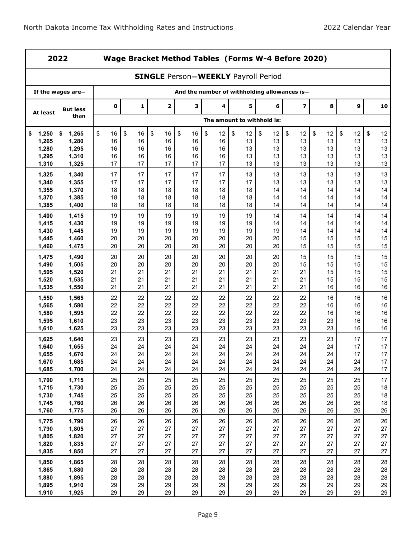|                | 2022              |             | Wage Bracket Method Tables (Forms W-4 Before 2020)                                         |             |          |          |                            |          |                         |          |          |              |  |  |
|----------------|-------------------|-------------|--------------------------------------------------------------------------------------------|-------------|----------|----------|----------------------------|----------|-------------------------|----------|----------|--------------|--|--|
|                |                   |             | <b>SINGLE Person-WEEKLY Payroll Period</b><br>And the number of withholding allowances is- |             |          |          |                            |          |                         |          |          |              |  |  |
|                | If the wages are- |             |                                                                                            |             |          |          |                            |          |                         |          |          |              |  |  |
| At least       | <b>But less</b>   | $\mathbf 0$ | 1                                                                                          | $\mathbf 2$ | 3        | 4        | 5                          | 6        | $\overline{\mathbf{z}}$ | 8        | 9        | 10           |  |  |
|                | than              |             |                                                                                            |             |          |          | The amount to withhold is: |          |                         |          |          |              |  |  |
| 1,250<br>\$    | 1,265<br>\$       | \$<br>16    | \$<br>16                                                                                   | \$<br>16    | \$<br>16 | \$<br>12 | \$<br>12                   | \$<br>12 | \$<br>12                | \$<br>12 | \$<br>12 | \$<br>12     |  |  |
| 1,265          | 1,280             | 16          | 16                                                                                         | 16          | 16       | 16       | 13                         | 13       | 13                      | 13       | 13       | 13           |  |  |
| 1,280          | 1,295             | 16          | 16                                                                                         | 16          | 16       | 16       | 13                         | 13       | 13                      | 13       | 13       | 13           |  |  |
| 1,295          | 1,310             | 16          | 16                                                                                         | 16<br>17    | 16       | 16       | 13<br>13                   | 13       | 13<br>13                | 13       | 13       | 13<br>13     |  |  |
| 1,310          | 1,325             | 17          | 17                                                                                         |             | 17       | 17       |                            | 13       |                         | 13       | 13       |              |  |  |
| 1,325          | 1,340             | 17          | 17                                                                                         | 17          | 17       | 17       | 13                         | 13       | 13                      | 13       | 13       | 13           |  |  |
| 1,340<br>1,355 | 1,355<br>1,370    | 17<br>18    | 17<br>18                                                                                   | 17<br>18    | 17<br>18 | 17<br>18 | 17<br>18                   | 13<br>14 | 13<br>14                | 13<br>14 | 13<br>14 | 13<br>14     |  |  |
| 1,370          | 1,385             | 18          | 18                                                                                         | 18          | 18       | 18       | 18                         | 14       | 14                      | 14       | 14       | 14           |  |  |
| 1,385          | 1,400             | 18          | 18                                                                                         | 18          | 18       | 18       | 18                         | 14       | 14                      | 14       | 14       | 14           |  |  |
| 1,400          | 1,415             | 19          | 19                                                                                         | 19          | 19       | 19       | 19                         | 14       | 14                      | 14       | 14       | 14           |  |  |
| 1,415          | 1,430             | 19          | 19                                                                                         | 19          | 19       | 19       | 19                         | 14       | 14                      | 14       | 14       | 14           |  |  |
| 1,430          | 1,445             | 19          | 19                                                                                         | 19          | 19       | 19       | 19                         | 19       | 14                      | 14       | 14       | 14           |  |  |
| 1,445          | 1,460             | 20          | 20                                                                                         | 20          | 20       | 20       | 20                         | 20       | 15                      | 15       | 15       | 15           |  |  |
| 1,460          | 1,475             | 20          | 20                                                                                         | 20          | 20       | 20       | 20                         | 20       | 15                      | 15       | 15       | 15           |  |  |
| 1,475          | 1,490             | 20          | 20                                                                                         | 20          | 20       | 20       | 20                         | 20       | 15                      | 15       | 15       | 15           |  |  |
| 1,490          | 1,505             | 20          | 20                                                                                         | 20          | 20       | 20       | 20                         | 20       | 15                      | 15       | 15       | 15           |  |  |
| 1,505          | 1,520             | 21          | 21                                                                                         | 21          | 21       | 21       | 21                         | 21       | 21                      | 15       | 15       | 15           |  |  |
| 1,520          | 1,535             | 21          | 21<br>21                                                                                   | 21<br>21    | 21       | 21       | 21                         | 21<br>21 | 21<br>21                | 15       | 15<br>16 | 15<br>16     |  |  |
| 1,535          | 1,550             | 21          |                                                                                            |             | 21       | 21       | 21                         |          |                         | 16       |          |              |  |  |
| 1,550          | 1,565             | 22          | 22                                                                                         | 22          | 22       | 22       | 22                         | 22       | 22                      | 16       | 16       | 16           |  |  |
| 1,565<br>1,580 | 1,580<br>1,595    | 22<br>22    | 22<br>22                                                                                   | 22<br>22    | 22<br>22 | 22<br>22 | 22<br>22                   | 22<br>22 | 22<br>22                | 16<br>16 | 16<br>16 | 16<br>16     |  |  |
| 1,595          | 1,610             | 23          | 23                                                                                         | 23          | 23       | 23       | 23                         | 23       | 23                      | 23       | 16       | 16           |  |  |
| 1,610          | 1,625             | 23          | 23                                                                                         | 23          | 23       | 23       | 23                         | 23       | 23                      | 23       | 16       | 16           |  |  |
| 1,625          | 1,640             | 23          | 23                                                                                         | 23          | 23       | 23       | 23                         | 23       | 23                      | 23       | 17       | 17           |  |  |
| 1,640          | 1,655             | 24          | 24                                                                                         | 24          | 24       | 24       | 24                         | 24       | 24                      | 24       | 17       | 17           |  |  |
| 1,655          | 1,670             | 24          | 24                                                                                         | 24          | 24       | 24       | 24                         | 24       | 24                      | 24       | 17       | 17           |  |  |
| 1,670          | 1,685             | 24          | 24                                                                                         | 24          | 24       | 24       | 24                         | 24       | 24                      | 24       | 24       | 17           |  |  |
| 1,685          | 1,700             | 24          | 24                                                                                         | 24          | 24       | 24       | 24                         | 24       | 24                      | 24       | 24       | 17           |  |  |
| 1,700          | 1,715             | 25          | 25                                                                                         | 25          | 25       | 25       | 25                         | 25       | 25                      | 25       | 25       | $17\,$       |  |  |
| 1,715          | 1,730             | 25          | 25                                                                                         | 25          | 25       | 25       | 25                         | 25       | 25                      | 25       | 25       | 18           |  |  |
| 1,730          | 1,745             | 25          | 25                                                                                         | 25          | 25       | 25       | 25                         | 25       | 25                      | 25       | 25       | 18           |  |  |
| 1,745<br>1,760 | 1,760<br>1,775    | 26<br>26    | 26<br>26                                                                                   | 26<br>26    | 26<br>26 | 26<br>26 | 26<br>26                   | 26<br>26 | 26<br>26                | 26<br>26 | 26<br>26 | 18<br>26     |  |  |
|                |                   |             |                                                                                            |             |          |          |                            |          |                         |          |          |              |  |  |
| 1,775          | 1,790             | 26          | 26                                                                                         | 26          | 26       | 26       | 26                         | 26       | 26                      | 26       | 26       | 26           |  |  |
| 1,790<br>1,805 | 1,805<br>1,820    | 27<br>27    | 27<br>27                                                                                   | 27<br>27    | 27<br>27 | 27<br>27 | 27<br>27                   | 27<br>27 | 27<br>27                | 27<br>27 | 27<br>27 | 27<br>$27\,$ |  |  |
| 1,820          | 1,835             | 27          | 27                                                                                         | 27          | 27       | 27       | 27                         | 27       | 27                      | 27       | 27       | 27           |  |  |
| 1,835          | 1,850             | 27          | 27                                                                                         | 27          | 27       | 27       | 27                         | 27       | 27                      | 27       | 27       | 27           |  |  |
| 1,850          | 1,865             | 28          | 28                                                                                         | 28          | 28       | 28       | 28                         | 28       | 28                      | 28       | 28       | 28           |  |  |
| 1,865          | 1,880             | 28          | 28                                                                                         | 28          | 28       | 28       | 28                         | 28       | 28                      | 28       | 28       | 28           |  |  |
| 1,880          | 1,895             | 28          | 28                                                                                         | 28          | 28       | 28       | 28                         | 28       | 28                      | 28       | 28       | 28           |  |  |
| 1,895          | 1,910             | 29          | 29                                                                                         | 29          | 29       | 29       | 29                         | 29       | 29                      | 29       | 29       | 29           |  |  |
| 1,910          | 1,925             | 29          | 29                                                                                         | 29          | 29       | 29       | 29                         | 29       | 29                      | 29       | 29       | 29           |  |  |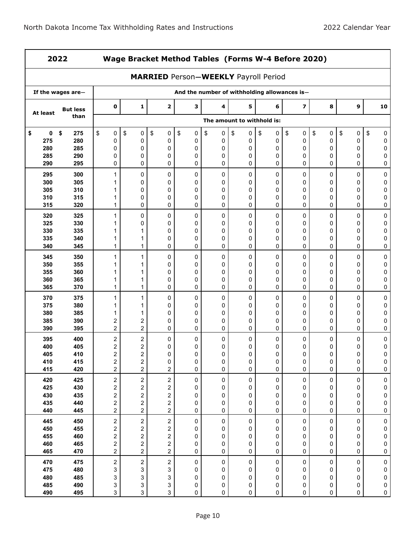| 2022           |                   |                                                    | Wage Bracket Method Tables (Forms W-4 Before 2020) |                                             |                                              |                |                            |              |                         |              |              |                       |  |
|----------------|-------------------|----------------------------------------------------|----------------------------------------------------|---------------------------------------------|----------------------------------------------|----------------|----------------------------|--------------|-------------------------|--------------|--------------|-----------------------|--|
|                |                   |                                                    |                                                    | <b>MARRIED Person-WEEKLY Payroll Period</b> |                                              |                |                            |              |                         |              |              |                       |  |
|                | If the wages are- |                                                    |                                                    |                                             | And the number of withholding allowances is- |                |                            |              |                         |              |              |                       |  |
| At least       | <b>But less</b>   | $\mathbf 0$                                        | 1                                                  | 2                                           | 3                                            | 4              | 5                          | 6            | $\overline{\mathbf{z}}$ | 8            | 9            | 10                    |  |
|                | than              |                                                    |                                                    |                                             |                                              |                | The amount to withhold is: |              |                         |              |              |                       |  |
| 0<br>\$<br>275 | \$<br>275<br>280  | \$<br>0<br>0                                       | \$<br>0<br>0                                       | \$<br>0<br>0                                | \$<br>0<br>0                                 | \$<br>0<br>0   | \$<br>0<br>0               | \$<br>0<br>0 | \$<br>0<br>0            | \$<br>0<br>0 | \$<br>0<br>0 | \$<br>0<br>0          |  |
| 280<br>285     | 285<br>290        | 0<br>0                                             | 0<br>0                                             | 0<br>0                                      | 0<br>0                                       | 0<br>0         | 0<br>0                     | 0<br>0       | 0<br>0                  | 0<br>0       | 0<br>0       | 0<br>0                |  |
| 290            | 295               | 0                                                  | 0                                                  | 0                                           | 0                                            | 0              | 0                          | 0            | 0                       | 0            | 0            | 0                     |  |
| 295            | 300               | 1                                                  | 0                                                  | 0                                           | 0                                            | 0              | 0                          | 0            | 0                       | 0            | 0            | 0                     |  |
| 300<br>305     | 305<br>310        | 1<br>1                                             | 0<br>0                                             | 0<br>0                                      | 0<br>0                                       | 0<br>0         | 0<br>0                     | 0<br>0       | 0<br>0                  | 0<br>0       | 0<br>0       | 0<br>0                |  |
| 310            | 315               | 1                                                  | 0                                                  | 0                                           | 0                                            | 0              | 0                          | 0            | 0                       | 0            | 0            | 0                     |  |
| 315            | 320               | 1                                                  | 0                                                  | 0                                           | 0                                            | 0              | 0                          | 0            | 0                       | 0            | 0            | 0                     |  |
| 320<br>325     | 325<br>330        | $\mathbf{1}$<br>1                                  | 0<br>0                                             | 0<br>0                                      | 0<br>0                                       | 0<br>0         | 0<br>0                     | 0<br>0       | 0<br>0                  | 0<br>0       | 0<br>0       | 0<br>0                |  |
| 330            | 335               | 1                                                  | 1                                                  | 0                                           | 0                                            | 0              | 0                          | 0            | 0                       | 0            | 0            | 0                     |  |
| 335            | 340               | 1                                                  | 1                                                  | 0                                           | 0                                            | 0              | 0                          | 0            | 0                       | 0            | 0            | 0                     |  |
| 340            | 345               | 1                                                  | $\mathbf{1}$                                       | 0                                           | 0                                            | 0              | 0                          | 0            | 0                       | 0            | 0            | 0                     |  |
| 345<br>350     | 350<br>355        | 1<br>1                                             | 1<br>1                                             | 0<br>0                                      | 0<br>0                                       | 0<br>0         | 0<br>0                     | 0<br>0       | 0<br>0                  | 0<br>0       | 0<br>0       | $\mathbf 0$<br>0      |  |
| 355            | 360               | 1                                                  | 1                                                  | 0                                           | 0                                            | 0              | 0                          | 0            | 0                       | 0            | 0            | 0                     |  |
| 360<br>365     | 365<br>370        | 1<br>$\mathbf{1}$                                  | 1<br>1                                             | 0<br>0                                      | 0<br>0                                       | 0<br>0         | 0<br>0                     | 0<br>0       | 0<br>0                  | 0<br>0       | 0<br>0       | 0<br>0                |  |
| 370            | 375               | 1                                                  | 1                                                  | 0                                           | 0                                            | 0              | 0                          | 0            | 0                       | 0            | 0            | 0                     |  |
| 375            | 380               | 1                                                  | 1                                                  | 0                                           | 0                                            | 0              | 0                          | 0            | 0                       | 0            | 0            | 0                     |  |
| 380<br>385     | 385<br>390        | 1<br>2                                             | 1<br>2                                             | 0<br>0                                      | 0<br>0                                       | 0<br>0         | 0<br>0                     | 0<br>0       | 0<br>0                  | 0<br>0       | 0<br>0       | 0<br>0                |  |
| 390            | 395               | $\overline{c}$                                     | $\overline{c}$                                     | 0                                           | 0                                            | 0              | 0                          | 0            | 0                       | 0            | 0            | 0                     |  |
| 395            | 400               | 2                                                  | 2                                                  | 0                                           | 0                                            | 0              | 0                          | 0            | 0                       | 0            | 0            | 0                     |  |
| 400<br>405     | 405<br>410        | 2<br>$\overline{2}$                                | 2<br>$\overline{c}$                                | 0<br>0                                      | 0<br>0                                       | 0<br>0         | 0<br>0                     | 0<br>0       | 0<br>0                  | 0<br>0       | 0<br>0       | 0<br>0                |  |
| 410            | 415               | $\boldsymbol{2}$                                   | $\overline{\mathbf{c}}$                            | 0                                           | 0                                            | 0              | 0                          | 0            | 0                       | 0            | 0            | 0                     |  |
| 415            | 420               | $\overline{c}$                                     | $\overline{a}$                                     | $\overline{\mathbf{c}}$                     | 0                                            | 0              | 0                          | 0            | 0                       | 0            | 0            | 0                     |  |
| 420<br>425     | 425<br>430        | $\overline{\mathbf{c}}$<br>$\overline{\mathbf{c}}$ | $\overline{c}$<br>2                                | $\overline{\mathbf{c}}$<br>2                | 0<br>0                                       | $\pmb{0}$<br>0 | 0<br>0                     | 0<br>0       | 0<br>0                  | 0<br>0       | 0<br>0       | $\pmb{0}$<br>$\bf{0}$ |  |
| 430            | 435               | $\overline{\mathbf{c}}$                            | 2                                                  | $\overline{\mathbf{c}}$                     | 0                                            | 0              | 0                          | 0            | 0                       | 0            | 0            | $\bf{0}$              |  |
| 435            | 440               | $\overline{\mathbf{c}}$<br>$\overline{c}$          | $\overline{\mathbf{c}}$                            | 2                                           | 0                                            | 0              | 0                          | 0            | 0                       | 0            | 0            | 0                     |  |
| 440<br>445     | 445<br>450        |                                                    | $\overline{a}$<br>$\overline{\mathbf{c}}$          | $\overline{\mathbf{c}}$                     | 0                                            | 0              | 0<br>0                     | 0            | 0<br>0                  | 0            | 0<br>0       | 0                     |  |
| 450            | 455               | $\overline{\mathbf{c}}$<br>$\overline{\mathbf{c}}$ | 2                                                  | $\overline{\mathbf{c}}$<br>2                | 0<br>0                                       | 0<br>0         | 0                          | 0<br>0       | 0                       | 0<br>0       | 0            | 0<br>$\pmb{0}$        |  |
| 455            | 460               | $\overline{\mathbf{c}}$                            | 2                                                  | 2                                           | 0                                            | 0              | 0                          | 0            | 0                       | 0            | 0            | $\mathbf 0$           |  |
| 460<br>465     | 465<br>470        | $\overline{\mathbf{c}}$<br>$\overline{c}$          | $\overline{\mathbf{c}}$<br>$\overline{a}$          | 2<br>$\overline{c}$                         | 0<br>0                                       | 0<br>0         | 0<br>0                     | 0<br>0       | 0<br>0                  | 0<br>0       | 0<br>0       | $\mathbf 0$<br>0      |  |
| 470            | 475               | $\overline{\mathbf{c}}$                            | $\overline{\mathbf{c}}$                            | $\overline{\mathbf{c}}$                     | 0                                            | 0              | 0                          | 0            | 0                       | 0            | 0            | $\bf{0}$              |  |
| 475            | 480               | 3                                                  | 3                                                  | 3                                           | 0                                            | 0              | 0                          | 0            | 0                       | 0            | 0            | 0                     |  |
| 480<br>485     | 485<br>490        | 3<br>3                                             | 3<br>3                                             | 3<br>3                                      | 0<br>0                                       | 0<br>0         | 0<br>0                     | 0<br>0       | 0<br>0                  | 0<br>0       | 0<br>0       | $\mathbf 0$<br>0      |  |
| 490            | 495               | 3                                                  | 3                                                  | 3                                           | 0                                            | 0              | 0                          | 0            | 0                       | 0            | 0            | 0                     |  |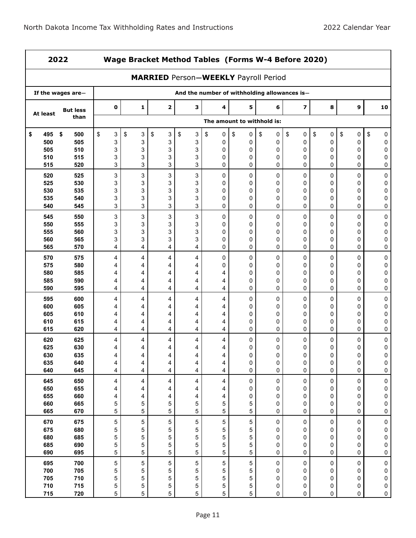$\mathbf{r}$ 

7

| 2022       |                   |             | Wage Bracket Method Tables (Forms W-4 Before 2020)<br><b>MARRIED Person-WEEKLY Payroll Period</b> |             |                                              |                  |                            |               |                         |             |         |           |  |
|------------|-------------------|-------------|---------------------------------------------------------------------------------------------------|-------------|----------------------------------------------|------------------|----------------------------|---------------|-------------------------|-------------|---------|-----------|--|
|            |                   |             |                                                                                                   |             |                                              |                  |                            |               |                         |             |         |           |  |
|            | If the wages are- |             |                                                                                                   |             | And the number of withholding allowances is- |                  |                            |               |                         |             |         |           |  |
| At least   | <b>But less</b>   | $\mathbf 0$ | 1                                                                                                 | $\mathbf 2$ | 3                                            | 4                | 5                          | 6             | $\overline{\mathbf{z}}$ | 8           | 9       | 10        |  |
|            | than              |             |                                                                                                   |             |                                              |                  | The amount to withhold is: |               |                         |             |         |           |  |
| \$<br>495  | \$<br>500         | \$<br>3     | \$<br>3                                                                                           | \$<br>3     | \$<br>3                                      | \$<br>0          | \$<br>0                    | \$<br>0       | \$<br>0                 | \$<br>0     | \$<br>0 | \$<br>0   |  |
| 500<br>505 | 505<br>510        | 3<br>3      | 3<br>3                                                                                            | 3<br>3      | 3<br>3                                       | 0<br>0           | 0<br>0                     | 0<br>0        | 0<br>0                  | 0<br>0      | 0<br>0  | 0<br>0    |  |
| 510        | 515               | 3           | 3                                                                                                 | 3           | 3                                            | 0                | 0                          | $\mathbf{0}$  | 0                       | 0           | 0       | 0         |  |
| 515        | 520               | 3           | 3                                                                                                 | 3           | 3                                            | 0                | 0                          | 0             | 0                       | 0           | 0       | 0         |  |
| 520        | 525               | 3           | 3                                                                                                 | 3           | 3                                            | 0                | 0                          | 0             | 0                       | 0           | 0       | 0         |  |
| 525        | 530               | 3           | 3                                                                                                 | 3           | 3                                            | 0                | 0                          | 0             | 0                       | 0           | 0       | 0         |  |
| 530        | 535               | 3           | 3                                                                                                 | 3           | 3                                            | 0                | 0                          | 0             | 0                       | 0           | 0       | 0         |  |
| 535        | 540               | 3           | 3                                                                                                 | 3           | 3                                            | 0                | 0                          | 0             | 0                       | 0           | 0       | 0         |  |
| 540        | 545               | 3           | 3                                                                                                 | 3           | 3                                            | 0                | 0                          | 0             | 0                       | 0           | 0       | 0         |  |
| 545        | 550               | 3           | 3                                                                                                 | 3           | 3                                            | 0                | 0                          | 0             | 0                       | 0           | 0       | 0         |  |
| 550        | 555               | 3           | 3                                                                                                 | 3           | 3                                            | 0                | 0                          | 0             | 0                       | 0           | 0       | 0         |  |
| 555<br>560 | 560<br>565        | 3<br>3      | 3<br>3                                                                                            | 3<br>3      | 3<br>3                                       | 0<br>0           | 0<br>0                     | 0<br>0        | $\mathbf 0$<br>0        | 0<br>0      | 0<br>0  | 0<br>0    |  |
| 565        | 570               | 4           | 4                                                                                                 | 4           | 4                                            | 0                | 0                          | 0             | 0                       | 0           | 0       | 0         |  |
| 570        | 575               | 4           | 4                                                                                                 | 4           | 4                                            | 0                | 0                          | 0             | 0                       | 0           | 0       | 0         |  |
| 575        | 580               | 4           | 4                                                                                                 | 4           | 4                                            | 0                | 0                          | 0             | 0                       | 0           | 0       | 0         |  |
| 580        | 585               | 4           | 4                                                                                                 | 4           | 4                                            | 4                | 0                          | 0             | 0                       | 0           | 0       | 0         |  |
| 585        | 590               | 4           | 4                                                                                                 | 4           | 4                                            | 4                | 0                          | 0             | 0                       | 0           | 0       | 0         |  |
| 590        | 595               | 4           | 4                                                                                                 | 4           | 4                                            | 4                | 0                          | 0             | 0                       | 0           | 0       | 0         |  |
| 595        | 600               | 4           | 4                                                                                                 | 4           | 4                                            | 4                | 0                          | 0             | 0                       | 0           | 0       | 0         |  |
| 600        | 605               | 4           | 4                                                                                                 | 4           | 4                                            | 4                | 0                          | 0             | 0                       | 0           | 0       | 0         |  |
| 605        | 610               | 4           | 4                                                                                                 | 4           | 4                                            | 4                | 0                          | 0             | 0                       | 0           | 0       | 0         |  |
| 610        | 615               | 4           | 4                                                                                                 | 4           | 4                                            | 4                | 0                          | 0             | 0                       | 0           | 0       | 0         |  |
| 615        | 620               | 4           | 4                                                                                                 | 4           | 4                                            | 4                | 0                          | 0             | 0                       | 0           | 0       | 0         |  |
| 620<br>625 | 625<br>630        | 4           | 4                                                                                                 | 4           | 4                                            | 4                | 0<br>0                     | 0             | 0<br>0                  | 0           | 0<br>0  | 0         |  |
| 630        | 635               | 4<br>4      | 4<br>4                                                                                            | 4<br>4      | 4<br>4                                       | 4<br>4           | 0                          | 0<br>$\Omega$ | 0                       | 0<br>0      | 0       | 0<br>0    |  |
| 635        | 640               | 4           | 4                                                                                                 | 4           | 4                                            | 4                | 0                          | 0             | 0                       | 0           | 0       | 0         |  |
| 640        | 645               | 4           | 4                                                                                                 | 4           | 4                                            | 4                | 0                          | 0             | 0                       | $\mathbf 0$ | 0       | 0         |  |
| 645        | 650               | 4           | 4                                                                                                 | 4           | 4                                            | 4                | 0                          | 0             | 0                       | 0           | 0       | 0         |  |
| 650        | 655               | 4           | 4                                                                                                 | 4           | 4                                            | 4                | 0                          | 0             | 0                       | 0           | 0       | 0         |  |
| 655        | 660               | 4           | 4                                                                                                 | 4           | 4                                            | 4                | 0                          | 0             | 0                       | 0           | 0       | 0         |  |
| 660        | 665               | 5           | 5                                                                                                 | 5           | 5                                            | 5                | 5                          | 0             | 0                       | 0           | 0       | 0         |  |
| 665        | 670               | 5           | 5                                                                                                 | 5           | 5                                            | 5                | 5                          | $\mathbf 0$   | 0                       | 0           | 0       | 0         |  |
| 670        | 675               | 5           | 5                                                                                                 | 5           | 5                                            | $\mathbf 5$      | 5                          | 0             | 0                       | 0           | 0       | $\pmb{0}$ |  |
| 675        | 680               | 5           | 5                                                                                                 | 5           | 5                                            | $\mathbf 5$      | 5                          | 0             | 0                       | 0           | 0       | $\bf{0}$  |  |
| 680        | 685               | 5           | 5                                                                                                 | 5           | 5                                            | 5                | 5                          | 0             | 0                       | 0           | 0       | 0         |  |
| 685<br>690 | 690<br>695        | 5<br>5      | 5<br>5                                                                                            | 5<br>5      | 5<br>5                                       | 5<br>5           | 5<br>5                     | 0<br>0        | 0<br>0                  | 0<br>0      | 0<br>0  | 0<br>0    |  |
| 695        | 700               |             | 5                                                                                                 |             | 5                                            |                  | 5                          | 0             | 0                       |             | 0       |           |  |
| 700        | 705               | 5<br>5      | 5                                                                                                 | 5<br>5      | 5                                            | $\mathbf 5$<br>5 | 5                          | 0             | 0                       | 0<br>0      | 0       | 0<br>0    |  |
| 705        | 710               | 5           | 5                                                                                                 | 5           | 5                                            | 5                | 5                          | 0             | 0                       | 0           | 0       | 0         |  |
| 710        | 715               | 5           | 5                                                                                                 | 5           | 5                                            | 5                | 5                          | 0             | 0                       | 0           | 0       | 0         |  |
| 715        | 720               | 5           | 5                                                                                                 | 5           | 5                                            | 5                | 5                          | 0             | 0                       | 0           | 0       | 0         |  |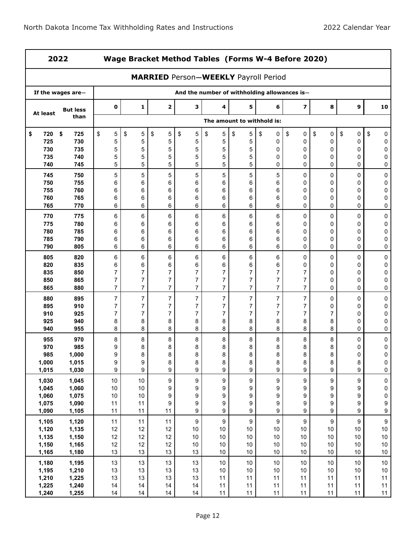$\overline{\phantom{0}}$ 

|                | 2022<br>Wage Bracket Method Tables (Forms W-4 Before 2020) |                     |                                  |                                             |                     |                       |                                  |                                              |                                  |                       |                  |                        |
|----------------|------------------------------------------------------------|---------------------|----------------------------------|---------------------------------------------|---------------------|-----------------------|----------------------------------|----------------------------------------------|----------------------------------|-----------------------|------------------|------------------------|
|                |                                                            |                     |                                  | <b>MARRIED Person-WEEKLY Payroll Period</b> |                     |                       |                                  |                                              |                                  |                       |                  |                        |
|                | If the wages are-                                          |                     |                                  |                                             |                     |                       |                                  | And the number of withholding allowances is- |                                  |                       |                  |                        |
| At least       | <b>But less</b>                                            | 0                   | 1                                | $\overline{\mathbf{2}}$                     | з                   | 4                     | 5                                | 6                                            | $\overline{\mathbf{z}}$          | 8                     | 9                | 10                     |
|                | than                                                       |                     |                                  |                                             |                     |                       |                                  | The amount to withhold is:                   |                                  |                       |                  |                        |
| \$<br>720      | \$<br>725                                                  | 5<br>\$             | \$<br>5                          | \$<br>5                                     | \$<br>5             | \$<br>$\mathbf 5$     | \$<br>5                          | \$<br>0                                      | \$<br>0                          | \$<br>$\pmb{0}$       | \$<br>0          | \$<br>0                |
| 725            | 730                                                        | 5                   | 5                                | 5                                           | 5                   | $\mathbf 5$           | 5                                | 0                                            | 0                                | 0                     | 0                | 0                      |
| 730<br>735     | 735<br>740                                                 | 5<br>5              | 5<br>5                           | 5<br>5                                      | $\mathbf 5$<br>5    | 5<br>5                | 5<br>5                           | 0<br>0                                       | 0<br>0                           | 0<br>0                | 0<br>0           | 0<br>0                 |
| 740            | 745                                                        | 5                   | 5                                | 5                                           | 5                   | 5                     | 5                                | $\Omega$                                     | 0                                | 0                     | 0                | 0                      |
| 745            | 750                                                        | 5                   | 5                                | 5                                           | 5                   | 5                     | 5                                | 5                                            | 0                                | 0                     | $\mathbf 0$      | 0                      |
| 750            | 755                                                        | 6                   | 6                                | 6                                           | 6                   | 6                     | 6                                | 6                                            | 0                                | 0                     | 0                | 0                      |
| 755            | 760                                                        | 6                   | 6                                | 6                                           | 6                   | 6                     | 6                                | 6                                            | 0                                | 0                     | 0                | 0                      |
| 760            | 765                                                        | 6                   | 6                                | 6                                           | 6                   | 6                     | 6                                | 6                                            | 0                                | 0                     | 0                | 0                      |
| 765            | 770                                                        | 6                   | 6                                | 6                                           | 6                   | 6                     | 6                                | 6                                            | $\Omega$                         | 0                     | 0                | 0                      |
| 770            | 775                                                        | 6                   | 6                                | 6                                           | 6                   | 6                     | 6                                | 6                                            | 0                                | 0                     | 0                | 0                      |
| 775            | 780                                                        | 6                   | 6                                | 6                                           | 6                   | 6                     | 6                                | 6                                            | 0                                | 0                     | 0                | 0                      |
| 780            | 785                                                        | 6                   | 6                                | 6                                           | 6                   | 6                     | 6                                | 6                                            | 0                                | 0                     | 0                | 0                      |
| 785            | 790                                                        | 6                   | 6                                | 6                                           | 6                   | 6                     | 6                                | 6                                            | 0                                | 0                     | 0                | 0                      |
| 790            | 805                                                        | 6                   | 6                                | 6                                           | 6                   | 6                     | 6                                | 6                                            | 0                                | 0                     | 0                | 0                      |
| 805            | 820                                                        | 6                   | 6                                | 6                                           | 6                   | 6                     | 6                                | 6                                            | 0                                | 0                     | 0                | 0                      |
| 820            | 835                                                        | 6                   | 6                                | 6                                           | 6                   | 6                     | 6                                | 6                                            | 0                                | 0                     | 0                | 0                      |
| 835<br>850     | 850<br>865                                                 | 7<br>$\overline{7}$ | $\overline{7}$<br>$\overline{7}$ | 7<br>$\overline{7}$                         | 7<br>$\overline{7}$ | 7<br>$\overline{7}$   | $\overline{7}$<br>$\overline{7}$ | $\overline{7}$<br>7                          | $\overline{7}$<br>$\overline{7}$ | 0<br>0                | 0<br>0           | 0<br>0                 |
| 865            | 880                                                        | $\overline{7}$      | $\overline{7}$                   | $\overline{7}$                              | $\overline{7}$      | $\overline{7}$        | $\overline{7}$                   | $\overline{7}$                               | $\overline{7}$                   | $\Omega$              | 0                | 0                      |
| 880            | 895                                                        | $\overline{7}$      | $\overline{7}$                   | $\overline{7}$                              | $\overline{7}$      | $\overline{7}$        | $\overline{7}$                   | $\overline{7}$                               | $\overline{7}$                   | 0                     | 0                | 0                      |
| 895            | 910                                                        | 7                   | $\overline{7}$                   | $\overline{7}$                              | $\overline{7}$      | $\overline{7}$        | 7                                | $\overline{7}$                               | $\overline{7}$                   | 0                     | 0                | 0                      |
| 910            | 925                                                        | 7                   | $\overline{7}$                   | $\overline{7}$                              | $\overline{7}$      | 7                     | $\overline{7}$                   | 7                                            | $\overline{7}$                   | $\overline{7}$        | 0                | 0                      |
| 925            | 940                                                        | 8                   | 8                                | 8                                           | 8                   | 8                     | 8                                | 8                                            | 8                                | 8                     | 0                | 0                      |
| 940            | 955                                                        | 8                   | 8                                | 8                                           | 8                   | 8                     | 8                                | 8                                            | 8                                | 8                     | 0                | 0                      |
| 955            | 970                                                        | 8                   | 8                                | 8                                           | 8                   | 8                     | 8                                | 8                                            | 8                                | 8                     | 0                | 0                      |
| 970            | 985                                                        | 9                   | 8                                | 8                                           | 8                   | 8                     | 8                                | 8                                            | 8                                | 8                     | 0                | 0                      |
| 985            | 1,000                                                      | 9                   | 8                                | 8                                           | 8                   | 8                     | 8                                | 8                                            | 8                                | 8                     | 0                | 0                      |
| 1,000<br>1,015 | 1,015<br>1,030                                             | 9<br>9              | 9<br>9                           | 8<br>9                                      | 8<br>9              | 8<br>9                | 8<br>9                           | 8<br>9                                       | 8<br>9                           | $\bf 8$<br>9          | $\bf 8$<br>9     | $\pmb{0}$<br>$\pmb{0}$ |
|                |                                                            |                     |                                  |                                             |                     |                       |                                  |                                              |                                  |                       |                  |                        |
| 1,030<br>1,045 | 1,045<br>1,060                                             | $10$<br>$10$        | $10$<br>10                       | 9<br>9                                      | 9<br>9              | $\boldsymbol{9}$<br>9 | 9<br>9                           | $\boldsymbol{9}$<br>9                        | 9<br>9                           | $\boldsymbol{9}$<br>9 | 9<br>9           | $\pmb{0}$<br>0         |
| 1,060          | 1,075                                                      | 10                  | 10                               | 9                                           | 9                   | 9                     | 9                                | 9                                            | 9                                | 9                     | 9                | 0                      |
| 1,075          | 1,090                                                      | 11                  | 11                               | 9                                           | 9                   | 9                     | 9                                | 9                                            | 9                                | $\boldsymbol{9}$      | 9                | $\boldsymbol{9}$       |
| 1,090          | 1,105                                                      | 11                  | 11                               | 11                                          | 9                   | 9                     | 9                                | 9                                            | 9                                | 9                     | $\boldsymbol{9}$ | $\boldsymbol{9}$       |
| 1,105          | 1,120                                                      | 11                  | 11                               | 11                                          | $\boldsymbol{9}$    | $\boldsymbol{9}$      | 9                                | $\boldsymbol{9}$                             | $\boldsymbol{9}$                 | $\boldsymbol{9}$      | $\boldsymbol{9}$ | $\boldsymbol{9}$       |
| 1,120          | 1,135                                                      | 12                  | 12                               | 12                                          | $10$                | $10$                  | $10$                             | $10$                                         | $10\,$                           | $10\,$                | $10\,$           | $10\,$                 |
| 1,135          | 1,150                                                      | 12                  | 12                               | 12                                          | $10$                | $10$                  | $10$                             | 10                                           | $10\,$                           | $10$                  | $10$             | $10$                   |
| 1,150          | 1,165                                                      | 12                  | 12                               | 12                                          | $10$                | $10$                  | $10$                             | $10$                                         | $10\,$                           | $10$                  | $10$             | $10\,$                 |
| 1,165          | 1,180                                                      | 13                  | 13                               | 13                                          | 13                  | $10$                  | $10$                             | 10                                           | $10\,$                           | $10\,$                | $10$             | $10$                   |
| 1,180          | 1,195                                                      | 13                  | 13                               | 13                                          | 13                  | $10$                  | 10                               | $10$                                         | 10                               | $10\,$                | $10$             | $10\,$                 |
| 1,195          | 1,210                                                      | 13                  | 13                               | 13                                          | 13                  | $10$                  | $10$                             | $10$                                         | $10\,$                           | $10$                  | $10$             | $10\,$                 |
| 1,210<br>1,225 | 1,225<br>1,240                                             | 13<br>14            | 13<br>14                         | 13<br>14                                    | 13<br>14            | 11<br>11              | 11<br>11                         | 11<br>11                                     | 11<br>11                         | 11<br>11              | 11<br>11         | 11<br>11               |
| 1,240          | 1,255                                                      | 14                  | 14                               | 14                                          | 14                  | 11                    | 11                               | 11                                           | 11                               | 11                    | 11               | 11                     |
|                |                                                            |                     |                                  |                                             |                     |                       |                                  |                                              |                                  |                       |                  |                        |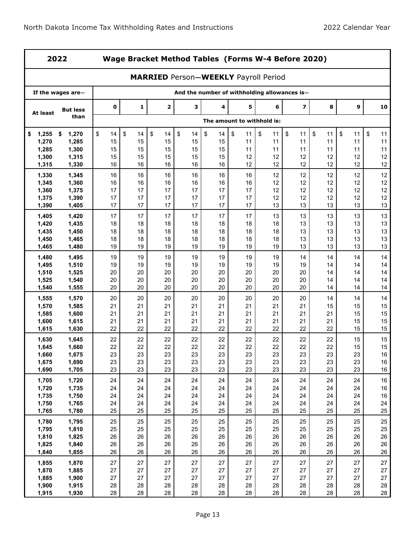$\blacksquare$ 

|                | 2022              |             | Wage Bracket Method Tables (Forms W-4 Before 2020) |          |                                             |          |                            |          |                                              |          |          |          |  |
|----------------|-------------------|-------------|----------------------------------------------------|----------|---------------------------------------------|----------|----------------------------|----------|----------------------------------------------|----------|----------|----------|--|
|                |                   |             |                                                    |          | <b>MARRIED Person-WEEKLY Payroll Period</b> |          |                            |          |                                              |          |          |          |  |
|                | If the wages are- |             |                                                    |          |                                             |          |                            |          | And the number of withholding allowances is- |          |          |          |  |
| At least       | <b>But less</b>   | $\mathbf 0$ | 1                                                  | 2        | з                                           | 4        | 5                          | 6        | $\overline{\mathbf{z}}$                      | 8        | 9        | 10       |  |
|                | than              |             |                                                    |          |                                             |          | The amount to withhold is: |          |                                              |          |          |          |  |
| 1,255<br>\$    | 1,270<br>\$       | \$<br>14    | \$<br>14                                           | \$<br>14 | \$<br>14                                    | \$<br>14 | \$<br>11                   | \$<br>11 | \$<br>11                                     | \$<br>11 | \$<br>11 | \$<br>11 |  |
| 1,270          | 1,285             | 15          | 15                                                 | 15       | 15                                          | 15       | 11                         | 11       | 11                                           | 11       | 11       | 11       |  |
| 1,285          | 1,300             | 15          | 15                                                 | 15       | 15                                          | 15       | 11                         | 11       | 11                                           | 11       | 11       | 11       |  |
| 1,300<br>1,315 | 1,315<br>1,330    | 15<br>16    | 15<br>16                                           | 15<br>16 | 15<br>16                                    | 15<br>16 | 12<br>12                   | 12<br>12 | 12<br>12                                     | 12<br>12 | 12<br>12 | 12<br>12 |  |
|                |                   |             |                                                    |          |                                             |          |                            |          |                                              |          |          |          |  |
| 1,330<br>1,345 | 1,345<br>1,360    | 16<br>16    | 16<br>16                                           | 16<br>16 | 16<br>16                                    | 16<br>16 | 16<br>16                   | 12<br>12 | 12<br>12                                     | 12<br>12 | 12<br>12 | 12<br>12 |  |
| 1,360          | 1,375             | 17          | 17                                                 | 17       | 17                                          | 17       | 17                         | 12       | 12                                           | 12       | 12       | 12       |  |
| 1,375          | 1,390             | 17          | 17                                                 | 17       | 17                                          | 17       | 17                         | 12       | 12                                           | 12       | 12       | 12       |  |
| 1,390          | 1,405             | 17          | 17                                                 | 17       | 17                                          | 17       | 17                         | 13       | 13                                           | 13       | 13       | 13       |  |
| 1,405          | 1,420             | 17          | 17                                                 | 17       | 17                                          | 17       | 17                         | 13       | 13                                           | 13       | 13       | 13       |  |
| 1,420          | 1,435             | 18          | 18                                                 | 18       | 18                                          | 18       | 18                         | 18       | 13                                           | 13       | 13       | 13       |  |
| 1,435          | 1,450             | 18          | 18                                                 | 18       | 18                                          | 18       | 18                         | 18       | 13                                           | 13       | 13       | 13       |  |
| 1,450          | 1,465             | 18          | 18                                                 | 18       | 18                                          | 18       | 18                         | 18       | 13                                           | 13       | 13       | 13       |  |
| 1,465          | 1,480             | 19          | 19                                                 | 19       | 19                                          | 19       | 19                         | 19       | 13                                           | 13       | 13       | 13       |  |
| 1,480          | 1,495             | 19          | 19                                                 | 19       | 19                                          | 19       | 19                         | 19       | 14                                           | 14       | 14       | 14       |  |
| 1,495          | 1,510             | 19          | 19                                                 | 19       | 19                                          | 19       | 19                         | 19       | 19                                           | 14       | 14       | 14       |  |
| 1,510          | 1,525             | 20          | 20                                                 | 20       | 20                                          | 20       | 20                         | 20       | 20                                           | 14       | 14       | 14       |  |
| 1,525          | 1,540             | 20          | 20                                                 | 20       | 20                                          | 20       | 20                         | 20       | 20                                           | 14       | 14       | 14       |  |
| 1,540          | 1,555             | 20          | 20                                                 | 20       | 20                                          | 20       | 20                         | 20       | 20                                           | 14       | 14       | 14       |  |
| 1,555          | 1,570             | 20          | 20                                                 | 20       | 20                                          | 20       | 20                         | 20       | 20                                           | 14       | 14       | 14       |  |
| 1,570          | 1,585             | 21          | 21                                                 | 21       | 21                                          | 21       | 21                         | 21       | 21                                           | 15       | 15       | 15       |  |
| 1,585<br>1,600 | 1,600<br>1,615    | 21<br>21    | 21<br>21                                           | 21<br>21 | 21<br>21                                    | 21<br>21 | 21<br>21                   | 21<br>21 | 21<br>21                                     | 21<br>21 | 15<br>15 | 15<br>15 |  |
| 1,615          | 1,630             | 22          | 22                                                 | 22       | 22                                          | 22       | 22                         | 22       | 22                                           | 22       | 15       | 15       |  |
| 1,630          | 1,645             | 22          | 22                                                 | 22       | 22                                          | 22       | 22                         | 22       | 22                                           | 22       | 15       | 15       |  |
| 1,645          | 1,660             | 22          | 22                                                 | 22       | 22                                          | 22       | 22                         | 22       | 22                                           | 22       | 15       | 15       |  |
| 1,660          | 1,675             | 23          | 23                                                 | 23       | 23                                          | 23       | 23                         | 23       | 23                                           | 23       | 23       | 16       |  |
| 1,675          | 1,690             | 23          | 23                                                 | 23       | 23                                          | 23       | 23                         | 23       | 23                                           | 23       | 23       | $16\,$   |  |
| 1,690          | 1,705             | 23          | 23                                                 | 23       | 23                                          | 23       | 23                         | 23       | 23                                           | 23       | 23       | 16       |  |
| 1,705          | 1,720             | 24          | 24                                                 | 24       | 24                                          | 24       | 24                         | 24       | 24                                           | 24       | 24       | $16\,$   |  |
| 1,720          | 1,735             | 24          | 24                                                 | 24       | 24                                          | 24       | 24                         | 24       | 24                                           | 24       | 24       | 16       |  |
| 1,735          | 1,750             | 24          | 24                                                 | 24       | 24                                          | 24       | 24                         | 24       | 24                                           | 24       | 24       | $16\,$   |  |
| 1,750          | 1,765             | 24          | 24                                                 | 24       | 24                                          | 24       | 24                         | 24       | 24                                           | 24       | 24       | 24       |  |
| 1,765          | 1,780             | 25          | 25                                                 | 25       | 25                                          | 25       | 25                         | 25       | 25                                           | 25       | 25       | 25       |  |
| 1,780          | 1,795             | 25          | 25                                                 | 25       | 25                                          | 25       | 25                         | 25       | 25                                           | 25       | 25       | 25       |  |
| 1,795          | 1,810             | 25          | 25                                                 | 25       | 25                                          | 25       | 25                         | 25       | 25                                           | 25       | 25       | 25       |  |
| 1,810          | 1,825             | 26<br>26    | 26<br>26                                           | 26<br>26 | 26<br>26                                    | 26<br>26 | 26<br>26                   | 26<br>26 | 26<br>26                                     | 26<br>26 | 26<br>26 | 26<br>26 |  |
| 1,825<br>1,840 | 1,840<br>1,855    | 26          | 26                                                 | 26       | 26                                          | 26       | 26                         | 26       | 26                                           | 26       | 26       | 26       |  |
|                |                   |             |                                                    |          |                                             |          |                            |          |                                              |          |          |          |  |
| 1,855<br>1,870 | 1,870<br>1,885    | 27<br>27    | 27<br>27                                           | 27<br>27 | 27<br>27                                    | 27<br>27 | 27<br>27                   | 27<br>27 | 27<br>27                                     | 27<br>27 | 27<br>27 | 27<br>27 |  |
| 1,885          | 1,900             | 27          | 27                                                 | 27       | 27                                          | 27       | 27                         | 27       | 27                                           | 27       | 27       | 27       |  |
| 1,900          | 1,915             | 28          | 28                                                 | 28       | 28                                          | 28       | 28                         | 28       | 28                                           | 28       | 28       | 28       |  |
| 1,915          | 1,930             | 28          | 28                                                 | 28       | 28                                          | 28       | 28                         | 28       | 28                                           | 28       | 28       | 28       |  |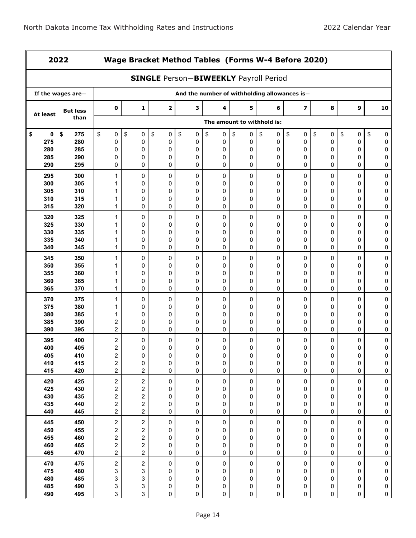'n

ł,

| 2022            |                   |                                                    | Wage Bracket Method Tables (Forms W-4 Before 2020) |                                              |                  |                        |                            |                  |                                              |                     |                          |                        |  |
|-----------------|-------------------|----------------------------------------------------|----------------------------------------------------|----------------------------------------------|------------------|------------------------|----------------------------|------------------|----------------------------------------------|---------------------|--------------------------|------------------------|--|
|                 |                   |                                                    |                                                    | <b>SINGLE Person-BIWEEKLY Payroll Period</b> |                  |                        |                            |                  |                                              |                     |                          |                        |  |
|                 | If the wages are- |                                                    |                                                    |                                              |                  |                        |                            |                  | And the number of withholding allowances is- |                     |                          |                        |  |
| At least        | <b>But less</b>   | $\mathbf 0$                                        | 1                                                  | $\mathbf{z}$                                 | з                | 4                      | 5                          | 6                | 7                                            | 8                   | 9                        | 10                     |  |
|                 | than              |                                                    |                                                    |                                              |                  |                        | The amount to withhold is: |                  |                                              |                     |                          |                        |  |
| $\pmb{0}$<br>\$ | \$<br>275         | \$<br>0                                            | \$<br>0                                            | \$<br>0                                      | \$<br>0          | \$<br>0                | \$<br>0                    | \$<br>0          | \$<br>0                                      | \$<br>0             | \$<br>0                  | \$<br>0                |  |
| 275             | 280               | 0                                                  | 0                                                  | 0                                            | 0                | 0                      | 0                          | 0                | 0                                            | 0                   | 0                        | 0                      |  |
| 280<br>285      | 285<br>290        | 0<br>0                                             | 0<br>0                                             | 0<br>0                                       | 0<br>$\mathbf 0$ | 0<br>0                 | 0<br>0                     | 0<br>$\mathbf 0$ | 0<br>0                                       | 0<br>0              | 0<br>0                   | 0<br>0                 |  |
| 290             | 295               | 0                                                  | 0                                                  | 0                                            | 0                | 0                      | 0                          | 0                | 0                                            | 0                   | 0                        | 0                      |  |
| 295             | 300               | 1                                                  | 0                                                  | 0                                            | 0                | 0                      | 0                          | 0                | $\mathbf 0$                                  | 0                   | 0                        | $\pmb{0}$              |  |
| 300             | 305               | 1                                                  | 0                                                  | 0                                            | 0                | 0                      | 0                          | 0                | 0                                            | 0                   | 0                        | $\mathbf 0$            |  |
| 305             | 310               | 1                                                  | 0                                                  | 0                                            | 0                | 0                      | 0                          | 0                | 0                                            | 0                   | 0                        | 0                      |  |
| 310<br>315      | 315<br>320        | 1<br>1                                             | 0<br>0                                             | 0<br>0                                       | 0<br>0           | 0<br>0                 | 0<br>0                     | $\mathbf 0$<br>0 | 0<br>0                                       | 0<br>0              | 0<br>0                   | 0<br>0                 |  |
| 320             | 325               | 1                                                  | 0                                                  | 0                                            | 0                | 0                      | 0                          | 0                | 0                                            | 0                   | 0                        | 0                      |  |
| 325             | 330               | 1                                                  | 0                                                  | 0                                            | 0                | 0                      | 0                          | 0                | 0                                            | 0                   | 0                        | 0                      |  |
| 330             | 335               | 1                                                  | 0                                                  | 0                                            | 0                | 0                      | 0                          | 0                | 0                                            | 0                   | 0                        | 0                      |  |
| 335             | 340               | 1                                                  | 0                                                  | 0                                            | 0                | 0                      | 0                          | 0                | 0                                            | 0                   | 0                        | 0                      |  |
| 340             | 345               | 1                                                  | 0                                                  | 0                                            | 0                | 0                      | 0                          | 0                | 0                                            | 0                   | 0                        | 0                      |  |
| 345             | 350               | 1                                                  | 0                                                  | 0                                            | 0                | 0                      | 0                          | 0                | 0                                            | 0                   | 0                        | 0                      |  |
| 350             | 355               | 1                                                  | 0                                                  | 0                                            | 0                | 0                      | 0                          | 0                | 0                                            | 0                   | 0                        | 0                      |  |
| 355<br>360      | 360<br>365        | 1                                                  | 0<br>0                                             | 0                                            | 0<br>0           | 0                      | 0                          | 0                | 0<br>0                                       | 0                   | 0                        | 0<br>0                 |  |
| 365             | 370               | 1<br>1                                             | 0                                                  | 0<br>0                                       | 0                | 0<br>0                 | 0<br>0                     | 0<br>$\mathbf 0$ | 0                                            | 0<br>0              | 0<br>0                   | 0                      |  |
| 370             | 375               | 1                                                  | 0                                                  | 0                                            | 0                | 0                      | 0                          | 0                | 0                                            | 0                   | 0                        | 0                      |  |
| 375             | 380               | 1                                                  | 0                                                  | 0                                            | 0                | 0                      | 0                          | 0                | 0                                            | 0                   | 0                        | 0                      |  |
| 380             | 385               | 1                                                  | 0                                                  | 0                                            | 0                | 0                      | 0                          | 0                | 0                                            | 0                   | 0                        | $\mathbf 0$            |  |
| 385             | 390               | 2                                                  | 0                                                  | 0                                            | 0                | 0                      | 0                          | 0                | 0                                            | 0                   | 0                        | 0                      |  |
| 390             | 395               | 2                                                  | 0                                                  | 0                                            | 0                | 0                      | 0                          | 0                | 0                                            | 0                   | 0                        | 0                      |  |
| 395<br>400      | 400<br>405        | $\boldsymbol{2}$                                   | 0<br>0                                             | 0<br>0                                       | 0<br>0           | 0<br>0                 | 0<br>0                     | 0<br>0           | 0<br>0                                       | 0<br>0              | 0<br>0                   | 0<br>0                 |  |
| 405             | 410               | 2<br>$\overline{c}$                                | 0                                                  | 0                                            | 0                | 0                      | 0                          | $\mathbf 0$      | $\mathbf 0$                                  | 0                   | 0                        | 0                      |  |
| 410             | 415               | $\overline{\mathbf{c}}$                            | 0                                                  | 0                                            | 0                | 0                      | 0                          | 0                | 0                                            | 0                   | $\pmb{0}$                | 0                      |  |
| 415             | 420               | $\overline{2}$                                     | 2                                                  | 0                                            | 0                | $\mathbf 0$            | 0                          | $\mathbf 0$      | $\mathbf 0$                                  | 0                   | 0                        | 0                      |  |
| 420             | 425               | $\sqrt{2}$                                         | $\overline{\mathbf{c}}$                            | 0                                            | 0                | $\pmb{0}$              | $\pmb{0}$                  | $\pmb{0}$        | $\pmb{0}$                                    | $\mathsf 0$         | 0                        | $\pmb{0}$              |  |
| 425             | 430               | 2                                                  | 2                                                  | 0                                            | 0                | 0                      | 0                          | 0                | 0                                            | 0                   | 0                        | 0                      |  |
| 430             | 435               | $\overline{\mathbf{c}}$                            | $\overline{\mathbf{c}}$                            | 0                                            | 0                | 0                      | 0                          | 0                | 0                                            | 0                   | 0                        | $\pmb{0}$              |  |
| 435<br>440      | 440<br>445        | $\overline{\mathbf{c}}$<br>$\overline{\mathbf{c}}$ | $\overline{\mathbf{c}}$<br>$\overline{c}$          | 0<br>0                                       | 0<br>0           | $\pmb{0}$<br>$\pmb{0}$ | $\pmb{0}$<br>$\mathbf 0$   | 0<br>0           | 0<br>$\pmb{0}$                               | 0<br>$\pmb{0}$      | 0<br>$\mathsf{O}\xspace$ | $\pmb{0}$<br>$\pmb{0}$ |  |
| 445             | 450               | $\sqrt{2}$                                         | $\overline{\mathbf{c}}$                            | 0                                            | 0                | $\pmb{0}$              | $\pmb{0}$                  | $\pmb{0}$        | $\pmb{0}$                                    | $\mathsf{O}\xspace$ | $\mathsf{O}\xspace$      | $\pmb{0}$              |  |
| 450             | 455               | 2                                                  | 2                                                  | 0                                            | 0                | 0                      | 0                          | 0                | 0                                            | 0                   | 0                        | $\pmb{0}$              |  |
| 455             | 460               | 2                                                  | 2                                                  | 0                                            | 0                | 0                      | 0                          | 0                | 0                                            | 0                   | 0                        | $\pmb{0}$              |  |
| 460             | 465               | $\overline{\mathbf{c}}$                            | $\overline{\mathbf{c}}$                            | 0                                            | 0                | $\pmb{0}$              | 0                          | 0                | 0                                            | 0                   | 0                        | $\pmb{0}$              |  |
| 465             | 470               | $\overline{\mathbf{c}}$                            | $\overline{c}$                                     | 0                                            | 0                | 0                      | $\mathbf 0$                | $\pmb{0}$        | $\pmb{0}$                                    | $\mathbf 0$         | $\mathsf{O}\xspace$      | 0                      |  |
| 470             | 475               | $\sqrt{2}$                                         | $\overline{c}$                                     | 0                                            | $\pmb{0}$        | $\pmb{0}$              | $\pmb{0}$                  | $\pmb{0}$        | $\pmb{0}$                                    | $\mathbf 0$         | $\pmb{0}$                | $\pmb{0}$              |  |
| 475             | 480               | 3                                                  | 3                                                  | 0                                            | 0                | $\pmb{0}$              | 0                          | 0                | 0                                            | 0                   | 0                        | $\pmb{0}$              |  |
| 480             | 485               | 3                                                  | 3                                                  | 0                                            | 0                | 0                      | 0                          | 0                | 0                                            | 0                   | 0                        | $\mathbf 0$            |  |
| 485<br>490      | 490<br>495        | 3<br>3                                             | 3<br>3                                             | 0<br>0                                       | 0<br>0           | 0<br>0                 | 0<br>0                     | 0<br>0           | 0<br>0                                       | 0<br>0              | 0<br>0                   | 0<br>$\pmb{0}$         |  |
|                 |                   |                                                    |                                                    |                                              |                  |                        |                            |                  |                                              |                     |                          |                        |  |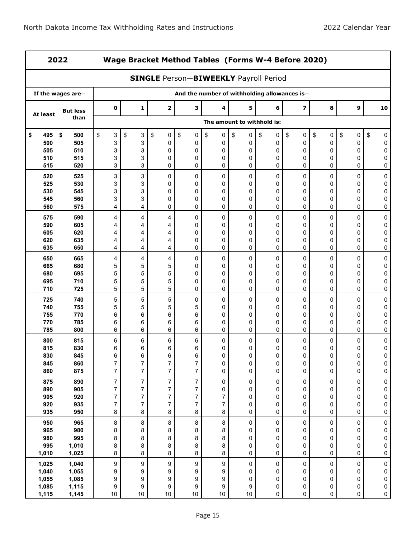| 2022       |                   |                  | Wage Bracket Method Tables (Forms W-4 Before 2020) |                                              |                                              |                  |                            |           |                         |           |                     |                        |  |
|------------|-------------------|------------------|----------------------------------------------------|----------------------------------------------|----------------------------------------------|------------------|----------------------------|-----------|-------------------------|-----------|---------------------|------------------------|--|
|            |                   |                  |                                                    | <b>SINGLE Person-BIWEEKLY Payroll Period</b> |                                              |                  |                            |           |                         |           |                     |                        |  |
|            | If the wages are- |                  |                                                    |                                              | And the number of withholding allowances is- |                  |                            |           |                         |           |                     |                        |  |
| At least   | <b>But less</b>   | 0                | $\mathbf{1}$                                       | $\mathbf{2}$                                 | з                                            | 4                | 5                          | 6         | $\overline{\mathbf{z}}$ | 8         | 9                   | 10                     |  |
|            | than              |                  |                                                    |                                              |                                              |                  | The amount to withhold is: |           |                         |           |                     |                        |  |
| 495<br>\$  | \$<br>500         | \$<br>3          | \$<br>3                                            | \$<br>0                                      | \$<br>0                                      | \$<br>$\pmb{0}$  | \$<br>0                    | \$<br>0   | \$<br>0                 | \$<br>0   | \$<br>0             | \$<br>0                |  |
| 500        | 505               | 3                | 3                                                  | 0                                            | 0                                            | 0                | 0                          | 0         | 0                       | 0         | $\mathbf 0$         | 0                      |  |
| 505        | 510               | 3                | 3                                                  | 0                                            | 0                                            | 0                | 0                          | 0         | 0                       | 0         | 0                   | 0                      |  |
| 510<br>515 | 515<br>520        | 3<br>3           | 3<br>3                                             | 0<br>0                                       | 0<br>0                                       | 0<br>0           | 0<br>0                     | 0<br>0    | 0<br>0                  | 0<br>0    | 0<br>0              | 0<br>0                 |  |
| 520        | 525               | 3                | 3                                                  | 0                                            | $\mathbf 0$                                  | 0                | 0                          | 0         | 0                       | 0         | 0                   | 0                      |  |
| 525        | 530               | 3                | 3                                                  | 0                                            | $\mathbf 0$                                  | 0                | 0                          | 0         | 0                       | 0         | 0                   | 0                      |  |
| 530        | 545               | 3                | 3                                                  | 0                                            | 0                                            | 0                | 0                          | 0         | 0                       | 0         | 0                   | 0                      |  |
| 545        | 560               | 3                | 3                                                  | 0                                            | 0                                            | 0                | 0                          | 0         | 0                       | 0         | 0                   | 0                      |  |
| 560        | 575               | 4                | 4                                                  | 0                                            | 0                                            | 0                | 0                          | 0         | 0                       | 0         | 0                   | 0                      |  |
| 575        | 590               | 4                | 4                                                  | 4                                            | 0                                            | 0                | 0                          | 0         | 0                       | 0         | 0                   | 0                      |  |
| 590        | 605               | 4                | 4                                                  | 4                                            | 0                                            | 0                | 0                          | 0         | 0                       | 0         | 0                   | 0                      |  |
| 605        | 620               | 4                | 4                                                  | 4                                            | $\mathbf 0$                                  | 0                | 0                          | 0         | 0                       | 0         | 0                   | 0                      |  |
| 620<br>635 | 635<br>650        | 4<br>4           | 4<br>4                                             | 4<br>4                                       | 0<br>$\mathbf 0$                             | 0<br>0           | 0<br>0                     | 0<br>0    | 0<br>0                  | 0<br>0    | 0<br>0              | 0<br>0                 |  |
| 650        | 665               | 4                | 4                                                  | 4                                            | 0                                            | 0                | 0                          | 0         | 0                       | 0         | 0                   | 0                      |  |
| 665        | 680               | 5                | 5                                                  | 5                                            | $\mathbf 0$                                  | 0                | 0                          | 0         | 0                       | 0         | 0                   | 0                      |  |
| 680        | 695               | 5                | 5                                                  | 5                                            | 0                                            | 0                | 0                          | 0         | 0                       | 0         | 0                   | 0                      |  |
| 695        | 710               | 5                | 5                                                  | 5                                            | $\mathbf 0$                                  | 0                | 0                          | 0         | 0                       | 0         | 0                   | 0                      |  |
| 710        | 725               | 5                | 5                                                  | 5                                            | 0                                            | 0                | 0                          | 0         | 0                       | 0         | 0                   | 0                      |  |
| 725        | 740               | 5                | 5                                                  | 5                                            | 0                                            | 0                | 0                          | 0         | 0                       | 0         | 0                   | $\pmb{0}$              |  |
| 740        | 755               | 5                | 5                                                  | 5                                            | 5                                            | 0                | 0                          | 0         | 0                       | 0         | 0                   | 0                      |  |
| 755        | 770               | 6                | 6                                                  | 6                                            | 6                                            | 0                | 0                          | 0         | 0                       | 0         | 0                   | 0                      |  |
| 770        | 785               | 6                | 6                                                  | 6                                            | 6                                            | 0                | 0                          | 0         | 0                       | 0         | 0                   | 0                      |  |
| 785        | 800               | 6                | 6                                                  | 6                                            | 6                                            | 0                | 0                          | 0         | 0                       | 0         | 0                   | 0                      |  |
| 800<br>815 | 815<br>830        | 6<br>6           | 6<br>6                                             | 6<br>6                                       | 6<br>6                                       | 0<br>0           | 0<br>0                     | 0<br>0    | 0<br>0                  | 0<br>0    | 0<br>0              | 0<br>0                 |  |
| 830        | 845               | 6                | 6                                                  | 6                                            | 6                                            | 0                | 0                          | 0         | $\Omega$                | $\Omega$  | $\Omega$            | 0                      |  |
| 845        | 860               | $\boldsymbol{7}$ | $\overline{7}$                                     | $\boldsymbol{7}$                             | $\boldsymbol{7}$                             | 0                | 0                          | 0         | 0                       | 0         | $\pmb{0}$           | 0                      |  |
| 860        | 875               | $\overline{7}$   | $\overline{7}$                                     | $\overline{7}$                               | $\overline{7}$                               | $\pmb{0}$        | 0                          | $\pmb{0}$ | $\mathsf{O}$            | 0         | $\mathsf{O}\xspace$ | $\pmb{0}$              |  |
| 875        | 890               | $\overline{7}$   | $\overline{7}$                                     | $\boldsymbol{7}$                             | $\overline{7}$                               | $\pmb{0}$        | $\pmb{0}$                  | $\pmb{0}$ | $\pmb{0}$               | $\pmb{0}$ | 0                   | $\pmb{0}$              |  |
| 890        | 905               | $\overline{7}$   | $\boldsymbol{7}$                                   | $\boldsymbol{7}$                             | $\boldsymbol{7}$                             | $\pmb{0}$        | 0                          | 0         | 0                       | 0         | 0                   | $\pmb{0}$              |  |
| 905        | 920               | $\overline{7}$   | $\boldsymbol{7}$                                   | $\overline{7}$                               | $\boldsymbol{7}$                             | $\boldsymbol{7}$ | 0                          | 0         | 0                       | 0         | 0                   | $\pmb{0}$              |  |
| 920        | 935               | $\boldsymbol{7}$ | $\overline{7}$                                     | $\overline{7}$                               | $\overline{7}$                               | $\boldsymbol{7}$ | 0                          | 0         | 0                       | 0         | 0                   | $\pmb{0}$              |  |
| 935        | 950               | $\,8\,$          | 8                                                  | 8                                            | 8                                            | 8                | 0                          | $\pmb{0}$ | $\mathbf 0$             | $\pmb{0}$ | $\pmb{0}$           | $\pmb{0}$              |  |
| 950<br>965 | 965<br>980        | $\bf 8$          | 8                                                  | 8                                            | $\bf 8$                                      | $\bf 8$          | $\mathsf 0$                | 0         | $\pmb{0}$               | $\pmb{0}$ | 0                   | $\pmb{0}$              |  |
| 980        | 995               | 8<br>8           | 8<br>8                                             | 8<br>8                                       | 8<br>8                                       | 8<br>8           | 0<br>0                     | 0<br>0    | $\pmb{0}$<br>0          | 0<br>0    | 0<br>0              | $\pmb{0}$<br>$\pmb{0}$ |  |
| 995        | 1,010             | 8                | 8                                                  | 8                                            | 8                                            | 8                | $\mathsf 0$                | 0         | 0                       | 0         | $\pmb{0}$           | $\pmb{0}$              |  |
| 1,010      | 1,025             | $\bf 8$          | 8                                                  | 8                                            | 8                                            | 8                | 0                          | 0         | $\pmb{0}$               | 0         | 0                   | $\pmb{0}$              |  |
| 1,025      | 1,040             | 9                | $\boldsymbol{9}$                                   | 9                                            | $\boldsymbol{9}$                             | 9                | $\pmb{0}$                  | 0         | $\pmb{0}$               | $\pmb{0}$ | 0                   | $\pmb{0}$              |  |
| 1,040      | 1,055             | 9                | 9                                                  | 9                                            | 9                                            | 9                | 0                          | 0         | 0                       | 0         | 0                   | $\pmb{0}$              |  |
| 1,055      | 1,085             | 9                | 9                                                  | 9                                            | 9                                            | 9                | 0                          | 0         | 0                       | 0         | 0                   | $\pmb{0}$              |  |
| 1,085      | 1,115             | 9                | 9                                                  | 9                                            | 9                                            | 9                | 9                          | 0         | $\mathsf 0$             | 0         | $\pmb{0}$           | $\pmb{0}$              |  |
| 1,115      | 1,145             | 10               | 10                                                 | 10                                           | $10$                                         | 10               | 10                         | 0         | $\pmb{0}$               | 0         | 0                   | $\mathsf{O}\xspace$    |  |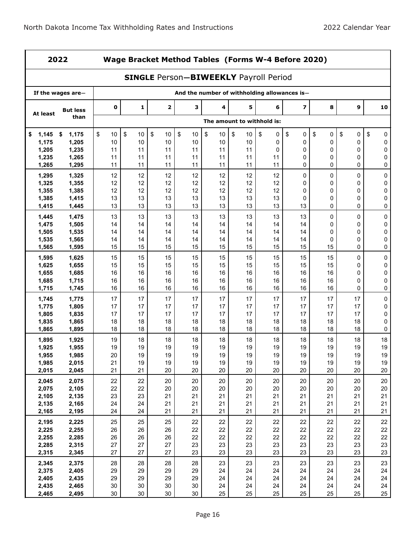| ×<br>۰, |  |
|---------|--|
|---------|--|

**2022 Wage Bracket Method Tables (Forms W-4 Before 2020)**

|                | <b>SINGLE Person-BIWEEKLY Payroll Period</b> |          |              |              |            |                                              |                            |          |                         |          |             |                  |  |  |
|----------------|----------------------------------------------|----------|--------------|--------------|------------|----------------------------------------------|----------------------------|----------|-------------------------|----------|-------------|------------------|--|--|
|                | If the wages are $-$                         |          |              |              |            | And the number of withholding allowances is- |                            |          |                         |          |             |                  |  |  |
| At least       | <b>But less</b>                              | 0        | $\mathbf{1}$ | $\mathbf{2}$ | 3          | 4                                            | 5                          | 6        | $\overline{\mathbf{z}}$ | 8        | 9           | 10               |  |  |
|                | than                                         |          |              |              |            |                                              | The amount to withhold is: |          |                         |          |             |                  |  |  |
| 1,145<br>\$    | 1,175<br>\$                                  | \$<br>10 | \$<br>10     | \$<br>10     | \$<br>$10$ | \$<br>10                                     | \$<br>10                   | \$<br>0  | \$<br>0                 | \$<br>0  | \$<br>0     | \$<br>0          |  |  |
| 1,175          | 1,205                                        | 10       | 10           | 10           | 10         | 10                                           | 10                         | 0        | $\mathbf 0$             | 0        | 0           | 0                |  |  |
| 1,205          | 1,235                                        | 11       | 11           | 11           | 11         | 11                                           | 11                         | 0        | 0                       | 0        | 0           | $\mathbf 0$      |  |  |
| 1,235          | 1,265                                        | 11       | 11           | 11           | 11         | 11                                           | 11                         | 11       | 0                       | 0        | 0           | 0                |  |  |
| 1,265          | 1,295                                        | 11       | 11           | 11           | 11         | 11                                           | 11                         | 11       | 0                       | 0        | 0           | 0                |  |  |
| 1,295<br>1,325 | 1,325<br>1,355                               | 12<br>12 | 12<br>12     | 12<br>12     | 12<br>12   | 12<br>12                                     | 12<br>12                   | 12<br>12 | 0<br>0                  | 0<br>0   | 0<br>0      | 0<br>0           |  |  |
| 1,355          | 1,385                                        | 12       | 12           | 12           | 12         | 12                                           | 12                         | 12       | 0                       | 0        | 0           | $\pmb{0}$        |  |  |
| 1,385          | 1,415                                        | 13       | 13           | 13           | 13         | 13                                           | 13                         | 13       | $\mathbf{0}$            | 0        | $\mathbf 0$ | 0                |  |  |
| 1,415          | 1,445                                        | 13       | 13           | 13           | 13         | 13                                           | 13                         | 13       | 13                      | 0        | 0           | 0                |  |  |
| 1,445          | 1,475                                        | 13       | 13           | 13           | 13         | 13                                           | 13                         | 13       | 13                      | 0        | 0           | $\pmb{0}$        |  |  |
| 1,475          | 1,505                                        | 14       | 14           | 14           | 14         | 14                                           | 14                         | 14       | 14                      | 0        | 0           | 0                |  |  |
| 1,505          | 1,535                                        | 14       | 14           | 14           | 14         | 14                                           | 14                         | 14       | 14                      | 0        | 0           | $\pmb{0}$        |  |  |
| 1,535          | 1,565                                        | 14       | 14           | 14           | 14         | 14                                           | 14                         | 14       | 14                      | 0        | $\mathbf 0$ | $\mathbf 0$      |  |  |
| 1,565          | 1,595                                        | 15       | 15           | 15           | 15         | 15                                           | 15                         | 15       | 15                      | 15       | 0           | 0                |  |  |
| 1,595          | 1,625                                        | 15       | 15           | 15           | 15         | 15                                           | 15                         | 15       | 15                      | 15       | 0           | $\pmb{0}$        |  |  |
| 1,625          | 1,655                                        | 15       | 15           | 15           | 15         | 15                                           | 15                         | 15       | 15                      | 15       | 0           | 0                |  |  |
| 1,655          | 1,685                                        | 16       | 16           | 16           | 16         | 16                                           | 16                         | 16       | 16                      | 16       | 0           | $\pmb{0}$        |  |  |
| 1,685<br>1,715 | 1,715<br>1,745                               | 16<br>16 | 16<br>16     | 16<br>16     | 16<br>16   | 16<br>16                                     | 16<br>16                   | 16<br>16 | 16<br>16                | 16<br>16 | 0<br>0      | $\mathbf 0$<br>0 |  |  |
|                |                                              |          |              |              |            |                                              |                            |          |                         |          |             |                  |  |  |
| 1,745<br>1,775 | 1,775<br>1,805                               | 17<br>17 | 17<br>17     | 17<br>17     | 17<br>17   | 17<br>17                                     | 17<br>17                   | 17<br>17 | 17<br>17                | 17<br>17 | 17<br>17    | 0<br>0           |  |  |
| 1,805          | 1,835                                        | 17       | 17           | 17           | 17         | 17                                           | 17                         | 17       | 17                      | 17       | 17          | 0                |  |  |
| 1,835          | 1,865                                        | 18       | 18           | 18           | 18         | 18                                           | 18                         | 18       | 18                      | 18       | 18          | $\pmb{0}$        |  |  |
| 1,865          | 1,895                                        | 18       | 18           | 18           | 18         | 18                                           | 18                         | 18       | 18                      | 18       | 18          | 0                |  |  |
| 1,895          | 1,925                                        | 19       | 18           | 18           | 18         | 18                                           | 18                         | 18       | 18                      | 18       | 18          | 18               |  |  |
| 1,925          | 1,955                                        | 19       | 19           | 19           | 19         | 19                                           | 19                         | 19       | 19                      | 19       | 19          | 19               |  |  |
| 1,955          | 1,985                                        | 20       | 19           | 19           | 19         | 19                                           | 19                         | 19       | 19                      | 19       | 19          | 19               |  |  |
| 1,985          | 2,015                                        | 21       | 19           | 19           | 19         | 19                                           | 19                         | 19       | 19                      | 19       | 19          | 19               |  |  |
| 2,015          | 2,045                                        | 21       | 21           | 20           | 20         | 20                                           | 20                         | 20       | 20                      | 20       | 20          | 20               |  |  |
| 2,045          | 2,075                                        | 22       | 22           | 20           | 20         | 20                                           | 20                         | 20       | 20                      | 20       | 20          | 20               |  |  |
| 2,075<br>2,105 | 2,105<br>2,135                               | 22<br>23 | 22<br>23     | 20<br>21     | 20<br>21   | 20<br>21                                     | 20<br>21                   | 20<br>21 | 20<br>21                | 20<br>21 | 20<br>21    | 20<br>21         |  |  |
| 2,135          | 2,165                                        | 24       | 24           | 21           | 21         | 21                                           | 21                         | 21       | 21                      | 21       | 21          | 21               |  |  |
| 2,165          | 2,195                                        | 24       | 24           | 21           | 21         | 21                                           | 21                         | 21       | 21                      | 21       | 21          | 21               |  |  |
| 2,195          | 2,225                                        | 25       | 25           | 25           | 22         | 22                                           | 22                         | 22       | 22                      | 22       | 22          | 22               |  |  |
| 2,225          | 2,255                                        | 26       | 26           | 26           | 22         | 22                                           | 22                         | 22       | 22                      | 22       | 22          | 22               |  |  |
| 2,255          | 2,285                                        | 26       | 26           | 26           | 22         | 22                                           | 22                         | 22       | 22                      | 22       | 22          | 22               |  |  |
| 2,285          | 2,315                                        | 27       | 27           | 27           | 23         | 23                                           | 23                         | 23       | 23                      | 23       | 23          | 23               |  |  |
| 2,315          | 2,345                                        | 27       | 27           | 27           | 23         | 23                                           | 23                         | 23       | 23                      | 23       | 23          | 23               |  |  |
| 2,345          | 2,375                                        | 28       | 28           | 28           | 28         | 23                                           | 23                         | 23       | 23                      | 23       | 23          | 23               |  |  |
| 2,375          | 2,405                                        | 29       | 29           | 29           | 29         | 24                                           | 24                         | 24       | 24                      | 24       | 24          | 24               |  |  |
| 2,405          | 2,435                                        | 29       | 29           | 29           | 29         | 24                                           | 24                         | 24       | 24                      | 24       | 24          | 24               |  |  |
| 2,435          | 2,465                                        | 30       | 30           | 30<br>30     | 30         | 24<br>25                                     | 24                         | 24<br>25 | 24                      | 24       | 24          | 24               |  |  |
| 2,465          | 2,495                                        | 30       | 30           |              | 30         |                                              | 25                         |          | 25                      | 25       | 25          | 25               |  |  |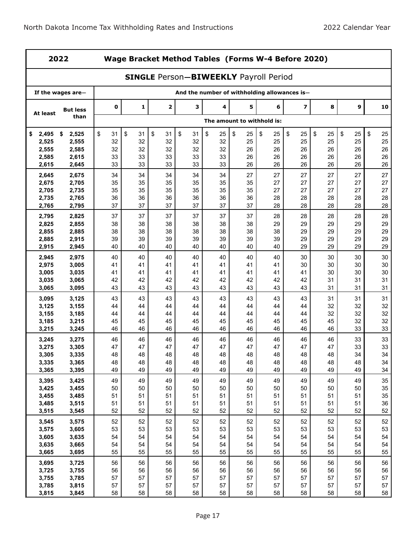|                | 2022              |             | Wage Bracket Method Tables (Forms W-4 Before 2020)<br><b>SINGLE Person-BIWEEKLY Payroll Period</b> |                         |          |          |                            |          |                                              |          |          |          |  |  |
|----------------|-------------------|-------------|----------------------------------------------------------------------------------------------------|-------------------------|----------|----------|----------------------------|----------|----------------------------------------------|----------|----------|----------|--|--|
|                |                   |             |                                                                                                    |                         |          |          |                            |          |                                              |          |          |          |  |  |
|                | If the wages are- |             |                                                                                                    |                         |          |          |                            |          | And the number of withholding allowances is- |          |          |          |  |  |
| At least       | <b>But less</b>   | $\mathbf 0$ | 1                                                                                                  | $\overline{\mathbf{2}}$ | 3        | 4        | 5                          | 6        | $\overline{\mathbf{z}}$                      | 8        | 9        | 10       |  |  |
|                | than              |             |                                                                                                    |                         |          |          | The amount to withhold is: |          |                                              |          |          |          |  |  |
| \$<br>2.495    | \$<br>2,525       | \$<br>31    | \$<br>31                                                                                           | \$<br>31                | \$<br>31 | \$<br>25 | \$<br>25                   | \$<br>25 | \$<br>25                                     | \$<br>25 | \$<br>25 | \$<br>25 |  |  |
| 2,525          | 2,555             | 32          | 32                                                                                                 | 32                      | 32       | 32       | 25                         | 25       | 25                                           | 25       | 25       | 25       |  |  |
| 2,555<br>2,585 | 2,585<br>2,615    | 32<br>33    | 32<br>33                                                                                           | 32<br>33                | 32<br>33 | 32<br>33 | 26<br>26                   | 26<br>26 | 26<br>26                                     | 26<br>26 | 26<br>26 | 26<br>26 |  |  |
| 2,615          | 2,645             | 33          | 33                                                                                                 | 33                      | 33       | 33       | 26                         | 26       | 26                                           | 26       | 26       | 26       |  |  |
| 2,645          | 2,675             | 34          | 34                                                                                                 | 34                      | 34       | 34       | 27                         | 27       | 27                                           | 27       | 27       | 27       |  |  |
| 2,675          | 2,705             | 35          | 35                                                                                                 | 35                      | 35       | 35       | 35                         | 27       | 27                                           | 27       | 27       | 27       |  |  |
| 2,705          | 2,735             | 35          | 35                                                                                                 | 35                      | 35       | 35       | 35                         | 27       | 27                                           | 27       | 27       | 27       |  |  |
| 2,735<br>2,765 | 2,765<br>2,795    | 36<br>37    | 36<br>37                                                                                           | 36<br>37                | 36<br>37 | 36<br>37 | 36<br>37                   | 28<br>28 | 28<br>28                                     | 28<br>28 | 28<br>28 | 28<br>28 |  |  |
| 2,795          | 2,825             | 37          | 37                                                                                                 | 37                      | 37       | 37       | 37                         | 28       | 28                                           | 28       | 28       | 28       |  |  |
| 2,825          | 2,855             | 38          | 38                                                                                                 | 38                      | 38       | 38       | 38                         | 29       | 29                                           | 29       | 29       | 29       |  |  |
| 2,855          | 2,885             | 38          | 38                                                                                                 | 38                      | 38       | 38       | 38                         | 38       | 29                                           | 29       | 29       | 29       |  |  |
| 2,885          | 2,915             | 39          | 39                                                                                                 | 39                      | 39       | 39       | 39                         | 39       | 29                                           | 29       | 29       | 29       |  |  |
| 2,915          | 2,945             | 40          | 40                                                                                                 | 40                      | 40       | 40       | 40                         | 40       | 29                                           | 29       | 29       | 29       |  |  |
| 2,945<br>2,975 | 2,975<br>3,005    | 40<br>41    | 40<br>41                                                                                           | 40<br>41                | 40<br>41 | 40<br>41 | 40<br>41                   | 40<br>41 | 30<br>30                                     | 30<br>30 | 30<br>30 | 30<br>30 |  |  |
| 3,005          | 3,035             | 41          | 41                                                                                                 | 41                      | 41       | 41       | 41                         | 41       | 41                                           | 30       | 30       | 30       |  |  |
| 3,035          | 3,065             | 42          | 42                                                                                                 | 42                      | 42       | 42       | 42                         | 42       | 42                                           | 31       | 31       | 31       |  |  |
| 3,065          | 3,095             | 43          | 43                                                                                                 | 43                      | 43       | 43       | 43                         | 43       | 43                                           | 31       | 31       | 31       |  |  |
| 3,095          | 3,125             | 43          | 43                                                                                                 | 43                      | 43       | 43       | 43                         | 43       | 43                                           | 31       | 31       | 31       |  |  |
| 3,125          | 3,155             | 44          | 44                                                                                                 | 44                      | 44       | 44       | 44                         | 44       | 44                                           | 32       | 32       | 32       |  |  |
| 3,155<br>3,185 | 3,185<br>3,215    | 44<br>45    | 44<br>45                                                                                           | 44<br>45                | 44<br>45 | 44<br>45 | 44<br>45                   | 44<br>45 | 44<br>45                                     | 32<br>45 | 32<br>32 | 32<br>32 |  |  |
| 3,215          | 3,245             | 46          | 46                                                                                                 | 46                      | 46       | 46       | 46                         | 46       | 46                                           | 46       | 33       | 33       |  |  |
| 3,245          | 3,275             | 46          | 46                                                                                                 | 46                      | 46       | 46       | 46                         | 46       | 46                                           | 46       | 33       | 33       |  |  |
| 3,275          | 3,305             | 47          | 47                                                                                                 | 47                      | 47       | 47       | 47                         | 47       | 47                                           | 47       | 33       | 33       |  |  |
| 3,305          | 3,335             | 48          | 48                                                                                                 | 48                      | 48       | 48       | 48                         | 48       | 48                                           | 48       | 34       | 34       |  |  |
| 3,335<br>3,365 | 3,365<br>3,395    | 48<br>49    | 48<br>49                                                                                           | 48<br>49                | 48<br>49 | 48<br>49 | 48<br>49                   | 48<br>49 | 48<br>49                                     | 48<br>49 | 48<br>49 | 34<br>34 |  |  |
| 3,395          | 3,425             | 49          | 49                                                                                                 | 49                      | 49       | 49       | 49                         | 49       | 49                                           | 49       | 49       | 35       |  |  |
| 3,425          | 3,455             | 50          | 50                                                                                                 | 50                      | 50       | 50       | 50                         | 50       | 50                                           | 50       | 50       | 35       |  |  |
| 3,455          | 3,485             | 51          | 51                                                                                                 | 51                      | 51       | 51       | 51                         | 51       | 51                                           | 51       | 51       | 35       |  |  |
| 3,485          | 3,515             | 51          | 51                                                                                                 | 51                      | 51       | 51       | 51                         | 51       | 51                                           | 51       | 51       | 36       |  |  |
| 3,515          | 3,545             | 52          | 52                                                                                                 | 52                      | 52       | 52       | 52                         | 52       | 52                                           | 52       | 52       | 52       |  |  |
| 3,545          | 3,575             | 52          | 52                                                                                                 | 52                      | 52       | 52       | 52                         | 52       | 52                                           | 52       | 52       | 52       |  |  |
| 3,575          | 3,605             | 53          | 53                                                                                                 | 53                      | 53       | 53       | 53                         | 53       | 53                                           | 53       | 53       | 53       |  |  |
| 3,605<br>3,635 | 3,635<br>3,665    | 54<br>54    | 54<br>54                                                                                           | 54<br>54                | 54<br>54 | 54<br>54 | 54<br>54                   | 54<br>54 | 54<br>54                                     | 54<br>54 | 54<br>54 | 54<br>54 |  |  |
| 3,665          | 3,695             | 55          | 55                                                                                                 | 55                      | 55       | 55       | 55                         | 55       | 55                                           | 55       | 55       | 55       |  |  |
| 3,695          | 3,725             | 56          | 56                                                                                                 | 56                      | 56       | 56       | 56                         | 56       | 56                                           | 56       | 56       | 56       |  |  |
| 3,725          | 3,755             | 56          | 56                                                                                                 | 56                      | 56       | 56       | 56                         | 56       | 56                                           | 56       | 56       | 56       |  |  |
| 3,755          | 3,785             | 57          | 57                                                                                                 | 57                      | 57       | 57       | 57                         | 57       | 57                                           | 57       | 57       | 57       |  |  |
| 3,785          | 3,815             | 57          | 57                                                                                                 | 57                      | 57       | 57       | 57                         | 57       | 57                                           | 57       | 57       | 57       |  |  |
| 3,815          | 3,845             | 58          | 58                                                                                                 | 58                      | 58       | 58       | 58                         | 58       | 58                                           | 58       | 58       | 58       |  |  |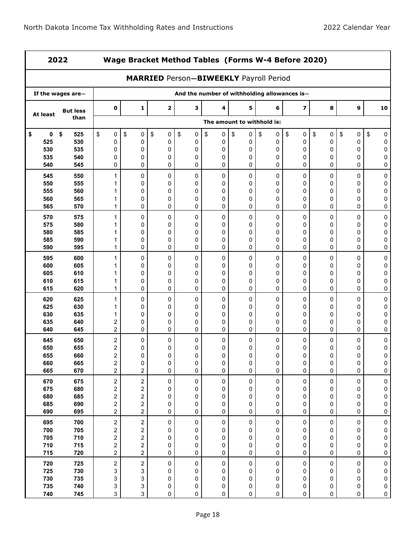| 2022       |                   |                                             | Wage Bracket Method Tables (Forms W-4 Before 2020)<br><b>MARRIED Person-BIWEEKLY Payroll Period</b> |              |                                              |                 |                            |                          |                         |           |           |                        |  |
|------------|-------------------|---------------------------------------------|-----------------------------------------------------------------------------------------------------|--------------|----------------------------------------------|-----------------|----------------------------|--------------------------|-------------------------|-----------|-----------|------------------------|--|
|            |                   |                                             |                                                                                                     |              |                                              |                 |                            |                          |                         |           |           |                        |  |
|            | If the wages are- |                                             |                                                                                                     |              | And the number of withholding allowances is- |                 |                            |                          |                         |           |           |                        |  |
| At least   | <b>But less</b>   | $\mathbf 0$                                 | 1                                                                                                   | $\mathbf{2}$ | 3                                            | 4               | 5                          | 6                        | $\overline{\mathbf{z}}$ | 8         | 9         | 10                     |  |
|            | than              |                                             |                                                                                                     |              |                                              |                 | The amount to withhold is: |                          |                         |           |           |                        |  |
| 0<br>\$    | \$<br>525         | \$<br>$\pmb{0}$                             | \$<br>0                                                                                             | \$<br>0      | \$<br>$\pmb{0}$                              | \$<br>$\pmb{0}$ | \$<br>0                    | \$<br>0                  | $\sqrt{2}$<br>$\pmb{0}$ | \$<br>0   | \$<br>0   | \$<br>0                |  |
| 525        | 530               | 0                                           | 0                                                                                                   | 0            | $\pmb{0}$                                    | 0               | 0                          | 0                        | 0                       | 0         | 0         | 0                      |  |
| 530<br>535 | 535<br>540        | 0<br>0                                      | 0<br>0                                                                                              | 0<br>0       | 0<br>0                                       | 0<br>0          | 0<br>0                     | 0<br>0                   | 0<br>0                  | 0<br>0    | 0<br>0    | 0<br>0                 |  |
| 540        | 545               | 0                                           | 0                                                                                                   | 0            | 0                                            | 0               | 0                          | 0                        | 0                       | 0         | 0         | 0                      |  |
| 545        | 550               | 1                                           | 0                                                                                                   | 0            | $\pmb{0}$                                    | 0               | 0                          | 0                        | $\mathbf 0$             | 0         | 0         | 0                      |  |
| 550        | 555               | 1                                           | 0                                                                                                   | 0            | 0                                            | 0               | 0                          | 0                        | 0                       | 0         | 0         | 0                      |  |
| 555        | 560               | 1                                           | 0                                                                                                   | 0            | 0                                            | 0               | 0                          | 0                        | 0                       | 0         | 0         | 0                      |  |
| 560<br>565 | 565<br>570        | 1<br>1                                      | 0<br>0                                                                                              | 0<br>0       | 0<br>0                                       | 0<br>0          | 0<br>0                     | 0<br>0                   | 0<br>$\mathbf 0$        | 0<br>0    | 0<br>0    | 0<br>0                 |  |
| 570        | 575               | 1                                           | 0                                                                                                   | 0            | 0                                            | 0               | 0                          | 0                        | 0                       | 0         | 0         | 0                      |  |
| 575        | 580               | 1                                           | 0                                                                                                   | 0            | 0                                            | 0               | 0                          | 0                        | 0                       | 0         | 0         | 0                      |  |
| 580        | 585               | 1                                           | 0                                                                                                   | 0            | 0                                            | 0               | 0                          | 0                        | 0                       | 0         | 0         | 0                      |  |
| 585        | 590               | 1                                           | 0                                                                                                   | 0            | 0                                            | 0               | 0                          | 0                        | 0                       | 0         | 0         | $\mathbf 0$            |  |
| 590        | 595               | 1                                           | 0                                                                                                   | 0            | 0                                            | 0               | 0                          | 0                        | $\mathbf 0$             | 0         | 0         | 0                      |  |
| 595<br>600 | 600<br>605        | 1<br>1                                      | 0<br>0                                                                                              | 0<br>0       | 0<br>0                                       | 0<br>0          | 0<br>0                     | 0<br>0                   | 0<br>0                  | 0<br>0    | 0<br>0    | 0<br>0                 |  |
| 605        | 610               | 1                                           | 0                                                                                                   | 0            | 0                                            | 0               | 0                          | 0                        | 0                       | 0         | 0         | 0                      |  |
| 610        | 615               | 1                                           | 0                                                                                                   | 0            | 0                                            | 0               | 0                          | 0                        | 0                       | 0         | 0         | 0                      |  |
| 615        | 620               | 1                                           | 0                                                                                                   | 0            | 0                                            | 0               | 0                          | 0                        | 0                       | 0         | 0         | 0                      |  |
| 620        | 625               | 1                                           | 0                                                                                                   | 0            | 0                                            | 0               | 0                          | 0                        | 0                       | 0         | 0         | 0                      |  |
| 625        | 630               | 1                                           | 0                                                                                                   | 0            | 0                                            | 0               | 0                          | 0                        | 0                       | 0         | 0         | 0                      |  |
| 630        | 635               | 1                                           | 0<br>0                                                                                              | 0            | 0<br>0                                       | 0               | 0                          | 0                        | 0                       | 0         | 0         | 0                      |  |
| 635<br>640 | 640<br>645        | $\boldsymbol{2}$<br>$\overline{2}$          | 0                                                                                                   | 0<br>0       | 0                                            | 0<br>0          | 0<br>0                     | 0<br>$\Omega$            | 0<br>0                  | 0<br>0    | 0<br>0    | 0<br>$\mathbf 0$       |  |
| 645        | 650               | $\boldsymbol{2}$                            | 0                                                                                                   | 0            | 0                                            | 0               | 0                          | 0                        | 0                       | 0         | 0         | 0                      |  |
| 650        | 655               | 2                                           | 0                                                                                                   | 0            | 0                                            | 0               | 0                          | 0                        | 0                       | 0         | 0         | 0                      |  |
| 655        | 660               | $\overline{c}$                              | 0                                                                                                   | 0            | 0                                            | 0               | 0                          | 0                        | $\mathbf 0$             | 0         | $\Omega$  | 0                      |  |
| 660<br>665 | 665<br>670        | $\overline{\mathbf{c}}$<br>$\overline{c}$   | 0<br>$\overline{c}$                                                                                 | 0<br>0       | 0<br>0                                       | 0<br>0          | 0<br>0                     | $\pmb{0}$<br>$\mathbf 0$ | 0<br>0                  | 0<br>0    | 0<br>0    | 0<br>$\pmb{0}$         |  |
| 670        | 675               | $\overline{\mathbf{c}}$                     | $\overline{c}$                                                                                      | $\pmb{0}$    | $\pmb{0}$                                    | $\pmb{0}$       | $\pmb{0}$                  | $\pmb{0}$                | $\pmb{0}$               | $\pmb{0}$ | 0         | $\pmb{0}$              |  |
| 675        | 680               | $\overline{\mathbf{c}}$                     | 2                                                                                                   | 0            | 0                                            | 0               | 0                          | 0                        | 0                       | 0         | 0         | $\pmb{0}$              |  |
| 680        | 685               | $\overline{\mathbf{c}}$                     | 2                                                                                                   | 0            | 0                                            | 0               | 0                          | 0                        | 0                       | 0         | 0         | $\pmb{0}$              |  |
| 685        | 690               | $\overline{\mathbf{c}}$                     | $\overline{\mathbf{c}}$                                                                             | 0            | 0                                            | $\pmb{0}$       | 0                          | 0                        | 0                       | 0         | 0         | $\pmb{0}$              |  |
| 690        | 695               | $\overline{a}$                              | $\overline{\mathbf{c}}$                                                                             | 0            | 0                                            | $\pmb{0}$       | 0                          | $\pmb{0}$                | $\mathbf 0$             | $\pmb{0}$ | $\pmb{0}$ | $\pmb{0}$              |  |
| 695        | 700               | $\overline{\mathbf{c}}$                     | $\overline{\mathbf{c}}$                                                                             | 0            | $\pmb{0}$                                    | $\pmb{0}$       | $\pmb{0}$                  | 0                        | $\pmb{0}$               | 0         | 0         | $\pmb{0}$              |  |
| 700        | 705               | $\overline{\mathbf{c}}$                     | $\overline{\mathbf{c}}$                                                                             | 0            | 0                                            | 0               | 0                          | 0                        | 0                       | 0         | 0         | $\pmb{0}$              |  |
| 705<br>710 | 710<br>715        | $\overline{\mathbf{c}}$<br>$\boldsymbol{2}$ | 2<br>$\boldsymbol{2}$                                                                               | 0<br>0       | 0<br>0                                       | 0<br>0          | 0<br>0                     | 0<br>0                   | 0<br>0                  | 0<br>0    | 0<br>0    | $\pmb{0}$<br>$\pmb{0}$ |  |
| 715        | 720               | $\overline{c}$                              | $\overline{c}$                                                                                      | 0            | $\pmb{0}$                                    | 0               | $\pmb{0}$                  | $\pmb{0}$                | $\mathbf 0$             | 0         | $\pmb{0}$ | $\pmb{0}$              |  |
| 720        | 725               | $\overline{\mathbf{c}}$                     | $\boldsymbol{2}$                                                                                    | 0            | $\pmb{0}$                                    | $\pmb{0}$       | $\pmb{0}$                  | 0                        | 0                       | 0         | 0         | $\pmb{0}$              |  |
| 725        | 730               | 3                                           | 3                                                                                                   | 0            | 0                                            | 0               | 0                          | 0                        | 0                       | 0         | 0         | 0                      |  |
| 730        | 735               | 3                                           | 3                                                                                                   | 0            | 0                                            | 0               | 0                          | 0                        | 0                       | 0         | 0         | $\pmb{0}$              |  |
| 735        | 740               | 3                                           | 3                                                                                                   | 0            | 0                                            | 0               | 0                          | 0                        | 0                       | 0         | 0         | $\pmb{0}$              |  |
| 740        | 745               | 3                                           | 3                                                                                                   | 0            | 0                                            | 0               | 0                          | 0                        | 0                       | 0         | 0         | $\mathsf 0$            |  |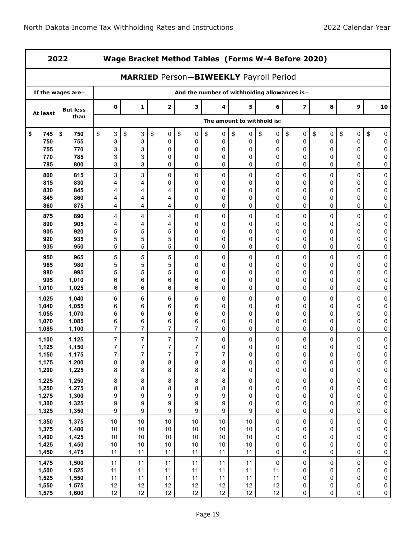| 2022           |                   |                  | Wage Bracket Method Tables (Forms W-4 Before 2020)<br><b>MARRIED Person-BIWEEKLY Payroll Period</b> |                       |                                              |                         |                            |           |                |                |                     |                        |  |  |
|----------------|-------------------|------------------|-----------------------------------------------------------------------------------------------------|-----------------------|----------------------------------------------|-------------------------|----------------------------|-----------|----------------|----------------|---------------------|------------------------|--|--|
|                |                   |                  |                                                                                                     |                       |                                              |                         |                            |           |                |                |                     |                        |  |  |
|                | If the wages are- |                  |                                                                                                     |                       | And the number of withholding allowances is- |                         |                            |           |                |                |                     |                        |  |  |
| At least       | <b>But less</b>   | $\pmb{0}$        | 1                                                                                                   | $\mathbf{2}$          | 3                                            | 4                       | 5                          | 6         | $\overline{z}$ | 8              | 9                   | 10                     |  |  |
|                | than              |                  |                                                                                                     |                       |                                              |                         | The amount to withhold is: |           |                |                |                     |                        |  |  |
| 745<br>\$      | \$<br>750         | \$<br>3          | \$<br>3                                                                                             | \$<br>0               | \$<br>0                                      | \$<br>0                 | \$<br>0                    | \$<br>0   | \$<br>0        | \$<br>0        | \$<br>0             | \$<br>0                |  |  |
| 750            | 755               | 3                | 3                                                                                                   | 0                     | 0                                            | 0                       | 0                          | 0         | 0              | 0              | 0                   | 0                      |  |  |
| 755            | 770               | 3                | 3                                                                                                   | 0                     | 0                                            | 0                       | 0                          | 0         | 0              | 0              | 0                   | 0                      |  |  |
| 770<br>785     | 785<br>800        | 3<br>3           | 3<br>3                                                                                              | 0<br>0                | 0<br>0                                       | 0<br>0                  | 0<br>0                     | 0<br>0    | 0<br>0         | 0<br>0         | 0<br>0              | 0<br>0                 |  |  |
| 800            | 815               | 3                | 3                                                                                                   | 0                     | 0                                            | 0                       | 0                          | 0         | 0              | 0              | 0                   | 0                      |  |  |
| 815            | 830               | 4                | 4                                                                                                   | 0                     | 0                                            | 0                       | 0                          | 0         | 0              | 0              | 0                   | 0                      |  |  |
| 830            | 845               | 4                | 4                                                                                                   | 4                     | 0                                            | 0                       | 0                          | 0         | 0              | 0              | 0                   | 0                      |  |  |
| 845            | 860               | 4                | 4                                                                                                   | 4                     | 0                                            | 0                       | 0                          | 0         | 0              | 0              | 0                   | 0                      |  |  |
| 860            | 875               | 4                | 4                                                                                                   | 4                     | 0                                            | 0                       | 0                          | 0         | 0              | 0              | 0                   | 0                      |  |  |
| 875<br>890     | 890<br>905        | 4<br>4           | 4<br>4                                                                                              | 4<br>4                | 0<br>0                                       | 0<br>0                  | 0<br>0                     | 0<br>0    | 0<br>0         | 0<br>0         | 0<br>0              | 0<br>0                 |  |  |
| 905            | 920               | 5                | 5                                                                                                   | 5                     | 0                                            | 0                       | 0                          | 0         | 0              | 0              | 0                   | 0                      |  |  |
| 920            | 935               | 5                | 5                                                                                                   | 5                     | 0                                            | 0                       | 0                          | 0         | 0              | 0              | 0                   | 0                      |  |  |
| 935            | 950               | 5                | 5                                                                                                   | 5                     | 0                                            | 0                       | 0                          | 0         | 0              | 0              | 0                   | $\mathbf 0$            |  |  |
| 950            | 965               | 5                | 5                                                                                                   | 5                     | 0                                            | 0                       | 0                          | 0         | 0              | 0              | 0                   | 0                      |  |  |
| 965            | 980               | 5                | 5                                                                                                   | 5                     | 0                                            | 0                       | 0                          | 0         | 0              | 0              | 0                   | 0                      |  |  |
| 980            | 995               | 5                | 5                                                                                                   | 5                     | 0                                            | 0                       | 0                          | 0         | 0              | 0              | 0                   | 0                      |  |  |
| 995            | 1,010             | 6                | 6                                                                                                   | 6                     | 6                                            | 0                       | 0                          | 0         | 0              | 0              | 0                   | 0                      |  |  |
| 1,010          | 1,025             | 6                | 6                                                                                                   | 6                     | 6                                            | 0                       | 0                          | 0         | 0              | 0              | 0                   | 0                      |  |  |
| 1,025          | 1,040             | 6                | 6                                                                                                   | 6                     | 6                                            | 0                       | 0                          | 0         | 0              | 0              | 0                   | 0                      |  |  |
| 1,040          | 1,055             | 6                | 6                                                                                                   | 6                     | 6<br>6                                       | 0                       | 0                          | 0         | 0<br>0         | 0              | 0<br>0              | 0                      |  |  |
| 1,055<br>1,070 | 1,070<br>1,085    | 6<br>6           | 6<br>6                                                                                              | 6<br>6                | 6                                            | 0<br>0                  | 0<br>0                     | 0<br>0    | 0              | 0<br>0         | 0                   | 0<br>0                 |  |  |
| 1,085          | 1,100             | $\overline{7}$   | 7                                                                                                   | 7                     | $\overline{7}$                               | $\mathbf 0$             | 0                          | 0         | 0              | 0              | 0                   | 0                      |  |  |
| 1,100          | 1,125             | $\boldsymbol{7}$ | 7                                                                                                   | 7                     | $\boldsymbol{7}$                             | 0                       | 0                          | 0         | 0              | 0              | 0                   | 0                      |  |  |
| 1,125          | 1,150             | 7                | 7                                                                                                   | 7                     | 7                                            | 0                       | 0                          | 0         | 0              | 0              | 0                   | 0                      |  |  |
| 1,150          | 1,175             | 7                | 7                                                                                                   | 7                     | $\overline{7}$                               | 7                       | $\Omega$                   | 0         | 0              | 0              | $\Omega$            | 0                      |  |  |
| 1,175          | 1,200             | 8                | $\bf 8$                                                                                             | $\bf 8$               | 8                                            | 8                       | $\pmb{0}$                  | 0         | 0              | 0              | $\pmb{0}$           | 0                      |  |  |
| 1,200          | 1,225             | 8                | 8                                                                                                   | 8                     | 8                                            | 8                       | 0                          | $\pmb{0}$ | $\mathbf 0$    | $\pmb{0}$      | $\mathsf{O}\xspace$ | $\pmb{0}$              |  |  |
| 1,225          | 1,250             | $\bf 8$          | 8                                                                                                   | $\bf 8$               | $\bf 8$                                      | 8                       | $\pmb{0}$                  | $\pmb{0}$ | $\pmb{0}$      | $\pmb{0}$      | 0                   | $\pmb{0}$              |  |  |
| 1,250          | 1,275             | 8                | 8                                                                                                   | 8                     | 8                                            | 8                       | 0                          | 0         | 0              | 0              | 0                   | $\pmb{0}$              |  |  |
| 1,275          | 1,300             | 9                | 9<br>9                                                                                              | $\boldsymbol{9}$<br>9 | 9<br>9                                       | 9                       | 0                          | 0<br>0    | 0<br>0         | 0              | $\pmb{0}$<br>0      | $\pmb{0}$<br>$\pmb{0}$ |  |  |
| 1,300<br>1,325 | 1,325<br>1,350    | 9<br>9           | 9                                                                                                   | $\boldsymbol{9}$      | $\boldsymbol{9}$                             | 9<br>9                  | 0<br>$\boldsymbol{9}$      | 0         | $\pmb{0}$      | 0<br>$\pmb{0}$ | 0                   | $\pmb{0}$              |  |  |
| 1,350          | 1,375             | $10\,$           | $10$                                                                                                | $10$                  | 10                                           | $10\,$                  | 10                         | 0         | $\pmb{0}$      | $\pmb{0}$      | 0                   | $\pmb{0}$              |  |  |
| 1,375          | 1,400             | 10               | $10$                                                                                                | $10$                  | $10$                                         | $10\,$                  | $10$                       | 0         | 0              | 0              | 0                   | $\pmb{0}$              |  |  |
| 1,400          | 1,425             | $10$             | $10$                                                                                                | $10$                  | $10$                                         | $10\,$                  | $10$                       | 0         | 0              | 0              | 0                   | $\pmb{0}$              |  |  |
| 1,425          | 1,450             | 10               | $10$                                                                                                | $10$                  | $10$                                         | $10$                    | $10$                       | 0         | 0              | 0              | 0                   | $\pmb{0}$              |  |  |
| 1,450          | 1,475             | 11               | 11                                                                                                  | 11                    | 11                                           | 11                      | 11                         | 0         | $\pmb{0}$      | 0              | 0                   | 0                      |  |  |
| 1,475          | 1,500             | 11               | 11                                                                                                  | 11                    | 11                                           | 11                      | 11                         | $\pmb{0}$ | $\pmb{0}$      | 0              | $\pmb{0}$           | $\pmb{0}$              |  |  |
| 1,500          | 1,525             | 11               | 11                                                                                                  | 11                    | 11                                           | 11                      | 11                         | 11        | 0              | 0              | 0                   | $\pmb{0}$              |  |  |
| 1,525          | 1,550             | 11               | 11                                                                                                  | 11                    | 11                                           | 11                      | 11                         | 11        | 0              | 0              | 0                   | $\pmb{0}$              |  |  |
| 1,550<br>1,575 | 1,575<br>1,600    | 12<br>12         | 12<br>12                                                                                            | 12<br>12              | 12<br>$12 \overline{ }$                      | 12<br>$12 \overline{ }$ | 12<br>12                   | 12<br>12  | 0<br>$\pmb{0}$ | 0<br>0         | 0<br>0              | $\pmb{0}$<br>$\pmb{0}$ |  |  |
|                |                   |                  |                                                                                                     |                       |                                              |                         |                            |           |                |                |                     |                        |  |  |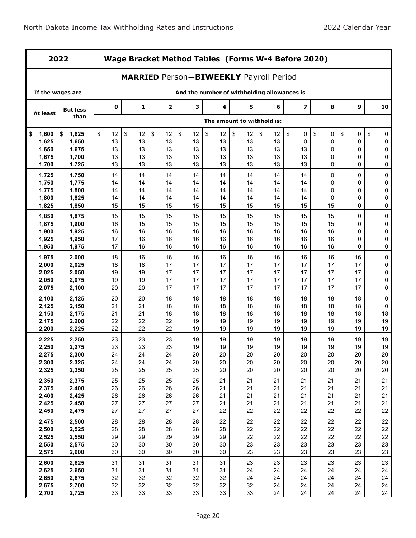| 2022           |                   |             | Wage Bracket Method Tables (Forms W-4 Before 2020)<br><b>MARRIED Person-BIWEEKLY Payroll Period</b> |              |          |          |                            |          |                                              |          |          |                |  |  |
|----------------|-------------------|-------------|-----------------------------------------------------------------------------------------------------|--------------|----------|----------|----------------------------|----------|----------------------------------------------|----------|----------|----------------|--|--|
|                |                   |             |                                                                                                     |              |          |          |                            |          |                                              |          |          |                |  |  |
|                | If the wages are- |             |                                                                                                     |              |          |          |                            |          | And the number of withholding allowances is- |          |          |                |  |  |
| At least       | <b>But less</b>   | $\mathbf 0$ | 1                                                                                                   | $\mathbf{2}$ | 3        | 4        | 5                          | 6        | $\overline{\mathbf{z}}$                      | 8        | 9        | 10             |  |  |
|                | than              |             |                                                                                                     |              |          |          | The amount to withhold is: |          |                                              |          |          |                |  |  |
| 1,600<br>\$    | \$<br>1,625       | \$<br>12    | \$<br>12                                                                                            | \$<br>12     | \$<br>12 | \$<br>12 | \$<br>12                   | \$<br>12 | \$<br>0                                      | \$<br>0  | \$<br>0  | \$<br>0        |  |  |
| 1,625          | 1,650             | 13          | 13                                                                                                  | 13           | 13       | 13       | 13                         | 13       | 0                                            | 0        | 0        | 0              |  |  |
| 1,650          | 1,675             | 13          | 13                                                                                                  | 13           | 13       | 13       | 13                         | 13       | 13                                           | 0        | 0        | 0              |  |  |
| 1,675<br>1,700 | 1,700<br>1,725    | 13<br>13    | 13<br>13                                                                                            | 13<br>13     | 13<br>13 | 13<br>13 | 13<br>13                   | 13<br>13 | 13<br>13                                     | 0<br>0   | 0<br>0   | 0<br>0         |  |  |
|                |                   |             |                                                                                                     |              |          |          |                            |          |                                              |          |          |                |  |  |
| 1,725          | 1,750             | 14          | 14                                                                                                  | 14           | 14       | 14       | 14                         | 14       | 14                                           | 0        | 0        | $\pmb{0}$      |  |  |
| 1,750<br>1,775 | 1,775<br>1,800    | 14<br>14    | 14<br>14                                                                                            | 14<br>14     | 14<br>14 | 14<br>14 | 14<br>14                   | 14<br>14 | 14<br>14                                     | 0<br>0   | 0<br>0   | 0<br>$\pmb{0}$ |  |  |
| 1,800          | 1,825             | 14          | 14                                                                                                  | 14           | 14       | 14       | 14                         | 14       | 14                                           | 0        | 0        | $\pmb{0}$      |  |  |
| 1,825          | 1,850             | 15          | 15                                                                                                  | 15           | 15       | 15       | 15                         | 15       | 15                                           | 15       | 0        | 0              |  |  |
| 1,850          | 1,875             | 15          | 15                                                                                                  | 15           | 15       | 15       | 15                         | 15       | 15                                           | 15       | 0        | 0              |  |  |
| 1,875          | 1,900             | 16          | 15                                                                                                  | 15           | 15       | 15       | 15                         | 15       | 15                                           | 15       | 0        | 0              |  |  |
| 1,900          | 1,925             | 16          | 16                                                                                                  | 16           | 16       | 16       | 16                         | 16       | 16                                           | 16       | 0        | $\pmb{0}$      |  |  |
| 1,925          | 1,950             | 17          | 16                                                                                                  | 16           | 16       | 16       | 16                         | 16       | 16                                           | 16       | 0        | 0              |  |  |
| 1,950          | 1,975             | 17          | 16                                                                                                  | 16           | 16       | 16       | 16                         | 16       | 16                                           | 16       | 0        | 0              |  |  |
| 1,975          | 2,000             | 18          | 16                                                                                                  | 16           | 16       | 16       | 16                         | 16       | 16                                           | 16       | 16       | 0              |  |  |
| 2,000          | 2,025             | 18          | 18                                                                                                  | 17           | 17       | 17       | 17                         | 17       | 17                                           | 17       | 17       | 0              |  |  |
| 2,025          | 2,050             | 19          | 19                                                                                                  | 17           | 17       | 17       | 17                         | 17       | 17                                           | 17       | 17       | $\pmb{0}$      |  |  |
| 2,050          | 2,075             | 19          | 19                                                                                                  | 17           | 17       | 17       | 17                         | 17       | 17                                           | 17       | 17       | $\mathbf 0$    |  |  |
| 2,075          | 2,100             | 20          | 20                                                                                                  | 17           | 17       | 17       | 17                         | 17       | 17                                           | 17       | 17       | 0              |  |  |
| 2,100          | 2,125             | 20          | 20                                                                                                  | 18           | 18       | 18       | 18                         | 18       | 18                                           | 18       | 18       | $\pmb{0}$      |  |  |
| 2,125          | 2,150             | 21          | 21                                                                                                  | 18           | 18       | 18       | 18                         | 18       | 18                                           | 18       | 18       | 0              |  |  |
| 2,150          | 2,175             | 21          | 21                                                                                                  | 18           | 18       | 18       | 18                         | 18       | 18                                           | 18       | 18       | 18             |  |  |
| 2,175<br>2,200 | 2,200<br>2,225    | 22<br>22    | 22<br>22                                                                                            | 22<br>22     | 19<br>19 | 19<br>19 | 19<br>19                   | 19<br>19 | 19<br>19                                     | 19<br>19 | 19<br>19 | 19<br>19       |  |  |
|                |                   |             |                                                                                                     |              |          |          |                            |          |                                              |          |          |                |  |  |
| 2,225          | 2,250             | 23<br>23    | 23<br>23                                                                                            | 23<br>23     | 19<br>19 | 19       | 19                         | 19<br>19 | 19<br>19                                     | 19<br>19 | 19<br>19 | 19<br>19       |  |  |
| 2,250<br>2,275 | 2,275<br>2,300    | 24          | 24                                                                                                  | 24           | 20       | 19<br>20 | 19<br>20                   | 20       | 20                                           | 20       | 20       | 20             |  |  |
| 2,300          | 2,325             | 24          | 24                                                                                                  | 24           | 20       | 20       | 20                         | 20       | 20                                           | 20       | 20       | $20\,$         |  |  |
| 2,325          | 2,350             | 25          | 25                                                                                                  | 25           | 25       | 20       | 20                         | 20       | 20                                           | 20       | 20       | 20             |  |  |
| 2,350          | 2,375             | 25          | 25                                                                                                  | 25           | 25       | 21       | 21                         | 21       | 21                                           | 21       | 21       | 21             |  |  |
| 2,375          | 2,400             | 26          | 26                                                                                                  | 26           | 26       | 21       | 21                         | 21       | 21                                           | 21       | 21       | 21             |  |  |
| 2,400          | 2,425             | 26          | 26                                                                                                  | 26           | 26       | 21       | 21                         | 21       | 21                                           | 21       | 21       | 21             |  |  |
| 2,425          | 2,450             | 27          | 27                                                                                                  | 27           | 27       | 21       | 21                         | 21       | 21                                           | 21       | 21       | 21             |  |  |
| 2,450          | 2,475             | 27          | 27                                                                                                  | 27           | 27       | 22       | 22                         | 22       | 22                                           | 22       | 22       | 22             |  |  |
| 2,475          | 2,500             | 28          | 28                                                                                                  | 28           | 28       | 22       | 22                         | 22       | 22                                           | 22       | 22       | 22             |  |  |
| 2,500          | 2,525             | 28          | 28                                                                                                  | 28           | 28       | 28       | 22                         | 22       | 22                                           | 22       | 22       | 22             |  |  |
| 2,525          | 2,550             | 29          | 29                                                                                                  | 29           | 29       | 29       | 22                         | 22       | 22                                           | 22       | 22       | 22             |  |  |
| 2,550          | 2,575             | 30          | 30                                                                                                  | 30           | 30       | 30       | 23                         | 23       | 23                                           | 23       | 23       | 23             |  |  |
| 2,575          | 2,600             | 30          | 30                                                                                                  | 30           | 30       | 30       | 23                         | 23       | 23                                           | 23       | 23       | 23             |  |  |
| 2,600          | 2,625             | 31          | 31                                                                                                  | 31           | 31       | 31       | 23                         | 23       | 23                                           | 23       | 23       | 23             |  |  |
| 2,625          | 2,650             | 31          | 31                                                                                                  | 31           | 31       | 31       | 24                         | 24       | 24                                           | 24       | 24       | 24             |  |  |
| 2,650<br>2,675 | 2,675<br>2,700    | 32<br>32    | 32<br>32                                                                                            | 32<br>32     | 32<br>32 | 32<br>32 | 24<br>32                   | 24<br>24 | 24<br>24                                     | 24<br>24 | 24<br>24 | 24<br>24       |  |  |
| 2,700          | 2,725             | $33\,$      | 33                                                                                                  | 33           | 33       | 33       | 33                         | 24       | 24                                           | 24       | 24       | 24             |  |  |
|                |                   |             |                                                                                                     |              |          |          |                            |          |                                              |          |          |                |  |  |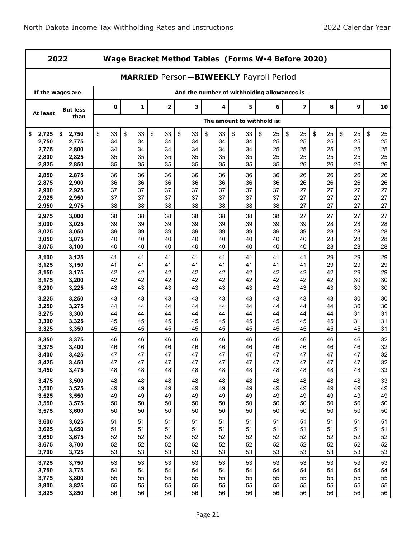| 2022           |                   |             | Wage Bracket Method Tables (Forms W-4 Before 2020)<br><b>MARRIED Person-BIWEEKLY Payroll Period</b> |              |                                              |          |                            |          |                         |          |          |          |  |  |
|----------------|-------------------|-------------|-----------------------------------------------------------------------------------------------------|--------------|----------------------------------------------|----------|----------------------------|----------|-------------------------|----------|----------|----------|--|--|
|                |                   |             |                                                                                                     |              |                                              |          |                            |          |                         |          |          |          |  |  |
|                | If the wages are- |             |                                                                                                     |              | And the number of withholding allowances is- |          |                            |          |                         |          |          |          |  |  |
| At least       | <b>But less</b>   | $\mathbf 0$ | 1                                                                                                   | $\mathbf{2}$ | 3                                            | 4        | 5                          | 6        | $\overline{\mathbf{z}}$ | 8        | 9        | 10       |  |  |
|                | than              |             |                                                                                                     |              |                                              |          | The amount to withhold is: |          |                         |          |          |          |  |  |
| 2,725<br>\$    | \$<br>2,750       | \$<br>33    | \$<br>33                                                                                            | \$<br>33     | \$<br>33                                     | \$<br>33 | \$<br>33                   | \$<br>25 | \$<br>25                | \$<br>25 | \$<br>25 | \$<br>25 |  |  |
| 2,750          | 2,775             | 34          | 34                                                                                                  | 34           | 34                                           | 34       | 34                         | 25       | 25                      | 25       | 25       | 25       |  |  |
| 2,775          | 2,800             | 34          | 34                                                                                                  | 34           | 34                                           | 34       | 34                         | 25       | 25                      | 25       | 25       | 25       |  |  |
| 2,800<br>2,825 | 2,825<br>2,850    | 35<br>35    | 35<br>35                                                                                            | 35<br>35     | 35<br>35                                     | 35<br>35 | 35<br>35                   | 25<br>35 | 25<br>26                | 25<br>26 | 25<br>26 | 25<br>26 |  |  |
|                |                   |             |                                                                                                     |              |                                              |          |                            |          |                         |          |          |          |  |  |
| 2,850          | 2,875             | 36          | 36                                                                                                  | 36           | 36                                           | 36       | 36                         | 36       | 26                      | 26       | 26       | 26       |  |  |
| 2,875          | 2,900<br>2,925    | 36<br>37    | 36<br>37                                                                                            | 36<br>37     | 36<br>37                                     | 36<br>37 | 36<br>37                   | 36<br>37 | 26<br>27                | 26<br>27 | 26<br>27 | 26<br>27 |  |  |
| 2,900<br>2,925 | 2,950             | 37          | 37                                                                                                  | 37           | 37                                           | 37       | 37                         | 37       | 27                      | 27       | 27       | 27       |  |  |
| 2,950          | 2,975             | 38          | 38                                                                                                  | 38           | 38                                           | 38       | 38                         | 38       | 27                      | 27       | 27       | 27       |  |  |
| 2,975          | 3,000             | 38          | 38                                                                                                  | 38           | 38                                           | 38       | 38                         | 38       | 27                      | 27       | 27       | 27       |  |  |
| 3,000          | 3,025             | 39          | 39                                                                                                  | 39           | 39                                           | 39       | 39                         | 39       | 39                      | 28       | 28       | 28       |  |  |
| 3,025          | 3,050             | 39          | 39                                                                                                  | 39           | 39                                           | 39       | 39                         | 39       | 39                      | 28       | 28       | 28       |  |  |
| 3,050          | 3,075             | 40          | 40                                                                                                  | 40           | 40                                           | 40       | 40                         | 40       | 40                      | 28       | 28       | 28       |  |  |
| 3,075          | 3,100             | 40          | 40                                                                                                  | 40           | 40                                           | 40       | 40                         | 40       | 40                      | 28       | 28       | 28       |  |  |
| 3,100          | 3,125             | 41          | 41                                                                                                  | 41           | 41                                           | 41       | 41                         | 41       | 41                      | 29       | 29       | 29       |  |  |
| 3,125          | 3,150             | 41          | 41                                                                                                  | 41           | 41                                           | 41       | 41                         | 41       | 41                      | 29       | 29       | 29       |  |  |
| 3,150          | 3,175             | 42          | 42                                                                                                  | 42           | 42                                           | 42       | 42                         | 42       | 42                      | 42       | 29       | 29       |  |  |
| 3,175          | 3,200             | 42          | 42                                                                                                  | 42           | 42                                           | 42       | 42                         | 42       | 42                      | 42       | 30       | 30       |  |  |
| 3,200          | 3,225             | 43          | 43                                                                                                  | 43           | 43                                           | 43       | 43                         | 43       | 43                      | 43       | 30       | 30       |  |  |
| 3,225          | 3,250             | 43          | 43                                                                                                  | 43           | 43                                           | 43       | 43                         | 43       | 43                      | 43       | 30       | 30       |  |  |
| 3,250          | 3,275             | 44          | 44                                                                                                  | 44           | 44                                           | 44       | 44                         | 44       | 44                      | 44       | 30       | 30       |  |  |
| 3,275          | 3,300             | 44          | 44                                                                                                  | 44           | 44                                           | 44       | 44                         | 44       | 44                      | 44       | 31       | 31       |  |  |
| 3,300          | 3,325             | 45          | 45                                                                                                  | 45           | 45                                           | 45       | 45                         | 45       | 45                      | 45       | 31       | 31       |  |  |
| 3,325          | 3,350             | 45          | 45                                                                                                  | 45           | 45                                           | 45       | 45                         | 45       | 45                      | 45       | 45       | 31       |  |  |
| 3,350          | 3,375             | 46          | 46                                                                                                  | 46           | 46                                           | 46       | 46                         | 46       | 46                      | 46       | 46       | 32       |  |  |
| 3,375          | 3,400             | 46          | 46                                                                                                  | 46           | 46                                           | 46       | 46                         | 46       | 46                      | 46       | 46       | 32       |  |  |
| 3,400          | 3,425             | 47<br>47    | 47<br>47                                                                                            | 47<br>47     | 47<br>47                                     | 47<br>47 | 47<br>47                   | 47<br>47 | 47<br>47                | 47<br>47 | 47<br>47 | 32       |  |  |
| 3,425<br>3,450 | 3,450<br>3,475    | 48          | 48                                                                                                  | 48           | 48                                           | 48       | 48                         | 48       | 48                      | 48       | 48       | 32<br>33 |  |  |
|                |                   |             |                                                                                                     |              |                                              |          |                            |          |                         |          |          |          |  |  |
| 3,475<br>3,500 | 3,500<br>3,525    | 48<br>49    | 48<br>49                                                                                            | 48<br>49     | 48<br>49                                     | 48<br>49 | 48<br>49                   | 48<br>49 | 48<br>49                | 48<br>49 | 48<br>49 | 33<br>49 |  |  |
| 3,525          | 3,550             | 49          | 49                                                                                                  | 49           | 49                                           | 49       | 49                         | 49       | 49                      | 49       | 49       | 49       |  |  |
| 3,550          | 3,575             | 50          | 50                                                                                                  | 50           | 50                                           | 50       | 50                         | 50       | 50                      | 50       | 50       | 50       |  |  |
| 3,575          | 3,600             | 50          | 50                                                                                                  | 50           | 50                                           | 50       | 50                         | 50       | 50                      | 50       | 50       | 50       |  |  |
| 3,600          | 3,625             | 51          | 51                                                                                                  | 51           | 51                                           | 51       | 51                         | 51       | 51                      | 51       | 51       | 51       |  |  |
| 3,625          | 3,650             | 51          | 51                                                                                                  | 51           | 51                                           | 51       | 51                         | 51       | 51                      | 51       | 51       | 51       |  |  |
| 3,650          | 3,675             | 52          | 52                                                                                                  | 52           | 52                                           | 52       | 52                         | 52       | 52                      | 52       | 52       | 52       |  |  |
| 3,675          | 3,700             | 52          | 52                                                                                                  | 52           | 52                                           | 52       | 52                         | 52       | 52                      | 52       | 52       | 52       |  |  |
| 3,700          | 3,725             | 53          | 53                                                                                                  | 53           | 53                                           | 53       | 53                         | 53       | 53                      | 53       | 53       | 53       |  |  |
| 3,725          | 3,750             | 53          | 53                                                                                                  | 53           | 53                                           | 53       | 53                         | 53       | 53                      | 53       | 53       | 53       |  |  |
| 3,750          | 3,775             | 54          | 54                                                                                                  | 54           | 54                                           | 54       | 54                         | 54       | 54                      | 54       | 54       | 54       |  |  |
| 3,775          | 3,800             | 55          | 55                                                                                                  | 55           | 55                                           | 55       | 55                         | 55       | 55                      | 55       | 55       | 55       |  |  |
| 3,800          | 3,825             | 55          | 55                                                                                                  | 55           | 55                                           | 55       | 55                         | 55       | 55                      | 55       | 55       | 55       |  |  |
| 3,825          | 3,850             | 56          | 56                                                                                                  | 56           | 56                                           | 56       | 56                         | 56       | 56                      | 56       | 56       | 56       |  |  |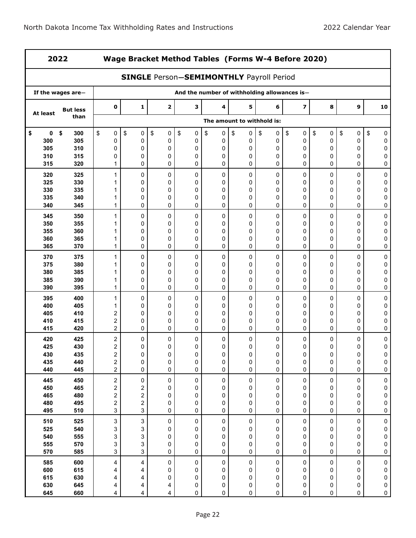| 2022       |                   |                              | Wage Bracket Method Tables (Forms W-4 Before 2020) |                                                 |                  |                                              |                            |         |                         |           |                  |                        |  |  |
|------------|-------------------|------------------------------|----------------------------------------------------|-------------------------------------------------|------------------|----------------------------------------------|----------------------------|---------|-------------------------|-----------|------------------|------------------------|--|--|
|            |                   |                              |                                                    | <b>SINGLE Person-SEMIMONTHLY Payroll Period</b> |                  |                                              |                            |         |                         |           |                  |                        |  |  |
|            | If the wages are- |                              |                                                    |                                                 |                  | And the number of withholding allowances is- |                            |         |                         |           |                  |                        |  |  |
| At least   | <b>But less</b>   | $\mathbf 0$                  | $\mathbf{1}$                                       | $\mathbf 2$                                     | 3                | 4                                            | 5                          | 6       | $\overline{\mathbf{z}}$ | 8         | 9                | 10                     |  |  |
|            | than              |                              |                                                    |                                                 |                  |                                              | The amount to withhold is: |         |                         |           |                  |                        |  |  |
| 0<br>\$    | \$<br>300         | \$<br>$\pmb{0}$              | \$<br>0                                            | \$<br>0                                         | \$<br>$\pmb{0}$  | \$<br>0                                      | \$<br>0                    | \$<br>0 | \$<br>0                 | \$<br>0   | \$<br>0          | \$<br>0                |  |  |
| 300        | 305               | 0                            | 0                                                  | 0                                               | 0                | 0                                            | 0                          | 0       | 0                       | 0         | 0                | $\pmb{0}$              |  |  |
| 305        | 310               | 0                            | 0                                                  | 0                                               | 0                | 0                                            | 0                          | 0       | 0                       | 0         | 0                | 0                      |  |  |
| 310<br>315 | 315<br>320        | 0<br>1                       | 0<br>0                                             | 0<br>0                                          | $\mathbf 0$<br>0 | 0<br>0                                       | 0<br>0                     | 0<br>0  | 0<br>0                  | 0<br>0    | 0<br>0           | 0<br>0                 |  |  |
| 320        | 325               | 1                            | 0                                                  | 0                                               | 0                | 0                                            | 0                          | 0       | 0                       | 0         | 0                | 0                      |  |  |
| 325        | 330               | 1                            | 0                                                  | 0                                               | 0                | 0                                            | 0                          | 0       | 0                       | 0         | 0                | 0                      |  |  |
| 330        | 335               | 1                            | 0                                                  | 0                                               | 0                | 0                                            | 0                          | 0       | 0                       | 0         | 0                | 0                      |  |  |
| 335<br>340 | 340<br>345        | 1<br>1                       | 0<br>0                                             | 0<br>$\mathbf 0$                                | 0<br>$\mathbf 0$ | 0<br>0                                       | 0<br>0                     | 0<br>0  | 0<br>0                  | 0<br>0    | 0<br>0           | 0<br>0                 |  |  |
| 345        | 350               | 1                            | 0                                                  | 0                                               | 0                | 0                                            | 0                          | 0       | 0                       | 0         | 0                | 0                      |  |  |
| 350        | 355               | 1                            | 0                                                  | 0                                               | $\mathbf 0$      | 0                                            | 0                          | 0       | 0                       | 0         | 0                | 0                      |  |  |
| 355        | 360               | 1                            | 0                                                  | 0                                               | 0                | 0                                            | 0                          | 0       | 0                       | 0         | 0                | 0                      |  |  |
| 360        | 365               | 1                            | 0                                                  | 0                                               | 0                | 0                                            | 0                          | 0       | 0                       | 0         | 0                | 0                      |  |  |
| 365        | 370               | 1                            | 0                                                  | 0                                               | 0                | 0                                            | 0                          | 0       | 0                       | 0         | 0                | 0                      |  |  |
| 370        | 375               | 1                            | 0                                                  | 0                                               | 0                | 0                                            | 0                          | 0       | 0                       | 0         | 0                | $\pmb{0}$              |  |  |
| 375        | 380               | 1                            | 0                                                  | 0                                               | $\mathbf 0$      | 0                                            | 0                          | 0       | 0                       | 0         | 0                | 0                      |  |  |
| 380        | 385               | 1                            | 0                                                  | 0                                               | 0                | 0                                            | 0                          | 0       | 0                       | 0         | 0                | 0                      |  |  |
| 385<br>390 | 390<br>395        | 1<br>1                       | 0<br>0                                             | 0<br>0                                          | 0<br>$\mathbf 0$ | 0<br>0                                       | 0<br>0                     | 0<br>0  | 0<br>0                  | 0<br>0    | 0<br>$\mathbf 0$ | 0<br>0                 |  |  |
| 395        | 400               | 1                            | 0                                                  | 0                                               | 0                | 0                                            | 0                          | 0       | 0                       | 0         | 0                | 0                      |  |  |
| 400        | 405               | 1                            | 0                                                  | $\mathbf 0$                                     | 0                | 0                                            | 0                          | 0       | 0                       | 0         | 0                | 0                      |  |  |
| 405        | 410               | 2                            | 0                                                  | 0                                               | $\mathbf 0$      | 0                                            | 0                          | 0       | 0                       | 0         | 0                | 0                      |  |  |
| 410        | 415               | $\overline{\mathbf{c}}$      | 0                                                  | 0                                               | 0                | 0                                            | 0                          | 0       | 0                       | 0         | 0                | 0                      |  |  |
| 415        | 420               | $\overline{c}$               | 0                                                  | 0                                               | $\mathbf 0$      | 0                                            | 0                          | 0       | 0                       | 0         | $\mathbf 0$      | 0                      |  |  |
| 420<br>425 | 425<br>430        | $\overline{\mathbf{c}}$<br>2 | 0<br>0                                             | 0<br>0                                          | 0<br>0           | 0<br>0                                       | 0<br>0                     | 0<br>0  | 0<br>0                  | 0<br>0    | 0<br>0           | 0<br>0                 |  |  |
| 430        | 435               | 2                            | 0                                                  | 0                                               | 0                | 0                                            | 0                          | 0       | 0                       | 0         | 0                | 0                      |  |  |
| 435        | 440               | $\boldsymbol{2}$             | 0                                                  | 0                                               | 0                | 0                                            | 0                          | 0       | 0                       | 0         | 0                | $\pmb{0}$              |  |  |
| 440        | 445               | $\overline{a}$               | 0                                                  | 0                                               | $\pmb{0}$        | 0                                            | 0                          | 0       | 0                       | 0         | 0                | $\pmb{0}$              |  |  |
| 445        | 450               | $\sqrt{2}$                   | $\pmb{0}$                                          | $\pmb{0}$                                       | $\pmb{0}$        | $\pmb{0}$                                    | $\pmb{0}$                  | 0       | $\pmb{0}$               | $\pmb{0}$ | $\pmb{0}$        | $\pmb{0}$              |  |  |
| 450        | 465               | 2                            | $\overline{\mathbf{c}}$                            | 0                                               | 0                | 0                                            | 0                          | 0       | 0                       | 0         | 0                | $\pmb{0}$              |  |  |
| 465        | 480               | $\overline{\mathbf{c}}$      | $\overline{\mathbf{c}}$                            | 0                                               | 0                | 0                                            | 0                          | 0       | 0                       | 0         | 0                | $\pmb{0}$              |  |  |
| 480<br>495 | 495<br>510        | 2<br>3                       | $\overline{a}$<br>3                                | 0<br>0                                          | 0<br>0           | 0<br>0                                       | 0<br>0                     | 0<br>0  | 0<br>0                  | 0<br>0    | 0<br>0           | $\pmb{0}$<br>$\pmb{0}$ |  |  |
| 510        | 525               | $\mathbf{3}$                 | 3                                                  | $\pmb{0}$                                       | $\pmb{0}$        | $\pmb{0}$                                    | 0                          | 0       | 0                       | 0         | 0                | $\pmb{0}$              |  |  |
| 525        | 540               | 3                            | 3                                                  | 0                                               | 0                | 0                                            | 0                          | 0       | 0                       | 0         | 0                | $\pmb{0}$              |  |  |
| 540        | 555               | 3                            | 3                                                  | 0                                               | 0                | 0                                            | 0                          | 0       | 0                       | 0         | 0                | 0                      |  |  |
| 555        | 570               | 3                            | 3                                                  | 0                                               | 0                | 0                                            | 0                          | 0       | 0                       | 0         | 0                | $\pmb{0}$              |  |  |
| 570        | 585               | 3                            | 3                                                  | 0                                               | 0                | 0                                            | 0                          | 0       | 0                       | 0         | 0                | $\pmb{0}$              |  |  |
| 585        | 600               | 4                            | $\overline{\mathbf{4}}$                            | $\pmb{0}$                                       | $\pmb{0}$        | 0                                            | $\pmb{0}$                  | 0       | 0                       | 0         | $\pmb{0}$        | $\pmb{0}$              |  |  |
| 600        | 615               | 4                            | 4                                                  | 0                                               | 0                | 0                                            | 0                          | 0       | 0                       | 0         | 0                | $\pmb{0}$              |  |  |
| 615        | 630<br>645        | 4                            | 4                                                  | 0                                               | 0                | 0                                            | 0                          | 0       | 0                       | 0         | 0                | $\pmb{0}$              |  |  |
| 630<br>645 | 660               | 4<br>4                       | 4<br>4                                             | 4<br>4                                          | 0<br>0           | 0<br>0                                       | 0<br>0                     | 0<br>0  | 0<br>0                  | 0<br>0    | 0<br>0           | $\pmb{0}$<br>$\pmb{0}$ |  |  |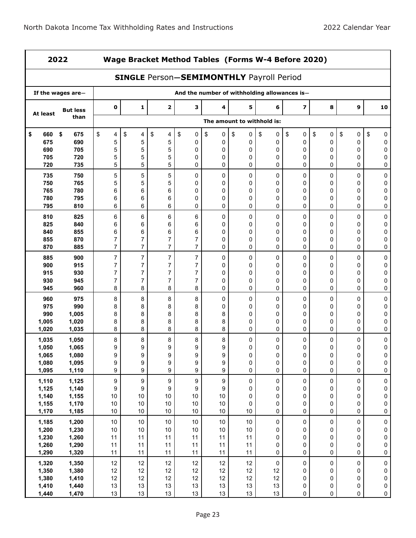|           | 2022              |                | Wage Bracket Method Tables (Forms W-4 Before 2020)<br><b>SINGLE Person-SEMIMONTHLY Payroll Period</b> |                  |                |         |                            |                     |                                              |           |           |             |  |  |
|-----------|-------------------|----------------|-------------------------------------------------------------------------------------------------------|------------------|----------------|---------|----------------------------|---------------------|----------------------------------------------|-----------|-----------|-------------|--|--|
|           |                   |                |                                                                                                       |                  |                |         |                            |                     |                                              |           |           |             |  |  |
|           | If the wages are- |                |                                                                                                       |                  |                |         |                            |                     | And the number of withholding allowances is- |           |           |             |  |  |
| At least  | <b>But less</b>   | $\mathbf 0$    | 1                                                                                                     | $\mathbf 2$      | з              | 4       | 5                          | 6                   | $\overline{\mathbf{z}}$                      | 8         | 9         | 10          |  |  |
|           | than              |                |                                                                                                       |                  |                |         | The amount to withhold is: |                     |                                              |           |           |             |  |  |
| \$<br>660 | \$<br>675         | \$<br>4        | \$<br>4                                                                                               | \$<br>4          | \$<br>0        | \$<br>0 | \$<br>0                    | \$<br>0             | \$<br>0                                      | \$<br>0   | \$<br>0   | \$<br>0     |  |  |
| 675       | 690               | 5              | 5                                                                                                     | 5                | 0              | 0       | 0                          | 0                   | 0                                            | 0         | 0         | 0           |  |  |
| 690       | 705               | 5              | 5                                                                                                     | 5                | $\pmb{0}$      | 0       | 0                          | 0                   | $\pmb{0}$                                    | 0         | 0         | 0           |  |  |
| 705       | 720               | 5              | 5                                                                                                     | 5                | 0              | 0       | 0                          | 0                   | 0                                            | 0         | 0         | 0           |  |  |
| 720       | 735               | 5              | 5                                                                                                     | 5                | 0              | 0       | 0                          | 0                   | 0                                            | 0         | 0         | 0           |  |  |
| 735       | 750               | 5              | 5                                                                                                     | 5                | 0              | 0       | 0                          | $\mathbf 0$         | 0                                            | 0         | 0         | 0           |  |  |
| 750       | 765               | 5              | 5                                                                                                     | 5                | $\mathbf 0$    | 0       | 0                          | 0                   | 0                                            | 0         | 0         | 0           |  |  |
| 765       | 780               | 6              | 6                                                                                                     | 6                | 0              | 0       | 0                          | 0                   | 0                                            | 0         | 0         | 0           |  |  |
| 780       | 795               | 6              | 6                                                                                                     | 6                | 0              | 0       | 0                          | 0                   | 0                                            | 0         | 0         | 0           |  |  |
| 795       | 810               | 6              | 6                                                                                                     | 6                | 0              | 0       | 0                          | 0                   | 0                                            | 0         | 0         | 0           |  |  |
| 810       | 825               | 6              | 6                                                                                                     | 6                | 6              | 0       | 0                          | $\mathbf 0$         | 0                                            | 0         | 0         | 0           |  |  |
| 825       | 840               | 6              | 6                                                                                                     | 6                | 6              | 0       | 0                          | 0                   | 0                                            | 0         | 0         | 0           |  |  |
| 840       | 855               | 6              | $\,6$                                                                                                 | 6                | 6              | 0       | 0                          | 0                   | 0                                            | 0         | 0         | 0           |  |  |
| 855       | 870               | 7              | 7                                                                                                     | 7                | 7              | 0       | 0                          | 0                   | 0                                            | 0         | 0         | 0           |  |  |
| 870       | 885               | 7              | $\overline{7}$                                                                                        | $\overline{7}$   | $\overline{7}$ | 0       | 0                          | 0                   | 0                                            | 0         | 0         | 0           |  |  |
| 885       | 900               | $\overline{7}$ | 7                                                                                                     | $\overline{7}$   | $\overline{7}$ | 0       | 0                          | 0                   | $\mathbf 0$                                  | 0         | 0         | 0           |  |  |
| 900       | 915               | 7              | 7                                                                                                     | 7                | $\overline{7}$ | 0       | 0                          | 0                   | 0                                            | 0         | 0         | 0           |  |  |
| 915       | 930               | 7              | $\overline{7}$                                                                                        | $\overline{7}$   | $\overline{7}$ | 0       | 0                          | 0                   | 0                                            | 0         | 0         | 0           |  |  |
| 930       | 945               | 7              | 7                                                                                                     | 7                | $\overline{7}$ | 0       | 0                          | 0                   | 0                                            | 0         | 0         | 0           |  |  |
| 945       | 960               | 8              | 8                                                                                                     | 8                | 8              | 0       | 0                          | 0                   | 0                                            | 0         | 0         | 0           |  |  |
| 960       | 975               | 8              | 8                                                                                                     | 8                | 8              | 0       | 0                          | 0                   | 0                                            | 0         | 0         | 0           |  |  |
| 975       | 990               | 8              | 8                                                                                                     | 8                | 8              | 0       | 0                          | 0                   | 0                                            | 0         | 0         | 0           |  |  |
| 990       | 1,005             | 8              | 8                                                                                                     | 8                | 8              | 8       | 0                          | 0                   | 0                                            | 0         | 0         | 0           |  |  |
| 1,005     | 1,020             | 8              | 8                                                                                                     | 8                | 8              | 8       | 0                          | 0                   | 0                                            | 0         | 0         | 0           |  |  |
| 1,020     | 1,035             | 8              | 8                                                                                                     | 8                | 8              | 8       | 0                          | 0                   | 0                                            | 0         | 0         | 0           |  |  |
| 1,035     | 1,050             | 8              | 8                                                                                                     | 8                | 8              | 8       | 0                          | 0                   | 0                                            | 0         | 0         | 0           |  |  |
| 1,050     | 1,065             | 9              | 9                                                                                                     | 9                | 9              | 9       | 0                          | 0                   | 0                                            | 0         | 0         | 0           |  |  |
| 1,065     | 1,080             | 9              | 9                                                                                                     | 9                | 9              | 9       | 0                          | 0                   | 0                                            | 0         | 0         | 0           |  |  |
| 1,080     | 1,095             | 9              | 9                                                                                                     | 9                | 9              | 9       | $\pmb{0}$                  | $\pmb{0}$           | $\pmb{0}$                                    | $\pmb{0}$ | 0         | 0           |  |  |
| 1,095     | 1,110             | 9              | 9                                                                                                     | $\boldsymbol{9}$ | 9              | 9       | $\pmb{0}$                  | $\pmb{0}$           | $\pmb{0}$                                    | 0         | 0         | $\pmb{0}$   |  |  |
| 1,110     | 1,125             | 9              | 9                                                                                                     | 9                | 9              | 9       | $\mathsf 0$                | $\pmb{0}$           | $\pmb{0}$                                    | $\pmb{0}$ | $\pmb{0}$ | $\pmb{0}$   |  |  |
| 1,125     | 1,140             | 9              | 9                                                                                                     | 9                | 9              | 9       | 0                          | 0                   | 0                                            | $\pmb{0}$ | 0         | 0           |  |  |
| 1,140     | 1,155             | $10$           | 10                                                                                                    | $10$             | $10$           | $10\,$  | 0                          | 0                   | 0                                            | $\pmb{0}$ | 0         | $\pmb{0}$   |  |  |
| 1,155     | 1,170             | 10             | 10                                                                                                    | 10               | $10$           | $10\,$  | 0                          | 0                   | 0                                            | $\pmb{0}$ | 0         | 0           |  |  |
| 1,170     | 1,185             | $10\,$         | 10                                                                                                    | 10               | $10$           | $10\,$  | $10$                       | 0                   | $\pmb{0}$                                    | 0         | 0         | $\pmb{0}$   |  |  |
| 1,185     | 1,200             | $10\,$         | $10$                                                                                                  | $10\,$           | $10\,$         | $10\,$  | $10\,$                     | $\pmb{0}$           | $\pmb{0}$                                    | $\pmb{0}$ | $\pmb{0}$ | 0           |  |  |
| 1,200     | 1,230             | 10             | $10$                                                                                                  | $10$             | $10$           | $10$    | $10$                       | 0                   | 0                                            | $\pmb{0}$ | 0         | 0           |  |  |
| 1,230     | 1,260             | 11             | 11                                                                                                    | 11               | 11             | 11      | 11                         | 0                   | 0                                            | $\pmb{0}$ | 0         | $\pmb{0}$   |  |  |
| 1,260     | 1,290             | 11             | 11                                                                                                    | 11               | 11             | 11      | 11                         | 0                   | 0                                            | $\pmb{0}$ | 0         | $\pmb{0}$   |  |  |
| 1,290     | 1,320             | 11             | 11                                                                                                    | 11               | 11             | 11      | 11                         | 0                   | $\pmb{0}$                                    | 0         | 0         | 0           |  |  |
| 1,320     | 1,350             | 12             | 12                                                                                                    | 12               | 12             | 12      | 12                         | $\mathsf{O}\xspace$ | $\pmb{0}$                                    | $\pmb{0}$ | $\pmb{0}$ | $\pmb{0}$   |  |  |
| 1,350     | 1,380             | 12             | 12                                                                                                    | 12               | 12             | 12      | 12                         | 12                  | 0                                            | 0         | 0         | $\pmb{0}$   |  |  |
| 1,380     | 1,410             | 12             | 12                                                                                                    | 12               | 12             | 12      | 12                         | 12                  | 0                                            | 0         | 0         | $\pmb{0}$   |  |  |
| 1,410     | 1,440             | 13             | 13                                                                                                    | 13               | 13             | 13      | 13                         | 13                  | 0                                            | $\pmb{0}$ | 0         | $\pmb{0}$   |  |  |
| 1,440     | 1,470             | 13             | 13                                                                                                    | 13               | 13             | 13      | 13                         | 13                  | 0                                            | $\pmb{0}$ | 0         | $\mathsf 0$ |  |  |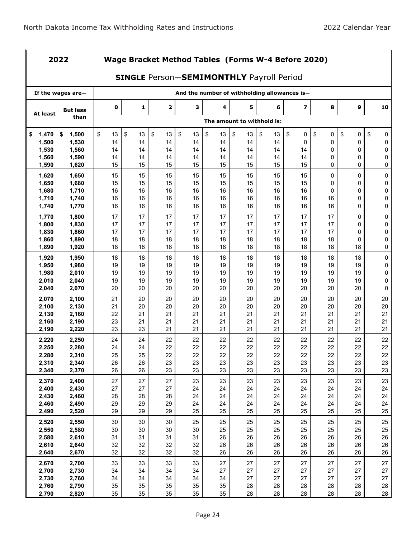|                | 2022              |             | Wage Bracket Method Tables (Forms W-4 Before 2020)<br><b>SINGLE Person-SEMIMONTHLY Payroll Period</b> |                         |          |          |          |                            |                                              |          |          |                  |  |  |
|----------------|-------------------|-------------|-------------------------------------------------------------------------------------------------------|-------------------------|----------|----------|----------|----------------------------|----------------------------------------------|----------|----------|------------------|--|--|
|                |                   |             |                                                                                                       |                         |          |          |          |                            |                                              |          |          |                  |  |  |
|                | If the wages are- |             |                                                                                                       |                         |          |          |          |                            | And the number of withholding allowances is- |          |          |                  |  |  |
| At least       | <b>But less</b>   | $\mathbf 0$ | 1                                                                                                     | $\overline{\mathbf{2}}$ | 3        | 4        | 5        | 6                          | 7                                            | 8        | 9        | 10               |  |  |
|                | than              |             |                                                                                                       |                         |          |          |          | The amount to withhold is: |                                              |          |          |                  |  |  |
| \$<br>1,470    | 1,500<br>\$       | \$<br>13    | \$<br>13                                                                                              | \$<br>13                | \$<br>13 | \$<br>13 | \$<br>13 | \$<br>13                   | \$<br>0                                      | \$<br>0  | \$<br>0  | \$<br>0          |  |  |
| 1,500          | 1,530             | 14          | 14                                                                                                    | 14                      | 14       | 14       | 14       | 14                         | 0                                            | 0        | 0        | 0                |  |  |
| 1,530          | 1,560             | 14          | 14                                                                                                    | 14                      | 14       | 14       | 14       | 14                         | 14                                           | 0        | 0        | 0                |  |  |
| 1,560          | 1,590             | 14          | 14                                                                                                    | 14                      | 14       | 14       | 14       | 14                         | 14                                           | 0        | 0        | 0                |  |  |
| 1,590          | 1,620             | 15          | 15                                                                                                    | 15                      | 15       | 15       | 15       | 15                         | 15                                           | 0        | 0        | 0                |  |  |
| 1,620          | 1,650             | 15          | 15                                                                                                    | 15                      | 15       | 15       | 15       | 15                         | 15                                           | 0        | 0        | $\mathsf 0$      |  |  |
| 1,650          | 1,680             | 15          | 15                                                                                                    | 15                      | 15       | 15       | 15       | 15                         | 15                                           | 0        | 0        | 0                |  |  |
| 1,680          | 1,710             | 16          | 16                                                                                                    | 16                      | 16       | 16       | 16       | 16                         | 16                                           | 0        | 0        | $\mathsf 0$      |  |  |
| 1,710          | 1,740             | 16          | 16                                                                                                    | 16                      | 16       | 16       | 16       | 16                         | 16                                           | 16       | 0        | 0                |  |  |
| 1,740          | 1,770             | 16          | 16                                                                                                    | 16                      | 16       | 16       | 16       | 16                         | 16                                           | 16       | 0        | 0                |  |  |
| 1,770          | 1,800             | 17          | 17                                                                                                    | 17                      | 17       | 17       | 17       | 17                         | 17                                           | 17       | 0        | 0                |  |  |
| 1,800          | 1,830             | 17          | 17                                                                                                    | 17                      | 17       | 17       | 17       | 17                         | 17                                           | 17       | 0        | 0                |  |  |
| 1,830          | 1,860             | 17          | 17                                                                                                    | 17                      | 17       | 17       | 17       | 17                         | 17                                           | 17       | 0        | 0                |  |  |
| 1,860          | 1,890             | 18<br>18    | 18<br>18                                                                                              | 18<br>18                | 18<br>18 | 18<br>18 | 18<br>18 | 18<br>18                   | 18<br>18                                     | 18<br>18 | 0<br>18  | 0<br>0           |  |  |
| 1,890          | 1,920             |             |                                                                                                       |                         |          |          |          |                            |                                              |          |          |                  |  |  |
| 1,920          | 1,950             | 18          | 18                                                                                                    | 18                      | 18       | 18       | 18       | 18                         | 18                                           | 18       | 18       | 0                |  |  |
| 1,950          | 1,980             | 19          | 19                                                                                                    | 19                      | 19       | 19       | 19       | 19                         | 19                                           | 19       | 19       | 0                |  |  |
| 1,980          | 2,010             | 19          | 19                                                                                                    | 19                      | 19       | 19       | 19       | 19                         | 19                                           | 19       | 19       | $\mathsf 0$      |  |  |
| 2,010<br>2,040 | 2,040<br>2,070    | 19<br>20    | 19<br>20                                                                                              | 19<br>20                | 19<br>20 | 19<br>20 | 19<br>20 | 19<br>20                   | 19<br>20                                     | 19<br>20 | 19<br>20 | $\mathsf 0$<br>0 |  |  |
|                |                   |             |                                                                                                       |                         |          |          |          |                            |                                              |          |          |                  |  |  |
| 2,070          | 2,100             | 21          | 20                                                                                                    | 20                      | 20       | 20       | 20       | 20                         | 20                                           | 20       | 20       | 20               |  |  |
| 2,100<br>2,130 | 2,130<br>2,160    | 21<br>22    | 20<br>21                                                                                              | 20<br>21                | 20<br>21 | 20<br>21 | 20<br>21 | 20<br>21                   | 20<br>21                                     | 20<br>21 | 20<br>21 | 20<br>21         |  |  |
| 2,160          | 2,190             | 23          | 21                                                                                                    | 21                      | 21       | 21       | 21       | 21                         | 21                                           | 21       | 21       | 21               |  |  |
| 2,190          | 2,220             | 23          | 23                                                                                                    | 21                      | 21       | 21       | 21       | 21                         | 21                                           | 21       | 21       | 21               |  |  |
| 2,220          | 2,250             | 24          | 24                                                                                                    | 22                      | 22       | 22       | 22       | 22                         | 22                                           | 22       | 22       | 22               |  |  |
| 2,250          | 2,280             | 24          | 24                                                                                                    | 22                      | 22       | 22       | 22       | 22                         | 22                                           | 22       | 22       | 22               |  |  |
| 2,280          | 2,310             | 25          | 25                                                                                                    | 22                      | 22       | 22       | 22       | 22                         | 22                                           | 22       | 22       | 22               |  |  |
| 2,310          | 2,340             | 26          | 26                                                                                                    | 23                      | 23       | 23       | 23       | 23                         | 23                                           | 23       | 23       | 23               |  |  |
| 2,340          | 2,370             | 26          | 26                                                                                                    | 23                      | 23       | 23       | 23       | 23                         | 23                                           | 23       | 23       | 23               |  |  |
| 2,370          | 2,400             | 27          | 27                                                                                                    | 27                      | 23       | 23       | 23       | 23                         | 23                                           | 23       | 23       | 23               |  |  |
| 2,400          | 2,430             | 27          | 27                                                                                                    | 27                      | 24       | 24       | 24       | 24                         | 24                                           | 24       | 24       | 24               |  |  |
| 2,430          | 2,460             | 28          | 28                                                                                                    | 28                      | 24       | 24       | 24       | 24                         | 24                                           | 24       | 24       | 24               |  |  |
| 2,460          | 2,490             | 29          | 29                                                                                                    | 29                      | 24       | 24       | 24       | 24                         | 24                                           | 24       | 24       | 24               |  |  |
| 2,490          | 2,520             | 29          | 29                                                                                                    | 29                      | 25       | 25       | 25       | 25                         | 25                                           | 25       | 25       | 25               |  |  |
| 2,520          | 2,550             | 30          | 30                                                                                                    | 30                      | 25       | 25       | 25       | 25                         | 25                                           | 25       | 25       | 25               |  |  |
| 2,550          | 2,580             | 30          | 30                                                                                                    | 30                      | 30       | 25       | 25       | 25                         | 25                                           | 25       | 25       | 25               |  |  |
| 2,580          | 2,610             | 31          | 31                                                                                                    | 31                      | 31       | 26       | 26       | 26                         | 26                                           | 26       | 26       | $26\,$           |  |  |
| 2,610          | 2,640             | 32          | 32                                                                                                    | 32                      | 32       | 26       | 26       | 26                         | 26                                           | 26       | 26       | 26               |  |  |
| 2,640          | 2,670             | 32          | 32                                                                                                    | 32                      | 32       | 26       | 26       | 26                         | 26                                           | 26       | 26       | 26               |  |  |
| 2,670          | 2,700             | 33          | 33                                                                                                    | 33                      | 33       | 27       | 27       | 27                         | 27                                           | 27       | 27       | $27\,$           |  |  |
| 2,700          | 2,730             | 34          | 34                                                                                                    | 34                      | 34       | 27       | 27       | 27                         | 27                                           | 27       | 27       | 27               |  |  |
| 2,730          | 2,760             | 34          | 34                                                                                                    | 34                      | 34       | 34       | 27       | 27                         | 27                                           | 27       | 27       | 27               |  |  |
| 2,760          | 2,790             | 35          | 35                                                                                                    | 35                      | 35       | 35       | 28       | 28                         | 28                                           | 28       | 28       | 28               |  |  |
| 2,790          | 2,820             | 35          | 35                                                                                                    | 35                      | 35       | 35       | 28       | 28                         | 28                                           | 28       | 28       | 28               |  |  |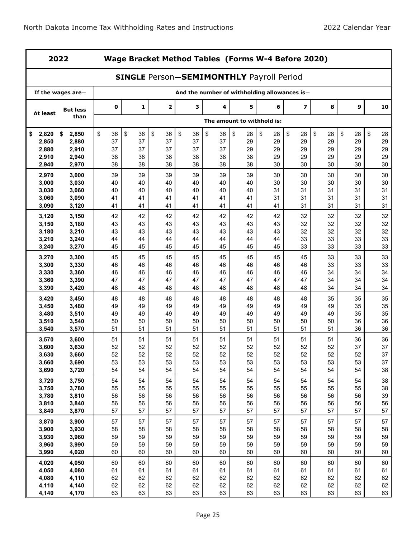| 2022           |                   |             | Wage Bracket Method Tables (Forms W-4 Before 2020)<br><b>SINGLE Person-SEMIMONTHLY Payroll Period</b> |              |          |          |                            |          |                                              |          |          |          |  |  |
|----------------|-------------------|-------------|-------------------------------------------------------------------------------------------------------|--------------|----------|----------|----------------------------|----------|----------------------------------------------|----------|----------|----------|--|--|
|                |                   |             |                                                                                                       |              |          |          |                            |          |                                              |          |          |          |  |  |
|                | If the wages are- |             |                                                                                                       |              |          |          |                            |          | And the number of withholding allowances is- |          |          |          |  |  |
| At least       | <b>But less</b>   | $\mathbf 0$ | 1                                                                                                     | $\mathbf{2}$ | з        | 4        | 5                          | 6        | $\overline{\mathbf{z}}$                      | 8        | 9        | 10       |  |  |
|                | than              |             |                                                                                                       |              |          |          | The amount to withhold is: |          |                                              |          |          |          |  |  |
| 2,820<br>\$    | \$<br>2,850       | \$<br>36    | \$<br>36                                                                                              | \$<br>36     | \$<br>36 | \$<br>36 | \$<br>28                   | \$<br>28 | \$<br>28                                     | \$<br>28 | \$<br>28 | \$<br>28 |  |  |
| 2,850          | 2,880             | 37          | 37                                                                                                    | 37           | 37       | 37       | 29                         | 29       | 29                                           | 29       | 29       | 29       |  |  |
| 2,880          | 2,910             | 37<br>38    | 37<br>38                                                                                              | 37<br>38     | 37<br>38 | 37       | 29<br>38                   | 29<br>29 | 29<br>29                                     | 29<br>29 | 29<br>29 | 29<br>29 |  |  |
| 2,910<br>2,940 | 2,940<br>2,970    | 38          | 38                                                                                                    | 38           | 38       | 38<br>38 | 38                         | 30       | 30                                           | 30       | 30       | 30       |  |  |
|                |                   |             |                                                                                                       |              |          |          |                            |          |                                              |          |          |          |  |  |
| 2,970<br>3,000 | 3,000<br>3,030    | 39<br>40    | 39<br>40                                                                                              | 39<br>40     | 39<br>40 | 39<br>40 | 39<br>40                   | 30<br>30 | 30<br>30                                     | 30<br>30 | 30<br>30 | 30<br>30 |  |  |
| 3,030          | 3,060             | 40          | 40                                                                                                    | 40           | 40       | 40       | 40                         | 31       | 31                                           | 31       | 31       | 31       |  |  |
| 3,060          | 3,090             | 41          | 41                                                                                                    | 41           | 41       | 41       | 41                         | 31       | 31                                           | 31       | 31       | 31       |  |  |
| 3,090          | 3,120             | 41          | 41                                                                                                    | 41           | 41       | 41       | 41                         | 41       | 31                                           | 31       | 31       | 31       |  |  |
| 3,120          | 3,150             | 42          | 42                                                                                                    | 42           | 42       | 42       | 42                         | 42       | 32                                           | 32       | 32       | 32       |  |  |
| 3,150          | 3,180             | 43          | 43                                                                                                    | 43           | 43       | 43       | 43                         | 43       | 32                                           | 32       | 32       | 32       |  |  |
| 3,180          | 3,210             | 43          | 43                                                                                                    | 43           | 43       | 43       | 43                         | 43       | 32                                           | 32       | 32       | 32       |  |  |
| 3,210          | 3,240             | 44          | 44                                                                                                    | 44           | 44       | 44       | 44                         | 44       | 33                                           | 33       | 33       | 33       |  |  |
| 3,240          | 3,270             | 45          | 45                                                                                                    | 45           | 45       | 45       | 45                         | 45       | 33                                           | 33       | 33       | 33       |  |  |
| 3,270          | 3,300             | 45          | 45                                                                                                    | 45           | 45       | 45       | 45                         | 45       | 45                                           | 33       | 33       | 33       |  |  |
| 3,300          | 3,330             | 46          | 46                                                                                                    | 46           | 46       | 46       | 46                         | 46       | 46                                           | 33       | 33       | 33       |  |  |
| 3,330          | 3,360             | 46          | 46                                                                                                    | 46           | 46       | 46       | 46                         | 46       | 46                                           | 34       | 34       | 34       |  |  |
| 3,360          | 3,390             | 47          | 47                                                                                                    | 47           | 47       | 47       | 47                         | 47       | 47                                           | 34       | 34       | 34       |  |  |
| 3,390          | 3,420             | 48          | 48                                                                                                    | 48           | 48       | 48       | 48                         | 48       | 48                                           | 34       | 34       | 34       |  |  |
| 3,420          | 3,450             | 48          | 48                                                                                                    | 48           | 48       | 48       | 48                         | 48       | 48                                           | 35       | 35       | 35       |  |  |
| 3,450          | 3,480             | 49          | 49                                                                                                    | 49           | 49       | 49       | 49                         | 49       | 49                                           | 49       | 35       | 35       |  |  |
| 3,480          | 3,510             | 49          | 49                                                                                                    | 49           | 49       | 49       | 49                         | 49       | 49                                           | 49       | 35       | 35       |  |  |
| 3,510          | 3,540             | 50          | 50                                                                                                    | 50           | 50       | 50       | 50                         | 50       | 50                                           | 50       | 36       | 36       |  |  |
| 3,540          | 3,570             | 51          | 51                                                                                                    | 51           | 51       | 51       | 51                         | 51       | 51                                           | 51       | 36       | 36       |  |  |
| 3,570          | 3,600             | 51          | 51                                                                                                    | 51           | 51       | 51       | 51                         | 51       | 51                                           | 51       | 36       | 36       |  |  |
| 3,600<br>3,630 | 3,630<br>3,660    | 52<br>52    | 52<br>52                                                                                              | 52<br>52     | 52<br>52 | 52<br>52 | 52<br>52                   | 52<br>52 | 52<br>52                                     | 52<br>52 | 37<br>52 | 37<br>37 |  |  |
| 3,660          | 3,690             | 53          | 53                                                                                                    | 53           | 53       | 53       | 53                         | 53       | 53                                           | 53       | 53       | 37       |  |  |
| 3,690          | 3,720             | 54          | 54                                                                                                    | 54           | 54       | 54       | 54                         | 54       | 54                                           | 54       | 54       | 38       |  |  |
| 3,720          | 3,750             | 54          | 54                                                                                                    | 54           | 54       | 54       | 54                         | 54       | 54                                           | 54       | 54       | 38       |  |  |
| 3,750          | 3,780             | 55          | 55                                                                                                    | 55           | 55       | 55       | 55                         | 55       | 55                                           | 55       | 55       | 38       |  |  |
| 3,780          | 3,810             | 56          | 56                                                                                                    | 56           | 56       | 56       | 56                         | 56       | 56                                           | 56       | 56       | 39       |  |  |
| 3,810          | 3,840             | 56          | 56                                                                                                    | 56           | 56       | 56       | 56                         | 56       | 56                                           | 56       | 56       | 56       |  |  |
| 3,840          | 3,870             | 57          | 57                                                                                                    | 57           | 57       | 57       | 57                         | 57       | 57                                           | 57       | 57       | 57       |  |  |
| 3,870          | 3,900             | 57          | 57                                                                                                    | 57           | 57       | 57       | 57                         | 57       | 57                                           | 57       | 57       | 57       |  |  |
| 3,900          | 3,930             | 58          | 58                                                                                                    | 58           | 58       | 58       | 58                         | 58       | 58                                           | 58       | 58       | 58       |  |  |
| 3,930          | 3,960             | 59          | 59                                                                                                    | 59           | 59       | 59       | 59                         | 59       | 59                                           | 59       | 59       | 59       |  |  |
| 3,960          | 3,990             | 59          | 59                                                                                                    | 59           | 59       | 59       | 59                         | 59       | 59                                           | 59       | 59       | 59       |  |  |
| 3,990          | 4,020             | 60          | 60                                                                                                    | 60           | 60       | 60       | 60                         | 60       | 60                                           | 60       | 60       | 60       |  |  |
| 4,020          | 4,050             | 60          | 60                                                                                                    | 60           | 60       | 60       | 60                         | 60       | 60                                           | 60       | 60       | 60       |  |  |
| 4,050          | 4,080             | 61          | 61                                                                                                    | 61           | 61       | 61       | 61                         | 61       | 61                                           | 61       | 61       | 61       |  |  |
| 4,080          | 4,110             | 62          | 62                                                                                                    | 62           | 62       | 62       | 62                         | 62       | 62                                           | 62       | 62       | 62       |  |  |
| 4,110          | 4,140             | 62          | 62                                                                                                    | 62           | 62       | 62       | 62                         | 62       | 62                                           | 62       | 62       | 62       |  |  |
| 4,140          | 4,170             | 63          | 63                                                                                                    | 63           | 63       | 63       | 63                         | 63       | 63                                           | 63       | 63       | 63       |  |  |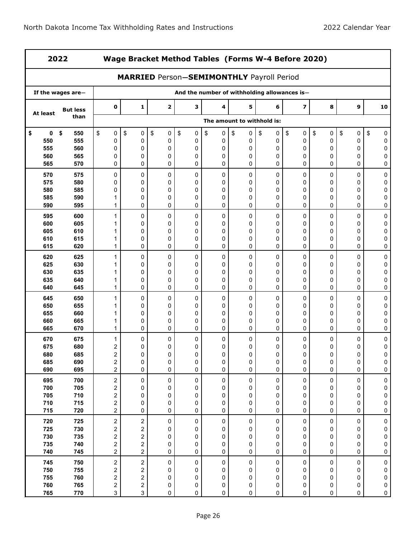| 2022       |                   |                              | Wage Bracket Method Tables (Forms W-4 Before 2020) |                                                  |                                              |                 |                            |                 |                         |                 |                |                |  |  |
|------------|-------------------|------------------------------|----------------------------------------------------|--------------------------------------------------|----------------------------------------------|-----------------|----------------------------|-----------------|-------------------------|-----------------|----------------|----------------|--|--|
|            |                   |                              |                                                    | <b>MARRIED Person-SEMIMONTHLY Payroll Period</b> |                                              |                 |                            |                 |                         |                 |                |                |  |  |
|            | If the wages are- |                              |                                                    |                                                  | And the number of withholding allowances is- |                 |                            |                 |                         |                 |                |                |  |  |
| At least   | <b>But less</b>   | $\pmb{0}$                    | 1                                                  | $\mathbf 2$                                      | 3                                            | 4               | 5                          | 6               | $\overline{\mathbf{z}}$ | 8               | 9              | 10             |  |  |
|            | than              |                              |                                                    |                                                  |                                              |                 | The amount to withhold is: |                 |                         |                 |                |                |  |  |
| \$<br>0    | \$<br>550         | \$<br>0                      | \$<br>0                                            | \$<br>0                                          | \$<br>0                                      | \$<br>$\pmb{0}$ | \$<br>0                    | \$<br>$\pmb{0}$ | \$<br>$\pmb{0}$         | \$<br>$\pmb{0}$ | \$<br>0        | \$<br>0        |  |  |
| 550        | 555               | 0                            | 0                                                  | 0                                                | 0                                            | 0               | 0                          | 0               | 0                       | 0               | 0              | 0              |  |  |
| 555        | 560               | 0                            | 0                                                  | 0                                                | 0                                            | 0               | 0                          | 0               | 0                       | 0               | 0              | 0              |  |  |
| 560<br>565 | 565<br>570        | 0<br>0                       | 0<br>0                                             | 0<br>0                                           | 0<br>0                                       | 0<br>0          | 0<br>0                     | 0<br>0          | 0<br>0                  | 0<br>0          | 0<br>0         | 0<br>0         |  |  |
| 570        | 575               | 0                            | 0                                                  | 0                                                | 0                                            | 0               | 0                          | 0               | 0                       | 0               | 0              | 0              |  |  |
| 575        | 580               | 0                            | 0                                                  | 0                                                | 0                                            | 0               | 0                          | 0               | 0                       | 0               | 0              | 0              |  |  |
| 580        | 585               | 0                            | 0                                                  | 0                                                | 0                                            | 0               | 0                          | 0               | 0                       | 0               | 0              | 0              |  |  |
| 585<br>590 | 590<br>595        | 1<br>1                       | 0<br>0                                             | 0<br>0                                           | 0<br>$\mathbf 0$                             | 0<br>0          | 0<br>0                     | 0<br>0          | 0<br>0                  | 0<br>0          | 0<br>0         | 0<br>0         |  |  |
| 595        | 600               | 1                            | 0                                                  | 0                                                | 0                                            | 0               | 0                          | 0               | 0                       | 0               | 0              | 0              |  |  |
| 600        | 605               |                              | 0                                                  | 0                                                | 0                                            | 0               | 0                          | $\mathbf{0}$    | 0                       | 0               | 0              | 0              |  |  |
| 605        | 610               | 1                            | 0                                                  | 0                                                | 0                                            | 0               | 0                          | 0               | 0                       | 0               | 0              | 0              |  |  |
| 610<br>615 | 615<br>620        | 1<br>1                       | 0<br>0                                             | 0<br>0                                           | 0<br>0                                       | 0<br>0          | 0<br>0                     | 0<br>0          | 0<br>0                  | 0<br>0          | 0<br>0         | 0<br>0         |  |  |
|            |                   |                              |                                                    |                                                  |                                              |                 |                            |                 |                         |                 |                |                |  |  |
| 620<br>625 | 625<br>630        | 1                            | 0<br>0                                             | 0<br>0                                           | 0<br>0                                       | 0<br>0          | 0<br>0                     | 0<br>0          | 0<br>0                  | 0<br>0          | 0<br>0         | 0<br>0         |  |  |
| 630        | 635               | 1                            | 0                                                  | 0                                                | 0                                            | 0               | 0                          | 0               | 0                       | 0               | 0              | 0              |  |  |
| 635        | 640               | 1                            | 0                                                  | 0                                                | 0                                            | 0               | 0                          | 0               | 0                       | 0               | 0              | 0              |  |  |
| 640        | 645               | 1                            | 0                                                  | 0                                                | $\mathbf 0$                                  | 0               | 0                          | 0               | 0                       | 0               | 0              | 0              |  |  |
| 645        | 650               | 1                            | 0                                                  | 0                                                | 0                                            | 0               | 0                          | 0               | 0                       | 0               | 0              | 0              |  |  |
| 650        | 655               | 1                            | 0                                                  | 0                                                | 0                                            | 0               | 0                          | 0               | 0                       | 0               | 0              | 0              |  |  |
| 655        | 660               | 1                            | 0                                                  | 0                                                | $\mathbf 0$                                  | 0               | 0                          | 0               | 0                       | 0               | 0              | 0              |  |  |
| 660<br>665 | 665<br>670        | 1<br>1                       | 0<br>0                                             | 0<br>0                                           | 0<br>0                                       | 0<br>0          | 0<br>0                     | 0<br>0          | 0<br>0                  | 0<br>0          | 0<br>0         | 0<br>0         |  |  |
| 670        | 675               | 1                            | 0                                                  | 0                                                | 0                                            | 0               | 0                          | 0               | 0                       | 0               | 0              | 0              |  |  |
| 675        | 680               | 2                            | 0                                                  | 0                                                | 0                                            | 0               | 0                          | 0               | 0                       | 0               | 0              | 0              |  |  |
| 680        | 685               | $\overline{2}$               | 0                                                  | 0                                                | 0                                            | 0               | 0                          | 0               | 0                       | 0               | $\Omega$       | 0              |  |  |
| 685<br>690 | 690<br>695        | $\boldsymbol{2}$<br>2        | 0<br>0                                             | 0<br>0                                           | 0<br>0                                       | 0<br>0          | 0<br>0                     | 0<br>0          | 0<br>0                  | 0<br>0          | 0<br>0         | 0<br>$\pmb{0}$ |  |  |
|            |                   |                              |                                                    |                                                  |                                              |                 |                            |                 |                         |                 |                |                |  |  |
| 695<br>700 | 700<br>705        | $\overline{\mathbf{c}}$<br>2 | 0<br>0                                             | $\pmb{0}$<br>0                                   | $\pmb{0}$<br>0                               | 0<br>0          | 0<br>0                     | 0<br>0          | $\pmb{0}$<br>0          | 0<br>0          | $\pmb{0}$<br>0 | 0<br>0         |  |  |
| 705        | 710               | 2                            | 0                                                  | 0                                                | 0                                            | 0               | 0                          | 0               | 0                       | 0               | 0              | $\pmb{0}$      |  |  |
| 710        | 715               | 2                            | 0                                                  | 0                                                | 0                                            | 0               | 0                          | 0               | 0                       | 0               | 0              | $\pmb{0}$      |  |  |
| 715        | 720               | 2                            | 0                                                  | 0                                                | 0                                            | 0               | 0                          | 0               | 0                       | 0               | 0              | 0              |  |  |
| 720        | 725               | $\overline{\mathbf{c}}$      | $\overline{\mathbf{c}}$                            | 0                                                | 0                                            | 0               | 0                          | 0               | $\pmb{0}$               | $\pmb{0}$       | 0              | $\bf{0}$       |  |  |
| 725        | 730               | $\overline{\mathbf{c}}$      | 2                                                  | 0                                                | 0                                            | 0               | 0                          | 0               | 0                       | 0               | 0              | 0              |  |  |
| 730<br>735 | 735               | $\overline{\mathbf{c}}$      | $\overline{\mathbf{c}}$                            | 0                                                | 0                                            | 0               | 0                          | 0               | 0                       | 0               | 0              | $\pmb{0}$      |  |  |
| 740        | 740<br>745        | 2<br>2                       | 2<br>$\overline{\mathbf{c}}$                       | 0<br>0                                           | 0<br>0                                       | 0<br>0          | 0<br>0                     | 0<br>0          | 0<br>0                  | 0<br>0          | 0<br>0         | $\pmb{0}$<br>0 |  |  |
| 745        | 750               | $\overline{c}$               | $\overline{c}$                                     | 0                                                | 0                                            | 0               | 0                          | 0               | $\pmb{0}$               | $\pmb{0}$       | 0              | $\pmb{0}$      |  |  |
| 750        | 755               | $\overline{\mathbf{c}}$      | 2                                                  | 0                                                | 0                                            | 0               | 0                          | 0               | 0                       | 0               | 0              | 0              |  |  |
| 755        | 760               | $\overline{\mathbf{c}}$      | 2                                                  | 0                                                | 0                                            | 0               | 0                          | 0               | 0                       | 0               | 0              | 0              |  |  |
| 760        | 765               | $\overline{\mathbf{c}}$      | $\sqrt{2}$                                         | 0                                                | 0                                            | $\pmb{0}$       | 0                          | 0               | 0                       | 0               | 0              | $\pmb{0}$      |  |  |
| 765        | 770               | 3                            | 3                                                  | 0                                                | 0                                            | 0               | 0                          | 0               | 0                       | 0               | 0              | $\pmb{0}$      |  |  |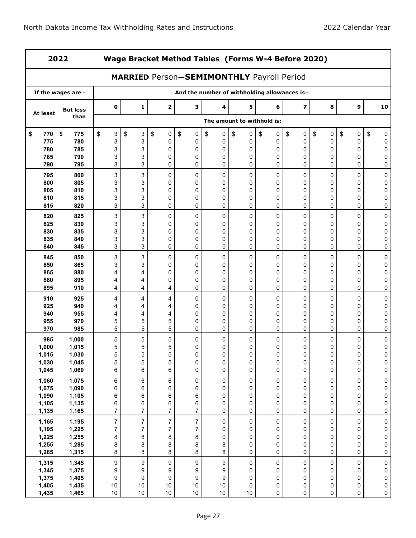| 2022           |                   |                     |                | Wage Bracket Method Tables (Forms W-4 Before 2020) |                  |                          |                            |         |                                              |                 |                 |                        |
|----------------|-------------------|---------------------|----------------|----------------------------------------------------|------------------|--------------------------|----------------------------|---------|----------------------------------------------|-----------------|-----------------|------------------------|
|                |                   |                     |                | <b>MARRIED Person-SEMIMONTHLY Payroll Period</b>   |                  |                          |                            |         |                                              |                 |                 |                        |
|                | If the wages are- |                     |                |                                                    |                  |                          |                            |         | And the number of withholding allowances is- |                 |                 |                        |
| At least       | <b>But less</b>   | $\mathbf 0$         | 1              | $\mathbf 2$                                        | з                | 4                        | 5                          | 6       | $\overline{\mathbf{z}}$                      | 8               | 9               | 10                     |
|                | than              |                     |                |                                                    |                  |                          | The amount to withhold is: |         |                                              |                 |                 |                        |
| \$<br>770      | \$<br>775         | \$<br>3             | \$<br>3        | \$<br>0                                            | \$<br>0          | \$<br>0                  | \$<br>0                    | \$<br>0 | \$<br>0                                      | \$<br>$\pmb{0}$ | \$<br>$\pmb{0}$ | \$<br>0                |
| 775            | 780               | 3                   | 3              | 0                                                  | 0                | 0                        | 0                          | 0       | 0                                            | 0               | 0               | 0                      |
| 780            | 785               | 3                   | 3              | 0                                                  | 0                | 0                        | 0                          | 0       | 0                                            | 0               | 0               | 0                      |
| 785            | 790               | 3                   | 3              | 0                                                  | 0                | 0                        | 0                          | 0       | 0                                            | 0               | 0               | 0                      |
| 790            | 795               | 3                   | 3              | 0                                                  | 0                | 0                        | 0                          | 0       | 0                                            | 0               | 0               | 0                      |
| 795            | 800               | 3                   | 3              | 0                                                  | 0                | 0                        | 0                          | 0       | 0                                            | 0               | 0               | 0                      |
| 800            | 805               | 3                   | 3              | 0                                                  | 0                | 0                        | 0                          | 0       | 0                                            | 0               | 0               | 0                      |
| 805            | 810               | 3                   | 3              | 0                                                  | 0                | 0                        | 0                          | 0       | 0                                            | 0               | 0               | 0                      |
| 810            | 815               | 3                   | 3              | 0                                                  | 0                | 0                        | 0                          | 0       | 0                                            | 0               | 0               | $\pmb{0}$              |
| 815            | 820               | 3                   | 3              | 0                                                  | 0                | 0                        | 0                          | 0       | 0                                            | 0               | 0               | 0                      |
| 820            | 825               | 3                   | 3              | 0                                                  | 0                | 0                        | 0                          | 0       | 0                                            | 0               | 0               | 0                      |
| 825            | 830               | 3                   | 3              | 0                                                  | 0                | 0                        | 0                          | 0       | 0                                            | 0               | 0               | $\pmb{0}$              |
| 830            | 835               | 3                   | 3              | 0                                                  | 0                | 0                        | 0                          | 0       | 0                                            | 0               | $\mathbf 0$     | $\pmb{0}$              |
| 835            | 840               | 3                   | 3              | 0                                                  | 0                | 0                        | 0                          | 0       | 0                                            | 0               | 0               | 0                      |
| 840            | 845               | 3                   | 3              | 0                                                  | 0                | 0                        | 0                          | 0       | 0                                            | 0               | 0               | 0                      |
| 845            | 850               | 3                   | 3              | 0                                                  | 0                | 0                        | 0                          | 0       | 0                                            | 0               | 0               | $\pmb{0}$              |
| 850            | 865               | 3                   | 3              | 0                                                  | 0                | 0                        | 0                          | 0       | 0                                            | 0               | 0               | 0                      |
| 865            | 880               | 4                   | 4              | 0                                                  | 0                | 0                        | 0                          | 0       | 0                                            | 0               | 0               | $\pmb{0}$              |
| 880            | 895               | 4                   | 4              | 0                                                  | 0                | 0                        | 0                          | 0       | 0                                            | 0               | 0               | 0                      |
| 895            | 910               | 4                   | 4              | 4                                                  | 0                | 0                        | 0                          | 0       | 0                                            | 0               | 0               | 0                      |
| 910            | 925               | 4                   | 4              | 4                                                  | 0                | 0                        | 0                          | 0       | 0                                            | 0               | 0               | $\pmb{0}$              |
| 925            | 940               | 4                   | 4              | 4                                                  | 0                | 0                        | 0                          | 0       | 0                                            | 0               | 0               | 0                      |
| 940            | 955               | 4                   | 4              | 4                                                  | 0                | 0                        | 0                          | 0       | 0                                            | 0               | 0               | $\pmb{0}$              |
| 955            | 970               | 5                   | 5              | 5                                                  | 0                | 0                        | 0                          | 0       | 0                                            | 0               | 0               | 0                      |
| 970            | 985               | 5                   | 5              | 5                                                  | 0                | 0                        | 0                          | 0       | 0                                            | 0               | 0               | 0                      |
| 985            | 1,000             | 5                   | 5              | 5                                                  | 0                | 0                        | 0                          | 0       | 0                                            | 0               | 0               | $\pmb{0}$              |
| 1,000          | 1,015             | 5                   | 5              | 5                                                  | 0                | 0                        | 0                          | 0       | 0                                            | 0               | 0               | $\pmb{0}$              |
| 1,015          | 1,030             | 5                   | 5              | 5                                                  | $\Omega$         | 0                        | 0                          | 0       | $\Omega$                                     | 0               | 0               | $\Omega$               |
| 1,030<br>1,045 | 1,045<br>1,060    | 5<br>6              | 5<br>6         | 5<br>6                                             | 0<br>0           | 0<br>0                   | 0<br>0                     | 0<br>0  | 0<br>0                                       | $\pmb{0}$<br>0  | 0<br>0          | $\pmb{0}$<br>$\pmb{0}$ |
|                |                   |                     |                |                                                    |                  |                          |                            |         |                                              |                 |                 |                        |
| 1,060          | 1,075             | 6                   | 6              | 6                                                  | $\pmb{0}$        | $\pmb{0}$                | 0                          | 0       | $\pmb{0}$                                    | $\pmb{0}$       | $\pmb{0}$       | $\pmb{0}$              |
| 1,075          | 1,090             | 6                   | 6              | 6                                                  | 6                | 0                        | 0                          | 0       | 0                                            | 0               | 0               | $\pmb{0}$              |
| 1,090<br>1,105 | 1,105<br>1,135    | 6                   | 6<br>6         | 6<br>6                                             | 6<br>6           | $\pmb{0}$<br>0           | 0<br>0                     | 0<br>0  | 0<br>0                                       | 0<br>0          | 0<br>0          | $\pmb{0}$<br>$\pmb{0}$ |
| 1,135          | 1,165             | 6<br>$\overline{7}$ | $\overline{7}$ | $\overline{7}$                                     | $\overline{7}$   | 0                        | 0                          | 0       | 0                                            | 0               | $\mathbf 0$     | $\pmb{0}$              |
|                |                   |                     |                |                                                    |                  |                          |                            |         |                                              |                 |                 |                        |
| 1,165          | 1,195             | $\boldsymbol{7}$    | $\overline{7}$ | $\overline{7}$                                     | $\overline{7}$   | $\pmb{0}$                | $\pmb{0}$                  | 0       | $\pmb{0}$                                    | $\pmb{0}$       | $\mathsf 0$     | $\pmb{0}$              |
| 1,195          | 1,225             | $\boldsymbol{7}$    | $\overline{7}$ | $\overline{7}$                                     | $\boldsymbol{7}$ | 0                        | 0                          | 0       | 0                                            | 0               | 0               | $\pmb{0}$              |
| 1,225<br>1,255 | 1,255<br>1,285    | 8<br>8              | 8<br>8         | 8<br>8                                             | 8<br>8           | 0<br>8                   | 0<br>0                     | 0<br>0  | 0<br>0                                       | 0               | 0<br>0          | 0<br>$\pmb{0}$         |
| 1,285          | 1,315             | 8                   | 8              | 8                                                  | 8                | 8                        | 0                          | 0       | 0                                            | 0<br>0          | $\pmb{0}$       | $\pmb{0}$              |
|                |                   |                     |                |                                                    |                  |                          |                            |         |                                              |                 |                 |                        |
| 1,315          | 1,345             | $\boldsymbol{9}$    | 9              | 9                                                  | 9                | 9                        | $\pmb{0}$                  | 0       | $\pmb{0}$                                    | $\pmb{0}$       | $\mathbf 0$     | $\pmb{0}$              |
| 1,345          | 1,375             | 9                   | 9              | 9                                                  | 9                | 9                        | 0                          | 0       | 0                                            | $\mathsf 0$     | $\pmb{0}$       | $\pmb{0}$              |
| 1,375<br>1,405 | 1,405<br>1,435    | 9<br>$10$           | 9<br>$10$      | 9<br>$10$                                          | 9<br>$10$        | $\boldsymbol{9}$<br>$10$ | 0<br>0                     | 0<br>0  | 0<br>0                                       | 0<br>0          | 0<br>0          | $\pmb{0}$<br>$\pmb{0}$ |
| 1,435          | 1,465             | $10$                | $10$           | 10                                                 | $10\,$           | $10\,$                   | $10$                       | 0       | 0                                            | 0               | 0               | $\pmb{0}$              |
|                |                   |                     |                |                                                    |                  |                          |                            |         |                                              |                 |                 |                        |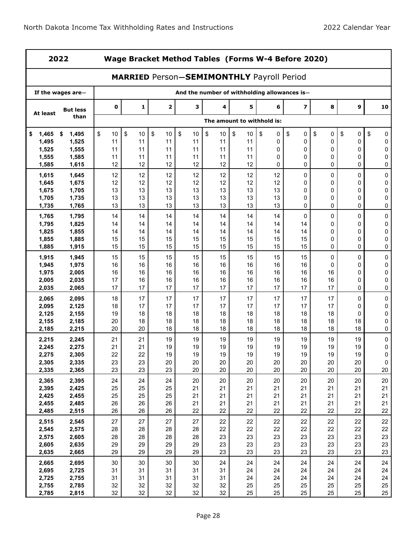|                | 2022              |             | Wage Bracket Method Tables (Forms W-4 Before 2020)<br><b>MARRIED Person-SEMIMONTHLY Payroll Period</b> |              |          |            |                            |          |                                              |          |          |                  |  |
|----------------|-------------------|-------------|--------------------------------------------------------------------------------------------------------|--------------|----------|------------|----------------------------|----------|----------------------------------------------|----------|----------|------------------|--|
|                |                   |             |                                                                                                        |              |          |            |                            |          |                                              |          |          |                  |  |
|                | If the wages are- |             |                                                                                                        |              |          |            |                            |          | And the number of withholding allowances is- |          |          |                  |  |
| At least       | <b>But less</b>   | $\mathbf 0$ | $\mathbf{1}$                                                                                           | $\mathbf{2}$ | 3        | 4          | 5                          | 6        | $\overline{\mathbf{z}}$                      | 8        | 9        | 10               |  |
|                | than              |             |                                                                                                        |              |          |            | The amount to withhold is: |          |                                              |          |          |                  |  |
| 1,465<br>\$    | 1,495<br>\$       | \$<br>10    | \$<br>10                                                                                               | \$<br>10     | \$<br>10 | \$<br>$10$ | \$<br>10                   | \$<br>0  | \$<br>0                                      | \$<br>0  | \$<br>0  | \$<br>0          |  |
| 1,495          | 1,525             | 11          | 11                                                                                                     | 11           | 11       | 11         | 11                         | 0        | 0                                            | 0        | 0        | 0                |  |
| 1,525          | 1,555             | 11          | 11                                                                                                     | 11           | 11       | 11         | 11                         | 0        | 0                                            | 0        | 0        | 0                |  |
| 1,555          | 1,585             | 11          | 11                                                                                                     | 11           | 11       | 11         | 11                         | 0        | 0                                            | 0        | 0        | 0                |  |
| 1,585          | 1,615             | 12          | 12                                                                                                     | 12           | 12       | 12         | 12                         | 0        | 0                                            | 0        | 0        | 0                |  |
| 1,615          | 1,645             | 12          | 12                                                                                                     | 12           | 12       | 12         | 12                         | 12       | 0                                            | 0        | 0        | 0                |  |
| 1,645          | 1,675             | 12          | 12                                                                                                     | 12           | 12       | 12         | 12                         | 12       | 0                                            | 0        | 0        | 0                |  |
| 1,675          | 1,705             | 13          | 13                                                                                                     | 13           | 13       | 13         | 13                         | 13       | 0                                            | 0        | 0        | $\pmb{0}$        |  |
| 1,705          | 1,735             | 13          | 13                                                                                                     | 13           | 13       | 13         | 13                         | 13       | 0                                            | 0        | 0        | 0                |  |
| 1,735          | 1,765             | 13          | 13                                                                                                     | 13           | 13       | 13         | 13                         | 13       | 0                                            | 0        | 0        | 0                |  |
| 1,765          | 1,795             | 14          | 14                                                                                                     | 14           | 14       | 14         | 14                         | 14       | 0                                            | 0        | 0        | 0                |  |
| 1,795          | 1,825             | 14          | 14                                                                                                     | 14           | 14       | 14         | 14                         | 14       | 14                                           | 0        | 0        | 0                |  |
| 1,825          | 1,855             | 14          | 14                                                                                                     | 14           | 14       | 14         | 14                         | 14       | 14                                           | 0        | 0        | $\mathbf 0$      |  |
| 1,855          | 1,885             | 15          | 15                                                                                                     | 15           | 15       | 15         | 15                         | 15       | 15                                           | 0        | 0        | 0                |  |
| 1,885          | 1,915             | 15          | 15                                                                                                     | 15           | 15       | 15         | 15                         | 15       | 15                                           | 0        | 0        | 0                |  |
| 1,915          | 1,945             | 15          | 15                                                                                                     | 15           | 15       | 15         | 15                         | 15       | 15                                           | 0        | 0        | 0                |  |
| 1,945          | 1,975             | 16          | 16                                                                                                     | 16           | 16       | 16         | 16                         | 16       | 16                                           | 0        | 0        | 0                |  |
| 1,975          | 2,005             | 16          | 16                                                                                                     | 16           | 16       | 16         | 16                         | 16       | 16                                           | 16       | 0        | $\pmb{0}$        |  |
| 2,005          | 2,035             | 17          | 16                                                                                                     | 16           | 16       | 16         | 16                         | 16       | 16                                           | 16       | 0        | $\mathbf 0$      |  |
| 2,035          | 2,065             | 17          | 17                                                                                                     | 17           | 17       | 17         | 17                         | 17       | 17                                           | 17       | 0        | 0                |  |
| 2,065          | 2,095             | 18          | 17                                                                                                     | 17           | 17       | 17         | 17                         | 17       | 17                                           | 17       | 0        | $\pmb{0}$        |  |
| 2,095          | 2,125             | 18          | 17                                                                                                     | 17           | 17       | 17         | 17                         | 17       | 17                                           | 17       | 0        | 0                |  |
| 2,125          | 2,155             | 19          | 18                                                                                                     | 18           | 18       | 18         | 18                         | 18       | 18                                           | 18       | 0        | 0                |  |
| 2,155<br>2,185 | 2,185<br>2,215    | 20<br>20    | 18<br>20                                                                                               | 18<br>18     | 18<br>18 | 18<br>18   | 18<br>18                   | 18<br>18 | 18<br>18                                     | 18<br>18 | 18<br>18 | $\mathbf 0$<br>0 |  |
|                |                   |             |                                                                                                        |              |          |            |                            |          |                                              |          |          |                  |  |
| 2,215<br>2,245 | 2,245<br>2,275    | 21<br>21    | 21<br>21                                                                                               | 19<br>19     | 19<br>19 | 19<br>19   | 19<br>19                   | 19<br>19 | 19<br>19                                     | 19<br>19 | 19<br>19 | $\pmb{0}$<br>0   |  |
| 2,275          | 2,305             | 22          | 22                                                                                                     | 19           | 19       | 19         | 19                         | 19       | 19                                           | 19       | 19       | 0                |  |
| 2,305          | 2,335             | 23          | 23                                                                                                     | 20           | 20       | 20         | 20                         | 20       | 20                                           | 20       | 20       | 0                |  |
| 2,335          | 2,365             | 23          | 23                                                                                                     | 23           | 20       | 20         | 20                         | 20       | 20                                           | 20       | 20       | $20\,$           |  |
| 2,365          | 2,395             | 24          | 24                                                                                                     | 24           | 20       | 20         | 20                         | 20       | 20                                           | 20       | 20       | $20\,$           |  |
| 2,395          | 2,425             | 25          | 25                                                                                                     | 25           | 21       | 21         | 21                         | 21       | 21                                           | 21       | 21       | 21               |  |
| 2,425          | 2,455             | 25          | 25                                                                                                     | 25           | 21       | 21         | 21                         | 21       | 21                                           | 21       | 21       | 21               |  |
| 2,455          | 2,485             | 26          | 26                                                                                                     | 26           | 21       | 21         | 21                         | 21       | 21                                           | 21       | 21       | 21               |  |
| 2,485          | 2,515             | 26          | 26                                                                                                     | 26           | 22       | 22         | 22                         | 22       | 22                                           | 22       | 22       | 22               |  |
| 2,515          | 2,545             | 27          | 27                                                                                                     | 27           | 27       | 22         | 22                         | 22       | 22                                           | 22       | 22       | 22               |  |
| 2,545          | 2,575             | 28          | 28                                                                                                     | 28           | 28       | 22         | 22                         | 22       | 22                                           | 22       | 22       | 22               |  |
| 2,575          | 2,605             | 28          | 28                                                                                                     | 28           | 28       | 23         | 23                         | 23       | 23                                           | 23       | 23       | 23               |  |
| 2,605          | 2,635             | 29          | 29                                                                                                     | 29           | 29       | 23         | 23                         | 23       | 23                                           | 23       | 23       | 23               |  |
| 2,635          | 2,665             | 29          | 29                                                                                                     | 29           | 29       | 23         | 23                         | 23       | 23                                           | 23       | 23       | 23               |  |
| 2,665          | 2,695             | 30          | 30                                                                                                     | 30           | 30       | 24         | 24                         | 24       | 24                                           | 24       | 24       | 24               |  |
| 2,695          | 2,725             | 31          | 31                                                                                                     | 31           | 31       | 31         | 24                         | 24       | 24                                           | 24       | 24       | 24               |  |
| 2,725          | 2,755             | 31          | 31                                                                                                     | 31           | 31       | 31         | 24                         | 24       | 24                                           | 24       | 24       | 24               |  |
| 2,755          | 2,785             | 32          | 32                                                                                                     | 32           | 32       | 32         | 25                         | 25       | 25                                           | 25       | 25       | 25               |  |
| 2,785          | 2,815             | 32          | 32                                                                                                     | 32           | 32       | 32         | 25                         | 25       | 25                                           | 25       | 25       | 25               |  |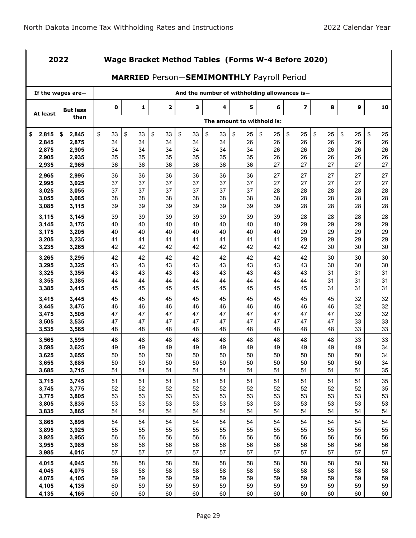|                | 2022              |             |                                                  |                         |          |          |                            |          | Wage Bracket Method Tables (Forms W-4 Before 2020) |          |          |          |
|----------------|-------------------|-------------|--------------------------------------------------|-------------------------|----------|----------|----------------------------|----------|----------------------------------------------------|----------|----------|----------|
|                |                   |             | <b>MARRIED Person-SEMIMONTHLY Payroll Period</b> |                         |          |          |                            |          |                                                    |          |          |          |
|                | If the wages are- |             |                                                  |                         |          |          |                            |          | And the number of withholding allowances is-       |          |          |          |
| At least       | <b>But less</b>   | $\mathbf 0$ | 1                                                | $\overline{\mathbf{2}}$ | 3        | 4        | 5                          | 6        | 7                                                  | 8        | 9        | 10       |
|                | than              |             |                                                  |                         |          |          | The amount to withhold is: |          |                                                    |          |          |          |
| \$<br>2,815    | 2,845<br>\$       | \$<br>33    | \$<br>33                                         | \$<br>33                | \$<br>33 | \$<br>33 | \$<br>25                   | \$<br>25 | \$<br>25                                           | \$<br>25 | \$<br>25 | \$<br>25 |
| 2,845          | 2,875             | 34          | 34                                               | 34                      | 34       | 34       | 26                         | 26       | 26                                                 | 26       | 26       | 26       |
| 2,875          | 2,905             | 34          | 34                                               | 34                      | 34       | 34       | 34                         | 26       | 26                                                 | 26       | 26       | 26       |
| 2,905          | 2,935             | 35          | 35                                               | 35                      | 35       | 35       | 35                         | 26       | 26                                                 | 26       | 26       | 26       |
| 2,935          | 2,965             | 36          | 36                                               | 36                      | 36       | 36       | 36                         | 27       | 27                                                 | 27       | 27       | 27       |
| 2,965          | 2,995             | 36          | 36                                               | 36                      | 36       | 36       | 36                         | 27       | 27                                                 | 27       | 27       | 27       |
| 2,995          | 3,025             | 37          | 37                                               | 37                      | 37       | 37       | 37                         | 27       | 27                                                 | 27       | 27       | 27       |
| 3,025          | 3,055             | 37          | 37                                               | 37                      | 37       | 37       | 37                         | 28       | 28                                                 | 28       | 28       | 28       |
| 3,055          | 3,085             | 38          | 38                                               | 38                      | 38       | 38       | 38                         | 38       | 28                                                 | 28       | 28       | 28       |
| 3,085          | 3,115             | 39          | 39                                               | 39                      | 39       | 39       | 39                         | 39       | 28                                                 | 28       | 28       | 28       |
| 3,115          | 3,145             | 39          | 39                                               | 39                      | 39       | 39       | 39                         | 39       | 28                                                 | 28       | 28       | 28       |
| 3,145          | 3,175             | 40          | 40                                               | 40                      | 40       | 40       | 40                         | 40       | 29                                                 | 29       | 29       | 29       |
| 3,175          | 3,205             | 40          | 40                                               | 40                      | 40       | 40       | 40                         | 40       | 29                                                 | 29       | 29       | 29       |
| 3,205          | 3,235             | 41          | 41                                               | 41                      | 41       | 41       | 41                         | 41       | 29                                                 | 29       | 29       | 29       |
| 3,235          | 3,265             | 42          | 42                                               | 42                      | 42       | 42       | 42                         | 42       | 42                                                 | 30       | 30       | 30       |
| 3,265          | 3,295             | 42          | 42                                               | 42                      | 42       | 42       | 42                         | 42       | 42                                                 | 30       | 30       | 30       |
| 3,295          | 3,325             | 43          | 43                                               | 43                      | 43       | 43       | 43                         | 43       | 43                                                 | 30       | 30       | 30       |
| 3,325          | 3,355             | 43          | 43                                               | 43                      | 43       | 43       | 43                         | 43       | 43                                                 | 31       | 31       | 31       |
| 3,355          | 3,385             | 44          | 44                                               | 44                      | 44       | 44       | 44                         | 44       | 44                                                 | 31       | 31       | 31       |
| 3,385          | 3,415             | 45          | 45                                               | 45                      | 45       | 45       | 45                         | 45       | 45                                                 | 31       | 31       | 31       |
|                |                   |             |                                                  |                         |          |          |                            |          |                                                    |          |          |          |
| 3,415<br>3,445 | 3,445<br>3,475    | 45<br>46    | 45<br>46                                         | 45<br>46                | 45<br>46 | 45<br>46 | 45<br>46                   | 45<br>46 | 45<br>46                                           | 45<br>46 | 32<br>32 | 32<br>32 |
| 3,475          | 3,505             | 47          | 47                                               | 47                      | 47       | 47       | 47                         | 47       | 47                                                 | 47       | 32       | 32       |
| 3,505          | 3,535             | 47          | 47                                               | 47                      | 47       | 47       | 47                         | 47       | 47                                                 | 47       | 33       | 33       |
| 3,535          | 3,565             | 48          | 48                                               | 48                      | 48       | 48       | 48                         | 48       | 48                                                 | 48       | 33       | 33       |
|                |                   |             |                                                  |                         |          |          |                            |          |                                                    |          |          |          |
| 3,565          | 3,595             | 48          | 48                                               | 48                      | 48       | 48       | 48                         | 48       | 48                                                 | 48       | 33       | 33       |
| 3,595<br>3,625 | 3,625             | 49<br>50    | 49<br>50                                         | 49<br>50                | 49<br>50 | 49<br>50 | 49<br>50                   | 49<br>50 | 49<br>50                                           | 49<br>50 | 49<br>50 | 34<br>34 |
| 3,655          | 3,655<br>3,685    | 50          | 50                                               | 50                      | 50       | 50       | 50                         | 50       | 50                                                 | 50       | 50       | 34       |
| 3,685          | 3,715             | 51          | 51                                               | 51                      | 51       | 51       | 51                         | 51       | 51                                                 | 51       | 51       | 35       |
|                |                   |             |                                                  |                         |          |          |                            |          |                                                    |          |          |          |
| 3,715          | 3,745             | 51          | 51                                               | 51                      | 51       | 51       | 51                         | 51       | 51                                                 | 51       | 51       | 35       |
| 3,745          | 3,775             | 52          | 52                                               | 52                      | 52       | 52       | 52                         | 52       | 52                                                 | 52       | 52       | 35       |
| 3,775          | 3,805             | 53          | 53                                               | 53                      | 53       | 53       | 53                         | 53       | 53                                                 | 53       | 53       | 53       |
| 3,805          | 3,835             | 53<br>54    | 53<br>54                                         | 53<br>54                | 53<br>54 | 53<br>54 | 53<br>54                   | 53<br>54 | 53<br>54                                           | 53       | 53<br>54 | 53<br>54 |
| 3,835          | 3,865             |             |                                                  |                         |          |          |                            |          |                                                    | 54       |          |          |
| 3,865          | 3,895             | 54          | 54                                               | 54                      | 54       | 54       | 54                         | 54       | 54                                                 | 54       | 54       | 54       |
| 3,895          | 3,925             | 55          | 55                                               | 55                      | 55       | 55       | 55                         | 55       | 55                                                 | 55       | 55       | 55       |
| 3,925          | 3,955             | 56          | 56                                               | 56                      | 56       | 56       | 56                         | 56       | 56                                                 | 56       | 56       | 56       |
| 3,955          | 3,985             | 56          | 56                                               | 56                      | 56       | 56       | 56                         | 56       | 56                                                 | 56       | 56       | 56       |
| 3,985          | 4,015             | 57          | 57                                               | 57                      | 57       | 57       | 57                         | 57       | 57                                                 | 57       | 57       | 57       |
| 4,015          | 4,045             | 58          | 58                                               | 58                      | 58       | 58       | 58                         | 58       | 58                                                 | 58       | 58       | 58       |
| 4,045          | 4,075             | 58          | 58                                               | 58                      | 58       | 58       | 58                         | 58       | 58                                                 | 58       | 58       | 58       |
| 4,075          | 4,105             | 59          | 59                                               | 59                      | 59       | 59       | 59                         | 59       | 59                                                 | 59       | 59       | 59       |
| 4,105          | 4,135             | 60          | 59                                               | 59                      | 59       | 59       | 59                         | 59       | 59                                                 | 59       | 59       | 59       |
| 4,135          | 4,165             | 60          | 60                                               | 60                      | 60       | 60       | 60                         | 60       | 60                                                 | 60       | 60       | 60       |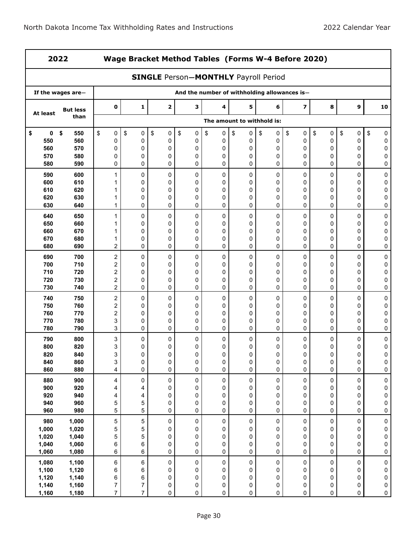| 2022     |                   |                         |                | Wage Bracket Method Tables (Forms W-4 Before 2020) |                                              |    |                            |    |           |           |                  |           |
|----------|-------------------|-------------------------|----------------|----------------------------------------------------|----------------------------------------------|----|----------------------------|----|-----------|-----------|------------------|-----------|
|          |                   |                         |                | <b>SINGLE Person-MONTHLY Payroll Period</b>        |                                              |    |                            |    |           |           |                  |           |
|          | If the wages are- |                         |                |                                                    | And the number of withholding allowances is- |    |                            |    |           |           |                  |           |
| At least | <b>But less</b>   | $\pmb{0}$               | 1              | $\mathbf{2}$                                       | 3                                            | 4  | 5                          | 6  | 7         | 8         | $\boldsymbol{9}$ | 10        |
|          | than              |                         |                |                                                    |                                              |    | The amount to withhold is: |    |           |           |                  |           |
| 0        | \$                | $\sqrt[6]{\frac{1}{2}}$ | \$             | \$                                                 | \$                                           | \$ | \$                         | \$ | \$        | \$        | \$               | \$        |
| \$       | 550               | $\pmb{0}$               | 0              | $\pmb{0}$                                          | 0                                            | 0  | 0                          | 0  | 0         | 0         | 0                | 0         |
| 550      | 560               | 0                       | 0              | 0                                                  | $\pmb{0}$                                    | 0  | 0                          | 0  | 0         | 0         | 0                | 0         |
| 560      | 570               | 0                       | 0              | $\mathbf 0$                                        | 0                                            | 0  | 0                          | 0  | 0         | 0         | 0                | 0         |
| 570      | 580               | 0                       | 0              | 0                                                  | 0                                            | 0  | 0                          | 0  | 0         | 0         | 0                | 0         |
| 580      | 590               | 0                       | 0              | 0                                                  | 0                                            | 0  | 0                          | 0  | 0         | 0         | 0                | 0         |
| 590      | 600               | 1                       | 0              | 0                                                  | 0                                            | 0  | 0                          | 0  | 0         | 0         | 0                | 0         |
| 600      | 610               | 1                       | 0              | 0                                                  | 0                                            | 0  | 0                          | 0  | 0         | 0         | 0                | 0         |
| 610      | 620               | 1                       | $\mathbf 0$    | 0                                                  | 0                                            | 0  | 0                          | 0  | 0         | 0         | 0                | 0         |
| 620      | 630               | 1                       | 0              | 0                                                  | 0                                            | 0  | 0                          | 0  | 0         | 0         | 0                | 0         |
| 630      | 640               | 1                       | 0              | 0                                                  | 0                                            | 0  | 0                          | 0  | 0         | 0         | 0                | 0         |
| 640      | 650               | 1                       | 0              | 0                                                  | 0                                            | 0  | 0                          | 0  | 0         | 0         | 0                | 0         |
| 650      | 660               | 1                       | $\mathbf 0$    | 0                                                  | 0                                            | 0  | 0                          | 0  | 0         | 0         | 0                | 0         |
| 660      | 670               | 1                       | 0              | 0                                                  | 0                                            | 0  | 0                          | 0  | 0         | 0         | 0                | 0         |
| 670      | 680               | 1                       | 0              | 0                                                  | 0                                            | 0  | 0                          | 0  | 0         | 0         | 0                | 0         |
| 680      | 690               | 2                       | 0              | 0                                                  | $\mathbf 0$                                  | 0  | 0                          | 0  | 0         | 0         | 0                | 0         |
| 690      | 700               | $\boldsymbol{2}$        | 0              | 0                                                  | 0                                            | 0  | 0                          | 0  | 0         | 0         | 0                | 0         |
| 700      | 710               | $\boldsymbol{2}$        | $\mathbf 0$    | 0                                                  | 0                                            | 0  | 0                          | 0  | 0         | 0         | 0                | 0         |
| 710      | 720               | $\overline{\mathbf{c}}$ | 0              | 0                                                  | 0                                            | 0  | 0                          | 0  | 0         | 0         | 0                | 0         |
| 720      | 730               | $\boldsymbol{2}$        | 0              | 0                                                  | 0                                            | 0  | 0                          | 0  | 0         | 0         | 0                | 0         |
| 730      | 740               | $\overline{c}$          | 0              | 0                                                  | 0                                            | 0  | 0                          | 0  | 0         | 0         | 0                | 0         |
| 740      | 750               | $\overline{c}$          | 0              | 0                                                  | 0                                            | 0  | 0                          | 0  | 0         | 0         | 0                | 0         |
| 750      | 760               | 2                       | 0              | 0                                                  | 0                                            | 0  | 0                          | 0  | 0         | 0         | 0                | 0         |
| 760      | 770               | $\boldsymbol{2}$        | 0              | 0                                                  | 0                                            | 0  | 0                          | 0  | 0         | 0         | 0                | 0         |
| 770      | 780               | 3                       | 0              | 0                                                  | 0                                            | 0  | 0                          | 0  | 0         | 0         | 0                | 0         |
| 780      | 790               | 3                       | 0              | 0                                                  | 0                                            | 0  | 0                          | 0  | 0         | 0         | 0                | 0         |
| 790      | 800               | 3                       | 0              | 0                                                  | 0                                            | 0  | 0                          | 0  | 0         | 0         | 0                | 0         |
| 800      | 820               | 3                       | 0              | 0                                                  | 0                                            | 0  | 0                          | 0  | 0         | 0         | 0                | 0         |
| 820      | 840               | 3                       | 0              | 0                                                  | 0                                            | 0  | 0                          | 0  | 0         | 0         | 0                | 0         |
| 840      | 860               | 3                       | $\pmb{0}$      | $\pmb{0}$                                          | $\pmb{0}$                                    | 0  | 0                          | 0  | 0         | 0         | 0                | 0         |
| 860      | 880               | 4                       | 0              | 0                                                  | 0                                            | 0  | 0                          | 0  | 0         | 0         | 0                | $\pmb{0}$ |
| 880      | 900               | 4                       | $\mathsf 0$    | $\pmb{0}$                                          | 0                                            | 0  | 0                          | 0  | $\pmb{0}$ | $\pmb{0}$ | 0                | 0         |
| 900      | 920               | 4                       | 4              | 0                                                  | 0                                            | 0  | 0                          | 0  | 0         | 0         | 0                | 0         |
| 920      | 940               | 4                       | 4              | 0                                                  | 0                                            | 0  | 0                          | 0  | 0         | 0         | 0                | 0         |
| 940      | 960               | 5                       | 5              | 0                                                  | 0                                            | 0  | 0                          | 0  | 0         | 0         | 0                | 0         |
| 960      | 980               | 5                       | 5              | $\mathbf 0$                                        | 0                                            | 0  | 0                          | 0  | 0         | 0         | 0                | 0         |
| 980      | 1,000             | $\mathbf 5$             | 5              | $\pmb{0}$                                          | 0                                            | 0  | 0                          | 0  | 0         | 0         | 0                | 0         |
| 1,000    | 1,020             | 5                       | 5              | 0                                                  | 0                                            | 0  | 0                          | 0  | 0         | 0         | 0                | 0         |
| 1,020    | 1,040             | 5                       | 5              | 0                                                  | 0                                            | 0  | 0                          | 0  | 0         | 0         | 0                | 0         |
| 1,040    | 1,060             | 6                       | 6              | 0                                                  | 0                                            | 0  | 0                          | 0  | 0         | 0         | 0                | 0         |
| 1,060    | 1,080             | 6                       | 6              | 0                                                  | 0                                            | 0  | 0                          | 0  | 0         | 0         | 0                | 0         |
| 1,080    | 1,100             | $\,6\,$                 | 6              | $\pmb{0}$                                          | $\pmb{0}$                                    | 0  | 0                          | 0  | 0         | 0         | 0                | $\pmb{0}$ |
| 1,100    | 1,120             | 6                       | 6              | 0                                                  | 0                                            | 0  | 0                          | 0  | 0         | 0         | 0                | 0         |
| 1,120    | 1,140             | 6                       | $\,6$          | 0                                                  | 0                                            | 0  | 0                          | 0  | 0         | 0         | 0                | 0         |
| 1,140    | 1,160             | $\overline{7}$          | $\overline{7}$ | 0                                                  | $\pmb{0}$                                    | 0  | 0                          | 0  | 0         | 0         | 0                | 0         |
| 1,160    | 1,180             | $\overline{7}$          | $\overline{7}$ | 0                                                  | 0                                            | 0  | 0                          | 0  | 0         | 0         | 0                | $\pmb{0}$ |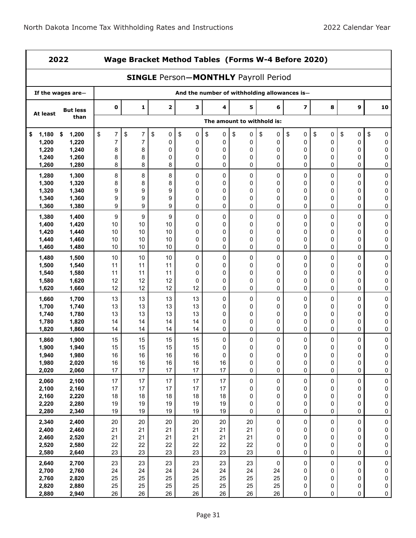|                | 2022              |                      |                |                                             |                                              |          |                            |           | Wage Bracket Method Tables (Forms W-4 Before 2020) |           |                  |                        |
|----------------|-------------------|----------------------|----------------|---------------------------------------------|----------------------------------------------|----------|----------------------------|-----------|----------------------------------------------------|-----------|------------------|------------------------|
|                |                   |                      |                | <b>SINGLE Person-MONTHLY Payroll Period</b> |                                              |          |                            |           |                                                    |           |                  |                        |
|                | If the wages are- |                      |                |                                             | And the number of withholding allowances is- |          |                            |           |                                                    |           |                  |                        |
| At least       | <b>But less</b>   | 0                    | 1              | 2                                           | 3                                            | 4        | 5                          | 6         | $\overline{z}$                                     | 8         | 9                | 10                     |
|                | than              |                      |                |                                             |                                              |          | The amount to withhold is: |           |                                                    |           |                  |                        |
| 1,180<br>\$    | \$<br>1,200       | \$<br>$\overline{7}$ | \$<br>7        | \$<br>0                                     | \$<br>0                                      | \$<br>0  | \$<br>0                    | \$<br>0   | \$<br>0                                            | \$<br>0   | \$<br>0          | \$<br>0                |
| 1,200          | 1,220             | $\overline{7}$       | $\overline{7}$ | 0                                           | 0                                            | 0        | 0                          | 0         | 0                                                  | 0         | 0                | 0                      |
| 1,220          | 1,240             | 8                    | 8              | 0                                           | 0                                            | 0        | 0                          | 0         | 0                                                  | 0         | 0                | 0                      |
| 1,240          | 1,260             | 8                    | 8              | 0                                           | 0                                            | 0        | 0                          | 0         | 0                                                  | 0         | 0                | 0                      |
| 1,260          | 1,280             | 8                    | 8              | 8                                           | 0                                            | 0        | 0                          | 0         | 0                                                  | 0         | 0                | 0                      |
| 1,280          | 1,300             | 8                    | 8              | 8                                           | 0                                            | 0        | 0                          | 0         | 0                                                  | 0         | 0                | 0                      |
| 1,300          | 1,320             | 8                    | 8              | 8                                           | 0                                            | 0        | 0                          | 0         | 0                                                  | 0         | 0                | 0                      |
| 1,320          | 1,340             | 9                    | 9              | 9                                           | 0                                            | 0        | 0                          | 0         | 0                                                  | 0         | 0                | 0                      |
| 1,340          | 1,360             | 9                    | 9              | 9                                           | 0                                            | 0        | 0                          | 0         | 0                                                  | 0         | 0                | 0                      |
| 1,360          | 1,380             | 9                    | 9              | 9                                           | 0                                            | 0        | 0                          | 0         | 0                                                  | 0         | 0                | 0                      |
| 1,380          | 1,400             | 9                    | 9              | 9                                           | 0                                            | 0        | 0                          | 0         | 0                                                  | 0         | 0                | 0                      |
| 1,400          | 1,420             | 10                   | 10             | 10                                          | 0                                            | 0        | 0                          | 0         | 0                                                  | 0         | 0                | 0                      |
| 1,420          | 1,440             | 10                   | 10             | 10                                          | 0                                            | 0        | 0                          | 0         | 0                                                  | 0         | 0                | 0                      |
| 1,440          | 1,460             | 10                   | 10             | 10                                          | 0                                            | 0        | 0                          | 0         | 0                                                  | 0         | 0                | 0                      |
| 1,460          | 1,480             | 10                   | 10             | 10                                          | 0                                            | 0        | 0                          | 0         | 0                                                  | 0         | 0                | 0                      |
| 1,480          | 1,500             | 10                   | 10             | 10                                          | 0                                            | 0        | 0                          | 0         | 0                                                  | 0         | 0                | 0                      |
| 1,500          | 1,540             | 11                   | 11             | 11                                          | 0                                            | 0        | 0                          | 0         | 0                                                  | 0         | 0                | 0                      |
| 1,540          | 1,580             | 11                   | 11             | 11                                          | 0                                            | 0        | 0                          | 0         | 0                                                  | 0         | 0                | 0                      |
| 1,580          | 1,620             | 12                   | 12             | 12                                          | 0                                            | 0        | 0                          | 0         | 0                                                  | 0         | 0                | 0                      |
| 1,620          | 1,660             | 12                   | 12             | 12                                          | 12                                           | 0        | 0                          | 0         | 0                                                  | 0         | 0                | 0                      |
| 1,660          | 1,700             | 13                   | 13             | 13                                          | 13                                           | 0        | 0                          | 0         | 0                                                  | 0         | 0                | 0                      |
| 1,700          | 1,740             | 13                   | 13             | 13                                          | 13                                           | 0        | 0                          | 0         | 0                                                  | 0         | 0                | $\mathsf 0$            |
| 1,740          | 1,780             | 13                   | 13             | 13                                          | 13                                           | 0        | 0                          | 0         | 0                                                  | 0         | 0                | 0                      |
| 1,780          | 1,820             | 14                   | 14             | 14                                          | 14                                           | 0        | 0                          | 0         | 0                                                  | 0         | 0                | 0                      |
| 1,820          | 1,860             | 14                   | 14             | 14                                          | 14                                           | 0        | 0                          | 0         | 0                                                  | 0         | 0                | 0                      |
| 1,860          | 1,900             | 15                   | 15             | 15                                          | 15                                           | 0        | 0                          | 0         | 0                                                  | 0         | 0                | 0                      |
| 1,900          | 1,940             | 15                   | 15             | 15                                          | 15                                           | 0        | 0                          | 0         | 0                                                  | 0         | 0                | 0                      |
| 1,940          | 1,980             | 16<br>16             | 16<br>16       | 16<br>16                                    | 16<br>16                                     | 0<br>16  | $\Omega$                   | 0         | 0                                                  | 0         | 0                | 0                      |
| 1,980<br>2,020 | 2,020<br>2,060    | 17                   | 17             | 17                                          | 17                                           | 17       | $\pmb{0}$<br>0             | 0<br>0    | 0<br>$\pmb{0}$                                     | 0<br>0    | $\mathsf 0$<br>0 | 0<br>$\pmb{0}$         |
|                |                   |                      |                |                                             |                                              |          |                            |           |                                                    |           |                  |                        |
| 2,060          | 2,100             | 17                   | 17             | 17                                          | 17                                           | 17       | 0                          | 0         | 0                                                  | $\pmb{0}$ | 0                | $\pmb{0}$              |
| 2,100          | 2,160             | 17                   | 17             | 17                                          | 17                                           | 17       | 0                          | 0         | 0                                                  | 0         | 0                | 0                      |
| 2,160          | 2,220             | 18<br>19             | 18<br>19       | 18<br>19                                    | 18<br>19                                     | 18<br>19 | 0<br>0                     | 0         | 0<br>0                                             | 0         | $\mathsf 0$<br>0 | $\pmb{0}$              |
| 2,220<br>2,280 | 2,280<br>2,340    | 19                   | 19             | 19                                          | 19                                           | 19       | 0                          | 0<br>0    | 0                                                  | 0<br>0    | 0                | 0<br>0                 |
|                |                   |                      |                |                                             |                                              |          |                            |           |                                                    |           |                  |                        |
| 2,340          | 2,400             | $20\,$               | 20             | 20                                          | 20                                           | 20       | 20                         | 0         | 0                                                  | 0         | 0                | 0                      |
| 2,400<br>2,460 | 2,460             | 21<br>21             | 21<br>21       | 21<br>21                                    | 21<br>21                                     | 21<br>21 | 21<br>21                   | 0<br>0    | 0<br>0                                             | 0         | 0<br>0           | 0<br>$\pmb{0}$         |
| 2,520          | 2,520<br>2,580    | 22                   | 22             | 22                                          | 22                                           | 22       | 22                         | 0         | 0                                                  | 0<br>0    | 0                | 0                      |
| 2,580          | 2,640             | 23                   | 23             | 23                                          | 23                                           | 23       | 23                         | 0         | 0                                                  | 0         | 0                | 0                      |
|                |                   |                      |                |                                             |                                              |          |                            |           |                                                    |           |                  |                        |
| 2,640          | 2,700             | 23                   | 23             | 23                                          | 23                                           | 23       | 23                         | $\pmb{0}$ | 0                                                  | 0         | 0                | 0                      |
| 2,700<br>2,760 | 2,760<br>2,820    | 24<br>25             | 24<br>25       | 24<br>25                                    | 24<br>25                                     | 24<br>25 | 24<br>25                   | 24<br>25  | 0<br>0                                             | 0<br>0    | 0<br>0           | $\pmb{0}$<br>$\pmb{0}$ |
| 2,820          | 2,880             | 25                   | 25             | 25                                          | 25                                           | 25       | 25                         | 25        | 0                                                  | 0         | 0                | $\pmb{0}$              |
| 2,880          | 2,940             | 26                   | 26             | 26                                          | 26                                           | 26       | 26                         | 26        | 0                                                  | 0         | 0                | $\mathsf 0$            |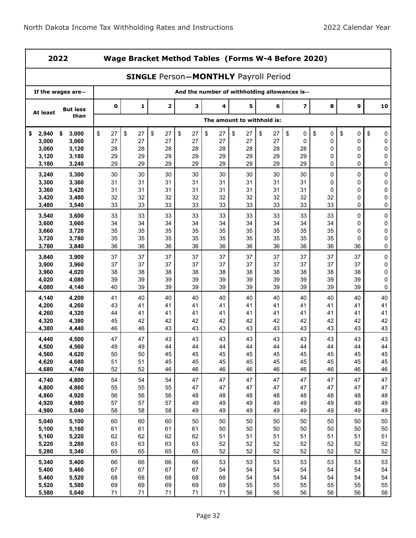|                | 2022              |          | Wage Bracket Method Tables (Forms W-4 Before 2020) |          |          |          |                                             |          |                                              |          |                  |           |
|----------------|-------------------|----------|----------------------------------------------------|----------|----------|----------|---------------------------------------------|----------|----------------------------------------------|----------|------------------|-----------|
|                |                   |          |                                                    |          |          |          | <b>SINGLE Person-MONTHLY Payroll Period</b> |          |                                              |          |                  |           |
|                | If the wages are- |          |                                                    |          |          |          |                                             |          | And the number of withholding allowances is- |          |                  |           |
| At least       | <b>But less</b>   | 0        | 1                                                  | 2        | 3        | 4        | 5                                           | 6        | 7                                            | 8        | 9                | 10        |
|                | than              |          |                                                    |          |          |          | The amount to withhold is:                  |          |                                              |          |                  |           |
| 2,940<br>\$    | \$<br>3,000       | \$<br>27 | \$<br>27                                           | \$<br>27 | \$<br>27 | \$<br>27 | \$<br>27                                    | \$<br>27 | \$<br>0                                      | \$<br>0  | \$<br>0          | \$<br>0   |
| 3,000<br>3,060 | 3,060<br>3,120    | 27       | 27<br>28                                           | 27<br>28 | 27<br>28 | 27       | 27<br>28                                    | 27<br>28 | $\mathbf 0$<br>28                            | 0        | 0                | 0         |
| 3,120          | 3,180             | 28<br>29 | 29                                                 | 29       | 29       | 28<br>29 | 29                                          | 29       | 29                                           | 0<br>0   | 0<br>0           | 0<br>0    |
| 3,180          | 3,240             | 29       | 29                                                 | 29       | 29       | 29       | 29                                          | 29       | 29                                           | 0        | 0                | 0         |
| 3,240          | 3,300             | 30       | 30                                                 | 30       | 30       | 30       | 30                                          | 30       | 30                                           | 0        | 0                | $\pmb{0}$ |
| 3,300          | 3,360             | 31       | 31                                                 | 31       | 31       | 31       | 31                                          | 31       | 31                                           | 0        | 0                | 0         |
| 3,360          | 3,420             | 31       | 31                                                 | 31       | 31       | 31       | 31                                          | 31       | 31                                           | 0        | 0                | 0         |
| 3,420<br>3,480 | 3,480<br>3,540    | 32<br>33 | 32<br>33                                           | 32<br>33 | 32<br>33 | 32<br>33 | 32<br>33                                    | 32<br>33 | 32<br>33                                     | 32<br>33 | $\mathbf 0$<br>0 | 0<br>0    |
| 3,540          | 3,600             | 33       | 33                                                 | 33       | 33       | 33       | 33                                          | 33       | 33                                           | 33       | 0                | $\pmb{0}$ |
| 3,600          | 3,660             | 34       | 34                                                 | 34       | 34       | 34       | 34                                          | 34       | 34                                           | 34       | 0                | 0         |
| 3,660          | 3,720             | 35       | 35                                                 | 35       | 35       | 35       | 35                                          | 35       | 35                                           | 35       | 0                | 0         |
| 3,720          | 3,780             | 35       | 35                                                 | 35       | 35       | 35       | 35                                          | 35       | 35                                           | 35       | 0                | 0         |
| 3,780          | 3,840             | 36       | 36                                                 | 36       | 36       | 36       | 36                                          | 36       | 36                                           | 36       | 36               | 0         |
| 3,840          | 3,900             | 37       | 37                                                 | 37       | 37       | 37       | 37                                          | 37       | 37                                           | 37       | 37               | $\pmb{0}$ |
| 3,900          | 3,960             | 37       | 37                                                 | 37       | 37       | 37       | 37                                          | 37       | 37                                           | 37       | 37               | 0         |
| 3,960<br>4,020 | 4,020<br>4,080    | 38<br>39 | 38<br>39                                           | 38<br>39 | 38<br>39 | 38<br>39 | 38<br>39                                    | 38<br>39 | 38<br>39                                     | 38<br>39 | 38<br>39         | 0<br>0    |
| 4,080          | 4,140             | 40       | 39                                                 | 39       | 39       | 39       | 39                                          | 39       | 39                                           | 39       | 39               | 0         |
| 4,140          | 4,200             | 41       | 40                                                 | 40       | 40       | 40       | 40                                          | 40       | 40                                           | 40       | 40               | 40        |
| 4,200          | 4,260             | 43       | 41                                                 | 41       | 41       | 41       | 41                                          | 41       | 41                                           | 41       | 41               | 41        |
| 4,260          | 4,320             | 44       | 41                                                 | 41       | 41       | 41       | 41                                          | 41       | 41                                           | 41       | 41               | 41        |
| 4,320          | 4,380             | 45       | 42                                                 | 42       | 42       | 42       | 42                                          | 42       | 42                                           | 42       | 42               | 42        |
| 4,380          | 4,440             | 46       | 46                                                 | 43       | 43       | 43       | 43                                          | 43       | 43                                           | 43       | 43               | 43        |
| 4,440<br>4,500 | 4,500<br>4,560    | 47<br>49 | 47<br>49                                           | 43<br>44 | 43<br>44 | 43<br>44 | 43<br>44                                    | 43<br>44 | 43<br>44                                     | 43<br>44 | 43<br>44         | 43<br>44  |
| 4,560          | 4,620             | 50       | 50                                                 | 45       | 45       | 45       | 45                                          | 45       | 45                                           | 45       | 45               | 45        |
| 4,620          | 4,680             | 51       | 51                                                 | 45       | 45       | 45       | 45                                          | 45       | 45                                           | 45       | 45               | 45        |
| 4,680          | 4,740             | 52       | 52                                                 | 46       | 46       | 46       | 46                                          | 46       | 46                                           | 46       | 46               | 46        |
| 4,740          | 4,800             | 54       | 54                                                 | 54       | 47       | 47       | 47                                          | 47       | 47                                           | 47       | 47               | 47        |
| 4,800          | 4,860             | 55       | 55                                                 | 55       | 47       | 47       | 47                                          | 47       | 47                                           | 47       | 47               | 47        |
| 4,860<br>4,920 | 4,920<br>4,980    | 56<br>57 | 56<br>57                                           | 56<br>57 | 48<br>49 | 48<br>49 | 48<br>49                                    | 48<br>49 | 48<br>49                                     | 48<br>49 | 48<br>49         | 48<br>49  |
| 4,980          | 5,040             | 58       | 58                                                 | 58       | 49       | 49       | 49                                          | 49       | 49                                           | 49       | 49               | 49        |
| 5,040          | 5,100             | 60       | 60                                                 | 60       | 50       | 50       | 50                                          | 50       | 50                                           | 50       | 50               | 50        |
| 5,100          | 5,160             | 61       | 61                                                 | 61       | 61       | 50       | 50                                          | 50       | 50                                           | 50       | 50               | 50        |
| 5,160          | 5,220             | 62       | 62                                                 | 62       | 62       | 51       | 51                                          | 51       | 51                                           | 51       | 51               | 51        |
| 5,220          | 5,280             | 63       | 63                                                 | 63       | 63       | 52       | 52                                          | 52       | 52                                           | 52       | 52               | 52        |
| 5,280          | 5,340             | 65       | 65                                                 | 65       | 65       | 52       | 52                                          | 52       | 52                                           | 52       | 52               | 52        |
| 5,340          | 5,400             | 66       | 66                                                 | 66       | 66       | 53       | 53                                          | 53       | 53                                           | 53       | 53               | 53        |
| 5,400          | 5,460             | 67       | 67                                                 | 67       | 67       | 54       | 54                                          | 54       | 54                                           | 54       | 54               | 54        |
| 5,460<br>5,520 | 5,520<br>5,580    | 68<br>69 | 68<br>69                                           | 68<br>69 | 68<br>69 | 68<br>69 | 54<br>55                                    | 54<br>55 | 54<br>55                                     | 54<br>55 | 54<br>55         | 54<br>55  |
| 5,580          | 5,640             | 71       | 71                                                 | 71       | 71       | 71       | 56                                          | 56       | 56                                           | 56       | 56               | 56        |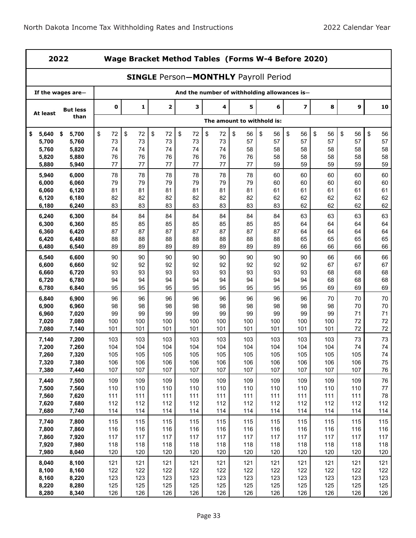|                | 2022              |             |            |             |            |                                              |                            |            | Wage Bracket Method Tables (Forms W-4 Before 2020) |            |            |            |
|----------------|-------------------|-------------|------------|-------------|------------|----------------------------------------------|----------------------------|------------|----------------------------------------------------|------------|------------|------------|
|                |                   |             |            |             |            | <b>SINGLE Person-MONTHLY Payroll Period</b>  |                            |            |                                                    |            |            |            |
|                | If the wages are- |             |            |             |            | And the number of withholding allowances is- |                            |            |                                                    |            |            |            |
| At least       | <b>But less</b>   | $\mathbf 0$ | 1          | $\mathbf 2$ | 3          | 4                                            | 5                          | 6          | $\overline{\mathbf{z}}$                            | 8          | 9          | 10         |
|                | than              |             |            |             |            |                                              | The amount to withhold is: |            |                                                    |            |            |            |
| 5,640<br>\$    | 5,700<br>\$       | \$<br>72    | \$<br>72   | \$<br>72    | \$<br>72   | \$<br>72                                     | \$<br>56                   | \$<br>56   | \$<br>56                                           | \$<br>56   | \$<br>56   | \$<br>56   |
| 5,700          | 5,760             | 73          | 73         | 73          | 73         | 73                                           | 57                         | 57         | 57                                                 | 57         | 57         | 57         |
| 5,760          | 5,820             | 74          | 74         | 74          | 74         | 74                                           | 58                         | 58         | 58                                                 | 58         | 58         | 58         |
| 5,820          | 5,880             | 76          | 76         | 76          | 76         | 76                                           | 76                         | 58         | 58                                                 | 58         | 58         | 58         |
| 5,880          | 5,940             | 77          | 77         | 77          | 77         | 77                                           | 77                         | 59         | 59                                                 | 59         | 59         | 59         |
| 5,940          | 6,000             | 78          | 78         | 78          | 78         | 78                                           | 78                         | 60         | 60                                                 | 60         | 60         | 60         |
| 6,000<br>6,060 | 6,060<br>6,120    | 79<br>81    | 79<br>81   | 79<br>81    | 79<br>81   | 79<br>81                                     | 79<br>81                   | 60<br>61   | 60<br>61                                           | 60<br>61   | 60<br>61   | 60<br>61   |
| 6,120          | 6,180             | 82          | 82         | 82          | 82         | 82                                           | 82                         | 62         | 62                                                 | 62         | 62         | 62         |
| 6,180          | 6,240             | 83          | 83         | 83          | 83         | 83                                           | 83                         | 83         | 62                                                 | 62         | 62         | 62         |
| 6,240          | 6,300             | 84          | 84         | 84          | 84         | 84                                           | 84                         | 84         | 63                                                 | 63         | 63         | 63         |
| 6,300          | 6,360             | 85          | 85         | 85          | 85         | 85                                           | 85                         | 85         | 64                                                 | 64         | 64         | 64         |
| 6,360          | 6,420             | 87          | 87         | 87          | 87         | 87                                           | 87                         | 87         | 64                                                 | 64         | 64         | 64         |
| 6,420          | 6,480             | 88          | 88         | 88          | 88         | 88                                           | 88                         | 88         | 65                                                 | 65         | 65         | 65         |
| 6,480          | 6,540             | 89          | 89         | 89          | 89         | 89                                           | 89                         | 89         | 66                                                 | 66         | 66         | 66         |
| 6,540          | 6,600             | 90          | 90         | 90          | 90         | 90                                           | 90                         | 90         | 90                                                 | 66         | 66         | 66         |
| 6,600          | 6,660             | 92          | 92         | 92          | 92         | 92                                           | 92                         | 92         | 92                                                 | 67         | 67         | 67         |
| 6,660          | 6,720             | 93          | 93         | 93          | 93         | 93                                           | 93                         | 93         | 93                                                 | 68         | 68         | 68         |
| 6,720          | 6,780             | 94          | 94         | 94          | 94         | 94                                           | 94                         | 94         | 94                                                 | 68         | 68         | 68         |
| 6,780          | 6,840             | 95          | 95         | 95          | 95         | 95                                           | 95                         | 95         | 95                                                 | 69         | 69         | 69         |
| 6,840          | 6,900             | 96          | 96         | 96          | 96         | 96                                           | 96                         | 96         | 96                                                 | 70         | 70         | 70         |
| 6,900          | 6,960             | 98          | 98         | 98          | 98         | 98                                           | 98                         | 98         | 98                                                 | 98         | 70         | 70         |
| 6,960          | 7,020             | 99<br>100   | 99<br>100  | 99<br>100   | 99<br>100  | 99<br>100                                    | 99<br>100                  | 99<br>100  | 99<br>100                                          | 99<br>100  | 71<br>72   | 71<br>72   |
| 7,020<br>7,080 | 7,080<br>7,140    | 101         | 101        | 101         | 101        | 101                                          | 101                        | 101        | 101                                                | 101        | 72         | $72\,$     |
| 7,140          | 7,200             | 103         | 103        | 103         | 103        | 103                                          | 103                        | 103        | 103                                                | 103        | 73         | 73         |
| 7,200          | 7,260             | 104         | 104        | 104         | 104        | 104                                          | 104                        | 104        | 104                                                | 104        | 74         | 74         |
| 7,260          | 7,320             | 105         | 105        | 105         | 105        | 105                                          | 105                        | 105        | 105                                                | 105        | 105        | 74         |
| 7,320          | 7,380             | 106         | 106        | 106         | 106        | 106                                          | 106                        | 106        | 106                                                | 106        | 106        | 75         |
| 7,380          | 7,440             | 107         | 107        | 107         | 107        | 107                                          | 107                        | 107        | 107                                                | 107        | 107        | 76         |
| 7,440          | 7,500             | 109         | 109        | 109         | 109        | 109                                          | 109                        | 109        | 109                                                | 109        | 109        | 76         |
| 7,500          | 7,560             | 110         | 110        | 110         | 110        | 110                                          | 110                        | 110        | 110                                                | 110        | 110        | 77         |
| 7,560          | 7,620             | 111         | 111        | 111         | 111        | 111                                          | 111                        | 111        | 111                                                | 111        | 111        | 78         |
| 7,620          | 7,680             | 112         | 112        | 112         | 112        | 112                                          | 112                        | 112        | 112                                                | 112        | 112        | 112        |
| 7,680          | 7,740             | 114         | 114        | 114         | 114        | 114                                          | 114                        | 114        | 114                                                | 114        | 114        | 114        |
| 7,740          | 7,800             | 115         | 115        | 115         | 115        | 115                                          | 115                        | 115        | 115                                                | 115        | 115        | 115        |
| 7,800          | 7,860             | 116         | 116        | 116         | 116        | 116                                          | 116                        | 116        | 116                                                | 116        | 116        | 116        |
| 7,860          | 7,920             | 117         | 117        | 117         | 117        | 117                                          | 117                        | 117        | 117                                                | 117        | 117        | 117        |
| 7,920<br>7,980 | 7,980<br>8,040    | 118<br>120  | 118<br>120 | 118<br>120  | 118<br>120 | 118<br>120                                   | 118<br>120                 | 118<br>120 | 118<br>120                                         | 118<br>120 | 118<br>120 | 118<br>120 |
|                |                   |             |            |             |            |                                              |                            |            |                                                    |            |            |            |
| 8,040          | 8,100             | 121         | 121        | 121         | 121        | 121                                          | 121                        | 121        | 121                                                | 121        | 121        | 121        |
| 8,100<br>8,160 | 8,160<br>8,220    | 122<br>123  | 122<br>123 | 122<br>123  | 122<br>123 | 122<br>123                                   | 122<br>123                 | 122<br>123 | 122<br>123                                         | 122<br>123 | 122<br>123 | 122<br>123 |
| 8,220          | 8,280             | 125         | 125        | 125         | 125        | 125                                          | 125                        | 125        | 125                                                | 125        | 125        | 125        |
| 8,280          | 8,340             | 126         | 126        | 126         | 126        | 126                                          | 126                        | 126        | 126                                                | 126        | 126        | 126        |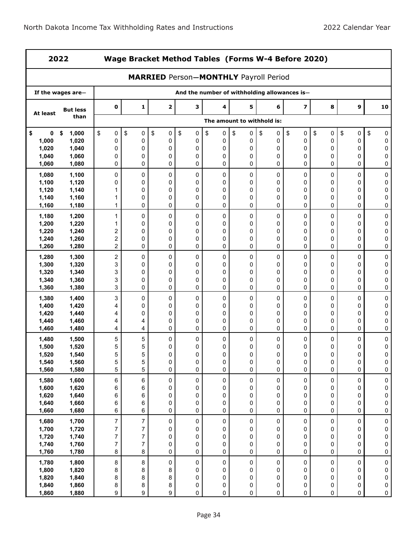|                  | 2022                 |                                    |                                    | Wage Bracket Method Tables (Forms W-4 Before 2020) |                |                |                  |                                              |                         |                |                     |                        |
|------------------|----------------------|------------------------------------|------------------------------------|----------------------------------------------------|----------------|----------------|------------------|----------------------------------------------|-------------------------|----------------|---------------------|------------------------|
|                  |                      |                                    |                                    | <b>MARRIED Person-MONTHLY Payroll Period</b>       |                |                |                  |                                              |                         |                |                     |                        |
|                  | If the wages are-    |                                    |                                    |                                                    |                |                |                  | And the number of withholding allowances is- |                         |                |                     |                        |
| At least         | <b>But less</b>      | $\mathbf 0$                        | 1                                  | $\mathbf{2}$                                       | 3              | 4              | 5                | 6                                            | $\overline{\mathbf{z}}$ | 8              | 9                   | 10                     |
|                  | than                 |                                    |                                    |                                                    |                |                |                  | The amount to withhold is:                   |                         |                |                     |                        |
| \$<br>0<br>1,000 | 1,000<br>\$<br>1,020 | \$<br>0<br>0                       | \$<br>0<br>0                       | \$<br>0<br>0                                       | \$<br>0<br>0   | \$<br>0<br>0   | \$<br>0<br>0     | \$<br>0<br>0                                 | \$<br>0<br>0            | \$<br>0<br>0   | \$<br>0<br>0        | \$<br>0<br>0           |
| 1,020            | 1,040                | 0                                  | 0                                  | 0                                                  | 0              | 0              | 0                | 0                                            | 0                       | 0              | 0                   | 0                      |
| 1,040            | 1,060                | 0                                  | 0                                  | 0                                                  | 0              | 0              | 0                | 0                                            | 0                       | 0              | 0                   | 0                      |
| 1,060            | 1,080                | 0                                  | 0                                  | 0                                                  | 0              | 0              | 0                | 0                                            | 0                       | 0              | 0                   | 0                      |
| 1,080            | 1,100                | 0                                  | 0                                  | 0                                                  | 0              | 0              | 0                | 0                                            | 0                       | 0              | 0                   | 0                      |
| 1,100<br>1,120   | 1,120<br>1,140       | 0<br>1                             | 0<br>0                             | 0<br>0                                             | 0<br>0         | 0<br>0         | 0<br>0           | 0<br>0                                       | 0<br>0                  | 0<br>0         | 0<br>0              | 0<br>0                 |
| 1,140            | 1,160                | 1                                  | 0                                  | 0                                                  | 0              | 0              | 0                | 0                                            | 0                       | 0              | 0                   | 0                      |
| 1,160            | 1,180                | 1                                  | 0                                  | 0                                                  | 0              | 0              | 0                | 0                                            | 0                       | 0              | 0                   | 0                      |
| 1,180            | 1,200                | 1                                  | 0                                  | 0                                                  | 0              | 0              | 0                | 0                                            | 0                       | 0              | 0                   | 0                      |
| 1,200            | 1,220                | 1                                  | 0                                  | 0                                                  | 0              | 0              | 0                | 0                                            | 0                       | 0              | 0                   | 0                      |
| 1,220            | 1,240                | 2                                  | 0                                  | 0                                                  | 0              | 0              | 0                | 0                                            | 0                       | 0              | 0                   | 0                      |
| 1,240<br>1,260   | 1,260<br>1,280       | $\boldsymbol{2}$<br>$\overline{c}$ | 0<br>0                             | 0<br>0                                             | 0<br>0         | 0<br>0         | 0<br>0           | 0<br>0                                       | 0<br>0                  | 0<br>0         | 0<br>0              | 0<br>0                 |
| 1,280            | 1,300                | $\boldsymbol{2}$                   | 0                                  | 0                                                  | 0              | 0              | 0                | 0                                            | 0                       | 0              | 0                   | 0                      |
| 1,300            | 1,320                | 3                                  | 0                                  | 0                                                  | 0              | 0              | 0                | 0                                            | 0                       | 0              | 0                   | 0                      |
| 1,320            | 1,340                | 3                                  | 0                                  | 0                                                  | 0              | 0              | 0                | 0                                            | 0                       | 0              | 0                   | 0                      |
| 1,340            | 1,360                | 3                                  | 0                                  | 0                                                  | $\mathbf 0$    | 0              | 0                | 0                                            | 0                       | 0              | 0                   | 0                      |
| 1,360            | 1,380                | 3                                  | 0                                  | 0                                                  | 0              | 0              | 0                | 0                                            | 0                       | 0              | 0                   | 0                      |
| 1,380            | 1,400                | 3                                  | 0                                  | 0                                                  | 0              | 0              | 0                | 0                                            | 0                       | 0              | 0                   | 0                      |
| 1,400<br>1,420   | 1,420<br>1,440       | 4<br>4                             | 0<br>0                             | 0<br>0                                             | 0<br>0         | 0<br>0         | 0<br>0           | 0<br>0                                       | 0<br>0                  | 0<br>0         | 0<br>0              | 0<br>0                 |
| 1,440            | 1,460                | 4                                  | 4                                  | 0                                                  | 0              | 0              | 0                | 0                                            | 0                       | 0              | 0                   | 0                      |
| 1,460            | 1,480                | 4                                  | 4                                  | 0                                                  | $\mathbf 0$    | 0              | 0                | 0                                            | 0                       | 0              | 0                   | 0                      |
| 1,480            | 1,500                | 5                                  | 5                                  | 0                                                  | 0              | 0              | 0                | 0                                            | 0                       | 0              | 0                   | 0                      |
| 1,500            | 1,520                | 5                                  | 5                                  | 0                                                  | 0              | 0              | 0                | 0                                            | 0                       | 0              | 0                   | 0                      |
| 1,520<br>1,540   | 1,540<br>1,560       | 5<br>5                             | 5<br>5                             | 0<br>0                                             | $\Omega$<br>0  | 0<br>0         | 0<br>0           | 0<br>$\pmb{0}$                               | $\Omega$<br>0           | 0<br>0         | $\Omega$<br>0       | 0<br>0                 |
| 1,560            | 1,580                | 5                                  | 5                                  | $\pmb{0}$                                          | $\pmb{0}$      | 0              | $\mathsf 0$      | 0                                            | $\mathbf 0$             | 0              | $\mathsf{O}\xspace$ | $\pmb{0}$              |
| 1,580            | 1,600                | $\,6\,$                            | $\,6$                              | $\pmb{0}$                                          | $\pmb{0}$      | $\pmb{0}$      | $\pmb{0}$        | $\pmb{0}$                                    | $\pmb{0}$               | $\pmb{0}$      | $\pmb{0}$           | 0                      |
| 1,600            | 1,620                | 6                                  | 6                                  | 0                                                  | 0              | 0              | 0                | 0                                            | 0                       | 0              | 0                   | 0                      |
| 1,620            | 1,640                | 6                                  | 6                                  | 0                                                  | 0              | 0              | 0                | 0                                            | 0                       | 0              | 0                   | 0                      |
| 1,640            | 1,660                | 6                                  | 6                                  | 0                                                  | 0              | 0              | 0                | 0                                            | 0                       | 0              | 0                   | 0                      |
| 1,660            | 1,680                | $\,6\,$                            | 6                                  | 0                                                  | $\pmb{0}$      | 0              | $\pmb{0}$        | 0                                            | 0                       | 0              | 0                   | 0                      |
| 1,680<br>1,700   | 1,700<br>1,720       | $\overline{7}$<br>$\boldsymbol{7}$ | $\overline{7}$<br>$\boldsymbol{7}$ | 0<br>0                                             | $\pmb{0}$<br>0 | $\pmb{0}$<br>0 | $\mathsf 0$<br>0 | 0<br>0                                       | $\pmb{0}$<br>0          | $\pmb{0}$<br>0 | 0<br>0              | $\pmb{0}$<br>0         |
| 1,720            | 1,740                | $\overline{7}$                     | $\overline{\mathcal{I}}$           | 0                                                  | 0              | 0              | 0                | 0                                            | 0                       | 0              | $\mathsf 0$         | 0                      |
| 1,740            | 1,760                | $\overline{7}$                     | $\overline{7}$                     | 0                                                  | 0              | $\pmb{0}$      | 0                | 0                                            | 0                       | 0              | 0                   | 0                      |
| 1,760            | 1,780                | $\bf 8$                            | 8                                  | 0                                                  | $\pmb{0}$      | 0              | 0                | 0                                            | 0                       | 0              | 0                   | 0                      |
| 1,780            | 1,800                | $\bf 8$                            | 8                                  | 0                                                  | $\pmb{0}$      | $\pmb{0}$      | $\mathsf 0$      | 0                                            | $\pmb{0}$               | 0              | $\pmb{0}$           | $\pmb{0}$              |
| 1,800            | 1,820                | 8                                  | 8                                  | 8                                                  | 0              | 0              | 0                | 0                                            | 0                       | 0              | 0                   | $\pmb{0}$              |
| 1,820<br>1,840   | 1,840<br>1,860       | 8<br>8                             | 8<br>8                             | 8<br>8                                             | 0<br>0         | 0<br>0         | 0<br>0           | 0<br>0                                       | 0<br>0                  | 0<br>0         | 0<br>0              | $\pmb{0}$<br>$\pmb{0}$ |
| 1,860            | 1,880                | 9                                  | 9                                  | 9                                                  | 0              | 0              | 0                | 0                                            | 0                       | 0              | 0                   | $\pmb{0}$              |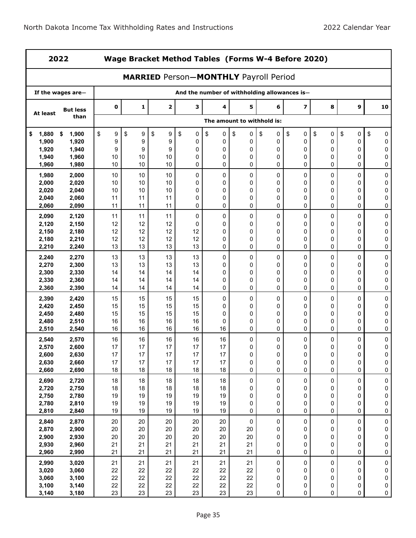|                | 2022              |                        | Wage Bracket Method Tables (Forms W-4 Before 2020) |              |                                              |          |                            |                  |                                              |         |           |                |
|----------------|-------------------|------------------------|----------------------------------------------------|--------------|----------------------------------------------|----------|----------------------------|------------------|----------------------------------------------|---------|-----------|----------------|
|                |                   |                        |                                                    |              | <b>MARRIED Person-MONTHLY Payroll Period</b> |          |                            |                  |                                              |         |           |                |
|                | If the wages are- |                        |                                                    |              |                                              |          |                            |                  | And the number of withholding allowances is- |         |           |                |
| At least       | <b>But less</b>   | $\mathbf 0$            | 1                                                  | $\mathbf{2}$ | 3                                            | 4        | 5                          | 6                | $\overline{\mathbf{z}}$                      | 8       | 9         | 10             |
|                | than              |                        |                                                    |              |                                              |          | The amount to withhold is: |                  |                                              |         |           |                |
| 1,880<br>\$    | \$<br>1,900       | \$<br>$\boldsymbol{9}$ | \$<br>9                                            | \$<br>9      | \$<br>$\pmb{0}$                              | \$<br>0  | \$<br>0                    | \$<br>0          | \$<br>0                                      | \$<br>0 | \$<br>0   | \$<br>0        |
| 1,900          | 1,920             | 9                      | 9                                                  | 9            | 0                                            | 0        | 0                          | 0                | 0                                            | 0       | 0         | 0              |
| 1,920          | 1,940             | 9                      | 9                                                  | 9            | 0                                            | 0        | 0                          | 0                | 0                                            | 0       | 0         | 0              |
| 1,940<br>1,960 | 1,960<br>1,980    | 10<br>10               | 10<br>10                                           | 10<br>10     | 0<br>0                                       | 0<br>0   | 0<br>0                     | 0<br>0           | 0<br>0                                       | 0<br>0  | 0<br>0    | 0<br>0         |
|                |                   |                        |                                                    |              |                                              |          |                            |                  |                                              |         |           |                |
| 1,980          | 2,000             | 10                     | 10                                                 | 10           | 0                                            | 0        | 0                          | 0                | 0                                            | 0       | 0         | 0              |
| 2,000<br>2,020 | 2,020<br>2,040    | 10<br>10               | 10<br>10                                           | 10<br>10     | 0<br>0                                       | 0<br>0   | 0<br>$\mathbf 0$           | $\mathbf 0$<br>0 | 0<br>0                                       | 0<br>0  | 0<br>0    | 0<br>0         |
| 2,040          | 2,060             | 11                     | 11                                                 | 11           | 0                                            | 0        | $\mathbf 0$                | 0                | 0                                            | 0       | 0         | 0              |
| 2,060          | 2,090             | 11                     | 11                                                 | 11           | 0                                            | 0        | 0                          | 0                | 0                                            | 0       | 0         | 0              |
| 2,090          | 2,120             | 11                     | 11                                                 | 11           | 0                                            | 0        | 0                          | 0                | 0                                            | 0       | 0         | 0              |
| 2,120          | 2,150             | 12                     | 12                                                 | 12           | 0                                            | 0        | 0                          | 0                | 0                                            | 0       | 0         | 0              |
| 2,150          | 2,180             | 12                     | 12                                                 | 12           | 12                                           | 0        | 0                          | $\mathbf 0$      | 0                                            | 0       | 0         | 0              |
| 2,180          | 2,210             | 12                     | 12                                                 | 12           | 12                                           | 0        | 0                          | 0                | 0                                            | 0       | 0         | 0              |
| 2,210          | 2,240             | 13                     | 13                                                 | 13           | 13                                           | 0        | 0                          | 0                | 0                                            | 0       | 0         | 0              |
| 2,240          | 2,270             | 13                     | 13                                                 | 13           | 13                                           | 0        | 0                          | 0                | 0                                            | 0       | 0         | 0              |
| 2,270          | 2,300             | 13                     | 13                                                 | 13           | 13                                           | 0        | 0                          | 0                | 0                                            | 0       | 0         | 0              |
| 2,300          | 2,330             | 14                     | 14                                                 | 14           | 14                                           | 0        | 0                          | 0                | 0                                            | 0       | 0         | 0              |
| 2,330          | 2,360             | 14                     | 14                                                 | 14           | 14                                           | 0        | $\mathbf 0$                | 0                | 0                                            | 0       | 0         | 0              |
| 2,360          | 2,390             | 14                     | 14                                                 | 14           | 14                                           | 0        | 0                          | 0                | 0                                            | 0       | 0         | 0              |
| 2,390          | 2,420             | 15                     | 15                                                 | 15           | 15                                           | 0        | 0                          | 0                | 0                                            | 0       | 0         | $\pmb{0}$      |
| 2,420          | 2,450             | 15                     | 15                                                 | 15           | 15                                           | 0        | 0                          | 0                | 0                                            | 0       | 0         | 0              |
| 2,450          | 2,480             | 15                     | 15                                                 | 15           | 15                                           | 0        | 0                          | 0                | 0<br>0                                       | 0       | 0<br>0    | 0              |
| 2,480<br>2,510 | 2,510<br>2,540    | 16<br>16               | 16<br>16                                           | 16<br>16     | 16<br>16                                     | 0<br>16  | 0<br>0                     | 0<br>0           | 0                                            | 0<br>0  | 0         | 0<br>0         |
|                |                   |                        |                                                    |              |                                              |          |                            |                  |                                              |         |           |                |
| 2,540<br>2,570 | 2,570<br>2,600    | 16<br>17               | 16<br>17                                           | 16<br>17     | 16<br>17                                     | 16<br>17 | 0<br>0                     | 0<br>0           | 0<br>0                                       | 0<br>0  | 0<br>0    | $\pmb{0}$<br>0 |
| 2,600          | 2,630             | 17                     | 17                                                 | $17\,$       | $17$                                         | 17       | $\mathbf 0$                | 0                | 0                                            | 0       | 0         | $\Omega$       |
| 2,630          | 2,660             | 17                     | 17                                                 | 17           | 17                                           | 17       | $\pmb{0}$                  | 0                | $\pmb{0}$                                    | 0       | $\pmb{0}$ | 0              |
| 2,660          | 2,690             | 18                     | 18                                                 | 18           | 18                                           | 18       | 0                          | 0                | 0                                            | 0       | 0         | 0              |
| 2,690          | 2,720             | 18                     | 18                                                 | 18           | 18                                           | 18       | $\pmb{0}$                  | 0                | $\pmb{0}$                                    | 0       | 0         | $\pmb{0}$      |
| 2,720          | 2,750             | 18                     | 18                                                 | 18           | 18                                           | 18       | 0                          | 0                | 0                                            | 0       | 0         | 0              |
| 2,750          | 2,780             | 19                     | 19                                                 | 19           | 19                                           | 19       | 0                          | 0                | 0                                            | 0       | 0         | 0              |
| 2,780          | 2,810             | 19                     | 19                                                 | 19           | 19                                           | 19       | 0                          | 0                | 0                                            | 0       | 0         | 0              |
| 2,810          | 2,840             | 19                     | 19                                                 | 19           | 19                                           | 19       | 0                          | 0                | 0                                            | 0       | 0         | 0              |
| 2,840          | 2,870             | $20\,$                 | 20                                                 | $20\,$       | 20                                           | 20       | $\pmb{0}$                  | 0                | $\pmb{0}$                                    | 0       | $\pmb{0}$ | $\pmb{0}$      |
| 2,870          | 2,900             | 20                     | 20                                                 | 20           | 20                                           | 20       | 20                         | 0                | 0                                            | 0       | 0         | 0              |
| 2,900          | 2,930             | 20<br>21               | 20<br>21                                           | 20<br>21     | 20<br>21                                     | 20<br>21 | 20<br>21                   | 0<br>0           | 0<br>0                                       | 0       | 0         | 0              |
| 2,930<br>2,960 | 2,960<br>2,990    | 21                     | 21                                                 | 21           | 21                                           | 21       | 21                         | 0                | 0                                            | 0<br>0  | 0<br>0    | 0<br>$\pmb{0}$ |
|                |                   |                        |                                                    |              |                                              |          |                            |                  |                                              |         |           |                |
| 2,990<br>3,020 | 3,020<br>3,060    | 21<br>22               | 21<br>22                                           | 21<br>22     | 21<br>22                                     | 21<br>22 | 21<br>22                   | 0<br>0           | 0<br>0                                       | 0<br>0  | 0<br>0    | 0<br>0         |
| 3,060          | 3,100             | 22                     | 22                                                 | 22           | 22                                           | 22       | 22                         | 0                | 0                                            | 0       | 0         | 0              |
| 3,100          | 3,140             | 22                     | 22                                                 | 22           | 22                                           | 22       | 22                         | 0                | 0                                            | 0       | 0         | 0              |
| 3,140          | 3,180             | 23                     | 23                                                 | 23           | 23                                           | 23       | 23                         | $\pmb{0}$        | 0                                            | 0       | 0         | $\pmb{0}$      |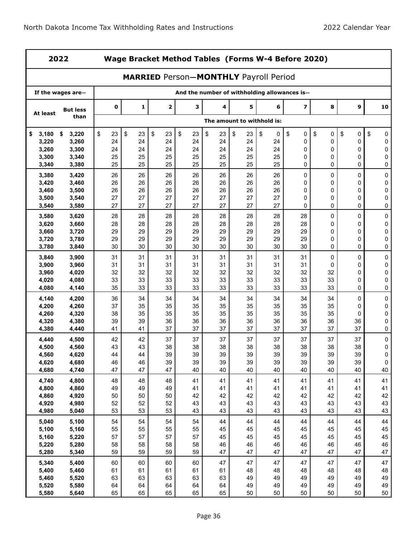| 2022           |                   |             | Wage Bracket Method Tables (Forms W-4 Before 2020) |             |          |                                              |                            |          |                                              |          |          |                |
|----------------|-------------------|-------------|----------------------------------------------------|-------------|----------|----------------------------------------------|----------------------------|----------|----------------------------------------------|----------|----------|----------------|
|                |                   |             |                                                    |             |          | <b>MARRIED Person-MONTHLY Payroll Period</b> |                            |          |                                              |          |          |                |
|                | If the wages are- |             |                                                    |             |          |                                              |                            |          | And the number of withholding allowances is- |          |          |                |
| At least       | <b>But less</b>   | $\mathbf 0$ | 1                                                  | $\mathbf 2$ | 3        | 4                                            | 5                          | 6        | 7                                            | 8        | 9        | 10             |
|                | than              |             |                                                    |             |          |                                              | The amount to withhold is: |          |                                              |          |          |                |
| 3,180<br>\$    | \$<br>3,220       | \$<br>23    | \$<br>23                                           | \$<br>23    | \$<br>23 | \$<br>23                                     | \$<br>23                   | \$<br>0  | \$<br>0                                      | \$<br>0  | \$<br>0  | \$<br>0        |
| 3,220          | 3,260             | 24          | 24                                                 | 24          | 24       | 24                                           | 24                         | 24       | 0                                            | 0        | 0        | 0              |
| 3,260<br>3,300 | 3,300<br>3,340    | 24<br>25    | 24<br>25                                           | 24<br>25    | 24<br>25 | 24<br>25                                     | 24<br>25                   | 24<br>25 | 0<br>0                                       | 0<br>0   | 0<br>0   | 0<br>0         |
| 3,340          | 3,380             | 25          | 25                                                 | 25          | 25       | 25                                           | 25                         | 25       | 0                                            | 0        | 0        | 0              |
| 3,380          | 3,420             | 26          | 26                                                 | 26          | 26       | 26                                           | 26                         | 26       | 0                                            | 0        | 0        | 0              |
| 3,420          | 3,460             | 26          | 26                                                 | 26          | 26       | 26                                           | 26                         | 26       | 0                                            | 0        | 0        | 0              |
| 3,460          | 3,500             | 26          | 26                                                 | 26          | 26       | 26                                           | 26                         | 26       | 0                                            | 0        | 0        | 0              |
| 3,500          | 3,540             | 27          | 27                                                 | 27          | 27       | 27                                           | 27                         | 27       | 0                                            | 0        | 0        | 0              |
| 3,540          | 3,580             | 27          | 27                                                 | 27          | 27       | 27                                           | 27                         | 27       | 0                                            | 0        | 0        | 0              |
| 3,580          | 3,620             | 28          | 28                                                 | 28          | 28       | 28                                           | 28                         | 28       | 28                                           | 0        | 0        | $\pmb{0}$      |
| 3,620          | 3,660             | 28          | 28                                                 | 28          | 28       | 28                                           | 28                         | 28       | 28                                           | 0        | 0        | 0              |
| 3,660<br>3,720 | 3,720<br>3,780    | 29<br>29    | 29<br>29                                           | 29<br>29    | 29<br>29 | 29<br>29                                     | 29<br>29                   | 29<br>29 | 29<br>29                                     | 0<br>0   | 0<br>0   | 0<br>0         |
| 3,780          | 3,840             | 30          | 30                                                 | 30          | 30       | 30                                           | 30                         | 30       | 30                                           | 0        | 0        | 0              |
| 3,840          | 3,900             | 31          | 31                                                 | 31          | 31       | 31                                           | 31                         | 31       | 31                                           | 0        | 0        | 0              |
| 3,900          | 3,960             | 31          | 31                                                 | 31          | 31       | 31                                           | 31                         | 31       | 31                                           | 0        | 0        | $\pmb{0}$      |
| 3,960          | 4,020             | 32          | 32                                                 | 32          | 32       | 32                                           | 32                         | 32       | 32                                           | 32       | 0        | 0              |
| 4,020          | 4,080             | 33          | 33                                                 | 33          | 33       | 33                                           | 33                         | 33       | 33                                           | 33       | 0        | 0              |
| 4,080          | 4,140             | 35          | 33                                                 | 33          | 33       | 33                                           | 33                         | 33       | 33                                           | 33       | 0        | 0              |
| 4,140          | 4,200             | 36          | 34                                                 | 34          | 34       | 34                                           | 34                         | 34       | 34                                           | 34       | 0        | 0              |
| 4,200          | 4,260             | 37          | 35                                                 | 35          | 35       | 35                                           | 35                         | 35       | 35                                           | 35       | 0        | 0              |
| 4,260<br>4,320 | 4,320<br>4,380    | 38<br>39    | 35<br>39                                           | 35<br>36    | 35<br>36 | 35<br>36                                     | 35<br>36                   | 35<br>36 | 35<br>36                                     | 35<br>36 | 0<br>36  | $\pmb{0}$<br>0 |
| 4,380          | 4,440             | 41          | 41                                                 | 37          | 37       | 37                                           | 37                         | 37       | 37                                           | 37       | 37       | 0              |
| 4,440          | 4,500             | 42          | 42                                                 | 37          | 37       | 37                                           | 37                         | 37       | 37                                           | 37       | 37       | $\pmb{0}$      |
| 4,500          | 4,560             | 43          | 43                                                 | 38          | 38       | 38                                           | 38                         | 38       | 38                                           | 38       | 38       | 0              |
| 4,560          | 4,620             | 44          | 44                                                 | 39          | 39       | 39                                           | 39                         | 39       | 39                                           | 39       | 39       | $\overline{0}$ |
| 4,620          | 4,680             | 46          | 46                                                 | 39          | 39       | 39                                           | 39                         | 39       | 39                                           | 39       | 39       | 0              |
| 4,680          | 4,740             | 47          | 47                                                 | 47          | 40       | 40                                           | 40                         | 40       | 40                                           | 40       | 40       | 40             |
| 4,740          | 4,800             | 48          | 48                                                 | 48          | 41       | 41                                           | 41                         | 41       | 41                                           | 41       | 41       | 41             |
| 4,800          | 4,860             | 49          | 49                                                 | 49          | 41       | 41                                           | 41                         | 41       | 41                                           | 41       | 41       | 41             |
| 4,860<br>4,920 | 4,920<br>4,980    | 50<br>52    | 50<br>52                                           | 50<br>52    | 42<br>43 | 42<br>43                                     | 42<br>43                   | 42<br>43 | 42<br>43                                     | 42<br>43 | 42<br>43 | 42<br>43       |
| 4,980          | 5,040             | 53          | 53                                                 | 53          | 43       | 43                                           | 43                         | 43       | 43                                           | 43       | 43       | 43             |
| 5,040          | 5,100             | 54          | 54                                                 | 54          | 54       | 44                                           | 44                         | 44       | 44                                           | 44       | 44       | 44             |
| 5,100          | 5,160             | 55          | 55                                                 | 55          | 55       | 45                                           | 45                         | 45       | 45                                           | 45       | 45       | 45             |
| 5,160          | 5,220             | 57          | 57                                                 | 57          | 57       | 45                                           | 45                         | 45       | 45                                           | 45       | 45       | 45             |
| 5,220          | 5,280             | 58          | 58                                                 | 58          | 58       | 46                                           | 46                         | 46       | 46                                           | 46       | 46       | 46             |
| 5,280          | 5,340             | 59          | 59                                                 | 59          | 59       | 47                                           | 47                         | 47       | 47                                           | 47       | 47       | 47             |
| 5,340          | 5,400             | 60          | 60                                                 | 60          | 60       | 47                                           | 47                         | 47       | 47                                           | 47       | 47       | 47             |
| 5,400          | 5,460             | 61          | 61                                                 | 61          | 61       | 61                                           | 48                         | 48       | 48                                           | 48       | 48       | 48             |
| 5,460          | 5,520             | 63          | 63                                                 | 63          | 63       | 63                                           | 49                         | 49       | 49                                           | 49       | 49       | 49             |
| 5,520          | 5,580             | 64          | 64                                                 | 64          | 64       | 64                                           | 49                         | 49       | 49                                           | 49       | 49       | 49             |
| 5,580          | 5,640             | 65          | 65                                                 | 65          | 65       | 65                                           | 50                         | 50       | 50                                           | 50       | 50       | 50             |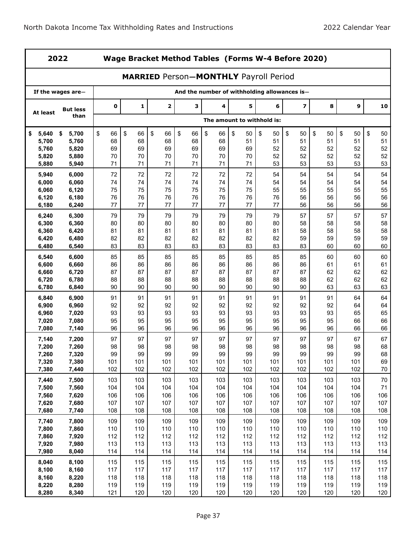|                | 2022              |            |            |             |                                              |            |                            |            | Wage Bracket Method Tables (Forms W-4 Before 2020) |            |            |             |
|----------------|-------------------|------------|------------|-------------|----------------------------------------------|------------|----------------------------|------------|----------------------------------------------------|------------|------------|-------------|
|                |                   |            |            |             | <b>MARRIED Person-MONTHLY Payroll Period</b> |            |                            |            |                                                    |            |            |             |
|                | If the wages are- |            |            |             | And the number of withholding allowances is- |            |                            |            |                                                    |            |            |             |
| At least       | <b>But less</b>   | 0          | 1          | $\mathbf 2$ | 3                                            | 4          | 5                          | 6          | $\overline{\mathbf{z}}$                            | 8          | 9          | 10          |
|                | than              |            |            |             |                                              |            | The amount to withhold is: |            |                                                    |            |            |             |
| \$<br>5,640    | 5,700<br>\$       | \$<br>66   | \$<br>66   | \$<br>66    | \$<br>66                                     | \$<br>66   | \$<br>50                   | \$<br>50   | \$<br>50                                           | \$<br>50   | \$<br>50   | \$<br>50    |
| 5,700          | 5,760             | 68         | 68         | 68          | 68                                           | 68         | 51                         | 51         | 51                                                 | 51         | 51         | 51          |
| 5,760          | 5,820             | 69         | 69         | 69          | 69                                           | 69         | 69                         | 52         | 52                                                 | 52         | 52         | 52          |
| 5,820          | 5,880             | 70         | 70         | 70          | 70                                           | 70         | 70                         | 52         | 52                                                 | 52         | 52         | 52          |
| 5,880          | 5,940             | 71         | 71         | 71          | 71                                           | 71         | 71                         | 53         | 53                                                 | 53         | 53         | 53          |
| 5,940          | 6,000             | 72         | 72         | 72          | 72                                           | 72         | 72                         | 54         | 54                                                 | 54         | 54         | 54          |
| 6,000          | 6,060             | 74         | 74         | 74          | 74                                           | 74         | 74                         | 54         | 54                                                 | 54         | 54         | 54          |
| 6,060          | 6,120             | 75         | 75         | 75          | 75                                           | 75         | 75                         | 55         | 55                                                 | 55         | 55         | 55          |
| 6,120<br>6,180 | 6,180<br>6,240    | 76<br>77   | 76<br>77   | 76<br>77    | 76<br>77                                     | 76<br>77   | 76<br>77                   | 76<br>77   | 56<br>56                                           | 56<br>56   | 56<br>56   | 56<br>56    |
|                |                   |            |            |             |                                              |            |                            |            |                                                    |            |            |             |
| 6,240<br>6,300 | 6,300<br>6,360    | 79<br>80   | 79<br>80   | 79<br>80    | 79<br>80                                     | 79<br>80   | 79<br>80                   | 79<br>80   | 57<br>58                                           | 57<br>58   | 57<br>58   | 57<br>58    |
| 6,360          | 6,420             | 81         | 81         | 81          | 81                                           | 81         | 81                         | 81         | 58                                                 | 58         | 58         | 58          |
| 6,420          | 6,480             | 82         | 82         | 82          | 82                                           | 82         | 82                         | 82         | 59                                                 | 59         | 59         | 59          |
| 6,480          | 6,540             | 83         | 83         | 83          | 83                                           | 83         | 83                         | 83         | 83                                                 | 60         | 60         | 60          |
| 6,540          | 6,600             | 85         | 85         | 85          | 85                                           | 85         | 85                         | 85         | 85                                                 | 60         | 60         | 60          |
| 6,600          | 6,660             | 86         | 86         | 86          | 86                                           | 86         | 86                         | 86         | 86                                                 | 61         | 61         | 61          |
| 6,660          | 6,720             | 87         | 87         | 87          | 87                                           | 87         | 87                         | 87         | 87                                                 | 62         | 62         | 62          |
| 6,720          | 6,780             | 88         | 88         | 88          | 88                                           | 88         | 88                         | 88         | 88                                                 | 62         | 62         | 62          |
| 6,780          | 6,840             | 90         | 90         | 90          | 90                                           | 90         | 90                         | 90         | 90                                                 | 63         | 63         | 63          |
| 6,840          | 6,900             | 91         | 91         | 91          | 91                                           | 91         | 91                         | 91         | 91                                                 | 91         | 64         | 64          |
| 6,900          | 6,960             | 92         | 92         | 92          | 92                                           | 92         | 92                         | 92         | 92                                                 | 92         | 64         | 64          |
| 6,960          | 7,020             | 93         | 93         | 93          | 93                                           | 93         | 93                         | 93         | 93                                                 | 93         | 65         | 65          |
| 7,020          | 7,080             | 95         | 95         | 95          | 95                                           | 95         | 95                         | 95         | 95                                                 | 95         | 66         | 66          |
| 7,080          | 7,140             | 96         | 96         | 96          | 96                                           | 96         | 96                         | 96         | 96                                                 | 96         | 66         | 66          |
| 7,140          | 7,200             | 97         | 97         | 97          | 97                                           | 97         | 97                         | 97         | 97                                                 | 97         | 67         | 67          |
| 7,200          | 7,260             | 98         | 98         | 98          | 98                                           | 98         | 98                         | 98         | 98                                                 | 98         | 98         | 68          |
| 7,260          | 7,320             | 99         | 99         | 99          | 99                                           | 99         | 99                         | 99         | 99                                                 | 99         | 99         | 68          |
| 7,320<br>7,380 | 7,380<br>7,440    | 101<br>102 | 101<br>102 | 101<br>102  | 101<br>102                                   | 101<br>102 | 101<br>102                 | 101<br>102 | 101<br>102                                         | 101<br>102 | 101<br>102 | 69<br>70    |
|                |                   |            |            |             |                                              |            |                            |            |                                                    |            |            |             |
| 7,440          | 7,500             | 103        | 103        | 103         | 103                                          | 103        | 103                        | 103        | 103                                                | 103        | 103        | 70          |
| 7,500          | 7,560             | 104        | 104<br>106 | 104<br>106  | 104                                          | 104        | 104                        | 104        | 104                                                | 104        | 104        | $71$<br>106 |
| 7,560<br>7,620 | 7,620<br>7,680    | 106<br>107 | 107        | 107         | 106<br>107                                   | 106<br>107 | 106<br>107                 | 106<br>107 | 106<br>107                                         | 106<br>107 | 106<br>107 | 107         |
| 7,680          | 7,740             | 108        | 108        | 108         | 108                                          | 108        | 108                        | 108        | 108                                                | 108        | 108        | 108         |
| 7,740          | 7,800             | 109        | 109        | 109         | 109                                          | 109        | 109                        | 109        | 109                                                | 109        | 109        | 109         |
| 7,800          | 7,860             | 110        | 110        | 110         | 110                                          | 110        | 110                        | 110        | 110                                                | 110        | 110        | 110         |
| 7,860          | 7,920             | 112        | 112        | 112         | 112                                          | 112        | 112                        | 112        | 112                                                | 112        | 112        | 112         |
| 7,920          | 7,980             | 113        | 113        | 113         | 113                                          | 113        | 113                        | 113        | 113                                                | 113        | 113        | 113         |
| 7,980          | 8,040             | 114        | 114        | 114         | 114                                          | 114        | 114                        | 114        | 114                                                | 114        | 114        | 114         |
| 8,040          | 8,100             | 115        | 115        | 115         | 115                                          | 115        | 115                        | 115        | 115                                                | 115        | 115        | 115         |
| 8,100          | 8,160             | 117        | 117        | 117         | 117                                          | 117        | 117                        | 117        | 117                                                | 117        | 117        | 117         |
| 8,160          | 8,220             | 118        | 118        | 118         | 118                                          | 118        | 118                        | 118        | 118                                                | 118        | 118        | 118         |
| 8,220          | 8,280             | 119        | 119        | 119         | 119                                          | 119        | 119                        | 119        | 119                                                | 119        | 119        | 119         |
| 8,280          | 8,340             | 121        | 120        | 120         | 120                                          | 120        | 120                        | 120        | 120                                                | 120        | 120        | 120         |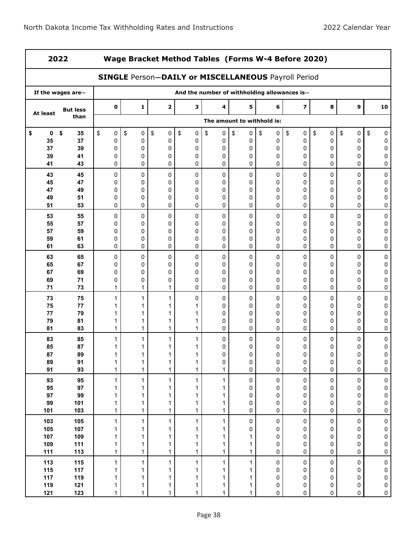| 2022       |                   |              |         | Wage Bracket Method Tables (Forms W-4 Before 2020)         |                   |                              |                            |                                              |                         |           |                |                  |
|------------|-------------------|--------------|---------|------------------------------------------------------------|-------------------|------------------------------|----------------------------|----------------------------------------------|-------------------------|-----------|----------------|------------------|
|            |                   |              |         | <b>SINGLE Person-DAILY or MISCELLANEOUS Payroll Period</b> |                   |                              |                            |                                              |                         |           |                |                  |
|            | If the wages are- |              |         |                                                            |                   |                              |                            | And the number of withholding allowances is- |                         |           |                |                  |
| At least   | <b>But less</b>   | $\mathbf 0$  | 1       | $\overline{2}$                                             | з                 | 4                            | 5                          | 6                                            | $\overline{\mathbf{z}}$ | 8         | 9              | 10               |
|            | than              |              |         |                                                            |                   |                              | The amount to withhold is: |                                              |                         |           |                |                  |
| \$<br>0    | \$<br>35          | \$<br>0      | \$<br>0 | \$<br>0                                                    | \$<br>0           | \$<br>0                      | \$<br>0                    | \$<br>0                                      | \$<br>0                 | \$<br>0   | \$<br>0        | \$<br>0          |
| 35         | 37                | 0            | 0       | $\Omega$                                                   | 0                 | 0                            | 0                          | 0                                            | 0                       | 0         | 0              | 0                |
| 37<br>39   | 39<br>41          | 0<br>0       | 0<br>0  | 0<br>0                                                     | 0<br>0            | 0<br>0                       | 0<br>0                     | 0<br>0                                       | 0<br>0                  | 0<br>0    | 0<br>0         | 0<br>0           |
| 41         | 43                | 0            | 0       | 0                                                          | 0                 | 0                            | 0                          | 0                                            | 0                       | 0         | 0              | 0                |
| 43         | 45                | 0            | 0       | 0                                                          | 0                 | 0                            | 0                          | 0                                            | 0                       | 0         | 0              | 0                |
| 45         | 47                | 0            | 0       | $\Omega$                                                   | 0                 | 0                            | 0                          | 0                                            | 0                       | 0         | 0              | 0                |
| 47         | 49                | 0            | 0       | $\Omega$                                                   | 0                 | 0                            | 0                          | 0                                            | 0                       | 0         | 0              | 0                |
| 49         | 51                | 0            | 0       | $\Omega$                                                   | 0                 | 0                            | 0                          | 0                                            | 0                       | 0         | 0              | 0                |
| 51         | 53                | 0            | 0       | 0                                                          | 0                 | 0                            | 0                          | 0                                            | 0                       | 0         | 0              | 0                |
| 53         | 55                | 0            | 0       | 0                                                          | 0                 | 0                            | 0                          | 0                                            | 0                       | 0         | 0              | 0                |
| 55         | 57                | 0            | 0       | $\Omega$                                                   | 0                 | 0                            | 0                          | 0                                            | 0                       | 0         | 0              | 0                |
| 57         | 59                | 0            | 0       | $\Omega$                                                   | 0                 | 0                            | 0                          | 0                                            | 0                       | 0         | 0              | 0                |
| 59         | 61                | 0            | 0       | 0                                                          | 0                 | 0                            | 0                          | 0                                            | 0                       | 0         | 0              | 0                |
| 61         | 63                | 0            | 0       | 0                                                          | 0                 | 0                            | 0                          | 0                                            | 0                       | 0         | 0              | 0                |
| 63         | 65                | 0            | 0       | 0                                                          | 0                 | 0                            | 0                          | 0                                            | 0                       | 0         | 0              | $\mathbf 0$      |
| 65         | 67                | 0            | 0       | $\Omega$                                                   | 0                 | 0                            | 0                          | 0                                            | 0                       | 0         | 0              | 0                |
| 67         | 69                | 0            | 0       | $\Omega$                                                   | 0                 | 0                            | 0                          | 0                                            | 0                       | 0         | 0              | 0                |
| 69<br>71   | 71<br>73          | 0<br>1       | 0<br>1  | 0<br>1                                                     | 0<br>0            | 0<br>0                       | 0<br>0                     | 0<br>0                                       | 0<br>0                  | 0<br>0    | 0<br>0         | 0<br>0           |
|            |                   |              |         |                                                            |                   |                              |                            |                                              |                         |           |                |                  |
| 73<br>75   | 75<br>77          | 1            | 1       | 1                                                          | 0<br>1            | 0<br>0                       | 0<br>0                     | 0<br>0                                       | 0<br>0                  | 0<br>0    | 0<br>0         | $\mathbf 0$<br>0 |
| 77         | 79                |              |         |                                                            | 1                 | 0                            | 0                          | 0                                            | 0                       | 0         | 0              | 0                |
| 79         | 81                | 1            |         |                                                            | 1                 | 0                            | 0                          | 0                                            | 0                       | 0         | 0              | 0                |
| 81         | 83                | 1            | 1       | 1                                                          | 1                 | 0                            | 0                          | 0                                            | 0                       | 0         | 0              | 0                |
| 83         | 85                | 1            | 1       | 1                                                          | 1                 | 0                            | 0                          | 0                                            | 0                       | 0         | 0              | 0                |
| 85         | 87                |              | 1       | 1                                                          | 1                 | 0                            | 0                          | 0                                            | 0                       | 0         | 0              | 0                |
| 87         | 89                |              |         |                                                            |                   | 0                            |                            | 0                                            | 0                       | 0         |                |                  |
| 89         | 91                | 1            | 1       | 1                                                          | 1                 | 0                            | 0                          | 0                                            | 0                       | 0         | 0              | 0                |
| 91         | 93                | 1            | 1       | 1                                                          | $\mathbf{1}$      | 1                            | 0                          | 0                                            | 0                       | 0         | 0              | 0                |
| 93         | 95                | 1            | 1       | 1                                                          | 1                 | 1                            | 0                          | 0                                            | $\pmb{0}$               | $\pmb{0}$ | $\pmb{0}$      | $\pmb{0}$        |
| 95         | 97                | 1            | 1       | 1                                                          | 1                 | 1                            | 0                          | 0                                            | 0                       | 0         | 0              | 0                |
| 97         | 99                | 1            | 1       | 1                                                          | 1                 | $\mathbf{1}$                 | 0                          | 0                                            | 0                       | 0         | 0              | 0                |
| 99         | 101               | 1            | 1       | 1                                                          | $\mathbf{1}$      | $\mathbf{1}$                 | 0                          | 0                                            | 0                       | 0         | 0              | 0                |
| 101        | 103               | 1            | 1       | $\mathbf{1}$                                               | 1                 | 1                            | 0                          | 0                                            | 0                       | 0         | 0              | 0                |
| 103        | 105               | 1            | 1       | 1                                                          | 1                 | $\mathbf{1}$                 | 0                          | 0                                            | 0                       | $\pmb{0}$ | 0              | $\pmb{0}$        |
| 105        | 107               | 1            | 1       | 1                                                          | 1                 | 1                            | 0                          | 0                                            | 0                       | 0         | 0              | 0                |
| 107        | 109               | 1            | 1       | 1                                                          | 1                 | $\mathbf{1}$                 | 1                          | 0                                            | 0                       | 0         | 0              | 0                |
| 109<br>111 | 111<br>113        | 1<br>1       | 1<br>1  | 1<br>$\mathbf{1}$                                          | 1<br>$\mathbf{1}$ | $\mathbf{1}$<br>$\mathbf{1}$ | 1<br>$\mathbf{1}$          | 0<br>0                                       | 0<br>0                  | 0<br>0    | 0<br>0         | 0<br>0           |
|            |                   |              |         |                                                            |                   |                              |                            |                                              |                         |           |                |                  |
| 113        | 115               | 1            | 1       | 1                                                          | 1                 | 1                            | 1                          | 0                                            | 0                       | 0         | 0              | $\pmb{0}$        |
| 115<br>117 | 117               | 1            | 1       | 1                                                          | 1                 | 1                            | 1                          | 0                                            | 0                       | 0         | 0              | 0                |
| 119        | 119<br>121        | 1<br>1       | 1<br>1  | 1<br>1                                                     | 1<br>1            | 1<br>$\mathbf{1}$            | 1<br>1                     | 0<br>0                                       | 0<br>0                  | 0<br>0    | 0<br>$\pmb{0}$ | 0<br>0           |
| 121        | 123               | $\mathbf{1}$ | 1       | 1                                                          | $\mathbf{1}$      | $\mathbf{1}$                 | $\mathbf{1}$               | 0                                            | 0                       | 0         | 0              | 0                |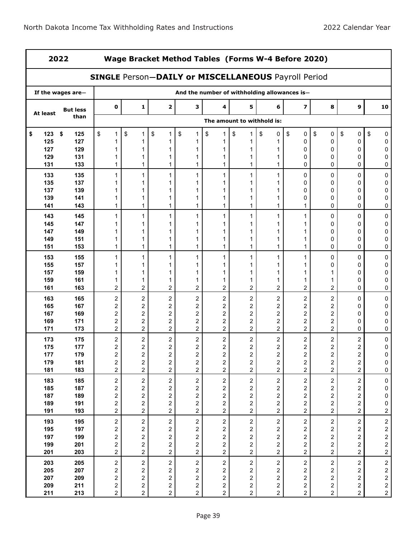| 2022       |                   |                                                            |                                                    |                              |                                                    |                                                    |                              | Wage Bracket Method Tables (Forms W-4 Before 2020) |                                                    |                                                    |                                           |                                            |
|------------|-------------------|------------------------------------------------------------|----------------------------------------------------|------------------------------|----------------------------------------------------|----------------------------------------------------|------------------------------|----------------------------------------------------|----------------------------------------------------|----------------------------------------------------|-------------------------------------------|--------------------------------------------|
|            |                   | <b>SINGLE Person-DAILY or MISCELLANEOUS Payroll Period</b> |                                                    |                              |                                                    |                                                    |                              |                                                    |                                                    |                                                    |                                           |                                            |
|            | If the wages are- |                                                            |                                                    |                              |                                                    |                                                    |                              | And the number of withholding allowances is-       |                                                    |                                                    |                                           |                                            |
| At least   | <b>But less</b>   | 0                                                          | 1                                                  | $\mathbf{2}$                 | 3                                                  | 4                                                  | 5                            | 6                                                  | $\overline{\mathbf{z}}$                            | 8                                                  | 9                                         | 10                                         |
|            | than              |                                                            |                                                    |                              |                                                    |                                                    | The amount to withhold is:   |                                                    |                                                    |                                                    |                                           |                                            |
| \$<br>123  | \$<br>125         | \$<br>1                                                    | \$<br>1                                            | \$<br>1                      | \$<br>1                                            | \$<br>1                                            | $\sqrt{2}$<br>1              | \$<br>0                                            | \$<br>0                                            | \$<br>$\mathbf 0$                                  | \$<br>0                                   | \$<br>0                                    |
| 125        | 127               | 1                                                          |                                                    | 1                            | 1                                                  | 1                                                  |                              |                                                    | $\mathbf 0$                                        | 0                                                  | 0                                         | 0                                          |
| 127        | 129               | 1                                                          | 1                                                  | 1                            | 1                                                  | 1                                                  |                              |                                                    | 0                                                  | 0                                                  | 0                                         | 0                                          |
| 129<br>131 | 131<br>133        | 1                                                          | 1                                                  | 1                            | 1<br>1                                             | 1<br>1                                             | 1                            | 1                                                  | 0<br>0                                             | 0<br>0                                             | 0<br>0                                    | 0<br>0                                     |
| 133        | 135               | 1                                                          | 1                                                  | 1                            | $\mathbf{1}$                                       | 1                                                  | $\mathbf{1}$                 | 1                                                  | 0                                                  | 0                                                  | 0                                         | 0                                          |
| 135        | 137               |                                                            |                                                    |                              | 1                                                  | 1                                                  | 1                            |                                                    | 0                                                  | 0                                                  | 0                                         | 0                                          |
| 137        | 139               |                                                            |                                                    |                              | 1                                                  | 1                                                  | 1                            |                                                    | 0                                                  | 0                                                  | 0                                         | 0                                          |
| 139        | 141               | 1                                                          | 1                                                  | 1                            | 1                                                  | 1                                                  | 1                            |                                                    | 0                                                  | 0                                                  | 0                                         | 0                                          |
| 141        | 143               | 1                                                          | 1                                                  | 1                            | $\mathbf{1}$                                       | 1                                                  | 1                            | 1                                                  | 1                                                  | 0                                                  | 0                                         | 0                                          |
| 143        | 145               | 1                                                          | 1                                                  | 1                            | $\mathbf{1}$                                       | 1                                                  | $\mathbf{1}$                 | 1                                                  | 1                                                  | 0                                                  | 0                                         | 0                                          |
| 145        | 147               |                                                            | 1                                                  | 1                            | 1                                                  | 1                                                  | 1                            |                                                    | 1                                                  | 0                                                  | 0                                         | 0                                          |
| 147        | 149               | 1                                                          | 1                                                  | 1                            | 1                                                  | 1                                                  | 1                            | 1                                                  | 1                                                  | 0                                                  | 0                                         | 0                                          |
| 149        | 151               | 1                                                          |                                                    | 1                            | 1                                                  | 1                                                  |                              |                                                    | 1                                                  | 0                                                  | 0                                         | 0                                          |
| 151        | 153               | 1                                                          | 1                                                  | 1                            | 1                                                  | 1                                                  | 1                            | 1                                                  | 1                                                  | 0                                                  | 0                                         | 0                                          |
| 153        | 155               | 1                                                          | $\mathbf{1}$                                       | 1                            | $\mathbf{1}$                                       | 1                                                  | 1                            | 1                                                  | 1                                                  | 0                                                  | 0                                         | 0                                          |
| 155        | 157               | 1                                                          | 1                                                  | 1                            | 1                                                  | 1                                                  | 1                            |                                                    | 1                                                  | 0                                                  | 0                                         | 0                                          |
| 157        | 159               | 1                                                          | 1                                                  | 1                            | 1                                                  | 1                                                  | 1                            | 1                                                  | 1                                                  | 1                                                  | 0                                         | 0                                          |
| 159        | 161               | 1                                                          | 1<br>$\mathbf 2$                                   | 1                            | 1<br>$\overline{c}$                                | 1                                                  | 1<br>$\overline{c}$          | 1                                                  | 1<br>$\overline{c}$                                | 1                                                  | 0                                         | 0                                          |
| 161        | 163               | $\overline{c}$                                             |                                                    | 2                            |                                                    | 2                                                  |                              | 2                                                  |                                                    | $\boldsymbol{2}$                                   | 0                                         | 0                                          |
| 163<br>165 | 165<br>167        | 2<br>2                                                     | $\overline{\mathbf{c}}$<br>$\overline{\mathbf{c}}$ | 2<br>$\overline{\mathbf{c}}$ | $\overline{\mathbf{c}}$<br>$\overline{\mathbf{c}}$ | $\overline{\mathbf{c}}$<br>2                       | 2<br>2                       | $\overline{c}$<br>$\overline{\mathbf{c}}$          | $\overline{\mathbf{c}}$<br>$\overline{\mathbf{c}}$ | $\overline{\mathbf{c}}$<br>$\overline{\mathbf{c}}$ | 0<br>0                                    | $\pmb{0}$<br>0                             |
| 167        | 169               | 2                                                          | $\boldsymbol{2}$                                   | 2                            | $\overline{c}$                                     | 2                                                  | 2                            | 2                                                  | $\overline{\mathbf{c}}$                            | 2                                                  | 0                                         | 0                                          |
| 169        | 171               | 2                                                          | 2                                                  | 2                            | $\overline{\mathbf{c}}$                            | 2                                                  | 2                            | 2                                                  | 2                                                  | $\boldsymbol{2}$                                   | 0                                         | 0                                          |
| 171        | 173               | 2                                                          | $\overline{c}$                                     | 2                            | $\overline{c}$                                     | 2                                                  | 2                            | 2                                                  | $\overline{2}$                                     | 2                                                  | 0                                         | 0                                          |
| 173        | 175               | 2                                                          | $\overline{\mathbf{c}}$                            | 2                            | 2                                                  | $\overline{\mathbf{c}}$                            | 2                            | $\boldsymbol{2}$                                   | 2                                                  | $\boldsymbol{2}$                                   | $\overline{\mathbf{c}}$                   | $\pmb{0}$                                  |
| 175        | 177               | 2                                                          | $\overline{\mathbf{c}}$                            | $\overline{\mathbf{c}}$      | $\overline{\mathbf{c}}$                            | 2                                                  | 2                            | 2                                                  | 2                                                  | 2                                                  | 2                                         | 0                                          |
| 177        | 179               | $\overline{\mathbf{c}}$                                    | $\overline{\mathbf{c}}$                            | $\overline{\mathbf{c}}$      | $\overline{\mathbf{c}}$                            | $\boldsymbol{2}$                                   | $\overline{\mathbf{c}}$      | $\boldsymbol{2}$                                   | $\boldsymbol{2}$                                   | $\sqrt{2}$                                         | $\overline{\mathbf{c}}$                   | $\boldsymbol{0}$                           |
| 179<br>181 | 181<br>183        | 2                                                          | $\overline{\mathbf{c}}$<br>$\overline{\mathbf{c}}$ | 2<br>2                       | 2<br>$\overline{c}$                                | $\overline{\mathbf{c}}$<br>$\overline{\mathbf{c}}$ | $\overline{\mathbf{c}}$<br>2 | $\overline{\mathbf{c}}$<br>$\overline{a}$          | $\overline{\mathbf{c}}$<br>$\overline{c}$          | 2<br>2                                             | $\overline{\mathbf{c}}$<br>$\overline{c}$ | $\pmb{0}$<br>$\pmb{0}$                     |
|            |                   | 2                                                          |                                                    |                              |                                                    |                                                    |                              |                                                    |                                                    |                                                    |                                           |                                            |
| 183        | 185               | $\mathbf{2}$                                               | $\overline{c}$                                     | $\overline{2}$               | $\overline{\mathbf{c}}$                            | $\sqrt{2}$                                         | $\overline{a}$               | $\overline{c}$                                     | $\overline{c}$                                     | $\sqrt{2}$                                         | $\overline{c}$                            | $\mathbf 0$                                |
| 185<br>187 | 187<br>189        | $\overline{\mathbf{c}}$                                    | $\overline{\mathbf{c}}$<br>$\overline{\mathbf{c}}$ | 2<br>2                       | $\overline{\mathbf{c}}$<br>$\boldsymbol{2}$        | $\overline{\mathbf{c}}$                            | 2                            | $\overline{\mathbf{c}}$                            | $\sqrt{2}$<br>$\overline{\mathbf{c}}$              | $\overline{\mathbf{c}}$                            | $\overline{c}$                            | $\pmb{0}$                                  |
| 189        | 191               | $\overline{\mathbf{c}}$<br>$\overline{\mathbf{c}}$         | $\overline{\mathbf{c}}$                            | 2                            | $\overline{\mathbf{c}}$                            | $\overline{\mathbf{c}}$<br>$\overline{\mathbf{c}}$ | 2<br>2                       | $\overline{\mathbf{c}}$<br>$\overline{\mathbf{c}}$ | $\overline{\mathbf{c}}$                            | $\overline{\mathbf{c}}$<br>$\overline{\mathbf{c}}$ | 2<br>$\overline{c}$                       | $\pmb{0}$<br>$\pmb{0}$                     |
| 191        | 193               | $\boldsymbol{2}$                                           | $\overline{c}$                                     | $\overline{\mathbf{c}}$      | $\overline{a}$                                     | $\overline{\mathbf{c}}$                            | $\overline{c}$               | $\overline{c}$                                     | $\sqrt{2}$                                         | $\overline{\mathbf{c}}$                            | $\overline{a}$                            | $\overline{2}$                             |
| 193        | 195               | $\sqrt{2}$                                                 | $\mathbf 2$                                        | $\overline{a}$               | $\overline{\mathbf{c}}$                            | $\sqrt{2}$                                         | $\overline{c}$               | $\overline{c}$                                     | $\boldsymbol{2}$                                   | $\overline{c}$                                     | $\overline{\mathbf{c}}$                   |                                            |
| 195        | 197               | $\overline{\mathbf{c}}$                                    | $\overline{\mathbf{c}}$                            | 2                            | $\overline{c}$                                     | $\overline{\mathbf{c}}$                            | 2                            | $\overline{\mathbf{c}}$                            | $\overline{c}$                                     | 2                                                  | $\overline{c}$                            | $\begin{array}{c} 2 \\ 2 \\ 2 \end{array}$ |
| 197        | 199               | $\overline{\mathbf{c}}$                                    | $\mathbf 2$                                        | 2                            | $\overline{\mathbf{c}}$                            | $\overline{\mathbf{c}}$                            | $\overline{\mathbf{c}}$      | $\overline{\mathbf{c}}$                            | $\mathbf 2$                                        | $\boldsymbol{2}$                                   | $\overline{\mathbf{c}}$                   |                                            |
| 199        | 201               | $\overline{\mathbf{c}}$                                    | $\overline{\mathbf{c}}$                            | 2                            | $\overline{\mathbf{c}}$                            | $\overline{\mathbf{c}}$                            | 2                            | $\overline{\mathbf{c}}$                            | $\sqrt{2}$                                         | $\overline{\mathbf{c}}$                            | $\overline{\mathbf{c}}$                   |                                            |
| 201        | 203               | $\mathbf{2}$                                               | $\overline{c}$                                     | $\overline{\mathbf{c}}$      | $\overline{c}$                                     | $\sqrt{2}$                                         | $\overline{c}$               | $\overline{c}$                                     | $\overline{c}$                                     | $\overline{\mathbf{c}}$                            | $\overline{a}$                            | $\frac{2}{2}$                              |
| 203        | 205               | $\sqrt{2}$                                                 | $\overline{c}$                                     | $\overline{c}$               | $\mathbf 2$                                        | $\sqrt{2}$                                         | $\overline{c}$               | $\sqrt{2}$                                         | $\sqrt{2}$                                         | $\sqrt{2}$                                         | $\overline{c}$                            |                                            |
| 205        | 207               | $\overline{\mathbf{c}}$                                    | $\overline{\mathbf{c}}$                            | 2                            | 2                                                  | $\overline{\mathbf{c}}$                            | $\overline{\mathbf{c}}$      | $\overline{\mathbf{c}}$                            | $\boldsymbol{2}$                                   | $\overline{\mathbf{c}}$                            | $\overline{\mathbf{c}}$                   | $\begin{array}{c} 2 \\ 2 \\ 2 \end{array}$ |
| 207        | 209               | $\overline{\mathbf{c}}$                                    | $\overline{\mathbf{c}}$                            | 2                            | $\overline{\mathbf{c}}$                            | $\overline{\mathbf{c}}$                            | $\overline{\mathbf{c}}$      | $\overline{\mathbf{c}}$                            | $\overline{c}$                                     | $\overline{\mathbf{c}}$                            | $\overline{\mathbf{c}}$                   |                                            |
| 209        | 211               | $\overline{\mathbf{c}}$                                    | $\overline{\mathbf{c}}$                            | $\overline{\mathbf{c}}$      | $\overline{\mathbf{c}}$                            | $\overline{\mathbf{c}}$                            | $\overline{c}$               | $\overline{\mathbf{c}}$                            | $\boldsymbol{2}$                                   | $\overline{\mathbf{c}}$                            | $\overline{\mathbf{c}}$                   | $\frac{2}{2}$                              |
| 211        | 213               | $\mathbf{2}$                                               | $\overline{\mathbf{c}}$                            | 2                            | $\overline{a}$                                     | 2                                                  | $\overline{c}$               | $\overline{c}$                                     | $\sqrt{2}$                                         | $\mathbf{2}$                                       | $\overline{a}$                            |                                            |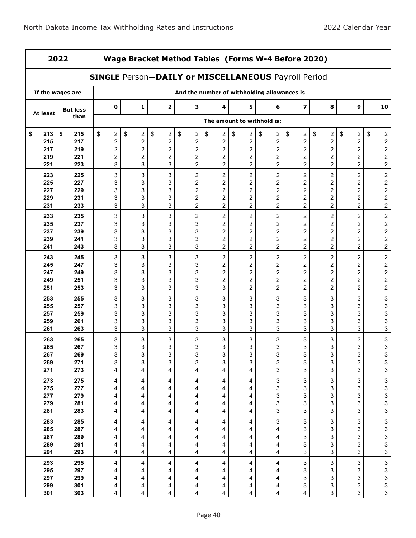| 2022        |                   |                                                            | Wage Bracket Method Tables (Forms W-4 Before 2020) |                                             |                                                    |                               |                            |                               |                           |                              |                                                    |                                                 |
|-------------|-------------------|------------------------------------------------------------|----------------------------------------------------|---------------------------------------------|----------------------------------------------------|-------------------------------|----------------------------|-------------------------------|---------------------------|------------------------------|----------------------------------------------------|-------------------------------------------------|
|             |                   | <b>SINGLE Person-DAILY or MISCELLANEOUS Payroll Period</b> |                                                    |                                             |                                                    |                               |                            |                               |                           |                              |                                                    |                                                 |
|             | If the wages are- |                                                            |                                                    |                                             | And the number of withholding allowances is-       |                               |                            |                               |                           |                              |                                                    |                                                 |
| At least    | <b>But less</b>   | 0                                                          | 1                                                  | 2                                           | з                                                  | 4                             | 5                          | 6                             | $\overline{\mathbf{z}}$   | 8                            | 9                                                  | 10                                              |
|             | than              |                                                            |                                                    |                                             |                                                    |                               | The amount to withhold is: |                               |                           |                              |                                                    |                                                 |
| 213<br>\$   | \$<br>215         | \$<br>$\boldsymbol{2}$                                     | \$<br>$\boldsymbol{2}$                             | \$<br>$\boldsymbol{2}$                      | \$<br>$\mathbf{2}$                                 | \$<br>$\overline{\mathbf{c}}$ | \$<br>2                    | \$<br>$\overline{\mathbf{c}}$ | \$<br>2                   | \$<br>$\boldsymbol{2}$       | \$<br>$\overline{\mathbf{c}}$                      | \$<br>$\overline{\mathbf{c}}$                   |
| 215         | 217               | $\overline{\mathbf{c}}$                                    | $\overline{\mathbf{c}}$                            | $\overline{\mathbf{c}}$                     | $\overline{c}$                                     | $\overline{\mathbf{c}}$       | 2                          | 2                             | $\overline{\mathbf{c}}$   | $\overline{\mathbf{c}}$      | $\overline{\mathbf{c}}$                            | $\frac{2}{2}$                                   |
| 217<br>219  | 219<br>221        | $\overline{\mathbf{c}}$<br>$\boldsymbol{2}$                | $\boldsymbol{2}$<br>$\boldsymbol{2}$               | $\overline{\mathbf{c}}$<br>$\boldsymbol{2}$ | $\overline{\mathbf{c}}$<br>$\overline{\mathbf{c}}$ | 2<br>2                        | 2<br>2                     | 2<br>2                        | 2<br>$\overline{c}$       | $\overline{\mathbf{c}}$<br>2 | $\overline{\mathbf{c}}$<br>$\overline{\mathbf{c}}$ | $\overline{\mathbf{c}}$                         |
| 221         | 223               | 3                                                          | 3                                                  | 3                                           | $\overline{2}$                                     | $\overline{c}$                | $\overline{c}$             | 2                             | $\overline{c}$            | $\overline{c}$               | $\overline{2}$                                     | $\overline{a}$                                  |
| 223         | 225               | 3                                                          | 3                                                  | 3                                           | $\overline{c}$                                     | $\boldsymbol{2}$              | $\overline{\mathbf{c}}$    | $\overline{\mathbf{c}}$       | $\overline{\mathbf{c}}$   | $\boldsymbol{2}$             | $\overline{c}$                                     | $\overline{\mathbf{c}}$                         |
| 225         | 227               | 3                                                          | 3                                                  | 3                                           | $\overline{\mathbf{c}}$                            | 2                             | 2                          | 2                             | 2                         | $\overline{\mathbf{c}}$      | 2                                                  |                                                 |
| 227         | 229               | 3                                                          | 3                                                  | 3                                           | $\overline{\mathbf{c}}$                            | $\overline{\mathbf{c}}$       | 2                          | $\overline{\mathbf{c}}$       | $\overline{c}$            | $\overline{\mathbf{c}}$      | $\overline{c}$                                     | $\begin{array}{c} 2 \\ 2 \\ 2 \end{array}$      |
| 229         | 231               | 3                                                          | 3                                                  | 3                                           | $\overline{\mathbf{c}}$                            | $\overline{\mathbf{c}}$       | 2                          | 2                             | 2                         | 2                            | $\overline{c}$                                     |                                                 |
| 231         | 233               | 3                                                          | 3                                                  | 3                                           | $\overline{c}$                                     | $\overline{c}$                | $\overline{\mathbf{c}}$    | $\overline{c}$                | $\overline{c}$            | $\overline{c}$               | $\overline{c}$                                     | $\overline{c}$                                  |
| 233         | 235               | 3                                                          | 3                                                  | 3                                           | $\overline{c}$                                     | $\boldsymbol{2}$              | $\overline{\mathbf{c}}$    | $\mathbf 2$                   | $\boldsymbol{2}$          | $\boldsymbol{2}$             | $\overline{c}$                                     | $\overline{\mathbf{c}}$                         |
| 235         | 237               | 3                                                          | 3                                                  | 3                                           | 3                                                  | 2                             | $\overline{\mathbf{c}}$    | $\boldsymbol{2}$              | $\overline{\mathbf{c}}$   | $\overline{\mathbf{c}}$      | 2                                                  |                                                 |
| 237         | 239               | 3                                                          | 3                                                  | 3                                           | 3                                                  | $\overline{\mathbf{c}}$       | 2                          | 2                             | $\overline{\mathbf{c}}$   | $\overline{\mathbf{c}}$      | 2                                                  | $\begin{array}{c} 2 \\ 2 \\ 2 \end{array}$      |
| 239         | 241               | 3                                                          | 3                                                  | 3                                           | 3                                                  | 2                             | 2                          | 2                             | 2                         | 2                            | 2                                                  |                                                 |
| 241         | 243               | 3                                                          | 3                                                  | 3                                           | 3                                                  | $\overline{c}$                | $\overline{c}$             | 2                             | $\overline{c}$            | 2                            | $\overline{c}$                                     | $\overline{\mathbf{c}}$                         |
| 243         | 245               | 3                                                          | 3                                                  | 3                                           | 3                                                  | $\boldsymbol{2}$              | 2                          | $\boldsymbol{2}$              | $\overline{\mathbf{c}}$   | $\boldsymbol{2}$             | $\overline{c}$                                     | $\overline{c}$                                  |
| 245         | 247               | 3                                                          | 3                                                  | 3                                           | 3                                                  | 2                             | $\overline{\mathbf{c}}$    | $\overline{\mathbf{c}}$       | $\overline{\mathbf{c}}$   | $\boldsymbol{2}$             | $\overline{\mathbf{c}}$                            | $\begin{array}{c} 2 \\ 2 \\ 2 \end{array}$      |
| 247         | 249               | 3                                                          | 3                                                  | 3                                           | 3                                                  | $\overline{\mathbf{c}}$       | $\boldsymbol{2}$           | 2                             | 2                         | $\overline{\mathbf{c}}$      | 2                                                  |                                                 |
| 249         | 251               | 3                                                          | 3                                                  | 3                                           | 3                                                  | 2                             | 2                          | 2                             | $\overline{c}$            | $\overline{\mathbf{c}}$      | 2                                                  |                                                 |
| 251         | 253               | 3                                                          | 3                                                  | 3                                           | 3                                                  | 3                             | $\overline{2}$             | $\overline{2}$                | $\overline{2}$            | $\overline{2}$               | $\overline{a}$                                     | $\overline{c}$                                  |
| 253         | 255               | 3                                                          | 3                                                  | 3                                           | 3                                                  | 3                             | 3                          | 3                             | 3                         | 3                            | 3                                                  | 3                                               |
| 255<br>257  | 257               | 3                                                          | 3<br>$\ensuremath{\mathsf{3}}$                     | 3                                           | 3<br>3                                             | 3                             | 3                          | 3                             | 3<br>3                    | 3                            | 3                                                  | 3                                               |
| 259         | 259<br>261        | 3<br>3                                                     | 3                                                  | 3<br>3                                      | 3                                                  | 3<br>3                        | 3<br>3                     | 3<br>3                        | 3                         | 3<br>3                       | 3<br>3                                             | 3<br>3                                          |
| 261         | 263               | 3                                                          | 3                                                  | 3                                           | 3                                                  | 3                             | 3                          | 3                             | 3                         | 3                            | 3                                                  | 3                                               |
| 263         | 265               | 3                                                          | 3                                                  | 3                                           | 3                                                  | 3                             | 3                          | 3                             | 3                         | 3                            | 3                                                  | 3                                               |
| 265         | 267               | 3                                                          | 3                                                  | 3                                           | 3                                                  | 3                             | 3                          | 3                             | 3                         | 3                            | 3                                                  | 3                                               |
| 267         | 269               | 3                                                          | 3                                                  | 3                                           | 3                                                  | 3                             | 3                          | 3                             | 3                         | $\mathsf 3$                  | $\ensuremath{\mathsf{3}}$                          | $\ensuremath{\mathsf{3}}$                       |
| 269         | 271               | 3                                                          | 3                                                  | 3                                           | 3                                                  | 3                             | 3                          | 3                             | 3                         | 3                            | 3                                                  | $\mathbf{3}$                                    |
| 271         | 273               | 4                                                          | 4                                                  | 4                                           | 4                                                  | 4                             | 4                          | 3                             | 3                         | 3                            | 3                                                  | $\overline{3}$                                  |
| 273         | 275               | 4                                                          | 4                                                  | 4                                           | 4                                                  | 4                             | 4                          | 3                             | 3                         | 3                            | $\mathbf{3}$                                       |                                                 |
| ${\bf 275}$ | 277               | 4                                                          | 4                                                  | 4                                           | 4                                                  | 4                             | 4                          | 3                             | 3                         | 3                            | 3                                                  | $\frac{3}{3}$                                   |
| 277         | 279               | 4                                                          | 4                                                  | 4                                           | 4                                                  | 4                             | 4                          | 3                             | 3                         | 3                            | 3                                                  | $\mathbf{3}$                                    |
| 279         | 281               | 4                                                          | 4                                                  | 4                                           | 4                                                  | 4                             | 4                          | 3                             | 3                         | 3                            | 3                                                  | $\frac{3}{3}$                                   |
| 281         | 283               | 4                                                          | 4                                                  | 4                                           | 4                                                  | 4                             | 4                          | 3                             | 3                         | 3                            | 3                                                  |                                                 |
| 283         | 285               | 4                                                          | 4                                                  | 4                                           | 4                                                  | 4                             | 4                          | 3                             | $\ensuremath{\mathsf{3}}$ | $\mathsf 3$                  | $\mathbf{3}$                                       |                                                 |
| 285         | 287               | 4                                                          | 4                                                  | 4                                           | 4                                                  | 4                             | 4                          | 4                             | 3                         | 3                            | 3                                                  | $\begin{array}{c} 3 \\ 3 \\ 3 \end{array}$      |
| 287         | 289               | 4                                                          | 4                                                  | 4                                           | 4                                                  | 4                             | 4                          | 4                             | 3                         | 3                            | 3                                                  |                                                 |
| 289         | 291               | 4                                                          | 4                                                  | 4                                           | 4                                                  | 4                             | 4                          | 4                             | 3                         | 3                            | 3                                                  |                                                 |
| 291         | 293               | 4                                                          | 4                                                  | 4                                           | 4                                                  | 4                             | 4                          | 4                             | 3                         | 3                            | 3                                                  | 3                                               |
| 293         | 295               | 4                                                          | 4                                                  | 4                                           | 4                                                  | 4                             | 4                          | 4                             | 3                         | $\mathsf 3$                  | 3                                                  | $\begin{array}{c} 3 \\ 3 \\ 3 \\ 3 \end{array}$ |
| 295         | 297               | 4                                                          | 4                                                  | 4                                           | 4                                                  | 4                             | 4                          | 4                             | 3                         | 3                            | 3                                                  |                                                 |
| 297<br>299  | 299<br>301        | 4                                                          | 4                                                  | 4<br>4                                      | 4<br>4                                             | 4<br>4                        | 4                          | 4<br>4                        | 3<br>3                    | 3<br>3                       | 3<br>$\mathsf 3$                                   |                                                 |
| 301         | 303               | 4<br>4                                                     | 4<br>4                                             | 4                                           | 4                                                  | 4                             | 4<br>4                     | 4                             | 4                         | 3                            | $\mathbf{3}$                                       | $\mathfrak{S}$                                  |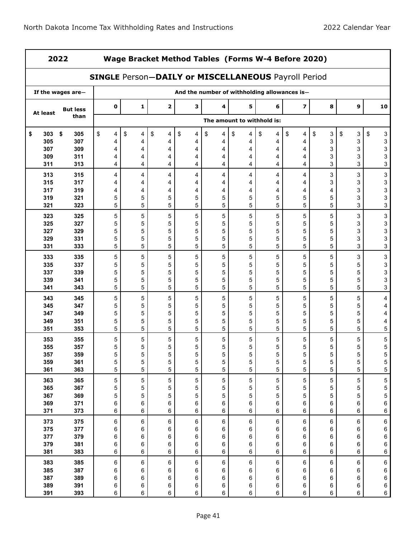| 2022<br>Wage Bracket Method Tables (Forms W-4 Before 2020) |                      |                            |                  |         |                  |                                                            |                                              |                  |             |         |                  |                  |                                            |
|------------------------------------------------------------|----------------------|----------------------------|------------------|---------|------------------|------------------------------------------------------------|----------------------------------------------|------------------|-------------|---------|------------------|------------------|--------------------------------------------|
|                                                            |                      |                            |                  |         |                  | <b>SINGLE Person-DAILY or MISCELLANEOUS Payroll Period</b> |                                              |                  |             |         |                  |                  |                                            |
|                                                            | If the wages are-    |                            |                  |         |                  |                                                            | And the number of withholding allowances is- |                  |             |         |                  |                  |                                            |
| At least                                                   | <b>But less</b>      |                            | $\mathbf 0$      | 1       | $\mathbf 2$      | 3                                                          | 4                                            | 5                | 6           | 7       | 8                | $\boldsymbol{9}$ | 10                                         |
|                                                            | than                 | The amount to withhold is: |                  |         |                  |                                                            |                                              |                  |             |         |                  |                  |                                            |
| \$<br>303                                                  | $\sqrt[6]{3}$<br>305 | \$                         | 4                | \$<br>4 | \$<br>4          | \$<br>4                                                    | \$<br>4                                      | \$<br>4          | \$<br>4     | \$<br>4 | \$<br>3          | \$<br>3          | \$<br>3                                    |
| 305<br>307                                                 | 307<br>309           |                            | 4<br>4           | 4<br>4  | 4<br>4           | 4<br>4                                                     | 4<br>4                                       | 4<br>4           | 4<br>4      | 4<br>4  | 3<br>3           | 3<br>3           | 3<br>3                                     |
| 309                                                        | 311                  |                            | 4                | 4       | 4                | 4                                                          | 4                                            | 4                | 4           | 4       | 3                | 3                | 3                                          |
| 311                                                        | 313                  |                            | 4                | 4       | 4                | 4                                                          | 4                                            | 4                | 4           | 4       | 3                | 3                | 3                                          |
| 313                                                        | 315                  |                            | 4                | 4       | 4                | 4                                                          | 4                                            | 4                | 4           | 4       | 3                | 3                | $\ensuremath{\mathsf{3}}$                  |
| 315                                                        | 317                  |                            | 4                | 4       | 4                | 4                                                          | 4                                            | 4                | 4           | 4       | 3                | 3                | 3                                          |
| 317                                                        | 319                  |                            | 4                | 4       | 4                | 4                                                          | 4                                            | 4                | 4           | 4       | 4                | 3                | 3                                          |
| 319                                                        | 321                  |                            | 5                | 5       | 5                | 5                                                          | 5                                            | 5                | 5           | 5       | 5                | 3                | 3                                          |
| 321                                                        | 323                  |                            | 5                | 5       | 5                | 5                                                          | 5                                            | 5                | 5           | 5       | 5                | 3                | 3                                          |
| 323                                                        | 325                  |                            | $\mathbf 5$      | 5       | 5                | 5                                                          | 5                                            | 5                | 5           | 5       | 5                | 3                | $\ensuremath{\mathsf{3}}$                  |
| 325                                                        | 327                  |                            | 5                | 5       | 5                | 5                                                          | 5                                            | 5                | 5           | 5       | 5                | 3                | 3                                          |
| 327                                                        | 329                  |                            | 5                | 5       | 5                | 5                                                          | 5                                            | 5                | 5           | 5       | 5                | 3                | 3                                          |
| 329<br>331                                                 | 331<br>333           |                            | 5<br>5           | 5<br>5  | 5<br>5           | 5<br>5                                                     | 5<br>5                                       | 5<br>5           | 5<br>5      | 5<br>5  | 5<br>5           | 3<br>3           | 3<br>3                                     |
|                                                            |                      |                            |                  |         |                  |                                                            |                                              |                  |             |         |                  |                  |                                            |
| 333<br>335                                                 | 335<br>337           |                            | 5<br>5           | 5<br>5  | 5<br>5           | 5<br>5                                                     | 5<br>5                                       | 5<br>5           | 5<br>5      | 5<br>5  | $\mathbf 5$<br>5 | 3<br>5           | $\mathbf{3}$<br>$\ensuremath{\mathsf{3}}$  |
| 337                                                        | 339                  |                            | 5                | 5       | 5                | 5                                                          | 5                                            | 5                | 5           | 5       | 5                | 5                | 3                                          |
| 339                                                        | 341                  |                            | 5                | 5       | 5                | 5                                                          | 5                                            | 5                | 5           | 5       | 5                | 5                | 3                                          |
| 341                                                        | 343                  |                            | 5                | 5       | 5                | 5                                                          | 5                                            | 5                | 5           | 5       | 5                | 5                | 3                                          |
| 343                                                        | 345                  |                            | 5                | 5       | 5                | 5                                                          | 5                                            | 5                | 5           | 5       | 5                | 5                | 4                                          |
| 345                                                        | 347                  |                            | 5                | 5       | 5                | 5                                                          | 5                                            | 5                | 5           | 5       | 5                | 5                | 4                                          |
| 347                                                        | 349                  |                            | 5                | 5       | 5                | 5                                                          | 5                                            | 5                | 5           | 5       | 5                | 5                | 4                                          |
| 349                                                        | 351                  |                            | 5                | 5       | 5                | 5                                                          | 5                                            | 5                | 5           | 5       | 5                | 5                | 4                                          |
| 351                                                        | 353                  |                            | 5                | 5       | 5                | 5                                                          | 5                                            | 5                | 5           | 5       | 5                | 5                | 5                                          |
| 353                                                        | 355                  |                            | 5                | 5       | 5                | 5                                                          | 5                                            | 5                | 5           | 5       | 5                | 5                | $\,$ 5 $\,$                                |
| 355                                                        | 357                  |                            | 5                | 5       | 5                | 5                                                          | 5                                            | 5                | 5           | 5       | 5                | 5                | 5                                          |
| 357<br>359                                                 | 359<br>361           |                            | $\mathbf 5$<br>5 | 5<br>5  | $\mathbf 5$<br>5 | 5<br>5                                                     | $\mathbf 5$<br>5                             | $\mathbf 5$<br>5 | 5<br>5      | 5<br>5  | 5<br>5           | 5<br>5           | $\,$ 5 $\,$<br>$\sqrt{5}$                  |
| 361                                                        | 363                  |                            | 5                | 5       | 5                | 5                                                          | 5                                            | 5                | 5           | 5       | 5                | 5                | 5                                          |
| 363                                                        | 365                  |                            | 5                | 5       | 5                | 5                                                          | 5                                            | 5                | $\mathbf 5$ | 5       | 5                | 5                |                                            |
| 365                                                        | 367                  |                            | 5                | 5       | 5                | 5                                                          | 5                                            | 5                | 5           | 5       | 5                | 5                | $\begin{array}{c} 5 \\ 5 \\ 5 \end{array}$ |
| 367                                                        | 369                  |                            | 5                | 5       | 5                | 5                                                          | 5                                            | 5                | 5           | 5       | 5                | 5                |                                            |
| 369                                                        | 371                  |                            | 6                | 6       | 6                | 6                                                          | 6                                            | 6                | 6           | 6       | 6                | 6                | 6                                          |
| 371                                                        | 373                  |                            | 6                | 6       | 6                | 6                                                          | 6                                            | 6                | 6           | 6       | 6                | 6                | 6                                          |
| 373                                                        | 375                  |                            | 6                | 6       | 6                | 6                                                          | 6                                            | 6                | 6           | 6       | 6                | 6                | $\,6\,$                                    |
| 375                                                        | 377                  |                            | 6                | 6       | 6                | 6                                                          | 6                                            | 6                | 6           | 6       | 6                | 6                | 6                                          |
| 377                                                        | 379                  |                            | 6                | 6       | 6                | 6                                                          | 6                                            | 6                | 6           | 6       | 6                | 6                | 6                                          |
| 379<br>381                                                 | 381<br>383           |                            | 6<br>6           | 6<br>6  | 6<br>6           | 6<br>6                                                     | 6<br>$\,6\,$                                 | 6<br>6           | 6<br>6      | 6<br>6  | 6<br>6           | 6<br>6           | 6<br>$\,6\,$                               |
|                                                            |                      |                            |                  |         |                  |                                                            |                                              |                  |             |         |                  |                  |                                            |
| 383                                                        | 385<br>387           |                            | 6                | 6       | 6                | $\,6\,$                                                    | 6                                            | 6                | 6           | 6       | 6                | 6                | $\,6$                                      |
| 385<br>387                                                 | 389                  |                            | 6<br>6           | 6<br>6  | 6<br>6           | 6<br>6                                                     | 6<br>6                                       | 6<br>6           | 6<br>6      | 6<br>6  | 6<br>6           | 6<br>6           | $\,6$<br>6                                 |
| 389                                                        | 391                  |                            | 6                | 6       | 6                | 6                                                          | 6                                            | 6                | 6           | 6       | 6                | 6                | $\,6\,$                                    |
| 391                                                        | 393                  |                            | 6                | 6       | 6                | 6                                                          | 6                                            | 6                | 6           | 6       | 6                | 6                | $6\phantom{.0}$                            |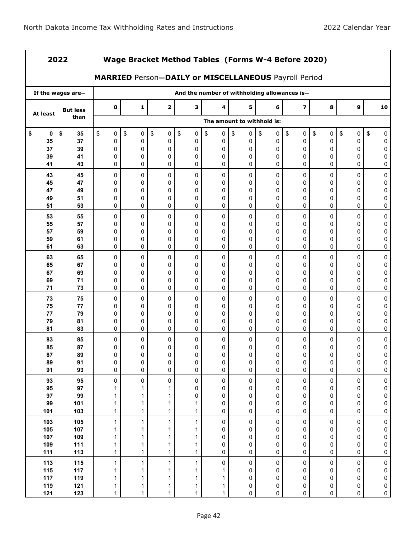| 2022       |                   |             | Wage Bracket Method Tables (Forms W-4 Before 2020)   |               |                                              |               |           |          |                         |                |                  |                        |  |
|------------|-------------------|-------------|------------------------------------------------------|---------------|----------------------------------------------|---------------|-----------|----------|-------------------------|----------------|------------------|------------------------|--|
|            |                   |             | MARRIED Person-DAILY or MISCELLANEOUS Payroll Period |               |                                              |               |           |          |                         |                |                  |                        |  |
|            | If the wages are- |             |                                                      |               | And the number of withholding allowances is- |               |           |          |                         |                |                  |                        |  |
| At least   | <b>But less</b>   | $\mathbf 0$ | $\mathbf{1}$                                         | $\mathbf{2}$  | 3                                            | 4             | 5         | 6        | $\overline{\mathbf{z}}$ | 8              | $\boldsymbol{9}$ | 10                     |  |
|            | than              |             | The amount to withhold is:                           |               |                                              |               |           |          |                         |                |                  |                        |  |
| \$<br>0    | \$<br>35          | \$<br>0     | \$<br>0                                              | \$<br>0       | \$<br>$\pmb{0}$                              | \$<br>0       | \$<br>0   | \$<br>0  | \$<br>0                 | \$<br>0        | \$<br>0          | \$<br>0                |  |
| 35<br>37   | 37<br>39          | 0<br>0      | 0<br>0                                               | 0<br>0        | 0<br>0                                       | 0<br>0        | 0<br>0    | 0<br>0   | 0<br>0                  | 0<br>0         | 0<br>0           | 0<br>0                 |  |
| 39         | 41                | 0           | 0                                                    | 0             | $\Omega$                                     | 0             | 0         | 0        | 0                       | 0              | 0                | 0                      |  |
| 41         | 43                | 0           | 0                                                    | 0             | 0                                            | 0             | 0         | 0        | 0                       | 0              | 0                | 0                      |  |
| 43         | 45                | 0           | 0                                                    | $\mathbf 0$   | 0                                            | 0             | 0         | 0        | 0                       | 0              | 0                | 0                      |  |
| 45<br>47   | 47<br>49          | 0<br>0      | 0<br>0                                               | $\Omega$<br>0 | $\Omega$<br>0                                | $\Omega$<br>0 | 0<br>0    | 0<br>0   | 0<br>0                  | 0<br>0         | 0<br>0           | 0<br>0                 |  |
| 49         | 51                | 0           | 0                                                    | 0             | 0                                            | 0             | 0         | 0        | 0                       | 0              | 0                | 0                      |  |
| 51         | 53                | 0           | 0                                                    | 0             | $\mathbf 0$                                  | 0             | 0         | 0        | 0                       | 0              | 0                | 0                      |  |
| 53         | 55                | 0           | 0                                                    | 0             | 0                                            | 0             | 0         | 0        | 0                       | 0              | 0                | 0                      |  |
| 55         | 57                | 0           | 0                                                    | $\Omega$      | $\Omega$                                     | 0             | 0         | 0        | 0                       | 0              | 0                | 0                      |  |
| 57<br>59   | 59<br>61          | 0<br>0      | 0<br>0                                               | $\Omega$<br>0 | 0<br>0                                       | 0<br>0        | 0<br>0    | 0<br>0   | 0<br>0                  | 0<br>0         | 0<br>0           | 0<br>0                 |  |
| 61         | 63                | 0           | 0                                                    | 0             | $\Omega$                                     | 0             | 0         | 0        | 0                       | 0              | 0                | 0                      |  |
| 63         | 65                | 0           | 0                                                    | 0             | 0                                            | 0             | 0         | 0        | 0                       | 0              | 0                | 0                      |  |
| 65         | 67                | 0           | 0                                                    | $\Omega$      | $\Omega$                                     | 0             | 0         | 0        | 0                       | 0              | 0                | 0                      |  |
| 67<br>69   | 69<br>71          | 0<br>0      | 0<br>0                                               | $\Omega$<br>0 | $\Omega$<br>0                                | 0<br>0        | 0<br>0    | 0<br>0   | 0<br>0                  | 0<br>0         | 0<br>0           | 0<br>0                 |  |
| 71         | 73                | 0           | $\mathbf 0$                                          | 0             | $\Omega$                                     | 0             | 0         | 0        | 0                       | 0              | 0                | 0                      |  |
| 73         | 75                | 0           | 0                                                    | 0             | 0                                            | 0             | 0         | 0        | 0                       | 0              | 0                | 0                      |  |
| 75         | 77                | 0           | 0                                                    | $\Omega$      | $\Omega$                                     | 0             | 0         | 0        | 0                       | 0              | 0                | 0                      |  |
| 77<br>79   | 79<br>81          | 0<br>0      | 0<br>0                                               | $\Omega$<br>0 | $\Omega$<br>0                                | $\Omega$<br>0 | 0<br>0    | 0<br>0   | 0<br>0                  | 0<br>0         | 0<br>0           | 0<br>0                 |  |
| 81         | 83                | 0           | 0                                                    | 0             | 0                                            | 0             | 0         | 0        | 0                       | 0              | 0                | 0                      |  |
| 83         | 85                | 0           | 0                                                    | 0             | 0                                            | 0             | 0         | 0        | 0                       | 0              | 0                | 0                      |  |
| 85         | 87                | 0           | 0                                                    | 0             | 0                                            | 0             | 0         | 0        | 0                       | 0              | 0                | 0                      |  |
| 87         | 89<br>91          | 0           | 0                                                    | $\Omega$      | 0                                            | 0             | 0         | $\Omega$ | $\Omega$                | 0              | O                | 0                      |  |
| 89<br>91   | 93                | 0<br>0      | 0<br>0                                               | 0<br>0        | 0<br>$\pmb{0}$                               | 0<br>0        | 0<br>0    | 0<br>0   | 0<br>0                  | 0<br>0         | 0<br>0           | 0<br>$\pmb{0}$         |  |
| 93         | 95                | 0           | 0                                                    | 0             | 0                                            | $\pmb{0}$     | 0         | 0        | 0                       | 0              | 0                | $\pmb{0}$              |  |
| 95         | 97                | 1           | 1                                                    | 1             | 0                                            | 0             | 0         | 0        | 0                       | 0              | 0                | $\pmb{0}$              |  |
| 97         | 99                | 1           | 1                                                    | 1             | 0                                            | 0             | 0         | 0        | 0                       | 0              | 0                | $\pmb{0}$              |  |
| 99<br>101  | 101<br>103        | 1<br>1      | 1<br>1                                               | 1<br>1        | 1<br>1                                       | 0<br>0        | 0<br>0    | 0<br>0   | 0<br>0                  | 0<br>0         | 0<br>0           | $\pmb{0}$<br>$\pmb{0}$ |  |
| 103        | 105               | 1           | 1                                                    | 1             | $\mathbf{1}$                                 | 0             | 0         | 0        | 0                       | 0              | 0                | $\pmb{0}$              |  |
| 105        | 107               | 1           | 1                                                    | 1             | 1                                            | 0             | 0         | 0        | 0                       | 0              | 0                | $\pmb{0}$              |  |
| 107        | 109               | 1           | 1                                                    | 1             | 1                                            | 0             | 0         | 0        | 0                       | 0              | 0                | $\pmb{0}$              |  |
| 109<br>111 | 111<br><b>113</b> | 1<br>1      | 1<br>1                                               | 1<br>1        | 1<br>1                                       | 0<br>0        | 0<br>0    | 0<br>0   | 0<br>0                  | 0<br>$\pmb{0}$ | 0<br>0           | $\pmb{0}$<br>$\pmb{0}$ |  |
| 113        | 115               | 1           | $\mathbf{1}$                                         | 1             | $\mathbf{1}$                                 | $\pmb{0}$     | $\pmb{0}$ | 0        | 0                       | $\pmb{0}$      | 0                | $\pmb{0}$              |  |
| 115        | $117$             | 1           | 1                                                    | 1             | 1                                            | 1             | 0         | 0        | 0                       | 0              | 0                | $\pmb{0}$              |  |
| 117        | 119               | 1           | 1                                                    | 1             | 1                                            | 1             | 0         | 0        | 0                       | 0              | 0                | $\pmb{0}$              |  |
| 119        | 121               | 1           | 1                                                    | 1             | 1                                            | 1             | 0         | 0        | 0                       | 0              | 0                | $\pmb{0}$              |  |
| 121        | 123               | 1           | 1                                                    | 1             | 1                                            | 1             | 0         | 0        | 0                       | 0              | 0                | $\pmb{0}$              |  |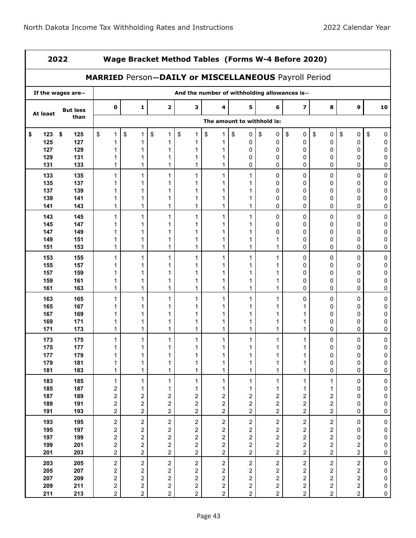| 2022      | Wage Bracket Method Tables (Forms W-4 Before 2020)   |                         |                         |                         |                                              |                         |                            |                         |                         |                         |                         |           |
|-----------|------------------------------------------------------|-------------------------|-------------------------|-------------------------|----------------------------------------------|-------------------------|----------------------------|-------------------------|-------------------------|-------------------------|-------------------------|-----------|
|           | MARRIED Person-DAILY or MISCELLANEOUS Payroll Period |                         |                         |                         |                                              |                         |                            |                         |                         |                         |                         |           |
|           | If the wages are-                                    |                         |                         |                         | And the number of withholding allowances is- |                         |                            |                         |                         |                         |                         |           |
| At least  | <b>But less</b>                                      | $\mathbf 0$             | 1                       | $\mathbf{2}$            | 3                                            | 4                       | 5                          | 6                       | $\overline{\mathbf{z}}$ | 8                       | 9                       | 10        |
|           | than                                                 |                         |                         |                         |                                              |                         | The amount to withhold is: |                         |                         |                         |                         |           |
| 123<br>\$ | \$<br>125                                            | \$<br>1                 | \$<br>1                 | \$<br>1                 | \$<br>1                                      | \$<br>1                 | \$<br>0                    | \$<br>0                 | \$<br>0                 | \$<br>$\pmb{0}$         | \$<br>0                 | \$<br>0   |
| 125       | 127                                                  | 1                       | 1                       |                         | 1                                            | 1                       | 0                          | 0                       | $\mathbf 0$             | 0                       | 0                       | 0         |
| 127       | 129                                                  |                         | 1                       | 1                       | 1                                            | 1                       | 0                          | 0                       | $\mathbf 0$             | 0                       | 0                       | 0         |
| 129       | 131                                                  |                         |                         |                         | 1                                            | 1                       | 0                          | 0                       | 0                       | 0                       | 0                       | 0         |
| 131       | 133                                                  | 1                       | 1                       | 1                       | 1                                            | 1                       | 0                          | 0                       | 0                       | 0                       | 0                       | 0         |
| 133       | 135                                                  | 1                       | 1                       | 1                       | 1                                            | 1                       | 1                          | 0                       | $\mathbf 0$             | 0                       | 0                       | 0         |
| 135       | 137                                                  |                         | 1                       | 1                       | 1                                            | 1                       | 1                          | 0                       | 0                       | 0                       | 0                       | 0         |
| 137       | 139                                                  |                         | 1                       | 1                       | 1                                            | 1                       | 1                          | 0                       | 0                       | 0                       | 0                       | 0         |
| 139       | 141                                                  | 1                       | 1                       | 1                       | 1                                            | 1                       | 1                          | 0                       | 0                       | 0                       | 0                       | 0         |
| 141       | 143                                                  | 1                       | 1                       | 1                       | 1                                            | 1                       | 1                          | 0                       | 0                       | 0                       | 0                       | 0         |
| 143       | 145                                                  | 1                       | 1                       | 1                       | 1                                            | 1                       | 1                          | 0                       | $\mathbf 0$             | 0                       | 0                       | 0         |
| 145       | 147                                                  |                         |                         |                         |                                              |                         |                            | $\mathbf{0}$            | $\mathbf{0}$            | $\Omega$                | 0                       | 0         |
| 147       | 149                                                  |                         | 1                       | 1                       | 1                                            | 1                       | 1                          | 0                       | 0                       | 0                       | 0                       | 0         |
| 149       | 151                                                  | 1                       | 1                       | 1                       | 1                                            | 1                       | 1                          | 1                       | 0                       | 0                       | 0                       | 0         |
| 151       | 153                                                  | 1                       | 1                       | 1                       | 1                                            | 1                       | 1                          | 1                       | 0                       | 0                       | 0                       | 0         |
| 153       | 155                                                  | 1                       | 1                       | 1                       | 1                                            | 1                       | 1                          | 1                       | $\mathbf 0$             | 0                       | 0                       | 0         |
| 155       | 157                                                  |                         |                         |                         |                                              |                         |                            |                         | 0                       | 0                       | 0                       | 0         |
| 157       | 159                                                  |                         | 1                       |                         | 1                                            | 1                       | 1                          | 1                       | $\mathbf 0$             | 0                       | 0                       | 0         |
| 159       | 161                                                  | 1                       | 1                       | 1                       | 1                                            | 1                       | 1                          | 1                       | 0                       | 0                       | 0                       | 0         |
| 161       | 163                                                  | 1                       | 1                       | 1                       | 1                                            | 1                       | 1                          | 1                       | 0                       | $\mathbf 0$             | 0                       | 0         |
| 163       | 165                                                  | 1                       | 1                       | 1                       | 1                                            | 1                       | 1                          | 1                       | 0                       | 0                       | 0                       | 0         |
| 165       | 167                                                  |                         | 1                       |                         | 1                                            | 1                       | 1                          |                         |                         | $\Omega$                | 0                       | 0         |
| 167       | 169                                                  |                         | 1                       | 1                       | 1                                            | 1                       | 1                          | 1                       | 1                       | 0                       | 0                       | 0         |
| 169       | 171                                                  | 1                       | 1                       | 1                       | 1                                            | 1                       | 1                          | 1                       | 1                       | 0                       | 0                       | 0         |
| 171       | 173                                                  | 1                       | 1                       | 1                       | 1                                            | 1                       | 1                          | 1                       | 1                       | 0                       | 0                       | 0         |
| 173       | 175                                                  | 1                       | 1                       | 1                       | 1                                            | 1                       | 1                          | 1                       | 1                       | 0                       | 0                       | 0         |
| 175       | 177                                                  |                         | 1                       | 1                       | 1                                            |                         | 1                          | 1                       | 1                       | 0                       | 0                       | 0         |
| 177       | 179                                                  |                         |                         |                         |                                              |                         |                            |                         |                         | 0                       | O                       | 0         |
| 179       | 181                                                  | 1                       | 1                       | 1                       | 1                                            | 1                       | 1                          | 1                       | 1                       | 0                       | 0                       | 0         |
| 181       | 183                                                  | 1                       | 1                       | $\mathbf 1$             | $\mathbf 1$                                  | $\mathbf{1}$            | 1                          | $\mathbf{1}$            | 1                       | 0                       | 0                       | $\pmb{0}$ |
| 183       | 185                                                  | $\mathbf{1}$            | 1                       | $\mathbf{1}$            | 1                                            | $\mathbf{1}$            | $\mathbf{1}$               | $\mathbf{1}$            | 1                       | 1                       | $\pmb{0}$               | $\pmb{0}$ |
| 185       | 187                                                  | $\overline{\mathbf{c}}$ | 1                       | 1                       | 1                                            | 1                       | 1                          | 1                       | 1                       | 1                       | 0                       | 0         |
| 187       | 189                                                  | $\overline{\mathbf{c}}$ | 2                       | 2                       | $\overline{\mathbf{c}}$                      | $\overline{\mathbf{c}}$ | 2                          | $\overline{\mathbf{c}}$ | $\overline{\mathbf{c}}$ | 2                       | 0                       | $\pmb{0}$ |
| 189       | 191                                                  | 2                       | 2                       | 2                       | $\overline{\mathbf{c}}$                      | $\overline{\mathbf{c}}$ | $\overline{\mathbf{c}}$    | $\overline{c}$          | $\overline{\mathbf{c}}$ | $\sqrt{2}$              | 0                       | $\pmb{0}$ |
| 191       | 193                                                  | $\overline{c}$          | $\overline{c}$          | $\overline{\mathbf{c}}$ | $\overline{c}$                               | $\overline{a}$          | $\overline{c}$             | $\overline{\mathbf{c}}$ | $\overline{c}$          | $\overline{c}$          | 0                       | 0         |
| 193       | 195                                                  | $\sqrt{2}$              | $\overline{c}$          | $\sqrt{2}$              | $\overline{\mathbf{c}}$                      | $\overline{c}$          | $\overline{c}$             | $\sqrt{2}$              | $\sqrt{2}$              | $\sqrt{2}$              | $\mathbf 0$             | $\pmb{0}$ |
| 195       | 197                                                  | $\overline{\mathbf{c}}$ | $\overline{\mathbf{c}}$ | $\overline{\mathbf{c}}$ | $\overline{\mathbf{c}}$                      | $\overline{\mathbf{c}}$ | 2                          | $\overline{\mathbf{c}}$ | $\overline{\mathbf{c}}$ | $\overline{\mathbf{c}}$ | 0                       | $\bf{0}$  |
| 197       | 199                                                  | $\overline{\mathbf{c}}$ | 2                       | $\overline{\mathbf{c}}$ | $\overline{\mathbf{c}}$                      | $\overline{\mathbf{c}}$ | $\overline{\mathbf{c}}$    | $\overline{\mathbf{c}}$ | $\overline{\mathbf{c}}$ | $\overline{\mathbf{c}}$ | 0                       | $\pmb{0}$ |
| 199       | 201                                                  | 2                       | $\overline{c}$          | 2                       | $\overline{\mathbf{c}}$                      | $\overline{\mathbf{c}}$ | $\overline{\mathbf{c}}$    | $\mathbf{2}$            | $\mathbf{2}$            | $\overline{\mathbf{c}}$ | 2                       | 0         |
| 201       | 203                                                  | $\overline{c}$          | $\overline{a}$          | $\overline{\mathbf{c}}$ | $\overline{a}$                               | $\overline{\mathbf{c}}$ | $\overline{a}$             | $\overline{\mathbf{c}}$ | $\overline{a}$          | $\overline{c}$          | $\overline{a}$          | 0         |
| 203       | 205                                                  | $\mathbf{2}$            | $\overline{c}$          | $\overline{2}$          | $\boldsymbol{2}$                             | $\overline{c}$          | $\overline{c}$             | $\overline{c}$          | $\boldsymbol{2}$        | $\overline{c}$          | $\overline{\mathbf{c}}$ | 0         |
| 205       | 207                                                  | 2                       | 2                       | 2                       | 2                                            | 2                       | 2                          | 2                       | $\overline{\mathbf{c}}$ | 2                       | 2                       | 0         |
| 207       | 209                                                  | 2                       | $\overline{\mathbf{c}}$ | 2                       | $\overline{\mathbf{c}}$                      | 2                       | $\overline{\mathbf{c}}$    | $\overline{\mathbf{c}}$ | $\overline{\mathbf{c}}$ | 2                       | 2                       | 0         |
| 209       | 211                                                  | $\overline{\mathbf{c}}$ | $\overline{c}$          | $\overline{\mathbf{c}}$ | $\sqrt{2}$                                   | $\overline{\mathbf{c}}$ | $\overline{c}$             | $\overline{\mathbf{c}}$ | $\overline{\mathbf{c}}$ | $\overline{\mathbf{c}}$ | $\overline{\mathbf{c}}$ | $\pmb{0}$ |
| 211       | 213                                                  | $\overline{a}$          | $\overline{a}$          | $\overline{c}$          | $\overline{c}$                               | $\overline{c}$          | $\overline{a}$             | $\overline{c}$          | $\overline{c}$          | $\overline{c}$          | $\overline{a}$          | $\pmb{0}$ |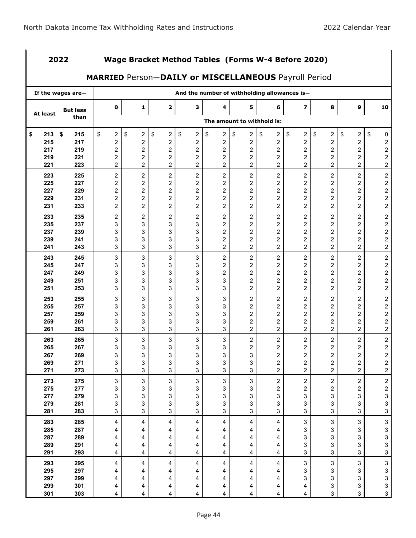|           | 2022<br>Wage Bracket Method Tables (Forms W-4 Before 2020) |                                                      |                         |                         |                               |                           |                         |                                              |                               |                               |                         |                                              |
|-----------|------------------------------------------------------------|------------------------------------------------------|-------------------------|-------------------------|-------------------------------|---------------------------|-------------------------|----------------------------------------------|-------------------------------|-------------------------------|-------------------------|----------------------------------------------|
|           |                                                            | MARRIED Person-DAILY or MISCELLANEOUS Payroll Period |                         |                         |                               |                           |                         |                                              |                               |                               |                         |                                              |
|           | If the wages are-                                          |                                                      |                         |                         |                               |                           |                         | And the number of withholding allowances is- |                               |                               |                         |                                              |
| At least  | <b>But less</b>                                            | $\mathbf 0$                                          | 1                       | $\overline{\mathbf{2}}$ | 3                             | 4                         | 5                       | 6                                            | $\overline{\mathbf{z}}$       | 8                             | 9                       | 10                                           |
|           | than                                                       |                                                      |                         |                         |                               |                           |                         | The amount to withhold is:                   |                               |                               |                         |                                              |
| \$<br>213 | \$<br>215                                                  | \$<br>2                                              | \$<br>2                 | \$<br>$\boldsymbol{2}$  | \$<br>$\overline{\mathbf{c}}$ | \$<br>2                   | \$<br>$\overline{a}$    | \$<br>$\overline{c}$                         | \$<br>$\overline{\mathbf{c}}$ | \$<br>$\overline{\mathbf{c}}$ | \$<br>$\overline{a}$    | \$<br>0                                      |
| 215       | 217                                                        | 2                                                    | $\overline{\mathbf{c}}$ | 2                       | $\overline{\mathbf{c}}$       | 2                         | 2                       | $\boldsymbol{2}$                             | $\overline{\mathbf{c}}$       | 2                             | $\overline{\mathbf{c}}$ |                                              |
| 217       | 219                                                        | 2                                                    | $\overline{\mathbf{c}}$ | $\overline{\mathbf{c}}$ | $\overline{c}$                | 2                         | $\overline{\mathbf{c}}$ | $\boldsymbol{2}$                             | $\boldsymbol{2}$              | $\boldsymbol{2}$              | $\boldsymbol{2}$        | $\begin{array}{c} 2 \\ 2 \\ 2 \end{array}$   |
| 219       | 221                                                        | 2                                                    | 2                       | $\overline{\mathbf{c}}$ | $\overline{c}$                | $\overline{\mathbf{c}}$   | $\overline{c}$          | $\boldsymbol{2}$                             | 2                             | $\boldsymbol{2}$              | $\overline{c}$          |                                              |
| 221       | 223                                                        | $\overline{2}$                                       | $\overline{2}$          | 2                       | $\overline{2}$                | $\overline{2}$            | $\overline{a}$          | $\overline{c}$                               | $\overline{2}$                | $\overline{a}$                | $\overline{a}$          | $\overline{c}$                               |
| 223       | 225                                                        | $\boldsymbol{2}$                                     | $\overline{c}$          | $\boldsymbol{2}$        | $\boldsymbol{2}$              | $\sqrt{2}$                | $\overline{c}$          | $\boldsymbol{2}$                             | $\overline{c}$                | $\overline{\mathbf{c}}$       | $\overline{c}$          | $\overline{\mathbf{c}}$                      |
| 225       | 227                                                        | $\overline{\mathbf{c}}$                              | $\overline{\mathbf{c}}$ | $\overline{\mathbf{c}}$ | $\overline{c}$                | 2                         | $\overline{c}$          | $\overline{\mathbf{c}}$                      | 2                             | $\overline{\mathbf{c}}$       | 2                       |                                              |
| 227       | 229                                                        | $\overline{\mathbf{c}}$                              | $\overline{\mathbf{c}}$ | $\overline{\mathbf{c}}$ | $\boldsymbol{2}$              | 2                         | $\overline{\mathbf{c}}$ | $\overline{\mathbf{c}}$                      | $\boldsymbol{2}$              | $\overline{\mathbf{c}}$       | $\boldsymbol{2}$        |                                              |
| 229       | 231                                                        | 2                                                    | $\overline{\mathbf{c}}$ | $\overline{\mathbf{c}}$ | $\overline{c}$                | 2                         | $\overline{c}$          | $\boldsymbol{2}$                             | $\overline{c}$                | $\overline{\mathbf{c}}$       | $\overline{c}$          | $\begin{array}{c} 2 \\ 2 \\ 2 \end{array}$   |
| 231       | 233                                                        | 2                                                    | $\overline{2}$          | $\overline{c}$          | $\overline{a}$                | $\overline{a}$            | $\overline{a}$          | $\overline{c}$                               | $\overline{2}$                | $\overline{2}$                | $\overline{a}$          |                                              |
| 233       | 235                                                        | $\overline{\mathbf{c}}$                              | $\overline{c}$          | $\boldsymbol{2}$        | $\overline{c}$                | $\sqrt{2}$                | $\overline{c}$          | $\boldsymbol{2}$                             | $\overline{c}$                | $\overline{\mathbf{c}}$       | $\overline{c}$          | $2222$<br>$222$                              |
| 235       | 237                                                        | 3                                                    | 3                       | 3                       | 3                             | $\overline{\mathbf{c}}$   | $\overline{c}$          | $\overline{\mathbf{c}}$                      | $\overline{c}$                | $\boldsymbol{2}$              | $\boldsymbol{2}$        |                                              |
| 237       | 239                                                        | 3                                                    | 3                       | 3                       | 3                             | 2                         | $\overline{c}$          | $\overline{\mathbf{c}}$                      | 2                             | 2                             | $\boldsymbol{2}$        |                                              |
| 239       | 241                                                        | 3                                                    | 3                       | 3                       | 3                             | 2                         | $\overline{\mathbf{c}}$ | 2                                            | $\boldsymbol{2}$              | $\overline{\mathbf{c}}$       | $\boldsymbol{2}$        |                                              |
| 241       | 243                                                        | 3                                                    | 3                       | 3                       | 3                             | $\overline{c}$            | $\overline{a}$          | $\overline{c}$                               | $\overline{2}$                | $\overline{a}$                | $\overline{a}$          |                                              |
| 243       | 245                                                        | 3                                                    | 3                       | 3                       | 3                             | $\boldsymbol{2}$          | $\overline{\mathbf{c}}$ | $\boldsymbol{2}$                             | $\overline{c}$                | $\overline{\mathbf{c}}$       | $\overline{c}$          | $\begin{array}{c} 2 \\ 2 \\ 2 \end{array}$   |
| 245       | 247                                                        | 3                                                    | 3                       | 3                       | 3                             | 2                         | $\overline{\mathbf{c}}$ | $\overline{\mathbf{c}}$                      | $\boldsymbol{2}$              | $\overline{\mathbf{c}}$       | $\boldsymbol{2}$        |                                              |
| 247       | 249                                                        | 3                                                    | 3                       | 3                       | 3                             | 2                         | $\overline{2}$          | $\overline{c}$                               | $\overline{c}$                | 2                             | $\overline{c}$          |                                              |
| 249       | 251                                                        | 3                                                    | 3                       | 3                       | 3                             | 3                         | 2                       | 2                                            | 2                             | 2                             | 2                       | $\frac{2}{2}$                                |
| 251       | 253                                                        | 3                                                    | 3                       | 3                       | 3                             | 3                         | $\overline{2}$          | $\overline{\mathbf{c}}$                      | $\overline{2}$                | $\overline{c}$                | $\overline{2}$          |                                              |
| 253       | 255                                                        | 3                                                    | 3                       | 3                       | 3                             | 3                         | $\overline{\mathbf{c}}$ | $\boldsymbol{2}$                             | $\overline{c}$                | $\overline{\mathbf{c}}$       | $\overline{c}$          | $\begin{array}{c}\n2 \\ 2 \\ 2\n\end{array}$ |
| 255       | 257                                                        | 3                                                    | 3                       | 3                       | 3                             | 3                         | $\overline{\mathbf{c}}$ | $\overline{\mathbf{c}}$                      | $\boldsymbol{2}$              | $\overline{\mathbf{c}}$       | $\boldsymbol{2}$        |                                              |
| 257       | 259                                                        | 3                                                    | 3                       | 3                       | 3                             | 3                         | $\overline{c}$          | $\overline{\mathbf{c}}$                      | $\overline{c}$                | $\boldsymbol{2}$              | $\boldsymbol{2}$        |                                              |
| 259       | 261                                                        | 3                                                    | 3                       | 3                       | 3                             | 3                         | $\overline{\mathbf{c}}$ | 2                                            | $\overline{c}$                | $\overline{\mathbf{c}}$       | 2                       |                                              |
| 261       | 263                                                        | 3                                                    | 3                       | 3                       | 3                             | 3                         | $\overline{c}$          | $\overline{c}$                               | $\overline{2}$                | $\overline{c}$                | $\overline{c}$          | $\overline{c}$                               |
| 263       | 265                                                        | 3                                                    | 3                       | 3                       | 3                             | 3                         | $\overline{c}$          | $\boldsymbol{2}$                             | $\overline{c}$                | $\overline{\mathbf{c}}$       | $\overline{c}$          | $\begin{array}{c} 2 \\ 2 \\ 2 \end{array}$   |
| 265       | 267                                                        | 3                                                    | 3                       | 3                       | 3                             | 3                         | $\overline{\mathbf{c}}$ | $\boldsymbol{2}$                             | 2                             | $\overline{\mathbf{c}}$       | $\overline{\mathbf{c}}$ |                                              |
| 267       | 269                                                        | 3                                                    | 3                       | 3                       | 3                             | 3                         | 3                       | $\overline{\mathbf{c}}$                      | $\overline{\mathbf{c}}$       | $\overline{c}$                | $\overline{c}$          |                                              |
| 269       | 271                                                        | 3                                                    | 3                       | 3                       | 3                             | 3                         | 3                       | 2                                            | $\overline{\mathbf{c}}$       | 2                             | $\overline{\mathbf{c}}$ | $\frac{2}{2}$                                |
| 271       | 273                                                        | 3                                                    | 3                       | 3                       | 3                             | 3                         | 3                       | $\overline{c}$                               | $\overline{c}$                | 2                             | $\overline{2}$          |                                              |
| 273       | 275                                                        | $\mathsf 3$                                          | 3                       | $\mathsf 3$             | 3                             | $\ensuremath{\mathsf{3}}$ | 3                       | $\overline{c}$                               | $\overline{c}$                | $\overline{a}$                | $\overline{2}$          | $\overline{\mathbf{c}}$                      |
| 275       | 277                                                        | 3                                                    | 3                       | 3                       | 3                             | 3                         | 3                       | 2                                            | $\overline{\mathbf{c}}$       | $\overline{\mathbf{c}}$       | 2                       | $\begin{array}{c} 2 \\ 3 \\ 3 \end{array}$   |
| 277       | 279                                                        | 3                                                    | 3                       | 3                       | 3                             | 3                         | 3                       | 3                                            | 3                             | 3                             | 3                       |                                              |
| 279       | 281                                                        | 3                                                    | 3                       | 3                       | 3                             | 3                         | 3                       | 3                                            | 3                             | 3                             | 3                       |                                              |
| 281       | 283                                                        | 3                                                    | 3                       | 3                       | 3                             | $\mathbf{3}$              | 3                       | 3                                            | 3                             | 3                             | 3                       |                                              |
| 283       | 285                                                        | $\overline{4}$                                       | 4                       | 4                       | 4                             | 4                         | 4                       | 4                                            | $\sqrt{3}$                    | $\mathbf{3}$                  | $\mathbf{3}$            | 3                                            |
| 285       | 287                                                        | 4                                                    | 4                       | 4                       | 4                             | 4                         | 4                       | 4                                            | 3                             | 3                             | 3                       |                                              |
| 287       | 289                                                        | 4                                                    | 4                       | 4                       | 4                             | 4                         | 4                       | 4                                            | 3                             | 3                             | 3                       |                                              |
| 289       | 291                                                        | 4                                                    | 4                       | 4                       | 4                             | 4                         | 4                       | 4                                            | 3                             | 3                             | 3                       | $\begin{array}{c} 3 \\ 3 \\ 3 \end{array}$   |
| 291       | 293                                                        | 4                                                    | 4                       | 4                       | 4                             | 4                         | 4                       | 4                                            | 3                             | 3                             | $\mathbf{3}$            |                                              |
| 293       | 295                                                        | 4                                                    | 4                       | 4                       | 4                             | 4                         | 4                       | 4                                            | 3                             | 3                             | 3                       | $\overline{\mathbf{3}}$                      |
| 295       | 297                                                        | 4                                                    | 4                       | 4                       | 4                             | 4                         | 4                       | 4                                            | 3                             | 3                             | 3                       | 3                                            |
| 297       | 299                                                        | 4                                                    | 4                       | 4                       | 4                             | 4                         | 4                       | 4                                            | 3                             | 3                             | 3                       | $\begin{array}{c} 3 \\ 3 \\ 3 \end{array}$   |
| 299       | 301                                                        | 4                                                    | 4                       | 4                       | 4                             | 4                         | 4                       | 4                                            | 4                             | 3                             | 3                       |                                              |
| 301       | 303                                                        | 4                                                    | 4                       | 4                       | 4                             | 4                         | 4                       | 4                                            | 4                             | 3                             | $\mathbf{3}$            |                                              |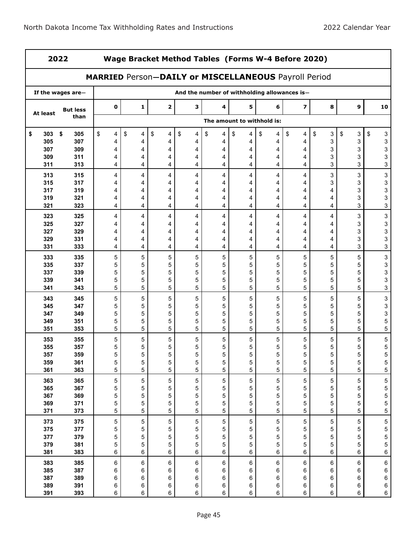|            | 2022<br>Wage Bracket Method Tables (Forms W-4 Before 2020) |                                                      |         |                            |             |                                              |             |             |                         |             |             |    |                           |
|------------|------------------------------------------------------------|------------------------------------------------------|---------|----------------------------|-------------|----------------------------------------------|-------------|-------------|-------------------------|-------------|-------------|----|---------------------------|
|            |                                                            | MARRIED Person-DAILY or MISCELLANEOUS Payroll Period |         |                            |             |                                              |             |             |                         |             |             |    |                           |
|            | If the wages are-                                          |                                                      |         |                            |             | And the number of withholding allowances is- |             |             |                         |             |             |    |                           |
| At least   | <b>But less</b>                                            | 0                                                    | 1       | $\overline{\mathbf{2}}$    | 3           | 4                                            | 5           | 6           | $\overline{\mathbf{z}}$ | 8           | 9           |    | 10                        |
|            | than                                                       |                                                      |         | The amount to withhold is: |             |                                              |             |             |                         |             |             |    |                           |
| \$<br>303  | \$<br>305                                                  | \$<br>4                                              | \$<br>4 | \$<br>4                    | \$<br>4     | \$<br>4                                      | \$<br>4     | \$<br>4     | \$<br>4                 | \$<br>3     | \$<br>3     | \$ | 3                         |
| 305        | 307                                                        | 4                                                    | 4       | 4                          | 4           | 4                                            | 4           | 4           | 4                       | 3           | 3           |    | 3                         |
| 307<br>309 | 309<br>311                                                 | 4<br>4                                               | 4<br>4  | 4<br>4                     | 4<br>4      | 4<br>4                                       | 4<br>4      | 4<br>4      | 4<br>4                  | 3<br>3      | 3<br>3      |    | 3<br>3                    |
| 311        | 313                                                        | 4                                                    | 4       | 4                          | 4           | 4                                            | 4           | 4           | 4                       | 3           | 3           |    | 3                         |
| 313        | 315                                                        | 4                                                    | 4       | 4                          | 4           | 4                                            | 4           | 4           | 4                       | 3           | 3           |    | 3                         |
| 315        | 317                                                        | 4                                                    | 4       | 4                          | 4           | 4                                            | 4           | 4           | 4                       | 3           | 3           |    | 3                         |
| 317        | 319                                                        | 4                                                    | 4       | 4                          | 4           | 4                                            | 4           | 4           | 4                       | 4           | 3           |    | 3                         |
| 319        | 321                                                        | 4                                                    | 4       | 4                          | 4           | 4                                            | 4           | 4           | 4                       | 4           | 3           |    | 3                         |
| 321        | 323                                                        | 4                                                    | 4       | 4                          | 4           | 4                                            | 4           | 4           | 4                       | 4           | 3           |    | 3                         |
| 323        | 325                                                        | 4                                                    | 4       | 4                          | 4           | 4                                            | 4           | 4           | 4                       | 4           | 3           |    | 3                         |
| 325        | 327                                                        | 4                                                    | 4       | 4                          | 4           | 4                                            | 4           | 4           | 4                       | 4           | 3           |    | $\ensuremath{\mathsf{3}}$ |
| 327        | 329                                                        | 4                                                    | 4       | 4                          | 4           | 4                                            | 4           | 4           | 4                       | 4           | 3           |    | 3                         |
| 329        | 331                                                        | 4                                                    | 4       | 4                          | 4           | 4                                            | 4           | 4           | 4                       | 4           | 3           |    | 3                         |
| 331        | 333                                                        | 4                                                    | 4       | 4                          | 4           | 4                                            | 4           | 4           | 4                       | 4           | 3           |    | 3                         |
| 333        | 335                                                        | $\mathbf 5$                                          | 5       | 5                          | 5           | 5                                            | 5           | 5           | 5                       | 5           | 5           |    | $\mathsf 3$               |
| 335        | 337                                                        | 5                                                    | 5       | 5                          | 5           | 5                                            | 5           | 5           | 5                       | 5           | 5           |    | 3                         |
| 337<br>339 | 339<br>341                                                 | 5<br>$\mathbf 5$                                     | 5<br>5  | 5<br>5                     | 5<br>5      | 5<br>5                                       | 5<br>5      | 5<br>5      | 5<br>5                  | 5<br>5      | 5<br>5      |    | 3<br>3                    |
| 341        | 343                                                        | 5                                                    | 5       | 5                          | 5           | 5                                            | 5           | 5           | 5                       | 5           | 5           |    | 3                         |
| 343        | 345                                                        | $\mathbf 5$                                          | 5       | 5                          | 5           | 5                                            | 5           | 5           | 5                       | 5           | 5           |    | 3                         |
| 345        | 347                                                        | 5                                                    | 5       | 5                          | 5           | 5                                            | 5           | 5           | 5                       | 5           | 5           |    | 3                         |
| 347        | 349                                                        | 5                                                    | 5       | 5                          | 5           | 5                                            | 5           | 5           | 5                       | 5           | 5           |    | 3                         |
| 349        | 351                                                        | 5                                                    | 5       | 5                          | 5           | 5                                            | 5           | 5           | 5                       | 5           | 5           |    | 5                         |
| 351        | 353                                                        | 5                                                    | 5       | 5                          | 5           | 5                                            | 5           | 5           | 5                       | 5           | 5           |    | 5                         |
| 353        | 355                                                        | 5                                                    | 5       | 5                          | 5           | 5                                            | 5           | 5           | 5                       | 5           | 5           |    | 5                         |
| 355        | 357                                                        | 5                                                    | 5       | 5                          | 5           | 5                                            | 5           | 5           | 5                       | 5           | 5           |    | 5                         |
| 357        | 359                                                        | 5                                                    | 5       | 5                          | 5           | 5                                            | 5           | 5           | 5                       | p           | 5           |    | 5                         |
| 359        | 361                                                        | 5                                                    | 5       | 5                          | 5           | 5                                            | $\mathbf 5$ | 5           | 5                       | 5           | 5           |    | $\frac{5}{5}$             |
| 361        | 363                                                        | 5                                                    | 5       | 5                          | 5           | 5                                            | 5           | 5           | 5                       | 5           | 5           |    |                           |
| 363        | 365                                                        | $\,$ 5 $\,$                                          | 5       | $\sqrt{5}$                 | $\,$ 5 $\,$ | $\,$ 5 $\,$                                  | 5           | $\,$ 5 $\,$ | 5                       | $\,$ 5 $\,$ | $\,$ 5 $\,$ |    | 555555                    |
| 365<br>367 | 367                                                        | 5                                                    | 5       | 5                          | 5           | 5                                            | 5           | 5           | 5                       | 5           | 5           |    |                           |
| 369        | 369<br>371                                                 | 5<br>5                                               | 5<br>5  | 5<br>5                     | 5<br>5      | 5<br>5                                       | 5<br>5      | 5<br>5      | 5<br>5                  | 5<br>5      | 5<br>5      |    |                           |
| 371        | 373                                                        | 5                                                    | 5       | 5                          | 5           | 5                                            | 5           | 5           | 5                       | 5           | 5           |    |                           |
| 373        | 375                                                        | $\,$ 5 $\,$                                          | 5       | $\overline{5}$             | $\,$ 5 $\,$ | 5                                            | 5           | $\mathbf 5$ | 5                       | $\mathbf 5$ | $\,$ 5 $\,$ |    |                           |
| 375        | 377                                                        | $\,$ 5 $\,$                                          | 5       | 5                          | 5           | 5                                            | 5           | 5           | 5                       | 5           | 5           |    | 5<br>5<br>5<br>5<br>5     |
| 377        | 379                                                        | $\,$ 5 $\,$                                          | 5       | 5                          | 5           | 5                                            | 5           | 5           | 5                       | 5           | 5           |    |                           |
| 379        | 381                                                        | 5                                                    | 5       | 5                          | 5           | 5                                            | 5           | 5           | 5                       | 5           | 5           |    |                           |
| 381        | 383                                                        | 6                                                    | 6       | 6                          | 6           | 6                                            | 6           | 6           | $\,6\,$                 | $\,6\,$     | $\,6\,$     |    | 6                         |
| 383        | 385                                                        | 6                                                    | 6       | 6                          | 6           | $\,6\,$                                      | 6           | $\,6\,$     | $\,6\,$                 | $\,6$       | 6           |    | 6                         |
| 385        | 387                                                        | 6                                                    | 6       | 6                          | 6           | 6                                            | 6           | 6           | 6                       | 6           | 6           |    | $\boldsymbol{6}$          |
| 387        | 389                                                        | 6                                                    | 6       | 6                          | 6           | 6                                            | 6           | 6           | 6                       | 6           | 6           |    | $\boldsymbol{6}$          |
| 389        | 391                                                        | 6                                                    | 6       | 6                          | 6           | 6                                            | 6           | 6           | 6                       | $\,6$       | 6           |    | $\,6$                     |
| 391        | 393                                                        | 6                                                    | 6       | 6                          | 6           | 6                                            | 6           | 6           | 6                       | 6           | 6           |    | $\bf 6$                   |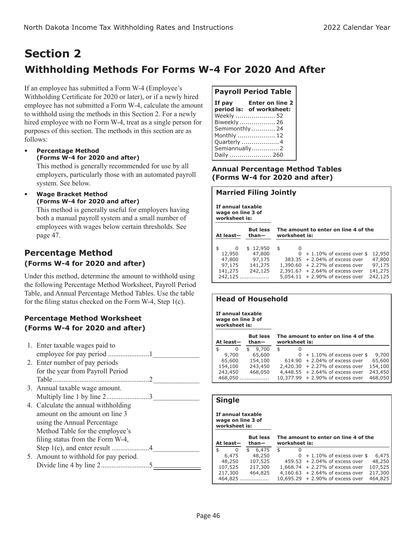### **Section 2 Withholding Methods For Forms W-4 For 2020 And After**

If an employee has submitted a Form W-4 (Employee's Withholding Certificate for 2020 or later), or if a newly hired employee has not submitted a Form W-4, calculate the amount to withhold using the methods in this Section 2. For a newly hired employee with no Form W-4, treat as a single person for purposes of this section. The methods in this section are as follows:

 **Percentage Method (Forms W-4 for 2020 and after)**

This method is generally recommended for use by all employers, particularly those with an automated payroll system. See below.

 **Wage Bracket Method (Forms W-4 for 2020 and after)**

This method is generally useful for employers having both a manual payroll system and a small number of employees with wages below certain thresholds. See page 47.

### **Percentage Method (Forms W-4 for 2020 and after)**

Under this method, determine the amount to withhold using the following Percentage Method Worksheet, Payroll Period Table, and Annual Percentage Method Tables. Use the table for the filing status checked on the Form W-4, Step 1(c).

### **Percentage Method Worksheet (Forms W-4 for 2020 and after)**

| 1. Enter taxable wages paid to        |                            |
|---------------------------------------|----------------------------|
|                                       |                            |
| 2. Enter number of pay periods        |                            |
| for the year from Payroll Period      |                            |
|                                       |                            |
| 3. Annual taxable wage amount.        |                            |
|                                       |                            |
| 4. Calculate the annual withholding   |                            |
| amount on the amount on line 3        |                            |
| using the Annual Percentage           |                            |
| Method Table for the employee's       |                            |
| filing status from the Form W-4,      |                            |
|                                       |                            |
| 5. Amount to withhold for pay period. |                            |
|                                       |                            |
|                                       | Multiply line 1 by line 23 |

### **Payroll Period Table**

| If pay | <b>Enter on line 2</b><br>period is: of worksheet: |
|--------|----------------------------------------------------|
|        | Weekly  52                                         |
|        | Biweekly  26                                       |
|        | Semimonthly  24                                    |
|        | Monthly  12                                        |
|        | Quarterly  4                                       |
|        | Semiannually2<br>Daily  260                        |

#### **Annual Percentage Method Tables (Forms W-4 for 2020 and after)**

#### **Married Filing Jointly**

**If annual taxable wage on line 3 of worksheet is:**

| At least-                                               | <b>But less</b><br>$than-$                         | worksheet is: | The amount to enter on line 4 of the                                                                                                                                             |                                                  |
|---------------------------------------------------------|----------------------------------------------------|---------------|----------------------------------------------------------------------------------------------------------------------------------------------------------------------------------|--------------------------------------------------|
| O<br>12,950<br>47,800<br>97,175<br>141,275<br>$242.125$ | \$12,950<br>47,800<br>97,175<br>141,275<br>242,125 | \$<br>O       | $0 + 1.10\%$ of excess over \$<br>383.35 + 2.04% of excess over<br>$1,390.60 + 2.27%$ of excess over<br>$2,391.67 + 2.64\%$ of excess over<br>$5,054.11 + 2.90\%$ of excess over | 12,950<br>47,800<br>97,175<br>141,275<br>242,125 |

### **Head of Household**

**If annual taxable wage on line 3 of worksheet is:**

| At least- | <b>But less</b><br>$than-$ | worksheet is: | The amount to enter on line 4 of the |         |
|-----------|----------------------------|---------------|--------------------------------------|---------|
| \$<br>0   | 9,700                      | \$<br>0       |                                      |         |
| 9,700     | 65,600                     |               | $0 + 1.10\%$ of excess over \$       | 9,700   |
| 65,600    | 154,100                    |               | $614.90 + 2.04\%$ of excess over     | 65,600  |
| 154,100   | 243,450                    |               | $2,420.30 + 2.27\%$ of excess over   | 154,100 |
| 243,450   | 468,050                    |               | $4,448.55 + 2.64\%$ of excess over   | 243,450 |
| 468,050   | .                          |               | 10,377.99 + 2.90% of excess over     | 468,050 |

#### **Single**

**If annual taxable wage on line 3 of worksheet is:**

| At least- |   |  | <b>But less</b><br>$than-$ | worksheet is: |  | The amount to enter on line 4 of the |         |
|-----------|---|--|----------------------------|---------------|--|--------------------------------------|---------|
| \$        | 0 |  | 6,475                      | \$            |  |                                      |         |
| 6,475     |   |  | 48,250                     |               |  | $0 + 1.10\%$ of excess over \$       | 6,475   |
| 48,250    |   |  | 107,525                    |               |  | $459.53 + 2.04\%$ of excess over     | 48,250  |
| 107,525   |   |  | 217,300                    |               |  | $1,668.74 + 2.27%$ of excess over    | 107,525 |
| 217,300   |   |  | 464,825                    |               |  | $4,160.63 + 2.64\%$ of excess over   | 217,300 |
| 464,825   |   |  |                            |               |  | $10,695.29 + 2.90\%$ of excess over  | 464,825 |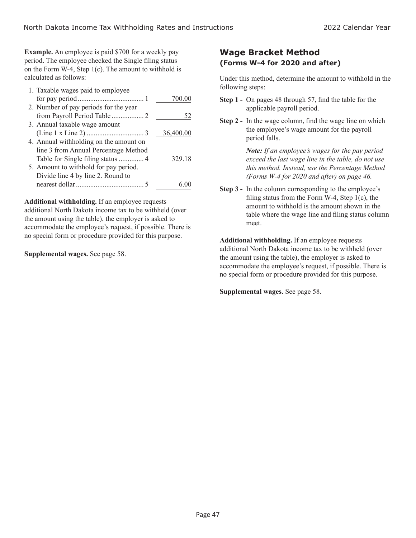**Example.** An employee is paid \$700 for a weekly pay period. The employee checked the Single filing status on the Form W-4, Step 1(c). The amount to withhold is calculated as follows:

| 1. Taxable wages paid to employee      |           |
|----------------------------------------|-----------|
|                                        | 700.00    |
| 2. Number of pay periods for the year  |           |
|                                        | 52        |
| 3. Annual taxable wage amount          |           |
|                                        | 36,400.00 |
| 4. Annual withholding on the amount on |           |
| line 3 from Annual Percentage Method   |           |
|                                        | 329.18    |
| 5. Amount to withhold for pay period.  |           |
| Divide line 4 by line 2. Round to      |           |
|                                        |           |

**Additional withholding.** If an employee requests additional North Dakota income tax to be withheld (over the amount using the table), the employer is asked to accommodate the employee's request, if possible. There is no special form or procedure provided for this purpose.

**Supplemental wages.** See page 58.

### **Wage Bracket Method (Forms W-4 for 2020 and after)**

Under this method, determine the amount to withhold in the following steps:

- **Step 1 -** On pages 48 through 57, find the table for the applicable payroll period.
- **Step 2 -** In the wage column, find the wage line on which the employee's wage amount for the payroll period falls.

*Note: If an employee's wages for the pay period exceed the last wage line in the table, do not use this method. Instead, use the Percentage Method (Forms W-4 for 2020 and after) on page 46.*

**Step 3 -** In the column corresponding to the employee's filing status from the Form W-4, Step  $1(c)$ , the amount to withhold is the amount shown in the table where the wage line and filing status column meet.

**Additional withholding.** If an employee requests additional North Dakota income tax to be withheld (over the amount using the table), the employer is asked to accommodate the employee's request, if possible. There is no special form or procedure provided for this purpose.

**Supplemental wages.** See page 58.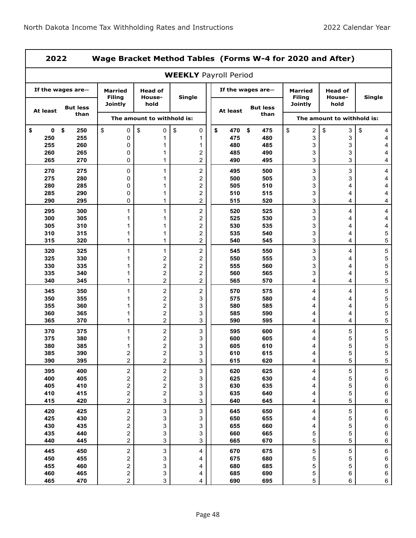|                | 2022<br>Wage Bracket Method Tables (Forms W-4 for 2020 and After) |                                                    |                                                    |                              |                  |                         |                                            |                                  |              |  |  |  |
|----------------|-------------------------------------------------------------------|----------------------------------------------------|----------------------------------------------------|------------------------------|------------------|-------------------------|--------------------------------------------|----------------------------------|--------------|--|--|--|
|                |                                                                   |                                                    |                                                    | <b>WEEKLY Payroll Period</b> |                  |                         |                                            |                                  |              |  |  |  |
|                | If the wages are-                                                 | <b>Married</b><br><b>Filing</b><br><b>Jointly</b>  | <b>Head of</b><br>House-<br>hold                   | <b>Single</b>                |                  | If the wages are-       | Married<br><b>Filing</b><br><b>Jointly</b> | <b>Head of</b><br>House-<br>hold | Single       |  |  |  |
| At least       | <b>But less</b><br>than                                           |                                                    | The amount to withhold is:                         |                              | At least         | <b>But less</b><br>than |                                            | The amount to withhold is:       |              |  |  |  |
|                |                                                                   |                                                    |                                                    |                              |                  |                         |                                            |                                  |              |  |  |  |
| \$<br>0<br>250 | \$<br>250<br>255                                                  | \$<br>0<br>0                                       | \$<br>0<br>1                                       | \$<br>0<br>1                 | \$<br>470<br>475 | \$<br>475<br>480        | \$<br>$\sqrt{2}$<br>3                      | \$<br>3<br>3                     | \$<br>4<br>4 |  |  |  |
| 255            | 260                                                               | 0                                                  | 1                                                  | 1                            | 480              | 485                     | 3                                          | 3                                | 4            |  |  |  |
| 260            | 265                                                               | 0                                                  | 1                                                  | 2                            | 485              | 490                     | 3                                          | 3                                | 4            |  |  |  |
| 265            | 270                                                               | 0                                                  | $\mathbf{1}$                                       | 2                            | 490              | 495                     | 3                                          | 3                                | 4            |  |  |  |
| 270            | 275                                                               | 0                                                  | 1                                                  | $\overline{\mathbf{c}}$      | 495              | 500                     | 3                                          | 3                                | 4            |  |  |  |
| 275            | 280                                                               | 0                                                  | 1                                                  | 2                            | 500              | 505                     | 3                                          | 3                                | 4            |  |  |  |
| 280            | 285                                                               | 0                                                  | 1                                                  | $\overline{\mathbf{c}}$      | 505              | 510                     | 3                                          | 4                                | 4            |  |  |  |
| 285<br>290     | 290<br>295                                                        | 0<br>0                                             | 1<br>$\mathbf{1}$                                  | 2<br>$\overline{\mathbf{c}}$ | 510<br>515       | 515<br>520              | 3<br>3                                     | 4<br>4                           | 4<br>4       |  |  |  |
|                |                                                                   |                                                    |                                                    |                              |                  |                         |                                            |                                  |              |  |  |  |
| 295<br>300     | 300<br>305                                                        | 1<br>1                                             | $\mathbf{1}$<br>1                                  | 2<br>$\overline{\mathbf{c}}$ | 520<br>525       | 525<br>530              | 3<br>3                                     | 4<br>4                           | 4<br>4       |  |  |  |
| 305            | 310                                                               | 1                                                  | 1                                                  | 2                            | 530              | 535                     | 3                                          | 4                                | 4            |  |  |  |
| 310            | 315                                                               | 1                                                  | 1                                                  | 2                            | 535              | 540                     | 3                                          | 4                                | 5            |  |  |  |
| 315            | 320                                                               | 1                                                  | 1                                                  | 2                            | 540              | 545                     | 3                                          | 4                                | 5            |  |  |  |
| 320            | 325                                                               | 1                                                  | 1                                                  | 2                            | 545              | 550                     | 3                                          | 4                                | 5            |  |  |  |
| 325            | 330                                                               | 1                                                  | 2                                                  | 2                            | 550              | 555                     | 3                                          | 4                                | 5            |  |  |  |
| 330            | 335                                                               | 1                                                  | 2                                                  | 2                            | 555              | 560                     | 3                                          | 4                                | 5            |  |  |  |
| 335            | 340                                                               | 1                                                  | $\overline{\mathbf{c}}$                            | $\overline{\mathbf{c}}$      | 560              | 565                     | 3                                          | 4                                | 5            |  |  |  |
| 340            | 345                                                               | 1                                                  | $\overline{\mathbf{c}}$                            | 2                            | 565              | 570                     | 4                                          | 4                                | 5            |  |  |  |
| 345            | 350                                                               | 1                                                  | $\overline{\mathbf{c}}$                            | $\overline{\mathbf{c}}$      | 570              | 575                     | 4                                          | 4                                | 5            |  |  |  |
| 350<br>355     | 355<br>360                                                        | 1<br>1                                             | 2<br>2                                             | 3<br>3                       | 575<br>580       | 580<br>585              | 4<br>4                                     | 4<br>4                           | 5<br>5       |  |  |  |
| 360            | 365                                                               | 1                                                  | $\overline{\mathbf{c}}$                            | 3                            | 585              | 590                     | 4                                          | 4                                | 5            |  |  |  |
| 365            | 370                                                               | 1                                                  | $\overline{c}$                                     | 3                            | 590              | 595                     | 4                                          | 4                                | 5            |  |  |  |
| 370            | 375                                                               | 1                                                  | 2                                                  | 3                            | 595              | 600                     | 4                                          | 5                                | 5            |  |  |  |
| 375            | 380                                                               | 1                                                  | 2                                                  | 3                            | 600              | 605                     | 4                                          | 5                                | 5            |  |  |  |
| 380            | 385                                                               | 1                                                  | 2                                                  | 3                            | 605              | 610                     | 4                                          | 5                                | 5            |  |  |  |
| 385            | 390                                                               | 2                                                  | $\overline{c}$                                     | 3                            | 610              | 615                     | 4                                          | 5                                | 5            |  |  |  |
| 390            | 395                                                               | $\overline{c}$                                     | $\overline{c}$                                     | 3                            | 615              | 620                     | $\overline{\mathbf{4}}$                    | 5                                | 5            |  |  |  |
| 395            | 400                                                               | $\mathbf 2$                                        | $\overline{\mathbf{c}}$                            | 3                            | 620              | 625                     | 4                                          | 5                                | 5            |  |  |  |
| 400            | 405                                                               | 2                                                  | $\overline{\mathbf{c}}$                            | 3                            | 625              | 630                     | 4                                          | 5                                | 6            |  |  |  |
| 405<br>410     | 410<br>415                                                        | $\overline{\mathbf{c}}$<br>$\mathbf 2$             | $\overline{\mathbf{c}}$<br>$\overline{\mathbf{c}}$ | 3<br>3                       | 630<br>635       | 635<br>640              | 4<br>4                                     | 5<br>5                           | 6<br>6       |  |  |  |
| 415            | 420                                                               | $\overline{2}$                                     | 3                                                  | 3                            | 640              | 645                     | 4                                          | 5                                | 6            |  |  |  |
| 420            | 425                                                               | $\overline{\mathbf{c}}$                            | 3                                                  | 3                            | 645              | 650                     | 4                                          | 5                                | 6            |  |  |  |
| 425            | 430                                                               | $\mathbf 2$                                        | 3                                                  | 3                            | 650              | 655                     | 4                                          | 5                                | 6            |  |  |  |
| 430            | 435                                                               | $\overline{\mathbf{c}}$                            | 3                                                  | 3                            | 655              | 660                     | 4                                          | 5                                | 6            |  |  |  |
| 435            | 440                                                               | 2                                                  | 3                                                  | 3                            | 660              | 665                     | 5                                          | 5                                | 6            |  |  |  |
| 440            | 445                                                               | $\overline{c}$                                     | 3                                                  | 3                            | 665              | 670                     | 5                                          | 5                                | 6            |  |  |  |
| 445            | 450                                                               | $\overline{\mathbf{c}}$                            | 3                                                  | 4                            | 670              | 675                     | 5                                          | 5                                | 6            |  |  |  |
| 450            | 455                                                               | $\overline{\mathbf{c}}$                            | 3                                                  | 4                            | 675              | 680                     | 5                                          | 5                                | 6            |  |  |  |
| 455            | 460                                                               | $\overline{\mathbf{c}}$                            | 3                                                  | 4                            | 680              | 685                     | 5                                          | 5                                | 6            |  |  |  |
| 460<br>465     | 465<br>470                                                        | $\overline{\mathbf{c}}$<br>$\overline{\mathbf{c}}$ | 3<br>3                                             | 4<br>4                       | 685<br>690       | 690<br>695              | 5<br>5                                     | 6<br>6                           | 6<br>6       |  |  |  |
|                |                                                                   |                                                    |                                                    |                              |                  |                         |                                            |                                  |              |  |  |  |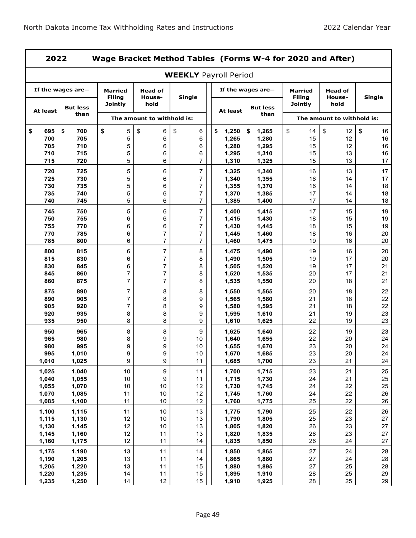ı

| 2022             |                         |                                                   |                                  | Wage Bracket Method Tables (Forms W-4 for 2020 and After) |                                     |                      |                                                   |                                  |                |
|------------------|-------------------------|---------------------------------------------------|----------------------------------|-----------------------------------------------------------|-------------------------------------|----------------------|---------------------------------------------------|----------------------------------|----------------|
|                  |                         |                                                   |                                  | <b>WEEKLY Payroll Period</b>                              |                                     |                      |                                                   |                                  |                |
|                  | If the wages are-       | <b>Married</b><br><b>Filing</b><br><b>Jointly</b> | <b>Head of</b><br>House-<br>hold | <b>Single</b>                                             |                                     | If the wages are $-$ | <b>Married</b><br><b>Filing</b><br><b>Jointly</b> | <b>Head of</b><br>House-<br>hold | Single         |
| At least         | <b>But less</b><br>than |                                                   | The amount to withhold is:       |                                                           | <b>But less</b><br>At least<br>than |                      |                                                   | The amount to withhold is:       |                |
|                  |                         |                                                   |                                  |                                                           |                                     |                      |                                                   |                                  |                |
| \$<br>695<br>700 | \$<br>700<br>705        | \$<br>5<br>5                                      | \$<br>6<br>6                     | \$<br>6<br>6                                              | 1,250<br>\$<br>1,265                | \$<br>1,265<br>1,280 | \$<br>14<br>15                                    | \$<br>12<br>12                   | \$<br>16<br>16 |
| 705              | 710                     | 5                                                 | 6                                | 6                                                         | 1,280                               | 1,295                | 15                                                | 12                               | 16             |
| 710              | 715                     | 5                                                 | 6                                | 6                                                         | 1,295                               | 1,310                | 15                                                | 13                               | 16             |
| 715              | 720                     | 5                                                 | 6                                | 7                                                         | 1,310                               | 1,325                | 15                                                | 13                               | 17             |
| 720              | 725                     | 5                                                 | 6                                | 7                                                         | 1,325                               | 1,340                | 16                                                | 13                               | 17             |
| 725              | 730                     | 5                                                 | 6                                | 7                                                         | 1,340                               | 1,355                | 16                                                | 14                               | 17             |
| 730              | 735                     | 5                                                 | 6                                | 7                                                         | 1,355                               | 1,370                | 16                                                | 14                               | 18             |
| 735              | 740                     | 5                                                 | 6                                | 7                                                         | 1,370                               | 1,385                | 17                                                | 14                               | 18             |
| 740              | 745                     | 5                                                 | 6                                | 7                                                         | 1,385                               | 1,400                | 17                                                | 14                               | 18             |
| 745              | 750                     | 5                                                 | 6                                | $\overline{7}$                                            | 1,400                               |                      | 17                                                | 15                               | 19             |
| 750              | 755                     | 6                                                 | 6                                | 7                                                         | 1,415                               | 1,415<br>1,430       | 18                                                | 15                               | 19             |
| 755              | 770                     | 6                                                 | 6                                | 7                                                         | 1,430                               | 1,445                | 18                                                | 15                               | 19             |
| 770              | 785                     | 6                                                 | 7                                | 7                                                         | 1,445                               | 1,460                | 18                                                | 16                               | 20             |
| 785              | 800                     | 6                                                 | 7                                | 7                                                         | 1,460                               | 1,475                | 19                                                | 16                               | 20             |
|                  |                         |                                                   | $\overline{\mathbf{7}}$          |                                                           |                                     |                      |                                                   |                                  |                |
| 800<br>815       | 815<br>830              | 6<br>6                                            | 7                                | 8                                                         | 1,475                               | 1,490                | 19<br>19                                          | 16<br>17                         | 20<br>20       |
| 830              | 845                     | 6                                                 | 7                                | 8<br>8                                                    | 1,490<br>1,505                      | 1,505<br>1,520       | 19                                                | 17                               | 21             |
| 845              | 860                     | 7                                                 | 7                                | 8                                                         | 1,520                               | 1,535                | 20                                                | 17                               | 21             |
| 860              | 875                     | $\overline{7}$                                    | $\overline{7}$                   | 8                                                         | 1,535                               | 1,550                | 20                                                | 18                               | 21             |
|                  |                         |                                                   |                                  |                                                           |                                     |                      |                                                   |                                  |                |
| 875<br>890       | 890<br>905              | 7<br>7                                            | 8<br>8                           | 8<br>9                                                    | 1,550<br>1,565                      | 1,565<br>1,580       | 20<br>21                                          | 18<br>18                         | 22<br>22       |
| 905              | 920                     | 7                                                 | 8                                | 9                                                         | 1,580                               | 1,595                | 21                                                | 18                               | 22             |
| 920              | 935                     | 8                                                 | 8                                | 9                                                         | 1,595                               | 1,610                | 21                                                | 19                               | 23             |
| 935              | 950                     | 8                                                 | 8                                | 9                                                         | 1,610                               | 1,625                | 22                                                | 19                               | 23             |
| 950              | 965                     | 8                                                 | 8                                | 9                                                         | 1,625                               | 1,640                | 22                                                | 19                               | 23             |
| 965              | 980                     | 8                                                 | 9                                | 10                                                        | 1,640                               | 1,655                | 22                                                | 20                               | 24             |
| 980              | 995                     | 9                                                 | 9                                | 10                                                        | 1,655                               | 1,670                | 23                                                | 20                               | 24             |
| 995              | 1,010                   | 9                                                 | 9                                | 10                                                        | 1,670                               | 1,685                | 23                                                | $20\,$                           | 24             |
| 1,010            | 1,025                   | 9                                                 | 9                                | 11                                                        | 1,685                               | 1,700                | 23                                                | 21                               | 24             |
| 1,025            | 1,040                   | 10                                                | 9                                | 11                                                        | 1,700                               | 1,715                | 23                                                | 21                               | 25             |
| 1,040            | 1,055                   | $10\,$                                            | 9                                | 11                                                        | 1,715                               | 1,730                | 24                                                | 21                               | 25             |
| 1,055            | 1,070                   | $10$                                              | 10                               | 12                                                        | 1,730                               | 1,745                | 24                                                | 22                               | 25             |
| 1,070            | 1,085                   | 11                                                | $10$                             | 12                                                        | 1,745                               | 1,760                | 24                                                | 22                               | 26             |
| 1,085            | 1,100                   | 11                                                | $10$                             | 12                                                        | 1,760                               | 1,775                | 25                                                | 22                               | 26             |
| 1,100            | 1,115                   | 11                                                | 10                               | 13                                                        | 1,775                               | 1,790                | 25                                                | 22                               | 26             |
| 1,115            | 1,130                   | 12                                                | $10$                             | 13                                                        | 1,790                               | 1,805                | 25                                                | 23                               | 27             |
| 1,130            | 1,145                   | 12                                                | $10$                             | 13                                                        | 1,805                               | 1,820                | 26                                                | 23                               | 27             |
| 1,145            | 1,160                   | 12                                                | 11                               | 13                                                        | 1,820                               | 1,835                | 26                                                | 23                               | 27             |
| 1,160            | 1,175                   | 12                                                | 11                               | 14                                                        | 1,835                               | 1,850                | 26                                                | 24                               | 27             |
| 1,175            | 1,190                   | 13                                                | 11                               | 14                                                        | 1,850                               | 1,865                | 27                                                | 24                               | 28             |
| 1,190            | 1,205                   | 13                                                | 11                               | 14                                                        | 1,865                               | 1,880                | 27                                                | 24                               | 28             |
| 1,205            | 1,220                   | 13                                                | 11                               | 15                                                        | 1,880                               | 1,895                | 27                                                | 25                               | 28             |
| 1,220            | 1,235                   | 14                                                | 11                               | 15                                                        | 1,895                               | 1,910                | 28                                                | 25                               | 29             |
| 1,235            | 1,250                   | 14                                                | 12                               | 15                                                        | 1,910                               | 1,925                | 28                                                | 25                               | 29             |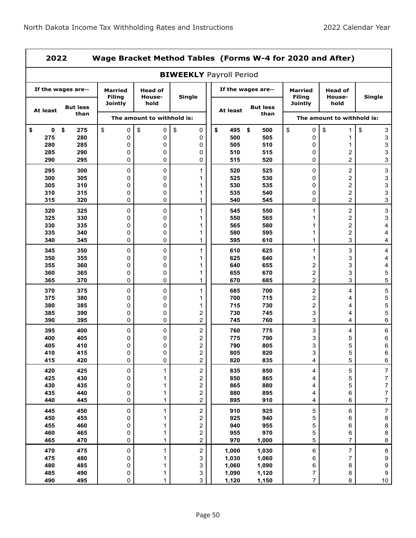|                   | 2022<br>Wage Bracket Method Tables (Forms W-4 for 2020 and After) |                                 |                            |                            |      |            |                   |                                 |                                           |                  |  |  |
|-------------------|-------------------------------------------------------------------|---------------------------------|----------------------------|----------------------------|------|------------|-------------------|---------------------------------|-------------------------------------------|------------------|--|--|
|                   | <b>BIWEEKLY Payroll Period</b>                                    |                                 |                            |                            |      |            |                   |                                 |                                           |                  |  |  |
|                   | If the wages are-                                                 | <b>Married</b><br><b>Filing</b> | Head of<br>House-          | Single                     |      |            | If the wages are- | <b>Married</b><br><b>Filing</b> | Head of<br>House-                         | Single           |  |  |
| At least          | <b>But less</b>                                                   | <b>Jointly</b>                  | hold                       |                            |      | At least   | <b>But less</b>   | Jointly                         | hold                                      |                  |  |  |
|                   | than                                                              |                                 | The amount to withhold is: |                            | than |            |                   | The amount to withhold is:      |                                           |                  |  |  |
| \$<br>$\mathbf 0$ | \$<br>275                                                         | \$<br>0                         | \$<br>0                    | \$<br>0                    |      | \$<br>495  | \$<br>500         | \$<br>0                         | \$<br>1                                   | \$<br>3          |  |  |
| 275               | 280                                                               | 0                               | 0                          | 0                          |      | 500        | 505               | 0                               | 1                                         | 3                |  |  |
| 280               | 285                                                               | 0                               | 0                          | 0                          |      | 505        | 510               | 0                               | 1                                         | 3                |  |  |
| 285<br>290        | 290<br>295                                                        | 0<br>0                          | 0<br>0                     | 0<br>0                     |      | 510<br>515 | 515<br>520        | 0<br>0                          | $\overline{\mathbf{c}}$<br>$\overline{2}$ | 3<br>3           |  |  |
| 295               | 300                                                               | 0                               | 0                          | 1                          |      | 520        | 525               | 0                               | $\overline{\mathbf{c}}$                   | 3                |  |  |
| 300               | 305                                                               | 0                               | 0                          | 1                          |      | 525        | 530               | 0                               | $\overline{c}$                            | 3                |  |  |
| 305               | 310                                                               | 0                               | 0                          | 1                          |      | 530        | 535               | 0                               | $\overline{\mathbf{c}}$                   | 3                |  |  |
| 310               | 315                                                               | 0                               | 0                          | 1                          |      | 535        | 540               | 0                               | $\overline{c}$<br>$\overline{2}$          | 3                |  |  |
| 315               | 320                                                               | 0                               | 0                          | 1                          |      | 540        | 545               | 0                               |                                           | 3                |  |  |
| 320<br>325        | 325<br>330                                                        | 0<br>0                          | $\mathsf 0$<br>0           | 1<br>1                     |      | 545<br>550 | 550<br>565        | 1<br>1                          | $\overline{c}$<br>$\overline{\mathbf{c}}$ | 3<br>3           |  |  |
| 330               | 335                                                               | 0                               | 0                          | 1                          |      | 565        | 580               | 1                               | $\overline{c}$                            | 4                |  |  |
| 335               | 340                                                               | 0                               | 0                          | 1                          |      | 580        | 595               | 1                               | $\overline{c}$                            | 4                |  |  |
| 340               | 345                                                               | 0                               | 0                          | 1                          |      | 595        | 610               | $\mathbf{1}$                    | 3                                         | 4                |  |  |
| 345               | 350                                                               | 0                               | 0                          | 1                          |      | 610        | 625               | $\mathbf{1}$                    | 3                                         | 4                |  |  |
| 350               | 355                                                               | 0                               | 0                          | 1                          |      | 625        | 640               | 1                               | 3                                         | 4                |  |  |
| 355               | 360                                                               | 0                               | 0                          | 1                          |      | 640        | 655               | 2                               | 3                                         | 4                |  |  |
| 360               | 365                                                               | 0                               | 0                          | 1                          |      | 655        | 670               | $\overline{c}$                  | 3                                         | 5                |  |  |
| 365               | 370                                                               | 0                               | 0                          | 1                          |      | 670        | 685               | $\overline{c}$                  | 3                                         | 5                |  |  |
| 370               | 375                                                               | 0                               | 0                          | 1                          |      | 685        | 700               | 2                               | 4                                         | 5                |  |  |
| 375               | 380                                                               | 0                               | 0                          | 1                          |      | 700        | 715               | 2                               | 4                                         | 5                |  |  |
| 380               | 385                                                               | 0                               | 0                          | 1                          |      | 715        | 730               | $\overline{\mathbf{c}}$         | 4                                         | 5                |  |  |
| 385               | 390                                                               | 0                               | 0                          | 2                          |      | 730        | 745               | 3                               | 4                                         | 5                |  |  |
| 390               | 395                                                               | 0                               | 0                          | 2                          |      | 745        | 760               | 3                               | 4                                         | 6                |  |  |
| 395<br>400        | 400<br>405                                                        | 0<br>0                          | 0<br>0                     | $\sqrt{2}$<br>2            |      | 760<br>775 | 775<br>790        | 3<br>3                          | 4<br>5                                    | 6<br>6           |  |  |
| 405               | 410                                                               | 0                               | 0                          | 2                          |      | 790        | 805               | 3                               | 5                                         | 6                |  |  |
| 410               | 415                                                               | 0                               | 0                          | 2                          |      | 805        | 820               | 3                               | 5                                         | 6                |  |  |
| 415               | 420                                                               | 0                               | 0                          | $\overline{c}$             |      | 820        | 835               | 4                               | 5                                         | 6                |  |  |
| 420               | 425                                                               | 0                               | $\mathbf{1}$               | $\overline{\mathbf{c}}$    |      | 835        | 850               | 4                               | 5                                         | $\overline{7}$   |  |  |
| 425               | 430                                                               | 0                               | 1                          | $\overline{\mathbf{c}}$    |      | 850        | 865               | 4                               | 5                                         | $\overline{7}$   |  |  |
| 430               | 435                                                               | 0                               | 1                          | $\overline{\mathbf{c}}$    |      | 865        | 880               | 4                               | 5                                         | 7                |  |  |
| 435               | 440                                                               | 0                               | 1                          | $\mathbf 2$                |      | 880        | 895               | 4                               | 6                                         | 7                |  |  |
| 440               | 445                                                               | 0                               | 1                          | $\overline{\mathbf{c}}$    |      | 895        | 910               | 4                               | 6                                         | $\overline{7}$   |  |  |
| 445               | 450                                                               | 0                               | $\mathbf{1}$               | $\sqrt{2}$                 |      | 910        | 925               | 5                               | $\,6$                                     | $\boldsymbol{7}$ |  |  |
| 450<br>455        | 455<br>460                                                        | 0<br>0                          | 1                          | $\mathbf 2$                |      | 925<br>940 | 940<br>955        | 5                               | 6                                         | 8                |  |  |
| 460               | 465                                                               | 0                               | 1<br>1                     | $\mathbf 2$<br>$\mathbf 2$ |      | 955        | 970               | 5<br>5                          | 6<br>$\,6$                                | 8<br>8           |  |  |
| 465               | 470                                                               | 0                               | $\mathbf 1$                | $\overline{c}$             |      | 970        | 1,000             | 5                               | $\overline{7}$                            | 8                |  |  |
| 470               | 475                                                               | 0                               | 1                          | $\overline{\mathbf{c}}$    |      | 1,000      | 1,030             | 6                               | $\overline{7}$                            | 8                |  |  |
| 475               | 480                                                               | 0                               | 1                          | 3                          |      | 1,030      | 1,060             | 6                               | $\overline{7}$                            | 9                |  |  |
| 480               | 485                                                               | 0                               | 1                          | 3                          |      | 1,060      | 1,090             | 6                               | 8                                         | 9                |  |  |
| 485               | 490                                                               | 0                               | 1                          | 3                          |      | 1,090      | 1,120             | 7                               | $\bf 8$                                   | $\boldsymbol{9}$ |  |  |
| 490               | 495                                                               | 0                               | 1                          | 3                          |      | 1,120      | 1,150             | $\overline{7}$                  | 8                                         | $10\,$           |  |  |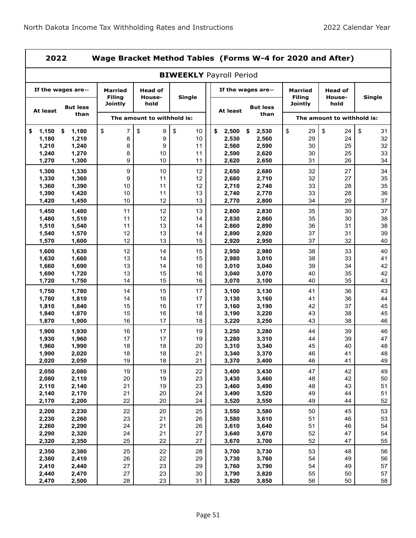L,

|                | Wage Bracket Method Tables (Forms W-4 for 2020 and After)<br>2022 |                                            |                                  |                                |  |                |                         |                                     |                                  |               |  |
|----------------|-------------------------------------------------------------------|--------------------------------------------|----------------------------------|--------------------------------|--|----------------|-------------------------|-------------------------------------|----------------------------------|---------------|--|
|                |                                                                   |                                            |                                  | <b>BIWEEKLY Payroll Period</b> |  |                |                         |                                     |                                  |               |  |
|                | If the wages are-                                                 | <b>Married</b><br><b>Filing</b><br>Jointly | <b>Head of</b><br>House-<br>hold | Single                         |  |                | If the wages are-       | Married<br><b>Filing</b><br>Jointly | <b>Head of</b><br>House-<br>hold | <b>Single</b> |  |
| At least       | <b>But less</b><br>than                                           |                                            |                                  |                                |  | At least       | <b>But less</b><br>than |                                     |                                  |               |  |
|                |                                                                   |                                            | The amount to withhold is:       |                                |  |                |                         |                                     | The amount to withhold is:       |               |  |
| \$<br>1,150    | 1,180<br>\$                                                       | \$<br>7                                    | \$<br>9                          | \$<br>10                       |  | \$<br>2,500    | \$<br>2,530             | \$<br>29                            | \$<br>24                         | \$<br>31      |  |
| 1,180<br>1,210 | 1,210                                                             | 8<br>8                                     | 9<br>9                           | 10<br>11                       |  | 2,530          | 2,560                   | 29<br>30                            | 24<br>25                         | 32<br>32      |  |
| 1,240          | 1,240<br>1,270                                                    | 8                                          | 10                               | 11                             |  | 2,560<br>2,590 | 2,590<br>2,620          | 30                                  | 25                               | 33            |  |
| 1,270          | 1,300                                                             | 9                                          | 10                               | 11                             |  | 2,620          | 2,650                   | 31                                  | 26                               | 34            |  |
| 1,300          | 1,330                                                             | 9                                          | 10                               | 12                             |  | 2,650          | 2,680                   | 32                                  | 27                               | 34            |  |
| 1,330          | 1,360                                                             | 9                                          | 11                               | 12                             |  | 2,680          | 2,710                   | 32                                  | 27                               | 35            |  |
| 1,360          | 1,390                                                             | 10                                         | 11                               | 12                             |  | 2,710          | 2,740                   | 33                                  | 28                               | 35            |  |
| 1,390          | 1,420                                                             | 10                                         | 11                               | 13                             |  | 2,740          | 2,770                   | 33                                  | 28                               | 36            |  |
| 1,420          | 1,450                                                             | 10                                         | 12                               | 13                             |  | 2,770          | 2,800                   | 34                                  | 29                               | 37            |  |
| 1,450          | 1,480                                                             | 11                                         | 12                               | 13                             |  | 2,800          | 2,830                   | 35                                  | 30                               | 37            |  |
| 1,480          | 1,510                                                             | 11                                         | 12                               | 14                             |  | 2,830          | 2,860                   | 35                                  | 30                               | 38            |  |
| 1,510          | 1,540                                                             | 11                                         | 13                               | 14                             |  | 2,860          | 2,890                   | 36                                  | 31                               | 38            |  |
| 1,540          | 1,570                                                             | 12                                         | 13                               | 14                             |  | 2,890          | 2,920                   | 37                                  | 31                               | 39            |  |
| 1,570          | 1,600                                                             | 12                                         | 13                               | 15                             |  | 2,920          | 2,950                   | 37                                  | 32                               | 40            |  |
| 1,600          | 1,630                                                             | 12                                         | 14                               | 15                             |  | 2,950          | 2,980                   | 38                                  | 33                               | 40            |  |
| 1,630          | 1,660                                                             | 13                                         | 14                               | 15                             |  | 2,980          | 3,010                   | 38                                  | 33                               | 41            |  |
| 1,660          | 1,690                                                             | 13                                         | 14                               | 16                             |  | 3,010          | 3,040                   | 39                                  | 34                               | 42            |  |
| 1,690<br>1,720 | 1,720<br>1,750                                                    | 13<br>14                                   | 15<br>15                         | 16<br>16                       |  | 3,040<br>3,070 | 3,070<br>3,100          | 40<br>40                            | 35<br>35                         | 42<br>43      |  |
|                |                                                                   |                                            |                                  |                                |  |                |                         |                                     |                                  |               |  |
| 1,750          | 1,780                                                             | 14<br>14                                   | 15                               | 17<br>17                       |  | 3,100<br>3,130 | 3,130                   | 41                                  | 36<br>36                         | 43<br>44      |  |
| 1,780<br>1,810 | 1,810<br>1,840                                                    | 15                                         | 16<br>16                         | 17                             |  | 3,160          | 3,160<br>3,190          | 41<br>42                            | 37                               | 45            |  |
| 1,840          | 1,870                                                             | 15                                         | 16                               | 18                             |  | 3,190          | 3,220                   | 43                                  | 38                               | 45            |  |
| 1,870          | 1,900                                                             | 16                                         | 17                               | 18                             |  | 3,220          | 3,250                   | 43                                  | 38                               | 46            |  |
| 1,900          | 1,930                                                             | 16                                         | 17                               | 19                             |  | 3,250          | 3,280                   | 44                                  | 39                               | 46            |  |
| 1,930          | 1,960                                                             | 17                                         | 17                               | 19                             |  | 3,280          | 3,310                   | 44                                  | 39                               | 47            |  |
| 1,960          | 1,990                                                             | 18                                         | 18                               | 20                             |  | 3,310          | 3,340                   | 45                                  | 40                               | 48            |  |
| 1.990          | 2,020                                                             | 18                                         | 18                               | 21                             |  | 3,340          | 3,370                   | 46                                  | 41                               | 48            |  |
| 2,020          | 2,050                                                             | 19                                         | 18                               | 21                             |  | 3,370          | 3,400                   | 46                                  | 41                               | 49            |  |
| 2,050          | 2,080                                                             | 19                                         | 19                               | 22                             |  | 3,400          | 3,430                   | 47                                  | 42                               | 49            |  |
| 2,080          | 2,110                                                             | 20                                         | 19                               | 23                             |  | 3,430          | 3,460                   | 48                                  | 42                               | 50            |  |
| 2,110          | 2,140                                                             | 21                                         | 19                               | 23                             |  | 3,460          | 3,490                   | 48                                  | 43                               | 51            |  |
| 2,140          | 2,170                                                             | 21                                         | 20                               | 24                             |  | 3,490          | 3,520                   | 49                                  | 44                               | 51            |  |
| 2,170          | 2,200                                                             | 22                                         | 20                               | 24                             |  | 3,520          | 3,550                   | 49                                  | 44                               | 52            |  |
| 2,200          | 2,230                                                             | 22                                         | 20                               | 25                             |  | 3,550          | 3,580                   | 50                                  | 45                               | 53            |  |
| 2,230          | 2,260                                                             | 23<br>24                                   | 21                               | 26<br>26                       |  | 3,580          | 3,610                   | 51                                  | 46                               | 53            |  |
| 2,260<br>2,290 | 2,290<br>2,320                                                    | 24                                         | 21<br>21                         | 27                             |  | 3,610<br>3,640 | 3,640<br>3,670          | 51<br>52                            | 46<br>47                         | 54<br>54      |  |
| 2,320          | 2,350                                                             | 25                                         | 22                               | 27                             |  | 3,670          | 3,700                   | 52                                  | 47                               | 55            |  |
| 2,350          | 2,380                                                             | 25                                         | 22                               | 28                             |  | 3,700          | 3,730                   | 53                                  | 48                               | 56            |  |
| 2,380          | 2,410                                                             | 26                                         | 22                               | 29                             |  | 3,730          | 3,760                   | 54                                  | 49                               | 56            |  |
| 2,410          | 2,440                                                             | 27                                         | 23                               | 29                             |  | 3,760          | 3,790                   | 54                                  | 49                               | 57            |  |
| 2,440          | 2,470                                                             | 27                                         | 23                               | 30                             |  | 3,790          | 3,820                   | 55                                  | 50                               | 57            |  |
| 2,470          | 2,500                                                             | 28                                         | 23                               | 31                             |  | 3,820          | 3,850                   | 56                                  | 50                               | 58            |  |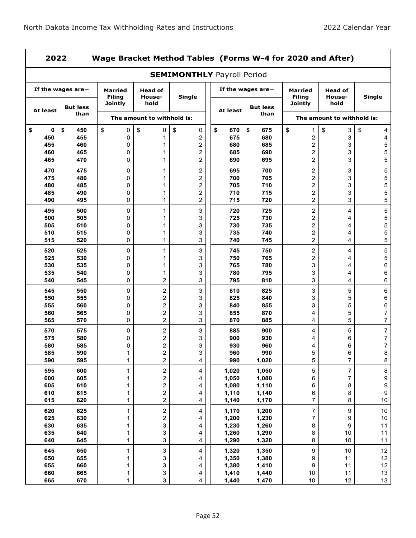|                   | Wage Bracket Method Tables (Forms W-4 for 2020 and After)<br>2022 |                                 |                                                                   |                                           |                |                                 |                                    |                            |                          |  |  |  |
|-------------------|-------------------------------------------------------------------|---------------------------------|-------------------------------------------------------------------|-------------------------------------------|----------------|---------------------------------|------------------------------------|----------------------------|--------------------------|--|--|--|
|                   |                                                                   |                                 |                                                                   | <b>SEMIMONTHLY Payroll Period</b>         |                |                                 |                                    |                            |                          |  |  |  |
|                   | If the wages are $-$                                              | <b>Married</b><br><b>Filing</b> | If the wages are $-$<br><b>Head of</b><br><b>Single</b><br>House- |                                           |                | <b>Married</b><br><b>Filina</b> | <b>Head of</b><br>House-           | Single                     |                          |  |  |  |
| At least          | <b>But less</b><br>than                                           | <b>Jointly</b>                  | hold                                                              |                                           | At least       | <b>But less</b><br>than         | Jointly                            | hold                       |                          |  |  |  |
|                   |                                                                   |                                 | The amount to withhold is:                                        |                                           |                |                                 |                                    | The amount to withhold is: |                          |  |  |  |
| \$<br>$\mathbf 0$ | \$<br>450                                                         | \$<br>0                         | \$<br>0                                                           | \$<br>0                                   | \$<br>670      | \$<br>675                       | \$<br>1                            | \$<br>3                    | \$<br>4                  |  |  |  |
| 450               | 455                                                               | 0                               | 1                                                                 | 2                                         | 675            | 680                             | 2                                  | 3                          | 4                        |  |  |  |
| 455<br>460        | 460<br>465                                                        | 0<br>0                          | 1<br>1                                                            | $\overline{c}$<br>$\overline{\mathbf{c}}$ | 680<br>685     | 685<br>690                      | 2<br>$\overline{\mathbf{c}}$       | 3<br>3                     | 5<br>5                   |  |  |  |
| 465               | 470                                                               | $\Omega$                        | 1                                                                 | 2                                         | 690            | 695                             | $\overline{c}$                     | 3                          | 5                        |  |  |  |
| 470               | 475                                                               | 0                               | 1                                                                 | $\overline{\mathbf{c}}$                   | 695            | 700                             | $\overline{c}$                     | 3                          | 5                        |  |  |  |
| 475               | 480                                                               | 0                               | 1                                                                 | $\overline{\mathbf{c}}$                   | 700            | 705                             | 2                                  | 3                          | 5                        |  |  |  |
| 480               | 485                                                               | 0                               | 1                                                                 | $\overline{c}$                            | 705            | 710                             | $\boldsymbol{2}$                   | 3                          | 5                        |  |  |  |
| 485               | 490                                                               | 0                               | 1                                                                 | $\overline{\mathbf{c}}$                   | 710            | 715                             | $\overline{\mathbf{c}}$            | 3                          | 5                        |  |  |  |
| 490               | 495                                                               | 0                               | $\mathbf{1}$                                                      | 2<br>3                                    | 715            | 720                             | $\overline{c}$<br>$\boldsymbol{2}$ | 3                          | 5                        |  |  |  |
| 495<br>500        | 500<br>505                                                        | 0<br>0                          | 1<br>1                                                            | 3                                         | 720<br>725     | 725<br>730                      | $\boldsymbol{2}$                   | 4<br>4                     | 5<br>5                   |  |  |  |
| 505               | 510                                                               | 0                               | 1                                                                 | 3                                         | 730            | 735                             | $\overline{\mathbf{c}}$            | 4                          | 5                        |  |  |  |
| 510               | 515                                                               | 0                               | 1                                                                 | 3                                         | 735            | 740                             | $\overline{2}$                     | 4                          | 5                        |  |  |  |
| 515               | 520                                                               | 0                               | 1                                                                 | 3                                         | 740            | 745                             | $\overline{c}$                     | 4                          | 5                        |  |  |  |
| 520               | 525                                                               | 0                               | 1                                                                 | 3                                         | 745            | 750                             | $\boldsymbol{2}$                   | 4                          | 5                        |  |  |  |
| 525               | 530                                                               | 0                               | 1                                                                 | 3                                         | 750            | 765                             | 2                                  | 4                          | 5                        |  |  |  |
| 530               | 535                                                               | 0                               | 1                                                                 | 3                                         | 765            | 780                             | 3                                  | 4                          | 6                        |  |  |  |
| 535               | 540                                                               | 0                               | 1                                                                 | 3                                         | 780            | 795                             | 3                                  | 4                          | 6                        |  |  |  |
| 540               | 545                                                               | 0                               | 2                                                                 | 3                                         | 795            | 810                             | 3                                  | 4                          | 6                        |  |  |  |
| 545               | 550                                                               | 0                               | 2                                                                 | 3                                         | 810            | 825                             | 3                                  | 5                          | 6                        |  |  |  |
| 550<br>555        | 555<br>560                                                        | 0<br>0                          | 2<br>2                                                            | 3<br>3                                    | 825<br>840     | 840<br>855                      | 3<br>3                             | 5<br>5                     | 6<br>6                   |  |  |  |
| 560               | 565                                                               | 0                               | 2                                                                 | 3                                         | 855            | 870                             | 4                                  | 5                          | 7                        |  |  |  |
| 565               | 570                                                               | 0                               | $\overline{\mathbf{c}}$                                           | 3                                         | 870            | 885                             | 4                                  | 5                          | 7                        |  |  |  |
| 570               | 575                                                               | 0                               | 2                                                                 | 3                                         | 885            | 900                             | 4                                  | 5                          | $\overline{\mathcal{I}}$ |  |  |  |
| 575               | 580                                                               | 0                               | 2                                                                 | 3                                         | 900            | 930                             | 4                                  | 6                          | 7                        |  |  |  |
| 580               | 585                                                               | 0                               | $\overline{\mathbf{c}}$                                           | 3                                         | 930            | 960                             | 4                                  | 6                          | 7                        |  |  |  |
| 585<br>590        | 590<br>595                                                        | 1<br>$\mathbf{1}$               | 2<br>$\overline{\mathbf{c}}$                                      | 3<br>4                                    | 960<br>990     | 990<br>1,020                    | 5<br>5                             | 6<br>$\overline{7}$        | 8<br>8                   |  |  |  |
|                   |                                                                   |                                 |                                                                   |                                           |                |                                 |                                    | $\overline{\mathbf{7}}$    |                          |  |  |  |
| 595<br>600        | 600<br>605                                                        | 1<br>1                          | $\sqrt{2}$<br>2                                                   | 4<br>4                                    | 1,020<br>1,050 | 1,050<br>1,080                  | 5<br>6                             | $\overline{7}$             | 8<br>9                   |  |  |  |
| 605               | 610                                                               | 1                               | 2                                                                 | 4                                         | 1,080          | 1,110                           | 6                                  | 8                          | 9                        |  |  |  |
| 610               | 615                                                               | 1                               | $\overline{\mathbf{c}}$                                           | 4                                         | 1,110          | 1,140                           | 6                                  | 8                          | $\boldsymbol{9}$         |  |  |  |
| 615               | 620                                                               | 1                               | $\overline{c}$                                                    | 4                                         | 1,140          | 1,170                           | $\overline{7}$                     | 8                          | $10$                     |  |  |  |
| 620               | 625                                                               | 1                               | $\mathbf 2$                                                       | 4                                         | 1,170          | 1,200                           | $\overline{7}$                     | 9                          | 10                       |  |  |  |
| 625               | 630                                                               | 1                               | $\overline{\mathbf{c}}$                                           | 4                                         | 1,200          | 1,230                           | $\overline{7}$                     | 9                          | 10                       |  |  |  |
| 630               | 635                                                               | 1                               | 3                                                                 | 4                                         | 1,230          | 1,260                           | 8                                  | 9                          | 11                       |  |  |  |
| 635<br>640        | 640<br>645                                                        | 1<br>1                          | 3<br>3                                                            | 4<br>4                                    | 1,260<br>1,290 | 1,290<br>1,320                  | 8<br>8                             | $10\,$<br>10               | 11<br>11                 |  |  |  |
| 645               | 650                                                               | $\mathbf{1}$                    | 3                                                                 | 4                                         | 1,320          | 1,350                           | $\boldsymbol{9}$                   | $10\,$                     | 12                       |  |  |  |
| 650               | 655                                                               | 1                               | 3                                                                 | 4                                         | 1,350          | 1,380                           | 9                                  | 11                         | 12                       |  |  |  |
| 655               | 660                                                               | 1                               | 3                                                                 | 4                                         | 1,380          | 1,410                           | $\boldsymbol{9}$                   | 11                         | 12                       |  |  |  |
| 660               | 665                                                               | 1                               | 3                                                                 | 4                                         | 1,410          | 1,440                           | $10\,$                             | 11                         | 13                       |  |  |  |
| 665               | 670                                                               | 1                               | 3                                                                 | 4                                         | 1,440          | 1,470                           | $10\,$                             | 12                         | 13                       |  |  |  |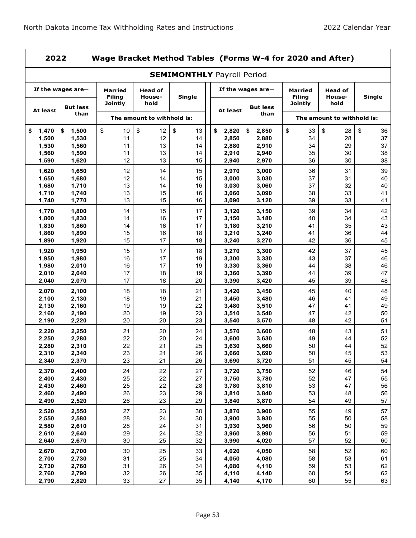ż

|                | 2022<br>Wage Bracket Method Tables (Forms W-4 for 2020 and After) |                                 |                            |                                   |                                                          |                |                                 |                          |               |  |  |
|----------------|-------------------------------------------------------------------|---------------------------------|----------------------------|-----------------------------------|----------------------------------------------------------|----------------|---------------------------------|--------------------------|---------------|--|--|
|                |                                                                   |                                 |                            | <b>SEMIMONTHLY Payroll Period</b> |                                                          |                |                                 |                          |               |  |  |
|                | If the wages are-                                                 | <b>Married</b><br><b>Filing</b> | <b>Head of</b><br>House-   | Single                            | If the wages are-<br><b>But less</b><br>At least<br>than |                | <b>Married</b><br><b>Filing</b> | <b>Head of</b><br>House- | <b>Single</b> |  |  |
| At least       | <b>But less</b><br>than                                           | Jointly                         | hold                       |                                   |                                                          |                | Jointly                         | hold                     |               |  |  |
|                |                                                                   |                                 | The amount to withhold is: |                                   |                                                          |                | The amount to withhold is:      |                          |               |  |  |
| 1,470<br>\$    | \$<br>1,500                                                       | \$<br>10                        | \$<br>12                   | \$<br>13                          | \$<br>2,820                                              | 2,850<br>\$    | \$<br>33                        | \$<br>28                 | \$<br>36      |  |  |
| 1,500          | 1,530                                                             | 11                              | 12                         | 14                                | 2,850                                                    | 2,880          | 34                              | 28                       | 37            |  |  |
| 1,530<br>1,560 | 1,560<br>1,590                                                    | 11<br>11                        | 13<br>13                   | 14<br>14                          | 2,880<br>2,910                                           | 2,910<br>2,940 | 34<br>35                        | 29<br>30                 | 37<br>38      |  |  |
| 1,590          | 1,620                                                             | 12                              | 13                         | 15                                | 2,940                                                    | 2,970          | 36                              | 30                       | 38            |  |  |
| 1,620          | 1,650                                                             | 12                              | 14                         | 15                                | 2,970                                                    | 3,000          | 36                              | 31                       | 39            |  |  |
| 1,650          | 1,680                                                             | 12                              | 14                         | 15                                | 3,000                                                    | 3,030          | 37                              | 31                       | 40            |  |  |
| 1,680          | 1,710                                                             | 13                              | 14                         | 16                                | 3,030                                                    | 3,060          | 37                              | 32                       | 40            |  |  |
| 1,710          | 1,740                                                             | 13                              | 15                         | 16                                | 3,060                                                    | 3,090          | 38                              | 33                       | 41            |  |  |
| 1,740          | 1,770                                                             | 13                              | 15                         | 16                                | 3,090                                                    | 3,120          | 39                              | 33                       | 41            |  |  |
| 1,770          | 1,800                                                             | 14                              | 15                         | 17                                | 3,120                                                    | 3,150          | 39                              | 34                       | 42            |  |  |
| 1,800          | 1,830                                                             | 14                              | 16                         | 17                                | 3,150                                                    | 3,180          | 40                              | 34                       | 43            |  |  |
| 1,830          | 1,860                                                             | 14                              | 16                         | 17                                | 3,180                                                    | 3,210          | 41                              | 35                       | 43            |  |  |
| 1,860          | 1,890                                                             | 15                              | 16                         | 18                                | 3,210                                                    | 3,240          | 41                              | 36                       | 44            |  |  |
| 1,890          | 1,920                                                             | 15                              | 17                         | 18                                | 3,240                                                    | 3,270          | 42                              | 36                       | 45            |  |  |
| 1,920          | 1,950                                                             | 15                              | 17                         | 18                                | 3,270                                                    | 3,300          | 42                              | 37                       | 45            |  |  |
| 1,950          | 1,980                                                             | 16                              | 17                         | 19                                | 3,300                                                    | 3,330          | 43                              | 37                       | 46            |  |  |
| 1,980          | 2,010                                                             | 16                              | 17                         | 19                                | 3,330                                                    | 3,360          | 44                              | 38                       | 46            |  |  |
| 2,010          | 2,040                                                             | 17                              | 18                         | 19                                | 3,360                                                    | 3,390          | 44                              | 39                       | 47            |  |  |
| 2,040          | 2,070                                                             | 17                              | 18                         | 20                                | 3,390                                                    | 3,420          | 45                              | 39                       | 48            |  |  |
| 2,070          | 2,100                                                             | 18                              | 18                         | 21                                | 3,420                                                    | 3,450          | 45                              | 40                       | 48            |  |  |
| 2,100          | 2,130                                                             | 18                              | 19<br>19                   | 21<br>22                          | 3,450                                                    | 3,480          | 46<br>47                        | 41<br>41                 | 49<br>49      |  |  |
| 2,130<br>2,160 | 2,160<br>2,190                                                    | 19<br>20                        | 19                         | 23                                | 3,480<br>3,510                                           | 3,510<br>3,540 | 47                              | 42                       | 50            |  |  |
| 2,190          | 2,220                                                             | 20                              | 20                         | 23                                | 3,540                                                    | 3,570          | 48                              | 42                       | 51            |  |  |
|                |                                                                   |                                 |                            |                                   |                                                          |                |                                 |                          |               |  |  |
| 2,220<br>2,250 | 2,250<br>2,280                                                    | 21<br>22                        | 20<br>20                   | 24<br>24                          | 3,570<br>3,600                                           | 3,600<br>3,630 | 48<br>49                        | 43<br>44                 | 51<br>52      |  |  |
| 2,280          | 2,310                                                             | 22                              | 21                         | 25                                | 3,630                                                    | 3,660          | 50                              | 44                       | 52            |  |  |
| 2,310          | 2,340                                                             | 23                              | 21                         | 26                                | 3,660                                                    | 3,690          | 50                              | 45                       | 53            |  |  |
| 2,340          | 2,370                                                             | 23                              | 21                         | 26                                | 3,690                                                    | 3,720          | 51                              | 45                       | 54            |  |  |
| 2,370          | 2,400                                                             | 24                              | 22                         | 27                                | 3,720                                                    | 3,750          | 52                              | 46                       | 54            |  |  |
| 2,400          | 2,430                                                             | 25                              | 22                         | 27                                | 3,750                                                    | 3,780          | 52                              | 47                       | 55            |  |  |
| 2,430          | 2,460                                                             | 25                              | 22                         | 28                                | 3,780                                                    | 3,810          | 53                              | 47                       | 56            |  |  |
| 2,460          | 2,490                                                             | 26                              | 23                         | 29                                | 3,810                                                    | 3,840          | 53                              | 48                       | 56            |  |  |
| 2,490          | 2,520                                                             | 26                              | 23                         | 29                                | 3,840                                                    | 3,870          | 54                              | 49                       | 57            |  |  |
| 2,520          | 2,550                                                             | 27                              | 23                         | 30                                | 3,870                                                    | 3,900          | 55                              | 49                       | 57            |  |  |
| 2,550          | 2,580                                                             | 28                              | 24                         | 30                                | 3,900                                                    | 3,930          | 55                              | 50                       | 58            |  |  |
| 2,580          | 2,610                                                             | 28                              | 24                         | 31                                | 3,930                                                    | 3,960          | 56                              | 50                       | 59            |  |  |
| 2,610          | 2,640                                                             | 29                              | 24                         | 32                                | 3,960                                                    | 3,990          | 56                              | 51                       | 59            |  |  |
| 2,640          | 2,670                                                             | 30                              | 25                         | 32                                | 3,990                                                    | 4,020          | 57                              | 52                       | 60            |  |  |
| 2,670          | 2,700                                                             | 30                              | 25                         | 33                                | 4,020                                                    | 4,050          | 58                              | 52                       | 60            |  |  |
| 2,700          | 2,730                                                             | 31                              | 25                         | 34                                | 4,050                                                    | 4,080          | 58                              | 53                       | 61            |  |  |
| 2,730          | 2,760                                                             | 31                              | 26                         | 34                                | 4,080                                                    | 4,110          | 59                              | 53                       | 62            |  |  |
| 2,760          | 2,790                                                             | 32                              | 26                         | 35                                | 4,110                                                    | 4,140          | 60                              | 54                       | 62            |  |  |
| 2,790          | 2,820                                                             | 33                              | 27                         | 35                                | 4,140                                                    | 4,170          | 60                              | 55                       | 63            |  |  |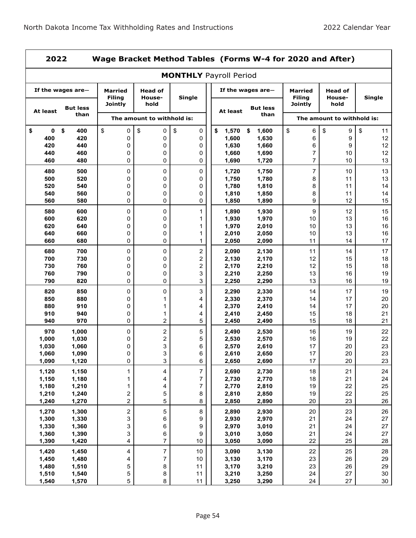÷

|                   | 2022<br>Wage Bracket Method Tables (Forms W-4 for 2020 and After) |                                            |                                  |                         |                |                         |                                               |                          |               |  |  |  |
|-------------------|-------------------------------------------------------------------|--------------------------------------------|----------------------------------|-------------------------|----------------|-------------------------|-----------------------------------------------|--------------------------|---------------|--|--|--|
|                   | <b>MONTHLY Payroll Period</b>                                     |                                            |                                  |                         |                |                         |                                               |                          |               |  |  |  |
| If the wages are- |                                                                   | <b>Married</b><br><b>Filing</b><br>Jointly | <b>Head of</b><br>House-<br>hold | Single                  |                | If the wages are-       | Married<br><b>Filing</b>                      | <b>Head of</b><br>House- | <b>Single</b> |  |  |  |
| At least          | <b>But less</b><br>than                                           |                                            |                                  |                         | At least       | <b>But less</b><br>than | Jointly<br>hold<br>The amount to withhold is: |                          |               |  |  |  |
|                   |                                                                   |                                            | The amount to withhold is:       |                         |                |                         |                                               |                          |               |  |  |  |
| \$<br>0           | \$<br>400                                                         | \$<br>0                                    | \$<br>0                          | \$<br>0                 | \$<br>1,570    | \$<br>1,600             | \$<br>6                                       | \$<br>9                  | \$<br>11      |  |  |  |
| 400<br>420        | 420<br>440                                                        | 0<br>0                                     | 0<br>0                           | 0<br>0                  | 1,600<br>1,630 | 1,630<br>1,660          | 6<br>6                                        | 9<br>9                   | 12<br>12      |  |  |  |
| 440               | 460                                                               | 0                                          | 0                                | 0                       | 1,660          | 1,690                   | 7                                             | 10                       | 12            |  |  |  |
| 460               | 480                                                               | 0                                          | 0                                | 0                       | 1,690          | 1,720                   | $\overline{7}$                                | 10                       | 13            |  |  |  |
| 480               | 500                                                               |                                            |                                  |                         |                |                         |                                               |                          | 13            |  |  |  |
| 500               | 520                                                               | 0<br>0                                     | 0<br>0                           | 0<br>0                  | 1,720<br>1,750 | 1,750<br>1,780          | 7<br>8                                        | 10<br>11                 | 13            |  |  |  |
| 520               | 540                                                               | 0                                          | 0                                | 0                       | 1,780          | 1,810                   | 8                                             | 11                       | 14            |  |  |  |
| 540               | 560                                                               | 0                                          | 0                                | 0                       | 1,810          | 1,850                   | 8                                             | 11                       | 14            |  |  |  |
| 560               | 580                                                               | 0                                          | 0                                | 0                       | 1,850          | 1,890                   | 9                                             | 12                       | 15            |  |  |  |
| 580               | 600                                                               | 0                                          | 0                                | 1                       | 1,890          | 1,930                   | 9                                             | 12                       | 15            |  |  |  |
| 600               | 620                                                               | 0                                          | 0                                | 1                       | 1,930          | 1,970                   | 10                                            | 13                       | 16            |  |  |  |
| 620               | 640                                                               | 0                                          | 0                                | 1                       | 1,970          | 2,010                   | 10                                            | 13                       | 16            |  |  |  |
| 640               | 660                                                               | 0                                          | 0                                | 1                       | 2,010          | 2,050                   | 10                                            | 13                       | 16            |  |  |  |
| 660               | 680                                                               | 0                                          | 0                                | 1                       | 2,050          | 2,090                   | 11                                            | 14                       | 17            |  |  |  |
| 680               | 700                                                               | 0                                          | 0                                | $\overline{\mathbf{c}}$ | 2,090          | 2,130                   | 11                                            | 14                       | 17            |  |  |  |
| 700               | 730                                                               | 0                                          | 0                                | 2                       | 2,130          | 2,170                   | 12                                            | 15                       | 18            |  |  |  |
| 730               | 760                                                               | 0                                          | 0                                | $\overline{\mathbf{c}}$ | 2,170          | 2,210                   | 12                                            | 15                       | 18            |  |  |  |
| 760               | 790                                                               | 0                                          | 0                                | 3                       | 2,210          | 2,250                   | 13                                            | 16                       | 19            |  |  |  |
| 790               | 820                                                               | 0                                          | 0                                | 3                       | 2,250          | 2,290                   | 13                                            | 16                       | 19            |  |  |  |
| 820               | 850                                                               | 0                                          | 0                                | 3                       | 2,290          | 2,330                   | 14                                            | 17                       | 19            |  |  |  |
| 850               | 880                                                               | 0                                          | 1                                | 4                       | 2,330          | 2,370                   | 14                                            | 17                       | 20            |  |  |  |
| 880               | 910                                                               | 0                                          | 1                                | 4                       | 2,370          | 2,410                   | 14                                            | 17                       | 20            |  |  |  |
| 910               | 940                                                               | 0                                          | 1                                | 4                       | 2,410          | 2,450                   | 15                                            | 18                       | 21            |  |  |  |
| 940               | 970                                                               | 0                                          | 2                                | 5                       | 2,450          | 2,490                   | 15                                            | 18                       | 21            |  |  |  |
| 970               | 1,000                                                             | 0                                          | $\boldsymbol{2}$                 | 5                       | 2,490          | 2,530                   | 16                                            | 19                       | 22            |  |  |  |
| 1,000             | 1,030                                                             | 0                                          | 2                                | 5                       | 2,530          | 2,570                   | 16                                            | 19                       | 22            |  |  |  |
| 1,030             | 1,060                                                             | 0                                          | 3                                | 6                       | 2,570          | 2,610                   | 17                                            | 20                       | 23            |  |  |  |
| 1,060             | 1,090                                                             | 0                                          | 3                                | 6                       | 2,610          | 2,650                   | 17                                            | $20\,$                   | 23            |  |  |  |
| 1,090             | 1,120                                                             | 0                                          | 3                                | 6                       | 2,650          | 2,690                   | 17                                            | 20                       | 23            |  |  |  |
| 1,120             | 1,150                                                             | $\mathbf 1$                                | 4                                | 7                       | 2,690          | 2,730                   | 18                                            | 21                       | 24            |  |  |  |
| 1,150             | 1,180                                                             | $\mathbf 1$                                | 4                                | $\overline{7}$          | 2,730          | 2,770                   | 18                                            | 21                       | 24            |  |  |  |
| 1,180             | 1,210                                                             | 1                                          | 4                                | 7                       | 2,770          | 2,810                   | 19                                            | 22                       | 25            |  |  |  |
| 1,210             | 1,240                                                             | $\mathbf 2$                                | 5                                | 8                       | 2,810          | 2,850                   | 19                                            | 22                       | 25            |  |  |  |
| 1,240             | 1,270                                                             | $\overline{c}$                             | 5                                | 8                       | 2,850          | 2,890                   | 20                                            | 23                       | 26            |  |  |  |
| 1,270             | 1,300                                                             | $\boldsymbol{2}$                           | 5                                | 8                       | 2,890          | 2,930                   | 20                                            | 23                       | 26            |  |  |  |
| 1,300             | 1,330                                                             | 3                                          | 6                                | 9                       | 2,930          | 2,970                   | 21                                            | 24                       | 27            |  |  |  |
| 1,330             | 1,360                                                             | 3                                          | 6                                | 9                       | 2,970          | 3,010                   | 21                                            | 24                       | 27            |  |  |  |
| 1,360             | 1,390                                                             | 3                                          | 6                                | 9                       | 3,010          | 3,050                   | 21                                            | 24                       | 27            |  |  |  |
| 1,390             | 1,420                                                             | 4                                          | 7                                | 10                      | 3,050          | 3,090                   | 22                                            | 25                       | 28            |  |  |  |
| 1,420             | 1,450                                                             | 4                                          | $\boldsymbol{7}$                 | 10                      | 3,090          | 3,130                   | 22                                            | 25                       | 28            |  |  |  |
| 1,450             | 1,480                                                             | 4                                          | $\boldsymbol{7}$                 | 10                      | 3,130          | 3,170                   | 23                                            | 26                       | 29            |  |  |  |
| 1,480             | 1,510                                                             | 5                                          | 8                                | 11                      | 3,170          | 3,210                   | 23                                            | 26                       | 29            |  |  |  |
| 1,510             | 1,540                                                             | 5                                          | 8                                | 11                      | 3,210          | 3,250                   | 24                                            | 27                       | 30            |  |  |  |
| 1,540             | 1,570                                                             | 5                                          | 8                                | 11                      | 3,250          | 3,290                   | 24                                            | 27                       | 30            |  |  |  |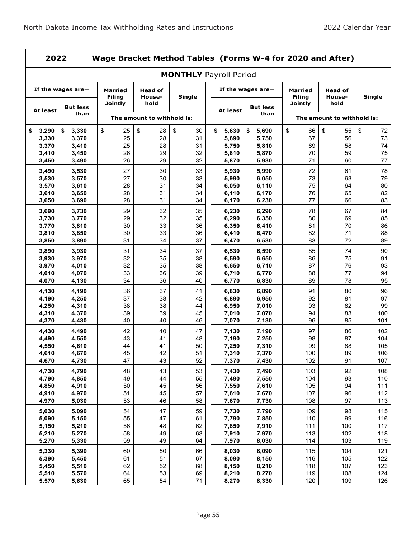| 2022           |                         |                                 |                            | Wage Bracket Method Tables (Forms W-4 for 2020 and After) |                |                         |                                 |                            |               |  |
|----------------|-------------------------|---------------------------------|----------------------------|-----------------------------------------------------------|----------------|-------------------------|---------------------------------|----------------------------|---------------|--|
|                |                         |                                 |                            | <b>MONTHLY Payroll Period</b>                             |                |                         |                                 |                            |               |  |
|                | If the wages are-       | <b>Married</b><br><b>Filing</b> | <b>Head of</b><br>House-   | Single                                                    |                | If the wages are $-$    | <b>Married</b><br><b>Filing</b> | <b>Head of</b><br>House-   | <b>Single</b> |  |
| At least       | <b>But less</b><br>than | <b>Jointly</b>                  | hold                       |                                                           | At least       | <b>But less</b><br>than | <b>Jointly</b>                  | hold                       |               |  |
|                |                         |                                 | The amount to withhold is: |                                                           |                |                         |                                 | The amount to withhold is: |               |  |
| 3,290<br>\$    | \$<br>3,330             | \$<br>25                        | \$<br>28                   | \$<br>30                                                  | \$<br>5,630    | 5,690<br>\$             | \$<br>66                        | \$<br>55                   | \$<br>72      |  |
| 3,330          | 3,370                   | 25                              | 28                         | 31                                                        | 5,690          | 5,750                   | 67                              | 56                         | 73            |  |
| 3,370          | 3,410                   | 25                              | 28<br>29                   | 31<br>32                                                  | 5,750          | 5,810                   | 69                              | 58<br>59                   | 74<br>75      |  |
| 3,410<br>3,450 | 3,450<br>3,490          | 26<br>26                        | 29                         | 32                                                        | 5,810<br>5,870 | 5,870<br>5,930          | 70<br>71                        | 60                         | 77            |  |
| 3,490          | 3,530                   | 27                              | 30                         | 33                                                        | 5,930          | 5,990                   | 72                              | 61                         | 78            |  |
| 3,530          | 3,570                   | 27                              | 30                         | 33                                                        | 5,990          | 6,050                   | 73                              | 63                         | 79            |  |
| 3,570          | 3,610                   | 28                              | 31                         | 34                                                        | 6,050          | 6,110                   | 75                              | 64                         | 80            |  |
| 3,610          | 3,650                   | 28                              | 31                         | 34                                                        | 6,110          | 6,170                   | 76                              | 65                         | 82            |  |
| 3,650          | 3,690                   | 28                              | 31                         | 34                                                        | 6,170          | 6,230                   | 77                              | 66                         | 83            |  |
| 3,690          | 3,730                   | 29                              | 32                         | 35                                                        | 6,230          | 6,290                   | 78                              | 67                         | 84            |  |
| 3,730          | 3,770                   | 29                              | 32                         | 35                                                        | 6,290          | 6,350                   | 80                              | 69                         | 85            |  |
| 3,770          | 3,810                   | 30                              | 33                         | 36                                                        | 6,350          | 6,410                   | 81                              | 70                         | 86            |  |
| 3,810          | 3,850                   | 30                              | 33                         | 36                                                        | 6,410          | 6,470                   | 82                              | 71                         | 88            |  |
| 3,850          | 3,890                   | 31                              | 34                         | 37                                                        | 6,470          | 6,530                   | 83                              | 72                         | 89            |  |
| 3,890          | 3,930                   | 31                              | 34                         | 37                                                        | 6,530          | 6,590                   | 85                              | 74                         | 90            |  |
| 3,930          | 3,970                   | 32                              | 35                         | 38                                                        | 6,590          | 6,650                   | 86                              | 75                         | 91            |  |
| 3,970<br>4,010 | 4,010<br>4,070          | 32<br>33                        | 35<br>36                   | 38<br>39                                                  | 6,650<br>6,710 | 6,710<br>6,770          | 87<br>88                        | 76<br>77                   | 93<br>94      |  |
| 4,070          | 4,130                   | 34                              | 36                         | 40                                                        | 6,770          | 6,830                   | 89                              | 78                         | 95            |  |
| 4,130          | 4,190                   | 36                              | 37                         | 41                                                        | 6,830          | 6,890                   | 91                              | 80                         | 96            |  |
| 4,190          | 4,250                   | 37                              | 38                         | 42                                                        | 6,890          | 6,950                   | 92                              | 81                         | 97            |  |
| 4,250          | 4,310                   | 38                              | 38                         | 44                                                        | 6,950          | 7,010                   | 93                              | 82                         | 99            |  |
| 4,310          | 4,370                   | 39                              | 39                         | 45                                                        | 7,010          | 7,070                   | 94                              | 83                         | 100           |  |
| 4,370          | 4,430                   | 40                              | 40                         | 46                                                        | 7,070          | 7,130                   | 96                              | 85                         | 101           |  |
| 4,430          | 4,490                   | 42                              | 40                         | 47                                                        | 7,130          | 7,190                   | 97                              | 86                         | 102           |  |
| 4,490          | 4,550                   | 43                              | 41                         | 48                                                        | 7,190          | 7,250                   | 98                              | 87                         | 104           |  |
| 4,550          | 4,610                   | 44                              | 41                         | 50                                                        | 7,250          | 7,310                   | 99                              | 88                         | 105           |  |
| 4,610<br>4,670 | 4,670<br>4,730          | 45<br>47                        | 42<br>43                   | 51<br>52                                                  | 7,310<br>7,370 | 7,370<br>7,430          | 100<br>102                      | 89<br>91                   | 106<br>107    |  |
|                |                         |                                 |                            |                                                           |                |                         |                                 |                            |               |  |
| 4,730<br>4,790 | 4,790<br>4,850          | 48<br>49                        | 43<br>44                   | 53<br>55                                                  | 7,430<br>7,490 | 7,490<br>7,550          | 103<br>104                      | 92<br>93                   | 108<br>110    |  |
| 4,850          | 4,910                   | 50                              | 45                         | 56                                                        | 7,550          | 7,610                   | 105                             | 94                         | 111           |  |
| 4,910          | 4,970                   | 51                              | 45                         | 57                                                        | 7,610          | 7,670                   | 107                             | 96                         | 112           |  |
| 4,970          | 5,030                   | 53                              | 46                         | 58                                                        | 7,670          | 7,730                   | 108                             | 97                         | 113           |  |
| 5,030          | 5,090                   | 54                              | 47                         | 59                                                        | 7,730          | 7,790                   | 109                             | 98                         | 115           |  |
| 5,090          | 5,150                   | 55                              | 47                         | 61                                                        | 7,790          | 7,850                   | 110                             | 99                         | 116           |  |
| 5,150          | 5,210                   | 56                              | 48                         | 62                                                        | 7,850          | 7,910                   | 111                             | 100                        | 117           |  |
| 5,210          | 5,270                   | 58                              | 49                         | 63                                                        | 7,910          | 7,970                   | 113                             | 102                        | 118           |  |
| 5,270          | 5,330                   | 59                              | 49                         | 64                                                        | 7,970          | 8,030                   | 114                             | 103                        | 119           |  |
| 5,330          | 5,390                   | 60                              | 50                         | 66                                                        | 8,030          | 8,090                   | 115                             | 104                        | 121           |  |
| 5,390          | 5,450                   | 61                              | 51                         | 67                                                        | 8,090          | 8,150                   | 116                             | 105                        | 122           |  |
| 5,450          | 5,510                   | 62                              | 52                         | 68                                                        | 8,150          | 8,210                   | 118                             | 107                        | 123           |  |
| 5,510          | 5,570                   | 64                              | 53                         | 69                                                        | 8,210          | 8,270                   | 119                             | 108                        | 124           |  |
| 5,570          | 5,630                   | 65                              | 54                         | 71                                                        | 8,270          | 8,330                   | 120                             | 109                        | 126           |  |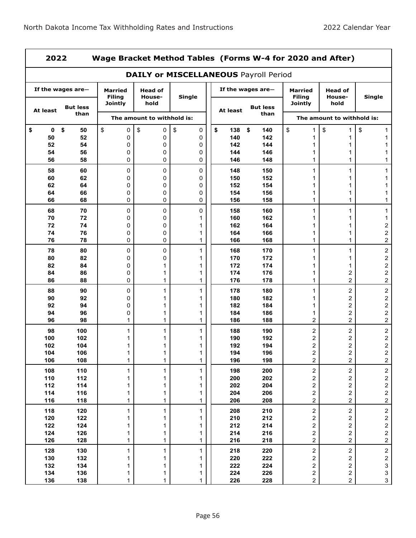|            | 2022<br>Wage Bracket Method Tables (Forms W-4 for 2020 and After) |                                 |                            |                                              |                                     |                   |                                  |                                           |                                                    |  |  |  |
|------------|-------------------------------------------------------------------|---------------------------------|----------------------------|----------------------------------------------|-------------------------------------|-------------------|----------------------------------|-------------------------------------------|----------------------------------------------------|--|--|--|
|            |                                                                   |                                 |                            | <b>DAILY or MISCELLANEOUS Payroll Period</b> |                                     |                   |                                  |                                           |                                                    |  |  |  |
|            | If the wages are-                                                 | <b>Married</b><br><b>Filing</b> | Head of<br>House-          | <b>Single</b>                                |                                     | If the wages are- | <b>Married</b><br><b>Filing</b>  | Head of<br>House-                         | <b>Single</b>                                      |  |  |  |
| At least   | <b>But less</b>                                                   | <b>Jointly</b>                  | hold                       |                                              | <b>But less</b><br>At least<br>than |                   | <b>Jointly</b>                   | hold                                      |                                                    |  |  |  |
|            | than                                                              |                                 | The amount to withhold is: |                                              |                                     |                   | The amount to withhold is:       |                                           |                                                    |  |  |  |
| \$<br>0    | \$<br>50                                                          | \$<br>0                         | \$<br>0                    | \$<br>0                                      | \$<br>138                           | \$<br>140         | \$<br>1                          | \$<br>1                                   | \$                                                 |  |  |  |
| 50         | 52                                                                | 0                               | 0                          | 0                                            | 140                                 | 142               | 1                                | 1                                         |                                                    |  |  |  |
| 52         | 54                                                                | 0                               | 0                          | 0                                            | 142                                 | 144               |                                  |                                           |                                                    |  |  |  |
| 54<br>56   | 56<br>58                                                          | 0<br>0                          | 0<br>0                     | 0<br>0                                       | 144<br>146                          | 146<br>148        | 1<br>1                           | 1<br>1                                    |                                                    |  |  |  |
| 58         | 60                                                                | 0                               | 0                          | 0                                            | 148                                 | 150               | 1                                | 1                                         |                                                    |  |  |  |
| 60         | 62                                                                | 0                               | 0                          | 0                                            | 150                                 | 152               |                                  | 1                                         |                                                    |  |  |  |
| 62         | 64                                                                | 0                               | 0                          | 0                                            | 152                                 | 154               |                                  | 1                                         |                                                    |  |  |  |
| 64         | 66                                                                | 0                               | 0                          | 0                                            | 154                                 | 156               | 1                                | 1                                         |                                                    |  |  |  |
| 66         | 68                                                                | 0                               | 0                          | 0                                            | 156                                 | 158               | 1                                | 1                                         |                                                    |  |  |  |
| 68         | 70                                                                | 0                               | 0                          | 0                                            | 158                                 | 160               | 1                                | 1                                         | 1                                                  |  |  |  |
| 70         | 72                                                                | 0                               | 0                          | 1                                            | 160                                 | 162               |                                  | 1                                         |                                                    |  |  |  |
| 72<br>74   | 74<br>76                                                          | 0                               | 0                          | 1<br>1                                       | 162<br>164                          | 164<br>166        |                                  | 1<br>1                                    | 2<br>$\overline{\mathbf{c}}$                       |  |  |  |
| 76         | 78                                                                | 0<br>0                          | 0<br>0                     | 1                                            | 166                                 | 168               | 1<br>1                           | 1                                         | $\overline{\mathbf{c}}$                            |  |  |  |
|            |                                                                   |                                 |                            |                                              |                                     |                   | 1                                |                                           |                                                    |  |  |  |
| 78<br>80   | 80<br>82                                                          | 0<br>0                          | 0<br>0                     | 1<br>1                                       | 168<br>170                          | 170<br>172        |                                  | 1<br>1                                    | $\overline{\mathbf{c}}$<br>$\overline{\mathbf{c}}$ |  |  |  |
| 82         | 84                                                                | 0                               | 1                          | 1                                            | 172                                 | 174               |                                  | 1                                         | $\overline{c}$                                     |  |  |  |
| 84         | 86                                                                | 0                               | 1                          | 1                                            | 174                                 | 176               | 1                                | 2                                         | $\overline{\mathbf{c}}$                            |  |  |  |
| 86         | 88                                                                | 0                               | 1                          | 1                                            | 176                                 | 178               | 1                                | 2                                         | $\overline{c}$                                     |  |  |  |
| 88         | 90                                                                | 0                               | 1                          | 1                                            | 178                                 | 180               | 1                                | $\overline{\mathbf{c}}$                   | $\overline{\mathbf{c}}$                            |  |  |  |
| 90         | 92                                                                | 0                               | 1                          | 1                                            | 180                                 | 182               |                                  | $\overline{\mathbf{c}}$                   | $\overline{\mathbf{c}}$                            |  |  |  |
| 92         | 94                                                                | 0                               | 1                          | 1                                            | 182                                 | 184               |                                  | $\overline{\mathbf{c}}$                   | $\overline{\mathbf{c}}$                            |  |  |  |
| 94         | 96                                                                | 0                               | 1                          | 1                                            | 184                                 | 186               | 1                                | 2                                         | $\overline{\mathbf{c}}$                            |  |  |  |
| 96         | 98                                                                | 1                               | 1                          | 1                                            | 186                                 | 188               | $\overline{2}$                   | $\overline{c}$                            | $\overline{\mathbf{c}}$                            |  |  |  |
| 98<br>100  | 100<br>102                                                        | 1                               | 1<br>1                     | 1                                            | 188<br>190                          | 190               | $\sqrt{2}$                       | 2                                         | $\mathbf 2$<br>$\overline{\mathbf{c}}$             |  |  |  |
| 102        | 104                                                               |                                 | 1                          | 1<br>1                                       | 192                                 | 192<br>194        | 2<br>2                           | 2<br>2                                    | $\overline{\mathbf{c}}$                            |  |  |  |
| 104        | 106                                                               |                                 |                            |                                              | 194                                 | 196               | 2                                | 2                                         | $\overline{c}$                                     |  |  |  |
| 106        | 108                                                               | 1                               | 1                          | 1                                            | 196                                 | 198               | $\boldsymbol{2}$                 | $\overline{\mathbf{c}}$                   | $\overline{2}$                                     |  |  |  |
| 108        | 110                                                               | 1                               | 1                          | 1                                            | 198                                 | 200               | $\boldsymbol{2}$                 | $\overline{\mathbf{c}}$                   |                                                    |  |  |  |
| 110        | 112                                                               | 1                               | 1                          | 1                                            | 200                                 | 202               | $\overline{\mathbf{c}}$          | $\overline{\mathbf{c}}$                   | $\begin{array}{c}\n2 \\ 2 \\ 2 \\ 2\n\end{array}$  |  |  |  |
| 112        | 114                                                               |                                 | 1                          | 1                                            | 202                                 | 204               | $\overline{\mathbf{c}}$          | $\overline{\mathbf{c}}$                   |                                                    |  |  |  |
| 114        | 116                                                               | 1                               | 1                          | 1                                            | 204                                 | 206               | $\overline{c}$                   | $\overline{\mathbf{c}}$                   |                                                    |  |  |  |
| 116        | 118                                                               | 1                               | 1                          | 1                                            | 206                                 | 208               | $\overline{2}$                   | $\overline{2}$                            |                                                    |  |  |  |
| 118        | 120                                                               | 1                               | 1                          | 1                                            | 208                                 | 210               | $\boldsymbol{2}$                 | $\overline{\mathbf{c}}$                   |                                                    |  |  |  |
| 120        | 122                                                               | 1                               | 1                          |                                              | 210                                 | 212               | $\overline{\mathbf{c}}$          | 2                                         |                                                    |  |  |  |
| 122        | 124                                                               | 1                               | 1                          | 1                                            | 212                                 | 214               | $\overline{\mathbf{c}}$          | $\overline{\mathbf{c}}$                   | $\begin{array}{c} 2 \\ 2 \\ 2 \\ 2 \end{array}$    |  |  |  |
| 124<br>126 | 126<br>128                                                        | 1<br>1                          | 1<br>1                     | 1<br>1                                       | 214<br>216                          | 216<br>218        | $\overline{c}$<br>$\overline{c}$ | $\overline{\mathbf{c}}$<br>$\overline{2}$ | $\overline{a}$                                     |  |  |  |
|            |                                                                   |                                 |                            |                                              |                                     |                   |                                  |                                           |                                                    |  |  |  |
| 128        | 130                                                               | 1                               | $\mathbf{1}$               | 1                                            | 218                                 | 220<br>222        | $\overline{c}$                   | $\overline{\mathbf{c}}$                   | $\overline{\mathbf{c}}$                            |  |  |  |
| 130<br>132 | 132<br>134                                                        | 1<br>1                          | 1<br>1                     | 1<br>1                                       | 220<br>222                          | 224               | 2<br>$\overline{\mathbf{c}}$     | 2<br>$\overline{\mathbf{c}}$              | $\frac{2}{3}$                                      |  |  |  |
| 134        | 136                                                               | 1                               | $\mathbf{1}$               | 1                                            | 224                                 | 226               | $\sqrt{2}$                       | $\overline{\mathbf{c}}$                   | $\mathbf{3}$                                       |  |  |  |
| 136        | 138                                                               | 1                               | 1                          | 1                                            | 226                                 | 228               | $\overline{c}$                   | $\overline{c}$                            | $\mathbf{3}$                                       |  |  |  |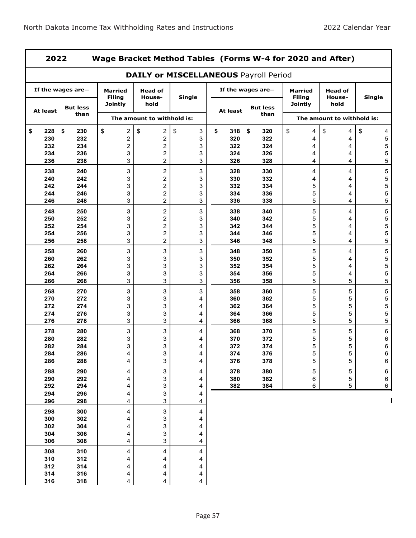7

|                  | 2022<br>Wage Bracket Method Tables (Forms W-4 for 2020 and After) |                                 |                            |                                              |                                     |  |                        |                                 |                            |               |  |  |
|------------------|-------------------------------------------------------------------|---------------------------------|----------------------------|----------------------------------------------|-------------------------------------|--|------------------------|---------------------------------|----------------------------|---------------|--|--|
|                  |                                                                   |                                 |                            | <b>DAILY or MISCELLANEOUS Payroll Period</b> |                                     |  |                        |                                 |                            |               |  |  |
|                  | If the wages are-                                                 | <b>Married</b><br><b>Filing</b> | <b>Head of</b><br>House-   | <b>Single</b>                                |                                     |  | If the wages are-      | <b>Married</b><br><b>Filing</b> | Head of<br>House-          | <b>Single</b> |  |  |
| At least         | <b>But less</b><br>than                                           | <b>Jointly</b>                  | hold                       |                                              | <b>But less</b><br>At least<br>than |  | <b>Jointly</b><br>hold |                                 |                            |               |  |  |
|                  |                                                                   |                                 | The amount to withhold is: |                                              |                                     |  |                        |                                 | The amount to withhold is: |               |  |  |
| \$<br>228<br>230 | \$<br>230<br>232                                                  | \$<br>2<br>$\boldsymbol{2}$     | \$<br>2<br>2               | \$<br>3<br>3                                 | \$<br>318<br>320                    |  | \$<br>320<br>322       | \$<br>4<br>4                    | \$<br>4<br>4               | \$<br>4<br>5  |  |  |
| 232              | 234                                                               | $\boldsymbol{2}$                | 2                          | 3                                            | 322                                 |  | 324                    | 4                               | 4                          | 5             |  |  |
| 234              | 236                                                               | 3                               | 2                          | 3                                            | 324                                 |  | 326                    | 4                               | 4                          | 5             |  |  |
| 236              | 238                                                               | 3                               | 2                          | 3                                            | 326                                 |  | 328                    | 4                               | 4                          | 5             |  |  |
| 238              | 240                                                               | 3                               | 2                          | 3                                            | 328                                 |  | 330                    | 4                               | 4                          | 5             |  |  |
| 240              | 242                                                               | 3                               | 2                          | 3                                            | 330                                 |  | 332                    | 4                               | 4                          | 5             |  |  |
| 242              | 244                                                               | 3                               | 2                          | 3                                            | 332                                 |  | 334                    | 5                               | 4                          | 5             |  |  |
| 244              | 246                                                               | 3                               | 2                          | 3                                            | 334                                 |  | 336                    | 5                               | 4                          | 5             |  |  |
| 246              | 248                                                               | 3                               | 2                          | 3                                            | 336                                 |  | 338                    | 5                               | 4                          | 5             |  |  |
| 248              | 250                                                               | $\ensuremath{\mathsf{3}}$       | $\overline{\mathbf{c}}$    | 3                                            | 338                                 |  | 340                    | 5                               | 4                          | 5             |  |  |
| 250              | 252                                                               | 3                               | 2                          | 3                                            | 340                                 |  | 342                    | 5                               | 4                          | 5             |  |  |
| 252              | 254                                                               | 3                               | 2                          | 3                                            | 342                                 |  | 344                    | 5                               | 4                          | 5             |  |  |
| 254              | 256                                                               | 3                               | 2                          | 3                                            | 344                                 |  | 346                    | 5                               | 4                          | 5             |  |  |
| 256              | 258                                                               | 3                               | 2                          | 3                                            | 346                                 |  | 348                    | 5                               | 4                          | 5             |  |  |
| 258              | 260                                                               | 3                               | 3                          | 3                                            | 348                                 |  | 350                    | 5                               | 4                          | 5             |  |  |
| 260              | 262                                                               | 3                               | 3                          | 3                                            | 350                                 |  | 352                    | 5                               | 4                          | 5             |  |  |
| 262              | 264                                                               | 3                               | 3                          | 3                                            | 352                                 |  | 354                    | 5                               | 4                          | 5             |  |  |
| 264              | 266                                                               | 3                               | 3                          | 3                                            | 354                                 |  | 356                    | 5                               | 4                          | 5             |  |  |
| 266              | 268                                                               | 3                               | 3                          | 3                                            | 356                                 |  | 358                    | 5                               | 5                          | 5             |  |  |
| 268              | 270                                                               | 3                               | 3                          | 3                                            | 358                                 |  | 360                    | 5                               | 5                          | 5             |  |  |
| 270              | 272                                                               | 3                               | 3                          | 4                                            | 360                                 |  | 362                    | 5                               | 5                          | 5             |  |  |
| 272              | 274                                                               | 3                               | 3                          | 4                                            | 362                                 |  | 364                    | 5                               | 5                          | 5             |  |  |
| 274              | 276                                                               | 3                               | 3                          | 4                                            | 364                                 |  | 366                    | 5                               | 5                          | 5             |  |  |
| 276              | 278                                                               | 3                               | 3                          | 4                                            | 366                                 |  | 368                    | 5                               | 5                          | 5             |  |  |
| 278              | 280                                                               | 3                               | 3                          | 4                                            | 368                                 |  | 370                    | 5                               | 5                          | 6             |  |  |
| 280              | 282                                                               | 3                               | 3                          | 4                                            | 370                                 |  | 372                    | 5                               | 5                          | 6             |  |  |
| 282              | 284                                                               | 3                               | 3                          | 4                                            | 372                                 |  | 374                    | 5                               | 5                          | 6             |  |  |
| 284              | 286                                                               |                                 | 3                          |                                              | 374                                 |  | 376                    | 5                               | 5                          | 6             |  |  |
| 286              | 288                                                               | 4                               | $\mathbf{3}$               | 4                                            | 376                                 |  | 378                    | 5                               | 5                          | 6             |  |  |
| 288              | 290                                                               | 4                               | 3                          | 4                                            | 378                                 |  | 380                    | 5                               | 5                          | 6             |  |  |
| 290              | 292                                                               | 4                               | 3                          | 4                                            | 380                                 |  | 382                    | 6                               | 5                          | 6             |  |  |
| 292              | 294                                                               | 4                               | 3                          | 4                                            | 382                                 |  | 384                    | 6                               | 5                          | 6             |  |  |
| 294              | 296                                                               | 4                               | 3                          | 4                                            |                                     |  |                        |                                 |                            |               |  |  |
| 296              | 298                                                               | 4                               | 3                          | 4                                            |                                     |  |                        |                                 |                            |               |  |  |
| 298              | 300                                                               | 4                               | 3                          | 4                                            |                                     |  |                        |                                 |                            |               |  |  |
| 300              | 302                                                               | 4                               | 3                          | 4                                            |                                     |  |                        |                                 |                            |               |  |  |
| 302              | 304                                                               | 4                               | 3                          | 4                                            |                                     |  |                        |                                 |                            |               |  |  |
| 304              | 306                                                               | 4                               | 3                          | 4                                            |                                     |  |                        |                                 |                            |               |  |  |
| 306              | 308                                                               | 4                               | 3                          | 4                                            |                                     |  |                        |                                 |                            |               |  |  |
| 308              | 310                                                               | 4                               | 4                          | 4                                            |                                     |  |                        |                                 |                            |               |  |  |
| 310              | 312                                                               | 4                               | 4                          | 4                                            |                                     |  |                        |                                 |                            |               |  |  |
| 312              | 314                                                               | 4                               | 4                          | 4                                            |                                     |  |                        |                                 |                            |               |  |  |
|                  |                                                                   |                                 |                            |                                              |                                     |  |                        |                                 |                            |               |  |  |
|                  |                                                                   | 4                               | 4                          | 4                                            |                                     |  |                        |                                 |                            |               |  |  |
| 314<br>316       | 316<br>318                                                        | 4                               | 4                          | 4                                            |                                     |  |                        |                                 |                            |               |  |  |